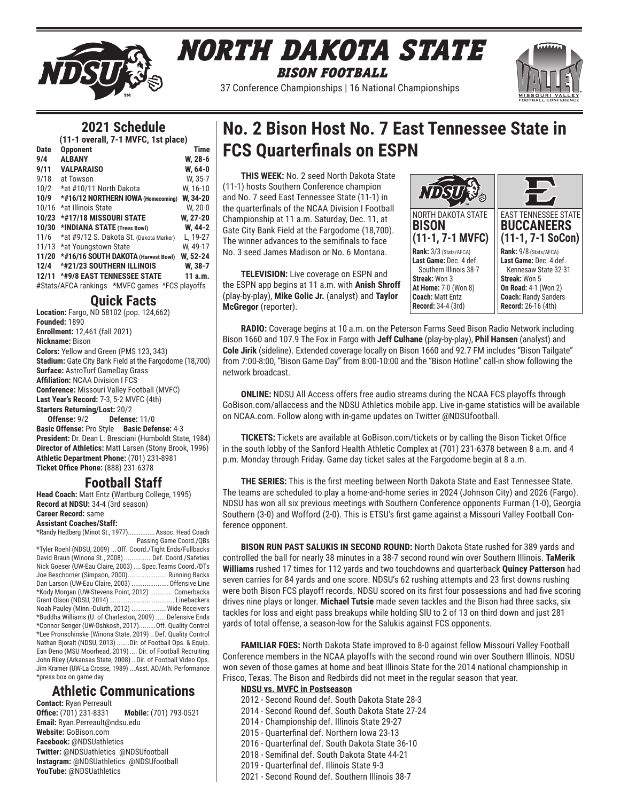

# *North Dakota State BISON FootbalL*

37 Conference Championships | 16 National Championships



# **2021 Schedule**

|             | (11-1 overall, 7-1 MVFC, 1st place)            |             |
|-------------|------------------------------------------------|-------------|
| <b>Date</b> | <b>Opponent</b>                                | <b>Time</b> |
| 9/4         | <b>ALBANY</b>                                  | W, 28-6     |
| 9/11        | <b>VALPARAISO</b>                              | W. 64-0     |
| 9/18        | at Towson                                      | W, 35-7     |
| 10/2        | *at #10/11 North Dakota                        | W. 16-10    |
| 10/9        | *#16/12 NORTHERN IOWA (Homecoming)             | W, 34-20    |
| 10/16       | *at Illinois State                             | W, 20-0     |
| 10/23       | *#17/18 MISSOURI STATE                         | W, 27-20    |
| 10/30       | *INDIANA STATE (Trees Bowl)                    | W, 44-2     |
| 11/6        | *at #9/12 S. Dakota St. (Dakota Marker)        | L. 19-27    |
| 11/13       | *at Youngstown State                           | W. 49-17    |
| 11/20       | *#16/16 SOUTH DAKOTA (Harvest Bowl)            | W, 52-24    |
| 12/4        | <b><i>^#21/23 SOUTHERN ILLINOIS</i></b>        | W, 38-7     |
| 12/11       | <b><i>^#9/8 EAST TENNESSEE STATE</i></b>       | 11a.m.      |
|             | #Stats/AFCA rankings *MVFC games ^FCS playoffs |             |

# **Quick Facts**

**Location:** Fargo, ND 58102 (pop. 124,662) **Founded:** 1890 **Enrollment:** 12,461 (fall 2021) **Nickname:** Bison **Colors:** Yellow and Green (PMS 123, 343) **Stadium:** Gate City Bank Field at the Fargodome (18,700) **Surface:** AstroTurf GameDay Grass **Affiliation:** NCAA Division I FCS **Conference:** Missouri Valley Football (MVFC) **Last Year's Record:** 7-3, 5-2 MVFC (4th) **Starters Returning/Lost:** 20/2 **Offense:** 9/2 **Defense:** 11/0

**Basic Offense:** Pro Style **Basic Defense:** 4-3 **President:** Dr. Dean L. Bresciani (Humboldt State, 1984) **Director of Athletics:** Matt Larsen (Stony Brook, 1996) **Athletic Department Phone:** (701) 231-8981 **Ticket Office Phone:** (888) 231-6378

# **Football Staff**

**Head Coach:** Matt Entz (Wartburg College, 1995) **Record at NDSU:** 34-4 (3rd season) **Career Record:** same

# **Assistant Coaches/Staff:**

\*Randy Hedberg (Minot St., 1977)...............Assoc. Head Coach Passing Game Coord./QBs \*Tyler Roehl (NDSU, 2009) ...Off. Coord./Tight Ends/Fullbacks David Braun (Winona St., 2008)...............Def. Coord./Safeties Nick Goeser (UW-Eau Claire, 2003).... Spec.Teams Coord./DTs Joe Beschorner (Simpson, 2000)..................... Running Backs Dan Larson (UW-Eau Claire, 2003). \*Kody Morgan (UW-Stevens Point, 2012) ............ Cornerbacks Grant Olson (NDSU, 2014)................................... Linebackers Noah Pauley (Minn.-Duluth, 2012) ...................Wide Receivers \*Buddha Williams (U. of Charleston, 2009) ..... Defensive Ends \*Connor Senger (UW-Oshkosh, 2017).........Off. Quality Control \*Lee Pronschinske (Winona State, 2019) .. Def. Quality Control Nathan Bjoralt (NDSU, 2013).......Dir. of Football Ops. & Equip. Ean Deno (MSU Moorhead, 2019).... Dir. of Football Recruiting John Riley (Arkansas State, 2008).. Dir. of Football Video Ops. Jim Kramer (UW-La Crosse, 1989) ...Asst. AD/Ath. Performance \*press box on game day

# **Athletic Communications**

**Contact:** Ryan Perreault **Office:** (701) 231-8331 **Mobile:** (701) 793-0521 **Email:** Ryan.Perreault@ndsu.edu **Website:** GoBison.com **Facebook:** @NDSUathletics **Twitter:** @NDSUathletics @NDSUfootball **Instagram:** @NDSUathletics @NDSUfootball **YouTube:** @NDSUathletics

# **No. 2 Bison Host No. 7 East Tennessee State in FCS Quarterfinals on ESPN**

**THIS WEEK:** No. 2 seed North Dakota State (11-1) hosts Southern Conference champion and No. 7 seed East Tennessee State (11-1) in the quarterfinals of the NCAA Division I Football Championship at 11 a.m. Saturday, Dec. 11, at Gate City Bank Field at the Fargodome (18,700). The winner advances to the semifinals to face No. 3 seed James Madison or No. 6 Montana.

**TELEVISION:** Live coverage on ESPN and the ESPN app begins at 11 a.m. with **Anish Shroff** (play-by-play), **Mike Golic Jr.** (analyst) and **Taylor McGregor** (reporter).



**RADIO:** Coverage begins at 10 a.m. on the Peterson Farms Seed Bison Radio Network including Bison 1660 and 107.9 The Fox in Fargo with **Jeff Culhane** (play-by-play), **Phil Hansen** (analyst) and **Cole Jirik** (sideline). Extended coverage locally on Bison 1660 and 92.7 FM includes "Bison Tailgate" from 7:00-8:00, "Bison Game Day" from 8:00-10:00 and the "Bison Hotline" call-in show following the network broadcast.

**ONLINE:** NDSU All Access offers free audio streams during the NCAA FCS playoffs through GoBison.com/allaccess and the NDSU Athletics mobile app. Live in-game statistics will be available on NCAA.com. Follow along with in-game updates on Twitter @NDSUfootball.

**TICKETS:** Tickets are available at GoBison.com/tickets or by calling the Bison Ticket Office in the south lobby of the Sanford Health Athletic Complex at (701) 231-6378 between 8 a.m. and 4 p.m. Monday through Friday. Game day ticket sales at the Fargodome begin at 8 a.m.

**THE SERIES:** This is the first meeting between North Dakota State and East Tennessee State. The teams are scheduled to play a home-and-home series in 2024 (Johnson City) and 2026 (Fargo). NDSU has won all six previous meetings with Southern Conference opponents Furman (1-0), Georgia Southern (3-0) and Wofford (2-0). This is ETSU's first game against a Missouri Valley Football Conference opponent.

**BISON RUN PAST SALUKIS IN SECOND ROUND:** North Dakota State rushed for 389 yards and controlled the ball for nearly 38 minutes in a 38-7 second round win over Southern Illinois. **TaMerik Williams** rushed 17 times for 112 yards and two touchdowns and quarterback **Quincy Patterson** had seven carries for 84 yards and one score. NDSU's 62 rushing attempts and 23 first downs rushing were both Bison FCS playoff records. NDSU scored on its first four possessions and had five scoring drives nine plays or longer. **Michael Tutsie** made seven tackles and the Bison had three sacks, six tackles for loss and eight pass breakups while holding SIU to 2 of 13 on third down and just 281 yards of total offense, a season-low for the Salukis against FCS opponents.

**FAMILIAR FOES:** North Dakota State improved to 8-0 against fellow Missouri Valley Football Conference members in the NCAA playoffs with the second round win over Southern Illinois. NDSU won seven of those games at home and beat Illinois State for the 2014 national championship in Frisco, Texas. The Bison and Redbirds did not meet in the regular season that year.

### **NDSU vs. MVFC in Postseason**

- 2012 Second Round def. South Dakota State 28-3
- 2014 Second Round def. South Dakota State 27-24
- 2014 Championship def. Illinois State 29-27
- 2015 Quarterfinal def. Northern Iowa 23-13
- 2016 Quarterfinal def. South Dakota State 36-10
- 2018 Semifinal def. South Dakota State 44-21
- 2019 Quarterfinal def. Illinois State 9-3
- 2021 Second Round def. Southern Illinois 38-7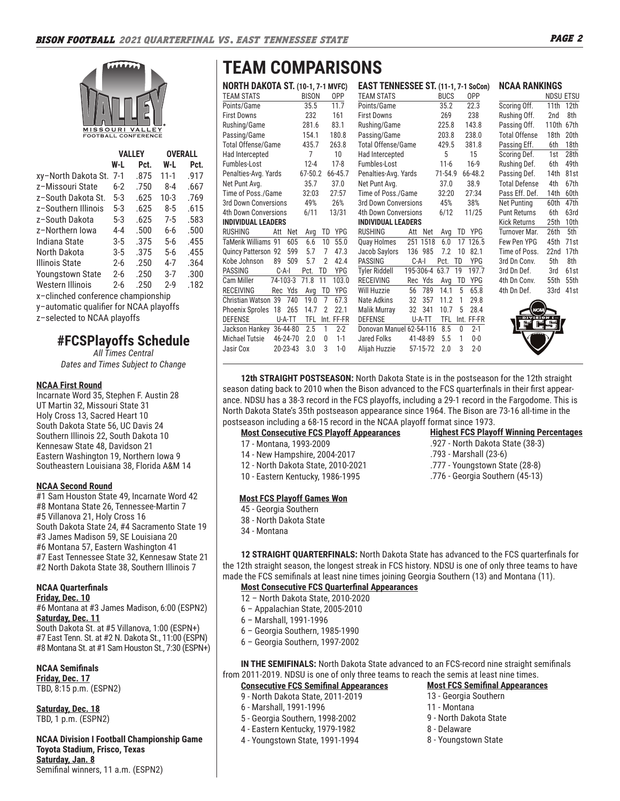

|                                    |         | VALLEY |          | <b>OVERALL</b> |
|------------------------------------|---------|--------|----------|----------------|
|                                    | W-L     | Pct.   | W-L      | Pct.           |
| xy–North Dakota St.                | $7-1$   | .875   | $11 - 1$ | .917           |
| z-Missouri State                   | $6 - 2$ | .750   | $8 - 4$  | .667           |
| z–South Dakota St.                 | 5-3     | .625   | $10-3$   | .769           |
| z-Southern Illinois                | 5-3     | .625   | $8 - 5$  | .615           |
| z-South Dakota                     | 5-3     | .625   | $7-5$    | .583           |
| z-Northern Iowa                    | 4-4     | .500   | 6-6      | .500           |
| Indiana State                      | 3-5     | .375   | 5-6      | .455           |
| North Dakota                       | $3 - 5$ | .375   | 5-6      | .455           |
| Illinois State                     | 2-6     | .250   | 4-7      | .364           |
| <b>Youngstown State</b>            | $2 - 6$ | .250   | 3-7      | .300           |
| Western Illinois                   | 2-6     | .250   | $2-9$    | .182           |
| x-clinched conference championship |         |        |          |                |

y–automatic qualifier for NCAA playoffs

z–selected to NCAA playoffs

# **#FCSPlayoffs Schedule**

*All Times Central Dates and Times Subject to Change*

#### **NCAA First Round**

Incarnate Word 35, Stephen F. Austin 28 UT Martin 32, Missouri State 31 Holy Cross 13, Sacred Heart 10 South Dakota State 56, UC Davis 24 Southern Illinois 22, South Dakota 10 Kennesaw State 48, Davidson 21 Eastern Washington 19, Northern Iowa 9 Southeastern Louisiana 38, Florida A&M 14

#### **NCAA Second Round**

#1 Sam Houston State 49, Incarnate Word 42 #8 Montana State 26, Tennessee-Martin 7 #5 Villanova 21, Holy Cross 16 South Dakota State 24, #4 Sacramento State 19 #3 James Madison 59, SE Louisiana 20 #6 Montana 57, Eastern Washington 41 #7 East Tennessee State 32, Kennesaw State 21 #2 North Dakota State 38, Southern Illinois 7

# **NCAA Quarterfinals**

**Friday, Dec. 10** #6 Montana at #3 James Madison, 6:00 (ESPN2) **Saturday, Dec. 11** South Dakota St. at #5 Villanova, 1:00 (ESPN+) #7 East Tenn. St. at #2 N. Dakota St., 11:00 (ESPN)

#8 Montana St. at #1 Sam Houston St., 7:30 (ESPN+)

#### **NCAA Semifinals Friday, Dec. 17**

TBD, 8:15 p.m. (ESPN2)

**Saturday, Dec. 18** TBD, 1 p.m. (ESPN2)

#### **NCAA Division I Football Championship Game Toyota Stadium, Frisco, Texas Saturday, Jan. 8** Semifinal winners, 11 a.m. (ESPN2)

# **TEAM COMPARISONS**

|                             | <b>NORTH DAKOTA ST. (10-1, 7-1 MVFC)</b> |          |              |                |            |                             |           |          |             |    | EAST TENNESSEE ST. (11-1, 7-1 SoCon) |
|-----------------------------|------------------------------------------|----------|--------------|----------------|------------|-----------------------------|-----------|----------|-------------|----|--------------------------------------|
| <b>TEAM STATS</b>           |                                          |          | <b>BISON</b> |                | 0PP        | <b>TEAM STATS</b>           |           |          | <b>BUCS</b> |    | 0PP                                  |
| Points/Game                 |                                          |          | 35.5         |                | 11.7       | Points/Game                 |           |          | 35.2        |    | 22.3                                 |
| <b>First Downs</b>          |                                          |          | 232          |                | 161        | <b>First Downs</b>          |           |          | 269         |    | 238                                  |
| Rushing/Game                |                                          |          | 281.6        |                | 83.1       | Rushing/Game                |           |          | 225.8       |    | 143.8                                |
| Passing/Game                |                                          |          | 154.1        |                | 180.8      | Passing/Game                |           |          | 203.8       |    | 238.0                                |
| <b>Total Offense/Game</b>   |                                          |          | 435.7        |                | 263.8      | Total Offense/Game          |           |          | 429.5       |    | 381.8                                |
| Had Intercepted             |                                          |          | 7            |                | 10         | Had Intercepted             |           |          | 5           |    | 15                                   |
| Fumbles-Lost                |                                          |          | $12 - 4$     |                | $17-8$     | Fumbles-Lost                |           |          | $11 - 6$    |    | $16-9$                               |
| Penalties-Avg. Yards        |                                          |          | 67-50.2      |                | 66-45.7    | Penalties-Avg. Yards        |           |          | 71-54.9     |    | 66-48.2                              |
| Net Punt Avg.               |                                          |          | 35.7         |                | 37.0       | Net Punt Avg.               |           |          | 37.0        |    | 38.9                                 |
| Time of Poss./Game          |                                          |          | 32:03        |                | 27:57      | Time of Poss./Game          |           |          | 32:20       |    | 27:34                                |
| 3rd Down Conversions        |                                          |          | 49%          |                | 26%        | 3rd Down Conversions        |           |          | 45%         |    | 38%                                  |
| <b>4th Down Conversions</b> |                                          |          | 6/11         |                | 13/31      | <b>4th Down Conversions</b> |           |          | 6/12        |    | 11/25                                |
| <b>INDIVIDUAL LEADERS</b>   |                                          |          |              |                |            | <b>INDIVIDUAL LEADERS</b>   |           |          |             |    |                                      |
| <b>RUSHING</b>              | Att                                      | Net      | Avg          | TD             | YPG        | <b>RUSHING</b>              | Att       | Net      | Avg         | TD | YPG                                  |
| TaMerik Williams 91         |                                          | 605      | 6.6          | 10             | 55.0       | Quay Holmes                 |           | 251 1518 | 6.0         | 17 | 126.5                                |
| Quincy Patterson 92         |                                          | 599      | 5.7          | 7              | 47.3       | Jacob Saylors               |           | 136 985  | 7.2         | 10 | 82.1                                 |
| Kobe Johnson                | 89                                       | 509      | 5.7          | $\overline{2}$ | 42.4       | <b>PASSING</b>              | $C-A-I$   |          | Pct.        | TD | YPG                                  |
| <b>PASSING</b>              | $C-A-I$                                  |          | Pct.         | TD             | YPG        | <b>Tyler Riddell</b>        | 195-306-4 |          | 63.7        | 19 | 197.7                                |
| Cam Miller                  | 74-103-3                                 |          | 71.8         | 11             | 103.0      | <b>RECEIVING</b>            |           | Rec Yds  | Avg         | TD | YPG                                  |
| <b>RECEIVING</b>            | Rec Yds                                  |          | Avg          | TD             | YPG        | Will Huzzie                 | 56        | 789      | 14.1        | 5  | 65.8                                 |
| Christian Watson 39         |                                          | 740      | 19.0         | 7              | 67.3       | Nate Adkins                 | 32        | 357      | 11.2        | 1  | 29.8                                 |
| Phoenix Sproles             | 18                                       | 265      | 14.7         | $\overline{2}$ | 22.1       | Malik Murray                | 32        | 341      | 10.7        | 5  | 28.4                                 |
| <b>DEFENSE</b>              |                                          | U-A-TT   | <b>TFL</b>   |                | Int. FF-FR | <b>DEFENSE</b>              |           | U-A-TT   | TFL         |    | Int. FF-FR                           |
| Jackson Hankey              |                                          | 36-44-80 | 2.5          | 1              | $2 - 2$    | Donovan Manuel 62-54-116    |           |          | 8.5         | 0  | $2 - 1$                              |
| <b>Michael Tutsie</b>       |                                          | 46-24-70 | 2.0          | $\Omega$       | $1 - 1$    | Jared Folks                 |           | 41-48-89 | 5.5         | 1  | $0 - 0$                              |
| Jasir Cox                   |                                          | 20-23-43 | 3.0          | 3              | $1 - 0$    | Alijah Huzzie               |           | 57-15-72 | 2.0         | 3  | $2 - 0$                              |
|                             |                                          |          |              |                |            |                             |           |          |             |    |                                      |

| <b>TEAM STATS</b>           |           |          | <b>BUCS</b> |              | 0PP        |
|-----------------------------|-----------|----------|-------------|--------------|------------|
| Points/Game                 |           |          | 35.2        |              | 22.3       |
| <b>First Downs</b>          |           |          | 269         |              | 238        |
| Rushing/Game                |           |          | 225.8       |              | 143.8      |
| Passing/Game                |           |          | 203.8       |              | 238.0      |
| <b>Total Offense/Game</b>   |           |          | 429.5       |              | 381.8      |
| Had Intercepted             |           |          | 5           |              | 15         |
| Fumbles-Lost                |           |          | $11 - 6$    |              | $16-9$     |
| Penalties-Avg. Yards        |           |          | 71-54.9     |              | 66-48.2    |
| Net Punt Avg.               |           |          | 37.0        |              | 38.9       |
| Time of Poss./Game          |           |          | 32:20       |              | 27:34      |
| 3rd Down Conversions        |           |          | 45%         |              | 38%        |
| <b>4th Down Conversions</b> |           |          | 6/12        |              | 11/25      |
| <b>INDIVIDUAL LEADERS</b>   |           |          |             |              |            |
| RUSHING                     | Att       | Net      | Avg         | TD           | YPG        |
| Quay Holmes                 |           | 251 1518 | 6.0         | 17           | 126.5      |
| Jacob Saylors               | 136       | 985      | 7.2         | 10           | 82.1       |
| PASSING                     | $C-A-I$   |          | Pct.        | TD           | YPG        |
| <b>Tyler Riddell</b>        | 195-306-4 |          | 63.7        | 19           | 197.7      |
| <b>RECEIVING</b>            |           | Rec Yds  | Avg         | TD           | <b>YPG</b> |
| <b>Will Huzzie</b>          | 56        | 789      | 14.1        | 5            | 65.8       |
| Nate Adkins                 | 32        | 357      | 11.2        | $\mathbf{1}$ | 29.8       |
| Malik Murray                | 32        | 341      | 10.7        | 5            | 28.4       |
| <b>DEFENSE</b>              |           | U-A-TT   | TFL         | Int.         | FF-FR      |
| Donovan Manuel 62-54-116    |           |          | 8.5         | 0            | $2 - 1$    |
| <b>Jared Folks</b>          |           | 41-48-89 | 5.5         | 1            | $0-0$      |
| Alijah Huzzie               |           | 57-15-72 | 2.0         | 3            | $2 - 0$    |
|                             |           |          |             |              |            |





**Highest FCS Playoff Winning Percentages**

.927 - North Dakota State (38-3)

.793 - Marshall (23-6) .777 - Youngstown State (28-8) .776 - Georgia Southern (45-13)

**12th STRAIGHT POSTSEASON:** North Dakota State is in the postseason for the 12th straight season dating back to 2010 when the Bison advanced to the FCS quarterfinals in their first appearance. NDSU has a 38-3 record in the FCS playoffs, including a 29-1 record in the Fargodome. This is North Dakota State's 35th postseason appearance since 1964. The Bison are 73-16 all-time in the postseason including a 68-15 record in the NCAA playoff format since 1973.

#### **Most Consecutive FCS Playoff Appearances**

- 17 Montana, 1993-2009
- 14 New Hampshire, 2004-2017
- 12 North Dakota State, 2010-2021
- 10 Eastern Kentucky, 1986-1995

#### **Most FCS Playoff Games Won**

- 45 Georgia Southern
- 38 North Dakota State
- 34 Montana

**12 STRAIGHT QUARTERFINALS:** North Dakota State has advanced to the FCS quarterfinals for the 12th straight season, the longest streak in FCS history. NDSU is one of only three teams to have made the FCS semifinals at least nine times joining Georgia Southern (13) and Montana (11).

#### **Most Consecutive FCS Quarterfinal Appearances**

- 12 North Dakota State, 2010-2020
- 6 Appalachian State, 2005-2010
- 6 Marshall, 1991-1996
- 6 Georgia Southern, 1985-1990
- 6 Georgia Southern, 1997-2002

**IN THE SEMIFINALS:** North Dakota State advanced to an FCS-record nine straight semifinals from 2011-2019. NDSU is one of only three teams to reach the semis at least nine times.

### **Consecutive FCS Semifinal Appearances**

- 9 North Dakota State, 2011-2019
- 6 Marshall, 1991-1996
- 5 Georgia Southern, 1998-2002
- 4 Eastern Kentucky, 1979-1982
- 4 Youngstown State, 1991-1994

### **Most FCS Semifinal Appearances**

- 13 Georgia Southern
- 11 Montana
- 9 North Dakota State
- 8 Delaware
	- 8 Youngstown State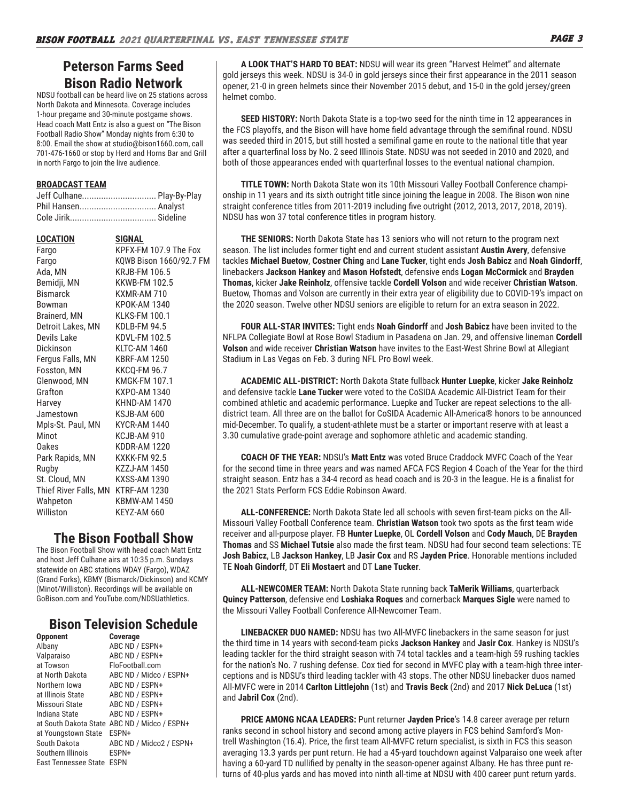# **Peterson Farms Seed Bison Radio Network**

NDSU football can be heard live on 25 stations across North Dakota and Minnesota. Coverage includes 1-hour pregame and 30-minute postgame shows. Head coach Matt Entz is also a guest on "The Bison Football Radio Show" Monday nights from 6:30 to 8:00. Email the show at studio@bison1660.com, call 701-476-1660 or stop by Herd and Horns Bar and Grill in north Fargo to join the live audience.

#### **BROADCAST TEAM**

| Jeff Culhane Play-By-Play |  |
|---------------------------|--|
| Phil Hansen Analyst       |  |
|                           |  |

| LOCATION              | SIGNAL                  |
|-----------------------|-------------------------|
| Fargo                 | KPFX-FM 107.9 The Fox   |
| Fargo                 | KQWB Bison 1660/92.7 FM |
| Ada, MN               | <b>KRJB-FM 106.5</b>    |
| Bemidji, MN           | <b>KKWB-FM 102.5</b>    |
| <b>Bismarck</b>       | KXMR-AM 710             |
| Bowman                | KPOK-AM 1340            |
| Brainerd, MN          | KI KS-FM 100.1          |
| Detroit Lakes, MN     | KDLB-FM 94.5            |
| Devils Lake           | KDVL-FM 102.5           |
| Dickinson             | KLTC-AM 1460            |
| Fergus Falls, MN      | <b>KBRF-AM 1250</b>     |
| Fosston, MN           | <b>KKCQ-FM 96.7</b>     |
| Glenwood, MN          | <b>KMGK-FM 107.1</b>    |
| Grafton               | KXPO-AM 1340            |
| Harvey                | <b>KHND-AM 1470</b>     |
| Jamestown             | KSJB-AM 600             |
| Mpls-St. Paul, MN     | KYCR-AM 1440            |
| Minot                 | KCJB-AM 910             |
| Oakes                 | KDDR-AM 1220            |
| Park Rapids, MN       | <b>KXKK-FM 92.5</b>     |
| Rugby                 | KZZJ-AM 1450            |
| St. Cloud, MN         | KXSS-AM 1390            |
| Thief River Falls, MN | KTRF-AM 1230            |
| Wahpeton              | <b>KBMW-AM 1450</b>     |
| Williston             | KEYZ-AM 660             |
|                       |                         |

# **The Bison Football Show**

The Bison Football Show with head coach Matt Entz and host Jeff Culhane airs at 10:35 p.m. Sundays statewide on ABC stations WDAY (Fargo), WDAZ (Grand Forks), KBMY (Bismarck/Dickinson) and KCMY (Minot/Williston). Recordings will be available on GoBison.com and YouTube.com/NDSUathletics.

# **Bison Television Schedule**

| <b>Opponent</b>           | <b>Coverage</b>                              |
|---------------------------|----------------------------------------------|
| Albany                    | ABC ND / ESPN+                               |
| Valparaiso                | ABC ND / ESPN+                               |
| at Towson                 | FloFootball.com                              |
| at North Dakota           | ABC ND / Midco / ESPN+                       |
| Northern Iowa             | ABC ND / ESPN+                               |
| at Illinois State         | ABC ND / ESPN+                               |
| Missouri State            | ABC ND / ESPN+                               |
| Indiana State             | ABC ND / ESPN+                               |
|                           | at South Dakota State ABC ND / Midco / ESPN+ |
| at Youngstown State       | FSPN+                                        |
| South Dakota              | ABC ND / Midco2 / ESPN+                      |
| Southern Illinois         | ESPN+                                        |
| East Tennessee State ESPN |                                              |
|                           |                                              |

**A LOOK THAT'S HARD TO BEAT:** NDSU will wear its green "Harvest Helmet" and alternate gold jerseys this week. NDSU is 34-0 in gold jerseys since their first appearance in the 2011 season opener, 21-0 in green helmets since their November 2015 debut, and 15-0 in the gold jersey/green helmet combo.

**SEED HISTORY:** North Dakota State is a top-two seed for the ninth time in 12 appearances in the FCS playoffs, and the Bison will have home field advantage through the semifinal round. NDSU was seeded third in 2015, but still hosted a semifinal game en route to the national title that year after a quarterfinal loss by No. 2 seed Illinois State. NDSU was not seeded in 2010 and 2020, and both of those appearances ended with quarterfinal losses to the eventual national champion.

**TITLE TOWN:** North Dakota State won its 10th Missouri Valley Football Conference championship in 11 years and its sixth outright title since joining the league in 2008. The Bison won nine straight conference titles from 2011-2019 including five outright (2012, 2013, 2017, 2018, 2019). NDSU has won 37 total conference titles in program history.

**THE SENIORS:** North Dakota State has 13 seniors who will not return to the program next season. The list includes former tight end and current student assistant **Austin Avery**, defensive tackles **Michael Buetow**, **Costner Ching** and **Lane Tucker**, tight ends **Josh Babicz** and **Noah Gindorff**, linebackers **Jackson Hankey** and **Mason Hofstedt**, defensive ends **Logan McCormick** and **Brayden Thomas**, kicker **Jake Reinholz**, offensive tackle **Cordell Volson** and wide receiver **Christian Watson**. Buetow, Thomas and Volson are currently in their extra year of eligibility due to COVID-19's impact on the 2020 season. Twelve other NDSU seniors are eligible to return for an extra season in 2022.

**FOUR ALL-STAR INVITES:** Tight ends **Noah Gindorff** and **Josh Babicz** have been invited to the NFLPA Collegiate Bowl at Rose Bowl Stadium in Pasadena on Jan. 29, and offensive lineman **Cordell Volson** and wide receiver **Christian Watson** have invites to the East-West Shrine Bowl at Allegiant Stadium in Las Vegas on Feb. 3 during NFL Pro Bowl week.

**ACADEMIC ALL-DISTRICT:** North Dakota State fullback **Hunter Luepke**, kicker **Jake Reinholz** and defensive tackle **Lane Tucker** were voted to the CoSIDA Academic All-District Team for their combined athletic and academic performance. Luepke and Tucker are repeat selections to the alldistrict team. All three are on the ballot for CoSIDA Academic All-America® honors to be announced mid-December. To qualify, a student-athlete must be a starter or important reserve with at least a 3.30 cumulative grade-point average and sophomore athletic and academic standing.

**COACH OF THE YEAR:** NDSU's **Matt Entz** was voted Bruce Craddock MVFC Coach of the Year for the second time in three years and was named AFCA FCS Region 4 Coach of the Year for the third straight season. Entz has a 34-4 record as head coach and is 20-3 in the league. He is a finalist for the 2021 Stats Perform FCS Eddie Robinson Award.

**ALL-CONFERENCE:** North Dakota State led all schools with seven first-team picks on the All-Missouri Valley Football Conference team. **Christian Watson** took two spots as the first team wide receiver and all-purpose player. FB **Hunter Luepke**, OL **Cordell Volson** and **Cody Mauch**, DE **Brayden Thomas** and SS **Michael Tutsie** also made the first team. NDSU had four second team selections: TE **Josh Babicz**, LB **Jackson Hankey**, LB **Jasir Cox** and RS **Jayden Price**. Honorable mentions included TE **Noah Gindorff**, DT **Eli Mostaert** and DT **Lane Tucker**.

**ALL-NEWCOMER TEAM:** North Dakota State running back **TaMerik Williams**, quarterback **Quincy Patterson**, defensive end **Loshiaka Roques** and cornerback **Marques Sigle** were named to the Missouri Valley Football Conference All-Newcomer Team.

**LINEBACKER DUO NAMED:** NDSU has two All-MVFC linebackers in the same season for just the third time in 14 years with second-team picks **Jackson Hankey** and **Jasir Cox**. Hankey is NDSU's leading tackler for the third straight season with 74 total tackles and a team-high 59 rushing tackles for the nation's No. 7 rushing defense. Cox tied for second in MVFC play with a team-high three interceptions and is NDSU's third leading tackler with 43 stops. The other NDSU linebacker duos named All-MVFC were in 2014 **Carlton Littlejohn** (1st) and **Travis Beck** (2nd) and 2017 **Nick DeLuca** (1st) and **Jabril Cox** (2nd).

**PRICE AMONG NCAA LEADERS:** Punt returner **Jayden Price**'s 14.8 career average per return ranks second in school history and second among active players in FCS behind Samford's Montrell Washington (16.4). Price, the first team All-MVFC return specialist, is sixth in FCS this season averaging 13.3 yards per punt return. He had a 45-yard touchdown against Valparaiso one week after having a 60-yard TD nullified by penalty in the season-opener against Albany. He has three punt returns of 40-plus yards and has moved into ninth all-time at NDSU with 400 career punt return yards.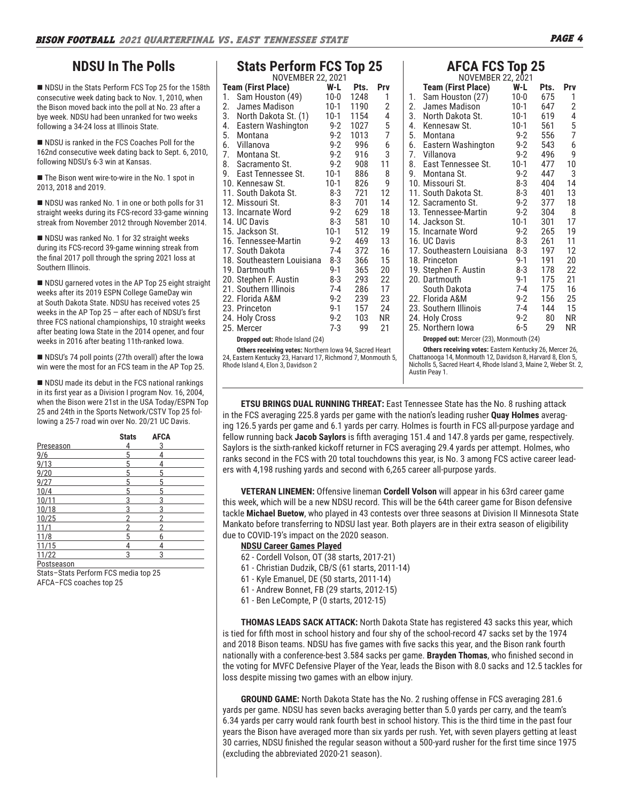# **NDSU In The Polls**

■ NDSU in the Stats Perform FCS Top 25 for the 158th consecutive week dating back to Nov. 1, 2010, when the Bison moved back into the poll at No. 23 after a bye week. NDSU had been unranked for two weeks following a 34-24 loss at Illinois State.

NDSU is ranked in the FCS Coaches Poll for the 162nd consecutive week dating back to Sept. 6, 2010, following NDSU's 6-3 win at Kansas.

■ The Bison went wire-to-wire in the No. 1 spot in 2013, 2018 and 2019.

NDSU was ranked No. 1 in one or both polls for 31 straight weeks during its FCS-record 33-game winning streak from November 2012 through November 2014.

NDSU was ranked No. 1 for 32 straight weeks during its FCS-record 39-game winning streak from the final 2017 poll through the spring 2021 loss at Southern Illinois.

NDSU garnered votes in the AP Top 25 eight straight weeks after its 2019 ESPN College GameDay win at South Dakota State. NDSU has received votes 25 weeks in the AP Top  $25 -$  after each of NDSU's first three FCS national championships, 10 straight weeks after beating Iowa State in the 2014 opener, and four weeks in 2016 after beating 11th-ranked Iowa.

■ NDSU's 74 poll points (27th overall) after the Iowa win were the most for an FCS team in the AP Top 25.

 $\blacksquare$  NDSU made its debut in the FCS national rankings in its first year as a Division I program Nov. 16, 2004, when the Bison were 21st in the USA Today/ESPN Top 25 and 24th in the Sports Network/CSTV Top 25 following a 25-7 road win over No. 20/21 UC Davis.

|            | <b>Stats</b> | <b>AFCA</b> |  |
|------------|--------------|-------------|--|
| Preseason  | 4            | 3           |  |
| 9/6        | 5            | 4           |  |
| 9/13       | 5            | 4           |  |
| 9/20       | 5            | 5           |  |
| 9/27       | 5            | 5           |  |
| 10/4       | 5            | 5           |  |
| 10/11      | 3            | 3           |  |
| 10/18      | 3            | 3           |  |
| 10/25      | 2            | っ           |  |
| 11/1       | 2            |             |  |
| 11/8       | 5            | 6           |  |
| 11/15      | 4            | 4           |  |
| 11/22      | 3            | 3           |  |
| Postseason |              |             |  |

Stats–Stats Perform FCS media top 25 AFCA–FCS coaches top 25

| <b>Stats Perform FCS Top 25</b> |         |      |                |
|---------------------------------|---------|------|----------------|
| NOVEMBER 22, 2021               |         |      |                |
| <b>Team (First Place)</b>       | W-L     | Pts. | Prv            |
| Sam Houston (49)<br>1.          | 10-0    | 1248 | 1              |
| 2.<br>James Madison             | 10-1    | 1190 | $\overline{c}$ |
| 3. North Dakota St. (1)         | 10-1    | 1154 | 4              |
| 4.<br>Eastern Washington        | 9-2     | 1027 | 5              |
| 5.<br>Montana                   | $9 - 2$ | 1013 | $\overline{7}$ |
| 6. Villanova                    | $9 - 2$ | 996  | 6              |
| 7. Montana St.                  | $9 - 2$ | 916  | 3              |
| 8. Sacramento St.               | $9 - 2$ | 908  | 11             |
| 9. East Tennessee St.           | $10-1$  | 886  | 8              |
| 10. Kennesaw St.                | $10-1$  | 826  | 9              |
| 11. South Dakota St.            | 8-3     | 721  | 12             |
| 12. Missouri St.                | 8-3     | 701  | 14             |
| 13. Incarnate Word              | $9-2$   | 629  | 18             |
| 14. UC Davis                    | 8-3     | 581  | 10             |
| 15. Jackson St.                 | $10-1$  | 512  | 19             |
| 16. Tennessee-Martin            | $9-2$   | 469  | 13             |
| 17. South Dakota                | 7-4     | 372  | 16             |
| 18. Southeastern Louisiana      | 8-3     | 366  | 15             |
| 19. Dartmouth                   | $9-1$   | 365  | 20             |
| 20. Stephen F. Austin           | 8-3     | 293  | 22             |
| 21. Southern Illinois           | 7-4     | 286  | 17             |
| 22. Florida A&M                 | $9 - 2$ | 239  | 23             |
| 23. Princeton                   | $9-1$   | 157  | 24             |
| 24. Holy Cross                  | $9-2$   | 103  | ΝR             |
| 25. Mercer                      | $7-3$   | 99   | 21             |

**Dropped out:** Rhode Island (24)

**Others receiving votes:** Northern Iowa 94, Sacred Heart 24, Eastern Kentucky 23, Harvard 17, Richmond 7, Monmouth 5, Rhode Island 4, Elon 3, Davidson 2

# **AFCA FCS Top 25** NOVEMBER 22, 2021

| NOVEMBER 22, 2021                      |         |      |            |
|----------------------------------------|---------|------|------------|
| <b>Team (First Place)</b>              | W-L     | Pts. | <b>Prv</b> |
| Sam Houston (27)<br>1.                 | $10-0$  | 675  | 1          |
| 2.<br>James Madison                    | $10-1$  | 647  | 2          |
| 3.<br>North Dakota St.                 | $10-1$  | 619  | 4          |
| 4.<br>Kennesaw St.                     | $10-1$  | 561  | 5          |
| 5.<br>Montana                          | 9-2     | 556  | 7          |
| 6.<br>Eastern Washington               | $9 - 2$ | 543  | 6          |
| Villanova<br>7.                        | $9-2$   | 496  | 9          |
| 8.<br>East Tennessee St.               | $10-1$  | 477  | 10         |
| 9. Montana St.                         | $9-2$   | 447  | 3          |
| 10. Missouri St.                       | 8-3     | 404  | 14         |
| 11. South Dakota St.                   | 8-3     | 401  | 13         |
| 12. Sacramento St.                     | $9-2$   | 377  | 18         |
| 13. Tennessee-Martin                   | $9 - 2$ | 304  | 8          |
| 14. Jackson St.                        | $10-1$  | 301  | 17         |
| 15. Incarnate Word                     | 9-2     | 265  | 19         |
| 16. UC Davis                           | 8-3     | 261  | 11         |
| 17. Southeastern Louisiana             | 8-3     | 197  | 12         |
| 18. Princeton                          | $9-1$   | 191  | 20         |
| 19. Stephen F. Austin                  | 8-3     | 178  | 22         |
| 20. Dartmouth                          | $9-1$   | 175  | 21         |
| South Dakota                           | 7-4     | 175  | 16         |
| 22. Florida A&M                        | $9-2$   | 156  | 25         |
| 23. Southern Illinois                  | $7 - 4$ | 144  | 15         |
| 24. Holy Cross                         | $9-2$   | 80   | NR         |
| 25. Northern Iowa                      | $6 - 5$ | 29   | ΝR         |
| Dranned out: Moreor (22) Monmouth (24) |         |      |            |

**Dropped out:** Mercer (23), Monmouth (24)

**Others receiving votes:** Eastern Kentucky 26, Mercer 26, Chattanooga 14, Monmouth 12, Davidson 8, Harvard 8, Elon 5, Nicholls 5, Sacred Heart 4, Rhode Island 3, Maine 2, Weber St. 2, Austin Peay 1.

**ETSU BRINGS DUAL RUNNING THREAT:** East Tennessee State has the No. 8 rushing attack in the FCS averaging 225.8 yards per game with the nation's leading rusher **Quay Holmes** averaging 126.5 yards per game and 6.1 yards per carry. Holmes is fourth in FCS all-purpose yardage and fellow running back **Jacob Saylors** is fifth averaging 151.4 and 147.8 yards per game, respectively. Saylors is the sixth-ranked kickoff returner in FCS averaging 29.4 yards per attempt. Holmes, who ranks second in the FCS with 20 total touchdowns this year, is No. 3 among FCS active career leaders with 4,198 rushing yards and second with 6,265 career all-purpose yards.

**VETERAN LINEMEN:** Offensive lineman **Cordell Volson** will appear in his 63rd career game this week, which will be a new NDSU record. This will be the 64th career game for Bison defensive tackle **Michael Buetow**, who played in 43 contests over three seasons at Division II Minnesota State Mankato before transferring to NDSU last year. Both players are in their extra season of eligibility due to COVID-19's impact on the 2020 season.

#### **NDSU Career Games Played**

- 62 Cordell Volson, OT (38 starts, 2017-21)
- 61 Christian Dudzik, CB/S (61 starts, 2011-14)
- 61 Kyle Emanuel, DE (50 starts, 2011-14)
- 61 Andrew Bonnet, FB (29 starts, 2012-15)
- 61 Ben LeCompte, P (0 starts, 2012-15)

**THOMAS LEADS SACK ATTACK:** North Dakota State has registered 43 sacks this year, which is tied for fifth most in school history and four shy of the school-record 47 sacks set by the 1974 and 2018 Bison teams. NDSU has five games with five sacks this year, and the Bison rank fourth nationally with a conference-best 3.584 sacks per game. **Brayden Thomas**, who finished second in the voting for MVFC Defensive Player of the Year, leads the Bison with 8.0 sacks and 12.5 tackles for loss despite missing two games with an elbow injury.

**GROUND GAME:** North Dakota State has the No. 2 rushing offense in FCS averaging 281.6 yards per game. NDSU has seven backs averaging better than 5.0 yards per carry, and the team's 6.34 yards per carry would rank fourth best in school history. This is the third time in the past four years the Bison have averaged more than six yards per rush. Yet, with seven players getting at least 30 carries, NDSU finished the regular season without a 500-yard rusher for the first time since 1975 (excluding the abbreviated 2020-21 season).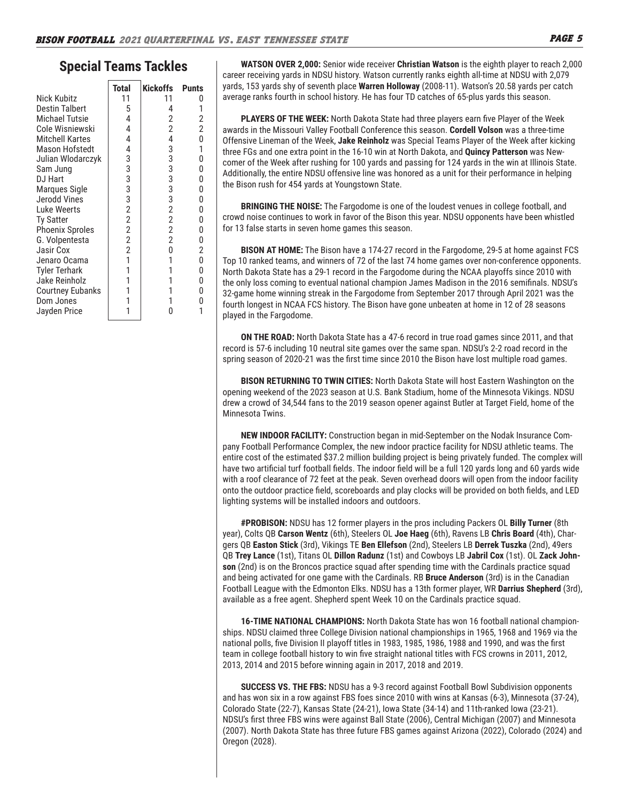## **Special Teams Tackles**

|                         | <b>Total</b>   | Kickoffs       | <b>Punts</b>   |
|-------------------------|----------------|----------------|----------------|
| Nick Kubitz             | 11             | 11             |                |
| <b>Destin Talbert</b>   | 5              | 4              | 1              |
| Michael Tutsie          | 4              | 2              | $\frac{2}{2}$  |
| Cole Wisniewski         | 4              | $\overline{2}$ |                |
| <b>Mitchell Kartes</b>  | 4              | $\overline{4}$ | 0              |
| Mason Hofstedt          | 4              | 3              | 1              |
| Julian Wlodarczyk       | 3              | 3              | 0              |
| Sam Jung                | 3              | 3              | 0              |
| DJ Hart                 | 3              | 3              | 0              |
| Marques Sigle           | 3              | 3              | 0              |
| Jerodd Vines            | 3              | 3              | 0              |
| Luke Weerts             | $\overline{2}$ | $\overline{2}$ | 0              |
| <b>Ty Satter</b>        | $\overline{2}$ | $\overline{2}$ | 0              |
| <b>Phoenix Sproles</b>  | $\overline{2}$ | $\overline{2}$ | 0              |
| G. Volpentesta          | $\overline{2}$ | $\overline{2}$ | 0              |
| Jasir Cox               | $\overline{2}$ | 0              | $\overline{2}$ |
| Jenaro Ocama            | 1              | 1              | 0              |
| Tyler Terhark           | 1              | 1              | 0              |
| Jake Reinholz           | 1              | 1              | 0              |
| <b>Courtney Eubanks</b> | 1              | 1              | 0              |
| Dom Jones               | 1              |                | 0              |
| Jayden Price            |                | N              |                |

**WATSON OVER 2,000:** Senior wide receiver **Christian Watson** is the eighth player to reach 2,000 career receiving yards in NDSU history. Watson currently ranks eighth all-time at NDSU with 2,079 yards, 153 yards shy of seventh place **Warren Holloway** (2008-11). Watson's 20.58 yards per catch average ranks fourth in school history. He has four TD catches of 65-plus yards this season.

**PLAYERS OF THE WEEK:** North Dakota State had three players earn five Player of the Week awards in the Missouri Valley Football Conference this season. **Cordell Volson** was a three-time Offensive Lineman of the Week, **Jake Reinholz** was Special Teams Player of the Week after kicking three FGs and one extra point in the 16-10 win at North Dakota, and **Quincy Patterson** was Newcomer of the Week after rushing for 100 yards and passing for 124 yards in the win at Illinois State. Additionally, the entire NDSU offensive line was honored as a unit for their performance in helping the Bison rush for 454 yards at Youngstown State.

**BRINGING THE NOISE:** The Fargodome is one of the loudest venues in college football, and crowd noise continues to work in favor of the Bison this year. NDSU opponents have been whistled for 13 false starts in seven home games this season.

**BISON AT HOME:** The Bison have a 174-27 record in the Fargodome, 29-5 at home against FCS Top 10 ranked teams, and winners of 72 of the last 74 home games over non-conference opponents. North Dakota State has a 29-1 record in the Fargodome during the NCAA playoffs since 2010 with the only loss coming to eventual national champion James Madison in the 2016 semifinals. NDSU's 32-game home winning streak in the Fargodome from September 2017 through April 2021 was the fourth longest in NCAA FCS history. The Bison have gone unbeaten at home in 12 of 28 seasons played in the Fargodome.

**ON THE ROAD:** North Dakota State has a 47-6 record in true road games since 2011, and that record is 57-6 including 10 neutral site games over the same span. NDSU's 2-2 road record in the spring season of 2020-21 was the first time since 2010 the Bison have lost multiple road games.

**BISON RETURNING TO TWIN CITIES:** North Dakota State will host Eastern Washington on the opening weekend of the 2023 season at U.S. Bank Stadium, home of the Minnesota Vikings. NDSU drew a crowd of 34,544 fans to the 2019 season opener against Butler at Target Field, home of the Minnesota Twins.

**NEW INDOOR FACILITY:** Construction began in mid-September on the Nodak Insurance Company Football Performance Complex, the new indoor practice facility for NDSU athletic teams. The entire cost of the estimated \$37.2 million building project is being privately funded. The complex will have two artificial turf football fields. The indoor field will be a full 120 yards long and 60 yards wide with a roof clearance of 72 feet at the peak. Seven overhead doors will open from the indoor facility onto the outdoor practice field, scoreboards and play clocks will be provided on both fields, and LED lighting systems will be installed indoors and outdoors.

**#PROBISON:** NDSU has 12 former players in the pros including Packers OL **Billy Turner** (8th year), Colts QB **Carson Wentz** (6th), Steelers OL **Joe Haeg** (6th), Ravens LB **Chris Board** (4th), Chargers QB **Easton Stick** (3rd), Vikings TE **Ben Ellefson** (2nd), Steelers LB **Derrek Tuszka** (2nd), 49ers QB **Trey Lance** (1st), Titans OL **Dillon Radunz** (1st) and Cowboys LB **Jabril Cox** (1st). OL **Zack Johnson** (2nd) is on the Broncos practice squad after spending time with the Cardinals practice squad and being activated for one game with the Cardinals. RB **Bruce Anderson** (3rd) is in the Canadian Football League with the Edmonton Elks. NDSU has a 13th former player, WR **Darrius Shepherd** (3rd), available as a free agent. Shepherd spent Week 10 on the Cardinals practice squad.

**16-TIME NATIONAL CHAMPIONS:** North Dakota State has won 16 football national championships. NDSU claimed three College Division national championships in 1965, 1968 and 1969 via the national polls, five Division II playoff titles in 1983, 1985, 1986, 1988 and 1990, and was the first team in college football history to win five straight national titles with FCS crowns in 2011, 2012, 2013, 2014 and 2015 before winning again in 2017, 2018 and 2019.

**SUCCESS VS. THE FBS:** NDSU has a 9-3 record against Football Bowl Subdivision opponents and has won six in a row against FBS foes since 2010 with wins at Kansas (6-3), Minnesota (37-24), Colorado State (22-7), Kansas State (24-21), Iowa State (34-14) and 11th-ranked Iowa (23-21). NDSU's first three FBS wins were against Ball State (2006), Central Michigan (2007) and Minnesota (2007). North Dakota State has three future FBS games against Arizona (2022), Colorado (2024) and Oregon (2028).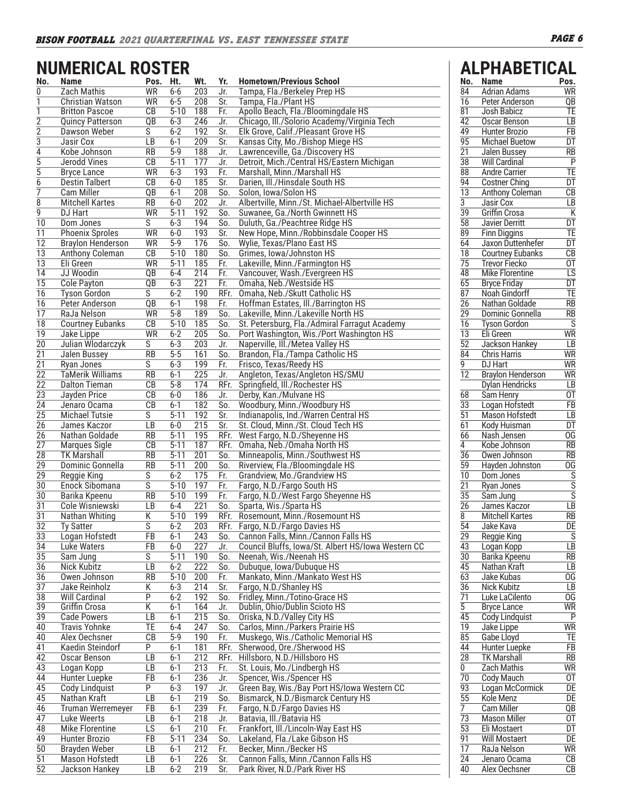# **NUMERICAL ROSTER**

|                       | <b>NUMERICAL ROSTER</b>                            |                              |                     |                         |                  |                                                                                           |                                    | <b>ALPHABETICAL</b>                           |                                    |
|-----------------------|----------------------------------------------------|------------------------------|---------------------|-------------------------|------------------|-------------------------------------------------------------------------------------------|------------------------------------|-----------------------------------------------|------------------------------------|
| No.                   | <b>Name</b>                                        | Pos. Ht.                     |                     | Wt.                     | Yr.              | <b>Hometown/Previous School</b>                                                           | No.                                | <b>Name</b>                                   | Pos.                               |
| 0                     | <b>Zach Mathis</b>                                 | <b>WR</b>                    | $6-6$               | 203                     | Jr.              | Tampa, Fla./Berkeley Prep HS                                                              | 84                                 | <b>Adrian Adams</b>                           | <b>WR</b>                          |
| 1                     | Christian Watson                                   | <b>WR</b>                    | $6 - 5$             | 208                     | $\overline{Sr.}$ | Tampa, Fla./Plant HS                                                                      | 16                                 | Peter Anderson                                | $\overline{QB}$                    |
| 1                     | <b>Britton Pascoe</b>                              | СB                           | $5 - 10$            | 188                     | Fr.              | Apollo Beach, Fla./Bloomingdale HS                                                        | $\overline{81}$                    | Josh Babicz                                   | TE                                 |
| 2                     | <b>Quincy Patterson</b>                            | QB                           | $6 - 3$             | 246                     | Jr.              | Chicago, Ill./Solorio Academy/Virginia Tech                                               | $\overline{42}$                    | Oscar Benson                                  | $\overline{LB}$                    |
| 2<br>3                | <b>Dawson Weber</b><br>Jasir Cox                   | S<br>LB                      | $6 - 2$<br>$6 - 1$  | 192<br>209              | Sr.<br>Sr.       | Elk Grove, Calif./Pleasant Grove HS<br>Kansas City, Mo./Bishop Miege HS                   | 49<br>95                           | <b>Hunter Brozio</b><br><b>Michael Buetow</b> | $\overline{FB}$<br>$\overline{DT}$ |
| 4                     | Kobe Johnson                                       | <b>RB</b>                    | $5-9$               | 188                     | Jr.              | Lawrenceville, Ga./Discovery HS                                                           | $\overline{21}$                    | <b>Jalen Bussey</b>                           | $R$ B                              |
| 5                     | Jerodd Vines                                       | CB                           | $5-11$              | 177                     | Jr.              | Detroit, Mich./Central HS/Eastern Michigan                                                | 38                                 | <b>Will Cardinal</b>                          | $\overline{P}$                     |
| 5                     | <b>Bryce Lance</b>                                 | WR                           | $6 - 3$             | 193                     | Fr.              | Marshall, Minn./Marshall HS                                                               | $\overline{88}$                    | <b>Andre Carrier</b>                          | TE                                 |
| 6                     | <b>Destin Talbert</b>                              | CB                           | $6-0$               | 185                     | Sr.              | Darien, Ill./Hinsdale South HS                                                            | $\overline{94}$                    | <b>Costner Ching</b>                          | $\overline{DT}$                    |
| 7                     | <b>Cam Miller</b>                                  | $\overline{QB}$              | $6 - 1$             | 208                     | So.              | Solon, Iowa/Solon HS                                                                      | $\overline{13}$                    | <b>Anthony Coleman</b>                        | $\overline{CB}$                    |
| 8                     | <b>Mitchell Kartes</b>                             | <b>RB</b>                    | $6-0$               | 202                     | Jr.              | Albertville, Minn./St. Michael-Albertville HS                                             | 3                                  | Jasir Cox                                     | LB                                 |
| 9                     | DJ Hart                                            | <b>WR</b>                    | $5 - 11$            | 192                     | So.              | Suwanee, Ga./North Gwinnett HS                                                            | $\overline{39}$                    | <b>Griffin Crosa</b>                          | $\overline{\mathsf{K}}$            |
| 10                    | Dom Jones                                          | S                            | $6 - 3$             | 194<br>193              | So.              | Duluth, Ga./Peachtree Ridge HS                                                            | $\overline{58}$<br>89              | Javier Derritt                                | $\overline{DT}$                    |
| 11<br>12              | <b>Phoenix Sproles</b><br><b>Braylon Henderson</b> | WR<br><b>WR</b>              | $6-0$<br>$5-9$      | 176                     | Sr.<br>So.       | New Hope, Minn./Robbinsdale Cooper HS<br>Wylie, Texas/Plano East HS                       | 64                                 | <b>Finn Diggins</b><br>Jaxon Duttenhefer      | TE<br>$\overline{DT}$              |
| $\overline{13}$       | Anthony Coleman                                    | $\overline{CB}$              | $5 - 10$            | 180                     | So.              | Grimes, Iowa/Johnston HS                                                                  | $\overline{18}$                    | <b>Courtney Eubanks</b>                       | $\overline{CB}$                    |
| 13                    | Eli Green                                          | WR                           | $5-11$              | 185                     | Fr.              | Lakeville, Minn./Farmington HS                                                            | $\overline{75}$                    | <b>Trevor Fiecko</b>                          | 0T                                 |
| 14                    | JJ Woodin                                          | QB                           | $6 - 4$             | 214                     | Fr.              | Vancouver, Wash./Evergreen HS                                                             | $\overline{48}$                    | <b>Mike Florentine</b>                        | $\overline{LS}$                    |
| $\overline{15}$       | <b>Cole Payton</b>                                 | $\overline{QB}$              | $6 - 3$             | 221                     | Fr.              | Omaha, Neb./Westside HS                                                                   | 65                                 | <b>Bryce Friday</b>                           | $\overline{DT}$                    |
| 16                    | <b>Tyson Gordon</b>                                | S                            | $6 - 2$             | 190                     | RFr.             | Omaha, Neb./Skutt Catholic HS                                                             | $\overline{87}$                    | Noah Gindorff                                 | TE                                 |
| 16                    | Peter Anderson                                     | QB                           | $6 - 1$             | 198                     | Fr.              | Hoffman Estates, Ill./Barrington HS                                                       | $\overline{26}$                    | Nathan Goldade                                | $\overline{RB}$                    |
| 17                    | RaJa Nelson                                        | <b>WR</b>                    | $5 - 8$             | 189                     | So.              | Lakeville, Minn./Lakeville North HS                                                       | $\overline{29}$                    | Dominic Gonnella                              | $\overline{RB}$                    |
| 18<br>19              | <b>Courtney Eubanks</b><br>Jake Lippe              | $\overline{CB}$<br><b>WR</b> | $5 - 10$<br>$6 - 2$ | 185<br>205              | So.<br>So.       | St. Petersburg, Fla./Admiral Farragut Academy<br>Port Washington, Wis./Port Washington HS | $\overline{16}$<br>$\overline{13}$ | <b>Tyson Gordon</b><br>Eli Green              | S<br><b>WR</b>                     |
| $\overline{20}$       | Julian Wlodarczyk                                  | S                            | $6 - 3$             | 203                     | Jr.              | Naperville, III./Metea Valley HS                                                          | $\overline{52}$                    | Jackson Hankey                                | $\overline{LB}$                    |
| 21                    | <b>Jalen Bussey</b>                                | <b>RB</b>                    | $5-5$               | 161                     | So.              | Brandon, Fla./Tampa Catholic HS                                                           | $\overline{84}$                    | <b>Chris Harris</b>                           | <b>WR</b>                          |
| $\overline{21}$       | Ryan Jones                                         | S                            | $6 - 3$             | 199                     | Fr.              | Frisco, Texas/Reedy HS                                                                    | $\overline{9}$                     | DJ Hart                                       | <b>WR</b>                          |
| $\overline{22}$       | <b>TaMerik Williams</b>                            | <b>RB</b>                    | $6 - 1$             | 225                     | Jr.              | Angleton, Texas/Angleton HS/SMU                                                           | 12                                 | <b>Braylon Henderson</b>                      | <b>WR</b>                          |
| $\overline{22}$       | <b>Dalton Tieman</b>                               | CB                           | $5 - 8$             | 174                     | RFr.             | Springfield, Ill./Rochester HS                                                            |                                    | Dylan Hendricks                               | LB                                 |
| 23                    | Jayden Price                                       | CB                           | $6-0$               | 186                     | Jr.              | Derby, Kan./Mulvane HS                                                                    | 68                                 | Sam Henry                                     | $\overline{0}$                     |
| $\overline{24}$       | Jenaro Ocama                                       | CB                           | $6 - 1$             | 182                     | So.              | Woodbury, Minn./Woodbury HS                                                               | $\overline{33}$                    | Logan Hofstedt                                | $\overline{FB}$                    |
| 25                    | <b>Michael Tutsie</b>                              | S                            | $5-11$              | 192                     | Sr.              | Indianapolis, Ind./Warren Central HS                                                      | $\overline{51}$                    | <b>Mason Hofstedt</b>                         | LB                                 |
| 26<br>$\overline{26}$ | James Kaczor<br>Nathan Goldade                     | LB<br>$\overline{RB}$        | $6-0$<br>$5 - 11$   | 215<br>195              | Sr.<br>RFr.      | St. Cloud, Minn./St. Cloud Tech HS<br>West Fargo, N.D./Sheyenne HS                        | 61<br>66                           | Kody Huisman<br>Nash Jensen                   | $\overline{DT}$<br>$\overline{OG}$ |
| 27                    | <b>Marques Sigle</b>                               | CB                           | $5 - 11$            | 187                     | RFr.             | Omaha, Neb./Omaha North HS                                                                | 4                                  | Kobe Johnson                                  | $\overline{RB}$                    |
| 28                    | <b>TK Marshall</b>                                 | <b>RB</b>                    | $5 - 11$            | 201                     | So.              | Minneapolis, Minn./Southwest HS                                                           | $\overline{36}$                    | Owen Johnson                                  | $\overline{RB}$                    |
| $\overline{29}$       | Dominic Gonnella                                   | $\overline{RB}$              | $5 - 11$            | 200                     | So.              | Riverview, Fla./Bloomingdale HS                                                           | 59                                 | Hayden Johnston                               | $\overline{OG}$                    |
| 29                    | Reggie King                                        | S                            | $6 - 2$             | 175                     | Fr.              | Grandview, Mo./Grandview HS                                                               | $\overline{10}$                    | Dom Jones                                     | S                                  |
| 30                    | Enock Sibomana                                     | $\overline{\mathsf{s}}$      | $5 - 10$            | 197                     | Fr.              | Fargo, N.D./Fargo South HS                                                                | $\overline{21}$                    | Ryan Jones                                    | $\overline{\mathsf{s}}$            |
| $\overline{30}$       | Barika Kpeenu                                      | $\overline{RB}$              | $5 - 10$            | 199                     | Fr.              | Fargo, N.D./West Fargo Sheyenne HS                                                        | $\overline{35}$                    | Sam Jung                                      | $\overline{s}$                     |
| 31                    | Cole Wisniewski                                    | LB                           | $6 - 4$             | $\overline{221}$        | So.              | Sparta, Wis./Sparta HS                                                                    | $\overline{26}$                    | James Kaczor                                  | $\overline{LB}$                    |
| $\overline{31}$       | Nathan Whiting                                     | $\overline{\mathsf{K}}$      | $5 - 10$            | 199                     | RFr.             | Rosemount, Minn./Rosemount HS                                                             | $\overline{8}$<br>54               | <b>Mitchell Kartes</b>                        | $\overline{RB}$<br>DE              |
| 32<br>33              | <b>Ty Satter</b><br>Logan Hofstedt                 | S<br>FB                      | $6 - 2$<br>$6 - 1$  | 203<br>243              | RFr.<br>So.      | Fargo, N.D./Fargo Davies HS<br>Cannon Falls, Minn./Cannon Falls HS                        | $\overline{29}$                    | Jake Kava<br>Reggie King                      | $\overline{s}$                     |
| 34                    | <b>Luke Waters</b>                                 | FB                           | $6-0$               | 227                     | Jr.              | Council Bluffs, Iowa/St. Albert HS/Iowa Western CC                                        | 43                                 | Logan Kopp                                    | $\overline{LB}$                    |
| $\overline{35}$       | Sam Jung                                           | S                            | $5 - 11$            | 190                     | So.              | Neenah, Wis./Neenah HS                                                                    | $\overline{30}$                    | Barika Kpeenu                                 | $\overline{RB}$                    |
| 36                    | Nick Kubitz                                        | LB                           | $6 - 2$             | 222                     | So.              | Dubuque, Iowa/Dubuque HS                                                                  | 45                                 | Nathan Kraft                                  | LB                                 |
| 36                    | Owen Johnson                                       | RB                           | $5 - 10$            | 200                     | Fr.              | Mankato, Minn./Mankato West HS                                                            | 63                                 | Jake Kubas                                    | $\overline{OG}$                    |
| $\overline{37}$       | Jake Reinholz                                      | Κ                            | $6 - 3$             | 214                     | Sr.              | Fargo, N.D./Shanley HS                                                                    | $\overline{36}$                    | Nick Kubitz                                   | $\overline{LB}$                    |
| 38                    | Will Cardinal                                      | P                            | $6 - 2$             | 192                     | So.              | Fridley, Minn./Totino-Grace HS                                                            | 71                                 | Luke LaCilento                                | <b>OG</b>                          |
| 39                    | Griffin Crosa                                      | Κ                            | $6 - 1$             | 164<br>$\overline{215}$ | Jr.              | Dublin, Ohio/Dublin Scioto HS                                                             | 5<br>$\overline{45}$               | <b>Bryce Lance</b><br><b>Cody Lindquist</b>   | <b>WR</b><br>$\mathsf{P}$          |
| 39<br>40              | <b>Cade Powers</b><br><b>Travis Yohnke</b>         | LB<br>TE                     | $6 - 1$<br>$6 - 4$  | 247                     | So.<br>So.       | Oriska, N.D./Valley City HS<br>Carlos, Minn./Parkers Prairie HS                           | $\overline{19}$                    | Jake Lippe                                    | <b>WR</b>                          |
| 40                    | Alex Oechsner                                      | CB                           | $5-9$               | 190                     | Fr.              | Muskego, Wis./Catholic Memorial HS                                                        | 85                                 | Gabe Lloyd                                    | TE                                 |
| 41                    | Kaedin Steindorf                                   | P                            | $6 - 1$             | 181                     | RFr.             | Sherwood, Ore./Sherwood HS                                                                | $\overline{44}$                    | Hunter Luepke                                 | $\overline{FB}$                    |
| 42                    | Oscar Benson                                       | LB                           | $6 - 1$             | 212                     | RFr.             | Hillsboro, N.D./Hillsboro HS                                                              | $\overline{28}$                    | <b>TK Marshall</b>                            | $\overline{RB}$                    |
| 43                    | Logan Kopp                                         | LB                           | $6 - 1$             | 213                     | Fr.              | St. Louis, Mo./Lindbergh HS                                                               | 0                                  | Zach Mathis                                   | <b>WR</b>                          |
| 44                    | <b>Hunter Luepke</b>                               | $\overline{FB}$              | $6 - 1$             | 236                     | Jr.              | Spencer, Wis./Spencer HS                                                                  | $\overline{70}$                    | Cody Mauch                                    | $\overline{0}$                     |
| 45                    | Cody Lindquist                                     | P                            | $6 - 3$             | 197                     | Jr.              | Green Bay, Wis./Bay Port HS/Iowa Western CC                                               | $\overline{93}$                    | Logan McCormick                               | DE                                 |
| 45                    | Nathan Kraft                                       | LB                           | $6 - 1$             | 219                     | So.              | Bismarck, N.D./Bismarck Century HS                                                        | $\overline{55}$                    | Kole Menz                                     | DE                                 |
| 46                    | Truman Werremeyer<br>Luke Weerts                   | FB<br>LB                     | $6 - 1$<br>$6 - 1$  | 239<br>218              | Fr.              | Fargo, N.D./Fargo Davies HS<br>Batavia, Ill./Batavia HS                                   | 7<br>$\overline{73}$               | <b>Cam Miller</b><br><b>Mason Miller</b>      | $\overline{QB}$<br>0T              |
| 47<br>48              | <b>Mike Florentine</b>                             | LS                           | $6 - 1$             | 210                     | Jr.<br>Fr.       | Frankfort, Ill./Lincoln-Way East HS                                                       | 53                                 | Eli Mostaert                                  | DT                                 |
| 49                    | Hunter Brozio                                      | $\overline{FB}$              | $5 - 11$            | 234                     | So.              | Lakeland, Fla./Lake Gibson HS                                                             | $\overline{91}$                    | <b>Will Mostaert</b>                          | DE                                 |
| 50                    | Brayden Weber                                      | LB                           | $6 - 1$             | 212                     | Fr.              | Becker, Minn./Becker HS                                                                   | 17                                 | RaJa Nelson                                   | <b>WR</b>                          |
| 51                    | Mason Hofstedt                                     | LB                           | $6 - 1$             | 226                     | Sr.              | Cannon Falls, Minn./Cannon Falls HS                                                       | $\overline{24}$                    | Jenaro Ocama                                  | $\overline{CB}$                    |
| $\overline{52}$       | Jackson Hankey                                     | LB                           | $6 - 2$             | 219                     | Sr.              | Park River, N.D./Park River HS                                                            | 40                                 | Alex Oechsner                                 | $\overline{CB}$                    |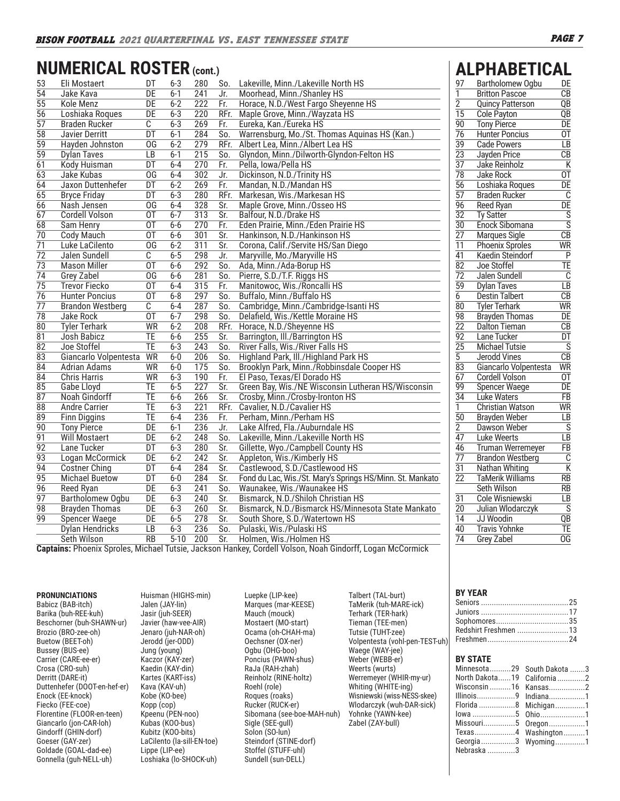# **NUMERICAL ROSTER (cont.) ALPHABETICAL**

| 53              | Eli Mostaert            | DT              | $6 - 3$  | 280              | So.                     | Lakeville, Minn./Lakeville North HS                       |
|-----------------|-------------------------|-----------------|----------|------------------|-------------------------|-----------------------------------------------------------|
| $\overline{54}$ | Jake Kava               | $\overline{DE}$ | $6 - 1$  | $\overline{241}$ | Jr.                     | Moorhead, Minn./Shanley HS                                |
| $\overline{55}$ | Kole Menz               | DE              | $6 - 2$  | 222              | Fr.                     | Horace, N.D./West Fargo Sheyenne HS                       |
| 56              | Loshiaka Roques         | DE              | $6 - 3$  | 220              | RFr.                    | Maple Grove, Minn./Wayzata HS                             |
| $\overline{57}$ | <b>Braden Rucker</b>    | C               | $6 - 3$  | 269              | Fr.                     | Eureka, Kan./Eureka HS                                    |
| $\overline{58}$ | <b>Javier Derritt</b>   | DT              | $6 - 1$  | 284              | So.                     | Warrensburg, Mo./St. Thomas Aquinas HS (Kan.)             |
| 59              | Hayden Johnston         | OG              | $6 - 2$  | 279              | RFr.                    | Albert Lea, Minn./Albert Lea HS                           |
| $\overline{59}$ | <b>Dylan Taves</b>      | $\overline{LB}$ | $6 - 1$  | 215              | So.                     | Glyndon, Minn./Dilworth-Glyndon-Felton HS                 |
| 61              | Kody Huisman            | DT              | $6 - 4$  | 270              | Fr.                     | Pella, Iowa/Pella HS                                      |
| 63              | Jake Kubas              | 0G              | $6 - 4$  | 302              | Jr.                     | Dickinson, N.D./Trinity HS                                |
| $\overline{64}$ | Jaxon Duttenhefer       | DT              | $6 - 2$  | 269              | Fr.                     | Mandan, N.D./Mandan HS                                    |
| 65              | <b>Bryce Friday</b>     | DT              | $6 - 3$  | 280              | RFr.                    | Markesan, Wis./Markesan HS                                |
| 66              | Nash Jensen             | 0G              | 6-4      | 328              | Sr.                     | Maple Grove, Minn./Osseo HS                               |
| 67              | <b>Cordell Volson</b>   | 0T              | $6 - 7$  | 313              | Sr.                     | Balfour, N.D./Drake HS                                    |
| 68              | Sam Henry               | 0T              | 6-6      | 270              | Fr.                     | Eden Prairie, Minn./Eden Prairie HS                       |
| 70              | Cody Mauch              | 0T              | $6-6$    | 301              | Sr.                     | Hankinson, N.D./Hankinson HS                              |
| $\overline{71}$ | Luke LaCilento          | OG              | $6 - 2$  | 311              | Sr.                     | Corona, Calif./Servite HS/San Diego                       |
| $\overline{72}$ | Jalen Sundell           | C               | $6 - 5$  | 298              | Jr.                     | Maryville, Mo./Maryville HS                               |
| $\overline{73}$ | <b>Mason Miller</b>     | 0T              | $6-6$    | 292              | So.                     | Ada, Minn./Ada-Borup HS                                   |
| $\overline{74}$ | <b>Grey Zabel</b>       | $\overline{OG}$ | $6-6$    | 281              | So.                     | Pierre, S.D./T.F. Riggs HS                                |
| $\overline{75}$ | <b>Trevor Fiecko</b>    | 0T              | $6-4$    | 315              | Fr.                     | Manitowoc, Wis./Roncalli HS                               |
| 76              | <b>Hunter Poncius</b>   | 0T              | $6 - 8$  | 297              | So.                     | Buffalo, Minn./Buffalo HS                                 |
| $\overline{77}$ | <b>Brandon Westberg</b> | С               | $6 - 4$  | 287              | So.                     | Cambridge, Minn./Cambridge-Isanti HS                      |
| $\overline{78}$ | Jake Rock               | 0T              | $6 - 7$  | 298              | So.                     | Delafield, Wis./Kettle Moraine HS                         |
| $\overline{80}$ | <b>Tyler Terhark</b>    | <b>WR</b>       | $6 - 2$  | 208              | RFr.                    | Horace, N.D./Sheyenne HS                                  |
| $\overline{81}$ | Josh Babicz             | TE              | $6-6$    | 255              | Sr.                     | Barrington, Ill./Barrington HS                            |
| $\overline{82}$ | Joe Stoffel             | <b>TE</b>       | $6 - 3$  | 243              | So.                     | River Falls, Wis./River Falls HS                          |
| 83              | Giancarlo Volpentesta   | WR              | $6-0$    | 206              | So.                     | Highland Park, III./Highland Park HS                      |
| $\overline{84}$ | <b>Adrian Adams</b>     | WR              | $6-0$    | 175              | So.                     | Brooklyn Park, Minn./Robbinsdale Cooper HS                |
| 84              | <b>Chris Harris</b>     | <b>WR</b>       | $6 - 3$  | 190              | Fr.                     | El Paso, Texas/El Dorado HS                               |
| 85              | Gabe Lloyd              | TE.             | $6 - 5$  | 227              | Sr.                     | Green Bay, Wis./NE Wisconsin Lutheran HS/Wisconsin        |
| 87              | <b>Noah Gindorff</b>    | TE              | $6 - 6$  | 266              | $\overline{\text{Sr.}}$ | Crosby, Minn./Crosby-Ironton HS                           |
| $\overline{88}$ | <b>Andre Carrier</b>    | TE              | $6 - 3$  | 221              | RFr.                    | Cavalier, N.D./Cavalier HS                                |
| 89              | <b>Finn Diggins</b>     | TE              | $6 - 4$  | 236              | Fr.                     | Perham, Minn./Perham HS                                   |
| $\overline{90}$ | <b>Tony Pierce</b>      | DE              | $6-1$    | 236              | Jr.                     | Lake Alfred, Fla./Auburndale HS                           |
| 91              | Will Mostaert           | DE              | $6 - 2$  | 248              | So.                     | Lakeville, Minn./Lakeville North HS                       |
| 92              | Lane Tucker             | DT              | $6 - 3$  | 280              | Sr.                     | Gillette, Wyo./Campbell County HS                         |
| $\overline{93}$ | Logan McCormick         | $\overline{DE}$ | $6 - 2$  | 242              | Sr.                     | Appleton, Wis./Kimberly HS                                |
| 94              | <b>Costner Ching</b>    | DT              | $6 - 4$  | 284              | Sr.                     | Castlewood, S.D./Castlewood HS                            |
| 95              | <b>Michael Buetow</b>   | DT              | $6-0$    | 284              | Sr.                     | Fond du Lac, Wis./St. Mary's Springs HS/Minn. St. Mankato |
| $\overline{96}$ | Reed Ryan               | DE              | $6 - 3$  | 241              | So.                     | Waunakee, Wis./Waunakee HS                                |
| $\overline{97}$ | <b>Bartholomew Ogbu</b> | DE              | $6 - 3$  | 240              | Sr.                     | Bismarck, N.D./Shiloh Christian HS                        |
| 98              | <b>Brayden Thomas</b>   | DE              | $6 - 3$  | 260              | Sr.                     | Bismarck, N.D./Bismarck HS/Minnesota State Mankato        |
| 99              | <b>Spencer Waege</b>    | $\overline{DE}$ | $6 - 5$  | 278              | Sr.                     | South Shore, S.D./Watertown HS                            |
|                 | <b>Dylan Hendricks</b>  | LB              | $6 - 3$  | 236              | So.                     | Pulaski, Wis./Pulaski HS                                  |
|                 | Seth Wilson             | <b>RB</b>       | $5 - 10$ | 200              | Sr.                     | Holmen, Wis./Holmen HS                                    |

|    | <b>ALPHABETICAL</b>   |    |
|----|-----------------------|----|
| 97 | Bartholomew Ogbu      | DF |
|    | <b>Britton Pascoe</b> | CВ |

| 1               | <b>Britton Pascoe</b>    | CB                      |
|-----------------|--------------------------|-------------------------|
| $\overline{2}$  | <b>Quincy Patterson</b>  | QΒ                      |
| $\overline{15}$ | Cole Payton              | QB                      |
| 90              | <b>Tony Pierce</b>       | DE                      |
| $\overline{76}$ | <b>Hunter Poncius</b>    | $\overline{0}$ T        |
| 39              | <b>Cade Powers</b>       | LB                      |
| 23              | Jayden Price             | $\overline{CB}$         |
| 37              | Jake Reinholz            | Κ                       |
| $\overline{78}$ | <b>Jake Rock</b>         | $\overline{\text{OT}}$  |
| 56              | Loshiaka Roques          | DE                      |
| $\overline{57}$ | <b>Braden Rucker</b>     | Ĉ                       |
| 96              | Reed Ryan                | DE                      |
| $\overline{32}$ | <b>Ty Satter</b>         | $\overline{s}$          |
| $\overline{30}$ | Enock Sibomana           | $\overline{s}$          |
| $\overline{27}$ | <b>Marques Sigle</b>     | $\overline{\text{CB}}$  |
| 11              | <b>Phoenix Sproles</b>   | WR                      |
| 41              | Kaedin Steindorf         | $\overline{\mathsf{P}}$ |
| $\overline{82}$ | Joe Stoffel              | TE                      |
| $\overline{72}$ | Jalen Sundell            | $\bar{c}$               |
| 59              | <b>Dylan Taves</b>       | $\overline{LB}$         |
| 6               | <b>Destin Talbert</b>    | $\overline{\text{CB}}$  |
| $\overline{8}0$ | <b>Tyler Terhark</b>     | WR                      |
| $\overline{98}$ | <b>Brayden Thomas</b>    | $\overline{DE}$         |
| $\overline{22}$ | <b>Dalton Tieman</b>     | $\overline{CB}$         |
| $\overline{92}$ | Lane Tucker              | DT                      |
| $\overline{25}$ | <b>Michael Tutsie</b>    | $\overline{s}$          |
| 5               | Jerodd Vines             | $\overline{\text{CB}}$  |
| 83              | Giancarlo Volpentesta    | WR                      |
| 67              | Cordell Volson           | 0T                      |
| 99              | <b>Spencer Waege</b>     | DE                      |
| $\overline{34}$ | <b>Luke Waters</b>       | FB                      |
| 1               | <b>Christian Watson</b>  | $\overline{\text{WR}}$  |
| $\overline{50}$ | Brayden Weber            | ĹΒ                      |
| $\overline{c}$  | Dawson Weber             | $\overline{s}$          |
| 47              | Luke Weerts              | $\overline{LB}$         |
| 46              | <b>Truman Werremeyer</b> | $\overline{FB}$         |
| $\overline{77}$ | <b>Brandon Westberg</b>  | $\overline{c}$          |
| 31              | Nathan Whiting           | $\overline{\sf K}$      |
| $\overline{22}$ | <b>TaMerik Williams</b>  | $\overline{RB}$         |
|                 | <b>Seth Wilson</b>       | <b>RB</b>               |
| $\overline{31}$ | <b>Cole Wisniewski</b>   | īΒ                      |
| $\overline{20}$ | Julian Wlodarczyk        | $\overline{s}$          |
| 14              | JJ Woodin                | QB                      |
| 40              | <b>Travis Yohnke</b>     | TE                      |
| $\overline{74}$ | <b>Grey Zabel</b>        | $\overline{\text{OG}}$  |
|                 |                          |                         |

**Captains:** Phoenix Sproles, Michael Tutsie, Jackson Hankey, Cordell Volson, Noah Gindorff, Logan McCormick

#### **PRONUNCIATIONS**

Babicz (BAB-itch) Barika (buh-REE-kuh) Beschorner (buh-SHAWN-ur) Brozio (BRO-zee-oh) Buetow (BEET-oh) Bussey (BUS-ee) Carrier (CARE-ee-er) Crosa (CRO-suh) Derritt (DARE-it) Duttenhefer (DOOT-en-hef-er) Enock (EE-knock) Fiecko (FEE-coe) Florentine (FLOOR-en-teen) Giancarlo (jon-CAR-loh) Gindorff (GHIN-dorf) Goeser (GAY-zer) Goldade (GOAL-dad-ee) Gonnella (guh-NELL-uh)

Huisman (HIGHS-min) Jalen (JAY-lin) Jasir (juh-SEER) Javier (haw-vee-AIR) Jenaro (juh-NAR-oh) Jerodd (jer-ODD) Jung (young) Kaczor (KAY-zer) Kaedin (KAY-din) Kartes (KART-iss) Kava (KAV-uh) Kobe (KO-bee) Kopp (cop) Kpeenu (PEN-noo) Kubas (KOO-bus) Kubitz (KOO-bits) LaCilento (la-sill-EN-toe) Lippe (LIP-ee) Loshiaka (lo-SHOCK-uh)

Luepke (LIP-kee) Marques (mar-KEESE) Mauch (mouck) Mostaert (MO-start) Ocama (oh-CHAH-ma) Oechsner (OX-ner) Ogbu (OHG-boo) Poncius (PAWN-shus) RaJa (RAH-zhah) Reinholz (RINE-holtz) Roehl (role) Roques (roaks) Rucker (RUCK-er) Sibomana (see-boe-MAH-nuh) Sigle (SEE-gull) Solon (SO-lun) Steindorf (STINE-dorf) Stoffel (STUFF-uhl) Sundell (sun-DELL)

Talbert (TAL-burt) TaMerik (tuh-MARE-ick) Terhark (TER-hark) Tieman (TEE-men) Tutsie (TUHT-zee) Volpentesta (vohl-pen-TEST-uh) Waege (WAY-jee) Weber (WEBB-er) Weerts (wurts) Werremeyer (WHIR-my-ur) Whiting (WHITE-ing) Wisniewski (wiss-NESS-skee) Wlodarczyk (wuh-DAR-sick) Yohnke (YAWN-kee) Zabel (ZAY-bull)

#### **BY YEAR**

| Redshirt Freshmen 13 |  |
|----------------------|--|
|                      |  |

# **BY STATE**<br>Minnesota

| Minnesota29 South Dakota 3 |  |
|----------------------------|--|
| North Dakota19 California2 |  |
| Wisconsin16 Kansas2        |  |
| Illinois9 Indiana1         |  |
| Florida 8 Michigan 1       |  |
| lowa 5 Ohio1               |  |
| Missouri5 Oregon1          |  |
| Texas4 Washington1         |  |
| Georgia 3 Wyoming 1        |  |
| Nebraska 3                 |  |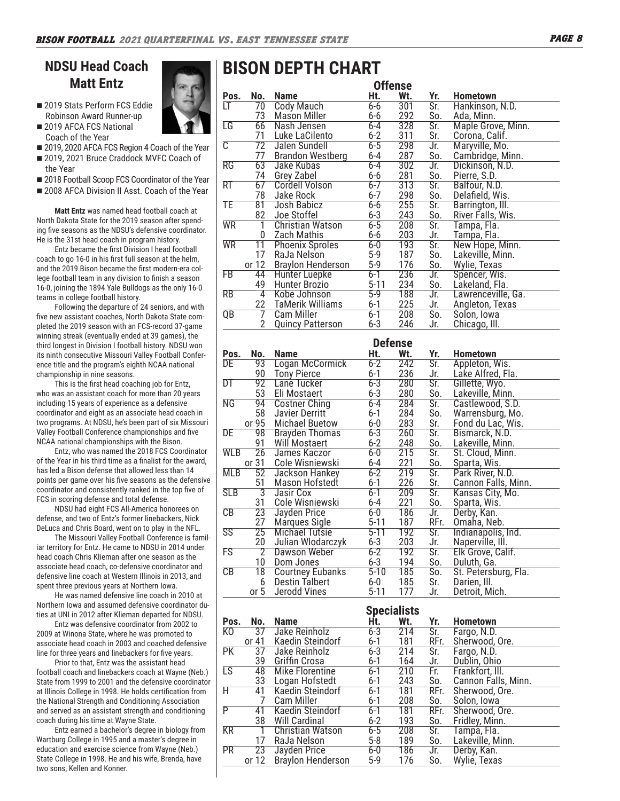# **NDSU Head Coach Matt Entz**

- 2019 Stats Perform FCS Eddie Robinson Award Runner-up
- 2019 AFCA FCS National Coach of the Year
- 2019, 2020 AFCA FCS Region 4 Coach of the Year
- 2019, 2021 Bruce Craddock MVFC Coach of
- the Year ■ 2018 Football Scoop FCS Coordinator of the Year
- 2008 AFCA Division II Asst. Coach of the Year
- **Matt Entz** was named head football coach at North Dakota State for the 2019 season after spending five seasons as the NDSU's defensive coordinator. He is the 31st head coach in program history.

Entz became the first Division I head football coach to go 16-0 in his first full season at the helm, and the 2019 Bison became the first modern-era college football team in any division to finish a season 16-0, joining the 1894 Yale Bulldogs as the only 16-0 teams in college football history.

Following the departure of 24 seniors, and with five new assistant coaches, North Dakota State completed the 2019 season with an FCS-record 37-game winning streak (eventually ended at 39 games), the third longest in Division I football history. NDSU won its ninth consecutive Missouri Valley Football Conference title and the program's eighth NCAA national championship in nine seasons.

This is the first head coaching job for Entz, who was an assistant coach for more than 20 years including 15 years of experience as a defensive coordinator and eight as an associate head coach in two programs. At NDSU, he's been part of six Missouri Valley Football Conference championships and five NCAA national championships with the Bison.

Entz, who was named the 2018 FCS Coordinator of the Year in his third time as a finalist for the award, has led a Bison defense that allowed less than 14 points per game over his five seasons as the defensive coordinator and consistently ranked in the top five of FCS in scoring defense and total defense.

NDSU had eight FCS All-America honorees on defense, and two of Entz's former linebackers, Nick DeLuca and Chris Board, went on to play in the NFL.

The Missouri Valley Football Conference is familiar territory for Entz. He came to NDSU in 2014 under head coach Chris Klieman after one season as the associate head coach, co-defensive coordinator and defensive line coach at Western Illinois in 2013, and spent three previous years at Northern Iowa.

He was named defensive line coach in 2010 at Northern Iowa and assumed defensive coordinator duties at UNI in 2012 after Klieman departed for NDSU.

Entz was defensive coordinator from 2002 to 2009 at Winona State, where he was promoted to associate head coach in 2003 and coached defensive line for three years and linebackers for five years.

Prior to that, Entz was the assistant head football coach and linebackers coach at Wayne (Neb.) State from 1999 to 2001 and the defensive coordinator at Illinois College in 1998. He holds certification from the National Strength and Conditioning Association and served as an assistant strength and conditioning coach during his time at Wayne State.

Entz earned a bachelor's degree in biology from Wartburg College in 1995 and a master's degree in education and exercise science from Wayne (Neb.) State College in 1998. He and his wife, Brenda, have two sons, Kellen and Konner.

# **BISON DEPTH CHART**

|                        | <b>Offense</b>  |                          |          |     |                         |                    |  |  |  |  |  |  |  |  |
|------------------------|-----------------|--------------------------|----------|-----|-------------------------|--------------------|--|--|--|--|--|--|--|--|
| Pos.                   | No.             | <b>Name</b>              | Ht.      | Wt. | Yr.                     | <b>Hometown</b>    |  |  |  |  |  |  |  |  |
| LT                     | 70              | <b>Cody Mauch</b>        | $6 - 6$  | 301 | Sr.                     | Hankinson, N.D.    |  |  |  |  |  |  |  |  |
|                        | 73              | <b>Mason Miller</b>      | $6 - 6$  | 292 | So.                     | Ada, Minn.         |  |  |  |  |  |  |  |  |
| $\overline{\text{LG}}$ | 66              | Nash Jensen              | 6-4      | 328 | Sr.                     | Maple Grove, Minn. |  |  |  |  |  |  |  |  |
|                        | 71              | Luke LaCilento           | $6 - 2$  | 311 | Sr.                     | Corona, Calif.     |  |  |  |  |  |  |  |  |
| $\overline{\text{C}}$  | 72              | Jalen Sundell            | $6 - 5$  | 298 | Jr.                     | Maryville, Mo.     |  |  |  |  |  |  |  |  |
|                        | 77              | <b>Brandon Westberg</b>  | 6-4      | 287 | So.                     | Cambridge, Minn.   |  |  |  |  |  |  |  |  |
| $\overline{\text{RG}}$ | 63              | Jake Kubas               | 6-4      | 302 | Jr.                     | Dickinson, N.D.    |  |  |  |  |  |  |  |  |
|                        | 74              | Grey Zabel               | $6-6$    | 281 | So.                     | Pierre, S.D.       |  |  |  |  |  |  |  |  |
| RT                     | 67              | <b>Cordell Volson</b>    | $6 - 7$  | 313 | Sr.                     | Balfour, N.D.      |  |  |  |  |  |  |  |  |
|                        | 78              | Jake Rock                | $6 - 7$  | 298 | So.                     | Delafield, Wis.    |  |  |  |  |  |  |  |  |
| TE                     | 81              | Josh Babicz              | $6 - 6$  | 255 | Sr.                     | Barrington, III.   |  |  |  |  |  |  |  |  |
|                        | 82              | Joe Stoffel              | $6 - 3$  | 243 | So.                     | River Falls, Wis.  |  |  |  |  |  |  |  |  |
| <b>WR</b>              |                 | <b>Christian Watson</b>  | $6 - 5$  | 208 | $\overline{\text{Sr.}}$ | Tampa, Fla.        |  |  |  |  |  |  |  |  |
|                        | 0               | Zach Mathis              | 6-6      | 203 | Jr.                     | Tampa, Fla.        |  |  |  |  |  |  |  |  |
| <b>WR</b>              | $\overline{11}$ | <b>Phoenix Sproles</b>   | $6 - 0$  | 193 | $\overline{\text{Sr.}}$ | New Hope, Minn.    |  |  |  |  |  |  |  |  |
|                        | 17              | RaJa Nelson              | $5-9$    | 187 | So.                     | Lakeville, Minn.   |  |  |  |  |  |  |  |  |
|                        | or 12           | <b>Braylon Henderson</b> | $5-9$    | 176 | So.                     | Wylie, Texas       |  |  |  |  |  |  |  |  |
| FB                     | 44              | <b>Hunter Luepke</b>     | $6 - 1$  | 236 | Jr.                     | Spencer, Wis.      |  |  |  |  |  |  |  |  |
|                        | 49              | Hunter Brozio            | $5 - 11$ | 234 | So.                     | Lakeland, Fla.     |  |  |  |  |  |  |  |  |
| $\overline{RB}$        | 4               | Kobe Johnson             | $5-9$    | 188 | Jr.                     | Lawrenceville, Ga. |  |  |  |  |  |  |  |  |
|                        | 22              | TaMerik Williams         | $6 - 1$  | 225 | Jr.                     | Angleton, Texas    |  |  |  |  |  |  |  |  |
| $\overline{QB}$        |                 | Cam Miller               | $6 - 1$  | 208 | $\overline{So.}$        | Solon, Iowa        |  |  |  |  |  |  |  |  |
|                        | 2               | <b>Quincy Patterson</b>  | $6 - 3$  | 246 | Jr.                     | Chicago, III.      |  |  |  |  |  |  |  |  |

|                        |                 |                         |          | <b>Defense</b> |                         |                      |
|------------------------|-----------------|-------------------------|----------|----------------|-------------------------|----------------------|
| Pos.                   | No.             | <b>Name</b>             | Ht.      | Wt.            | Yr.                     | <b>Hometown</b>      |
| DE                     | 93              | Logan McCormick         | $6 - 2$  | 242            | $\overline{\text{Sr.}}$ | Appleton, Wis.       |
|                        | 90              | <b>Tony Pierce</b>      | $6 - 1$  | 236            | Jr.                     | Lake Alfred, Fla.    |
| DT                     | $\overline{92}$ | Lane Tucker             | $6 - 3$  | 280            | $\overline{\text{Sr.}}$ | Gillette, Wyo.       |
|                        | 53              | Eli Mostaert            | $6-3$    | 280            | So.                     | Lakeville, Minn.     |
| $\overline{\text{NG}}$ | 94              | <b>Costner Ching</b>    | 6-4      | 284            | $\overline{\text{Sr.}}$ | Castlewood, S.D.     |
|                        | 58              | Javier Derritt          | $6 - 1$  | 284            | So.                     | Warrensburg, Mo.     |
|                        | or 95           | <b>Michael Buetow</b>   | $6-0$    | 283            | Sr.                     | Fond du Lac, Wis.    |
| DE                     | 98              | <b>Brayden Thomas</b>   | 6-3      | 260            | Sr.                     | Bismarck, N.D.       |
|                        | 91              | <b>Will Mostaert</b>    | $6 - 2$  | 248            | So.                     | Lakeville, Minn.     |
| WLB                    | $\overline{26}$ | James Kaczor            | $6-0$    | 215            | $\overline{\text{Sr.}}$ | St. Cloud, Minn.     |
|                        | or 31           | Cole Wisniewski         | $6-4$    | 221            | So.                     | Sparta, Wis.         |
| <b>MLB</b>             | 52              | Jackson Hankey          | $6 - 2$  | 219            | $\overline{\text{Sr.}}$ | Park River, N.D.     |
|                        | 51              | Mason Hofstedt          | $6 - 1$  | 226            | Sr.                     | Cannon Falls, Minn.  |
| <b>SLB</b>             | 3               | Jasir Cox               | $6 - 1$  | 209            | Sr.                     | Kansas City, Mo.     |
|                        | 31              | Cole Wisniewski         | 6-4      | 221            | So.                     | Sparta, Wis.         |
| $\overline{CB}$        | $\overline{23}$ | Jayden Price            | $6 - 0$  | 186            | Jr.                     | Derby, Kan.          |
|                        | 27              | Marques Sigle           | $5 - 11$ | 187            | RFr.                    | Omaha, Neb.          |
| $\overline{\text{SS}}$ | $\overline{25}$ | <b>Michael Tutsie</b>   | $5 - 11$ | 192            | $\overline{\text{Sr.}}$ | Indianapolis, Ind.   |
|                        | 20              | Julian Wlodarczyk       | $6 - 3$  | 203            | Jr.                     | Naperville, Ill.     |
| FS                     | $\overline{2}$  | Dawson Weber            | $6 - 2$  | 192            | $\overline{\text{Sr.}}$ | Elk Grove, Calif.    |
|                        | 10              | Dom Jones               | $6 - 3$  | 194            | So.                     | Duluth, Ga.          |
| CB                     | 18              | <b>Courtney Eubanks</b> | $5 - 10$ | 185            | So.                     | St. Petersburg, Fla. |
|                        | 6               | Destin Talbert          | $6-0$    | 185            | Sr.                     | Darien, Ill.         |
|                        | or 5            | Jerodd Vines            | $5 - 11$ | 177            | Jr.                     | Detroit, Mich.       |

|           |       |                          |         | <b>Specialists</b> |                         |                     |
|-----------|-------|--------------------------|---------|--------------------|-------------------------|---------------------|
| Pos.      | No.   | <b>Name</b>              | Ht.     | Wt.                | Yr.                     | <b>Hometown</b>     |
| K0        | 37    | Jake Reinholz            | $6 - 3$ | 214                | Sr.                     | Fargo, N.D.         |
|           | or 41 | Kaedin Steindorf         | $6 - 1$ | 181                | RFr.                    | Sherwood, Ore.      |
| <b>PK</b> | 37    | Jake Reinholz            | $6 - 3$ | 214                | Sr.                     | Fargo, N.D.         |
|           | 39    | Griffin Crosa            | $6 - 1$ | 164                | Jr.                     | Dublin, Ohio        |
| LS        | 48    | Mike Florentine          | $6 - 1$ | 210                | Fr.                     | Frankfort, III.     |
|           | 33    | Logan Hofstedt           | $6 - 1$ | 243                | So.                     | Cannon Falls, Minn. |
| H         | 41    | Kaedin Steindorf         | $6 - 1$ | 181                | RFr.                    | Sherwood, Ore.      |
|           |       | Cam Miller               | $6 - 1$ | 208                | So.                     | Solon, Iowa         |
| P         | 41    | Kaedin Steindorf         | $6 - 1$ | 181                | RFr.                    | Sherwood, Ore.      |
|           | 38    | <b>Will Cardinal</b>     | $6 - 2$ | 193                | So.                     | Fridley, Minn.      |
| <b>KR</b> |       | Christian Watson         | $6 - 5$ | 208                | $\overline{\text{Sr.}}$ | Tampa, Fla.         |
|           | 17    | RaJa Nelson              | $5-8$   | 189                | So.                     | Lakeville, Minn.    |
| <b>PR</b> | 23    | Jayden Price             | $6-0$   | 186                | Jr.                     | Derby, Kan.         |
|           | or 12 | <b>Braylon Henderson</b> | $5-9$   | 176                | So.                     | Wylie, Texas        |

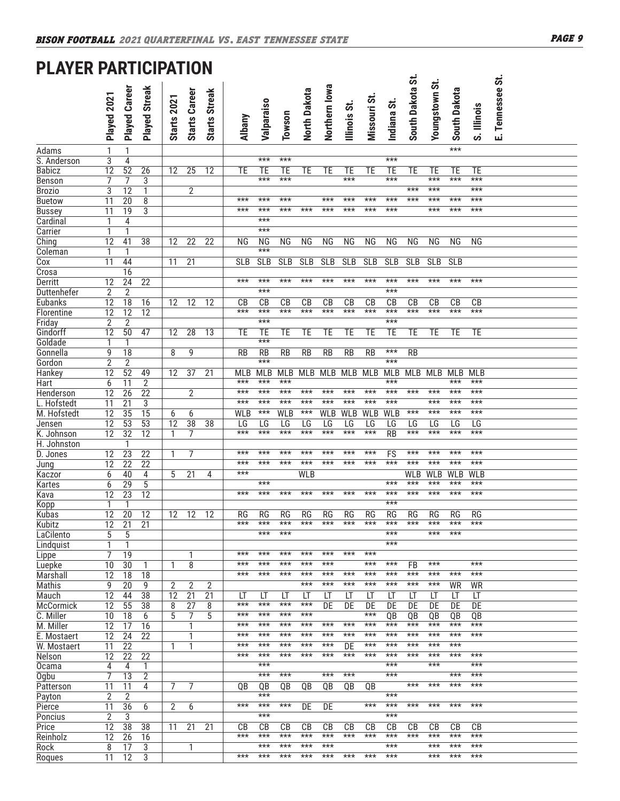# **PLAYER PARTICIPATION**

| I LAILIV                | ш                    | AN I                               | IVII ALIVI            |                    |                      |                      |                        |                        |                        |                 |                    |                    |                    |                |                 |                |                    |             |                  |  |
|-------------------------|----------------------|------------------------------------|-----------------------|--------------------|----------------------|----------------------|------------------------|------------------------|------------------------|-----------------|--------------------|--------------------|--------------------|----------------|-----------------|----------------|--------------------|-------------|------------------|--|
|                         | Played 2021          | <b>Played Career</b>               | Played Streak         | <b>Starts 2021</b> | <b>Starts Career</b> | <b>Starts Streak</b> | <b>Albany</b>          | Valparaiso             | Towson                 | North Dakota    | Northern Iowa      | Illinois St.       | Missouri St.       | Indiana St.    | South Dakota St | Youngstown St. | South Dakota       | S. Illinois | E. Tennessee St. |  |
| Adams                   | 1                    | 1                                  |                       |                    |                      |                      |                        |                        |                        |                 |                    |                    |                    |                |                 |                | ***                |             |                  |  |
| S. Anderson             | $\overline{3}$       | 4                                  |                       |                    |                      |                      |                        | $***$                  | $***$                  |                 |                    |                    |                    | $***$          |                 |                |                    |             |                  |  |
| <b>Babicz</b>           | $\overline{12}$      | 52                                 | $\overline{26}$       | 12                 | $\overline{25}$      | 12                   | <b>TE</b>              | <b>TE</b>              | TE                     | <b>TE</b>       | TE                 | TE                 | <b>TE</b>          | TE             | <b>TE</b>       | TE             | TE                 | ТE          |                  |  |
| Benson                  | 7                    | 7                                  | 3                     |                    |                      |                      |                        | ***                    | ***                    |                 |                    | ***                |                    | $***$          |                 | ***            | $***$              | $***$       |                  |  |
| <b>Brozio</b>           | $\overline{3}$       | 12                                 | 1                     |                    | $\overline{2}$       |                      |                        |                        |                        |                 |                    |                    |                    |                | $***$           | ***            |                    | $***$       |                  |  |
| <b>Buetow</b>           | $\overline{11}$      | $\overline{20}$                    | 8                     |                    |                      |                      | $***$                  | ***                    | ***                    |                 | $***$              | ***                | ***                | $***$          | $***$           | ***            | $***$              | $***$       |                  |  |
| <b>Bussey</b>           | 11                   | 19                                 | 3                     |                    |                      |                      | $***$                  | ***<br>$***$           | ***                    | $***$           | ***                | ***                | $***$              | $***$          |                 | ***            | $***$              | $***$       |                  |  |
| Cardinal<br>Carrier     | 1<br>1               | 4<br>$\mathbf{1}$                  |                       |                    |                      |                      |                        | $***$                  |                        |                 |                    |                    |                    |                |                 |                |                    |             |                  |  |
| Ching                   | 12                   | 41                                 | $\overline{38}$       | 12                 | $\overline{22}$      | $\overline{22}$      | <b>NG</b>              | <b>NG</b>              | <b>NG</b>              | NG              | <b>NG</b>          | <b>NG</b>          | <b>NG</b>          | ΝG             | NG              | <b>NG</b>      | <b>NG</b>          | ΝG          |                  |  |
| Coleman                 | 1                    | 1                                  |                       |                    |                      |                      |                        | $\overline{***}$       |                        |                 |                    |                    |                    |                |                 |                |                    |             |                  |  |
| $\overline{\text{Cox}}$ | 11                   | 44                                 |                       | 11                 | $\overline{21}$      |                      | <b>SLB</b>             | <b>SLB</b>             | SLB                    | <b>SLB</b>      | <b>SLB</b>         | SLB                | SLB                | <b>SLB</b>     | <b>SLB</b>      | <b>SLB</b>     | <b>SLB</b>         |             |                  |  |
| Crosa                   |                      | 16                                 |                       |                    |                      |                      |                        |                        |                        |                 |                    |                    |                    |                |                 |                |                    |             |                  |  |
| Derritt                 | 12                   | 24                                 | $\overline{22}$       |                    |                      |                      | $***$                  | $***$                  | $***$                  | $***$           | ***                | $***$              | $***$              | $***$          | $***$           | $***$          | $***$              | $***$       |                  |  |
| Duttenhefer             | $\overline{2}$       | $\overline{2}$                     |                       |                    |                      |                      |                        | $***$                  |                        |                 |                    |                    |                    | $***$          |                 |                |                    |             |                  |  |
| Eubanks                 | 12                   | 18                                 | 16                    | 12                 | 12                   | 12                   | CB                     | CB                     | CB                     | $\overline{CB}$ | $\overline{CB}$    | CB                 | CB                 | CB             | CB              | CB             | CB                 | CB          |                  |  |
| Florentine              | 12                   | $\overline{12}$                    | $\overline{12}$       |                    |                      |                      | $***$                  | $***$                  | $***$                  | $***$           | $***$              | $***$              | $***$              | $***$          | $***$           | ***            | $***$              | $***$       |                  |  |
| Friday                  | $\overline{2}$       | $\overline{2}$                     |                       |                    |                      |                      |                        | $***$                  |                        |                 |                    |                    |                    | $***$          |                 |                |                    |             |                  |  |
| Gindorff                | 12                   | 50                                 | 47                    | 12                 | $\overline{28}$      | 13                   | TE                     | TE                     | TE                     | TE              | TE                 | TE                 | TE                 | TE             | TE              | TE             | TE                 | TE          |                  |  |
| Goldade                 | 1                    | 1                                  |                       |                    |                      |                      |                        | $***$                  |                        |                 |                    |                    |                    |                |                 |                |                    |             |                  |  |
| Gonnella                | 9                    | 18                                 |                       | 8                  | 9                    |                      | <b>RB</b>              | <b>RB</b><br>***       | <b>RB</b>              | $\overline{RB}$ | <b>RB</b>          | <b>RB</b>          | <b>RB</b>          | $***$<br>$***$ | <b>RB</b>       |                |                    |             |                  |  |
| Gordon                  | $\overline{2}$<br>12 | $\overline{2}$<br>52               | 49                    | 12                 | 37                   | 21                   | <b>MLB</b>             | <b>MLB</b>             | <b>MLB</b>             | MLB             | MLB                | MLB                | MLB                | MLB            | MLB             | MLB            | MLB                | <b>MLB</b>  |                  |  |
| Hankey<br>Hart          | 6                    | 11                                 | $\overline{2}$        |                    |                      |                      | $***$                  | $***$                  | $***$                  |                 |                    |                    |                    | $***$          |                 |                | $***$              | $***$       |                  |  |
| Henderson               | 12                   | $\overline{26}$                    | $\overline{22}$       |                    | $\overline{2}$       |                      | ***                    | $***$                  | $***$                  | $***$           | $***$              | ***                | ***                | $***$          | $***$           | ***            | $***$              | $***$       |                  |  |
| L. Hofstedt             | 11                   | 21                                 | 3                     |                    |                      |                      | ***                    | $***$                  | $***$                  | $***$           | $***$              | $***$              | ***                | $***$          |                 | $***$          | $***$              | $***$       |                  |  |
| M. Hofstedt             | $\overline{12}$      | $\overline{35}$                    | $\overline{15}$       | 6                  | 6                    |                      | <b>WLB</b>             | ***                    | <b>WLB</b>             | ***             | <b>WLB</b>         | <b>WLB</b>         | <b>WLB</b>         | <b>WLB</b>     | ***             | ***            | ***                | $***$       |                  |  |
| Jensen                  | 12                   | $\overline{53}$                    | 53                    | $\overline{12}$    | $\overline{38}$      | $\overline{38}$      | LG                     | LG                     | LG                     | LG              | LG                 | LG                 | LG                 | LG             | LG              | LG             | LG                 | LG          |                  |  |
| K. Johnson              | 12                   | $\overline{32}$                    | $\overline{12}$       | 1                  | 7                    |                      | ***                    | ***                    | ***                    | ***             | $***$              | ***                | ***                | R <sub>B</sub> | ***             | ***            | ***                | $***$       |                  |  |
| H. Johnston             |                      | 1                                  |                       |                    |                      |                      |                        |                        |                        |                 |                    |                    |                    |                |                 |                |                    |             |                  |  |
| D. Jones                | 12                   | $\overline{23}$                    | $\overline{22}$       | 1                  | 7                    |                      | $***$                  | $***$                  | $***$                  | $***$           | $***$              | ***                | ***                | FS             | $***$           | ***            | ***                | $***$       |                  |  |
| Jung                    | 12                   | 22                                 | $\overline{22}$       |                    |                      |                      | $***$                  | ***                    | ***                    | $***$           | $***$              | ***                | ***                | $***$          | $***$           | ***            | ***                | $***$       |                  |  |
| Kaczor                  | 6                    | 40                                 | 4                     | 5                  | 21                   | 4                    | $***$                  |                        |                        | <b>WLB</b>      |                    |                    |                    |                | WLB             | <b>WLB</b>     | <b>WLB</b>         | <b>WLB</b>  |                  |  |
| Kartes                  | 6                    | 29                                 | 5                     |                    |                      |                      |                        | $***$<br>***           |                        |                 |                    |                    | $***$              | $***$          | $***$<br>$***$  | $***$          | ***<br>***         | $***$       |                  |  |
| Kava                    | 12                   | $\overline{23}$                    | $\overline{12}$       |                    |                      |                      | $***$                  |                        | ***                    | ***             | $***$              | ***                |                    | $***$<br>$***$ |                 | ***            |                    | $***$       |                  |  |
| Kopp                    | 1<br>12              | 1<br>$\overline{20}$               |                       |                    |                      | 12                   | $\overline{\text{RG}}$ | $\overline{\text{RG}}$ | $\overline{\text{RG}}$ |                 |                    |                    |                    |                |                 |                |                    |             |                  |  |
| Kubas<br>Kubitz         | $\overline{12}$      | $\overline{21}$                    | 12<br>$\overline{21}$ | 12                 | 12                   |                      | $***$                  | $***$                  | $***$                  | RG<br>$***$     | <b>RG</b><br>$***$ | <b>RG</b><br>$***$ | <b>RG</b><br>$***$ | RG<br>$***$    | RG<br>$***$     | RG<br>$***$    | <b>RG</b><br>$***$ | RG<br>$***$ |                  |  |
| LaCilento               | 5                    | 5                                  |                       |                    |                      |                      |                        | ***                    | $***$                  |                 |                    |                    |                    | $***$          |                 | ***            | $***$              |             |                  |  |
| Lindquist               | 1                    | 1                                  |                       |                    |                      |                      |                        |                        |                        |                 |                    |                    |                    | $***$          |                 |                |                    |             |                  |  |
| Lippe                   | 7                    | 19                                 |                       |                    | 1                    |                      | $***$                  | $***$                  | $***$                  | $***$           | $***$              | $***$              | $***$              |                |                 |                |                    |             |                  |  |
| Luepke                  | 10                   | 30                                 | 1                     | 1                  | 8                    |                      | $***$                  | ***                    | $***$                  | $***$           | $***$              |                    | $***$              | $***$          | FB              | ***            |                    | $***$       |                  |  |
| Marshall                | 12                   | 18                                 | 18                    |                    |                      |                      | ***                    | ***                    | ***                    | ***             | $***$              | $***$              | $***$              | $***$          | $***$           | $***$          | $***$              | $***$       |                  |  |
| <b>Mathis</b>           | 9                    | 20                                 | 9                     | 2                  | 2                    | 2                    |                        |                        |                        | $***$           | $***$              | $***$              | $***$              | $***$          | ***             | ***            | WR                 | WR          |                  |  |
| Mauch                   | 12                   | 44                                 | 38                    | 12                 | $\overline{21}$      | $\overline{21}$      | LT                     | LT                     | LT                     | LT              | LT                 | LT                 | LT                 | LT             | LT              | LT             | LT                 | LT          |                  |  |
| McCormick               | 12                   | 55                                 | 38                    | 8                  | 27                   | 8                    | $***$                  | $***$                  | $***$                  | $***$           | DE                 | DE                 | DE                 | DE             | DE              | DE             | DE                 | DE          |                  |  |
| C. Miller               | 10                   | 18                                 | 6                     | 5                  | 7                    | 5                    | $***$                  | $***$                  | $***$                  | $***$           |                    |                    | ***                | QB             | QB              | QB             | QB                 | QB          |                  |  |
| M. Miller               | 12                   | 17                                 | 16                    |                    | 1                    |                      | $***$                  | ***                    | ***                    | ***             | ***                | $***$              | $***$              | $***$          | ***             | ***            | $***$              | $***$       |                  |  |
| E. Mostaert             | 12                   | 24                                 | $\overline{22}$       |                    | 1                    |                      | $***$<br>$***$         | $***$<br>***           | $***$<br>***           | $***$<br>$***$  | $***$<br>$***$     | ***                | ***<br>***         | ***<br>$***$   | $***$<br>$***$  | ***<br>$***$   | ***<br>$***$       | $***$       |                  |  |
| W. Mostaert             | 11                   | $\overline{22}$<br>$\overline{22}$ | $\overline{22}$       | 1                  | 1                    |                      | $***$                  | $***$                  | $***$                  | $***$           | ***                | DE<br>***          | ***                | $***$          | ***             | ***            | $***$              | $***$       |                  |  |
| Nelson<br>Ocama         | 12<br>4              | 4                                  | 1                     |                    |                      |                      |                        | $***$                  |                        |                 |                    |                    |                    | $***$          |                 | $***$          |                    | $***$       |                  |  |
| Ogbu                    | 7                    | 13                                 | $\overline{2}$        |                    |                      |                      |                        | $***$                  | $***$                  |                 | $***$              | $***$              |                    | $***$          |                 |                | ***                | $***$       |                  |  |
| Patterson               | 11                   | 11                                 | 4                     | 7                  | 7                    |                      | OΒ                     | QB                     | QB                     | QB              | QB                 | QB                 | 0B                 |                | $***$           | ***            | $***$              | $***$       |                  |  |
| Payton                  | 2                    | $\overline{2}$                     |                       |                    |                      |                      |                        | $***$                  |                        |                 |                    |                    |                    | $***$          |                 |                |                    |             |                  |  |
| Pierce                  | 11                   | 36                                 | 6                     | 2                  | 6                    |                      | $***$                  | $***$                  | ***                    | DE              | DE                 |                    | $***$              | $***$          | $***$           | $***$          | $***$              | ***         |                  |  |
| Poncius                 | $\overline{2}$       | 3                                  |                       |                    |                      |                      |                        | ***                    |                        |                 |                    |                    |                    | $***$          |                 |                |                    |             |                  |  |
| Price                   | 12                   | 38                                 | 38                    | 11                 | 21                   | $\overline{21}$      | CВ                     | CB                     | CВ                     | CB              | СB                 | CB                 | CВ                 | CВ             | CB              | CВ             | CВ                 | CB          |                  |  |
| Reinholz                | 12                   | 26                                 | 16                    |                    |                      |                      | $***$                  | $***$                  | $***$                  | $***$           | $***$              | $***$              | $***$              | $***$          | $***$           | $***$          | $***$              | $***$       |                  |  |
| Rock                    | 8                    | 17                                 | 3                     |                    | 1                    |                      |                        | $***$                  | $***$                  | $***$           | $***$              |                    |                    | $***$          |                 | $***$          | $***$              | $***$       |                  |  |
| Rogues                  | 11                   | $\overline{12}$                    | 3                     |                    |                      |                      | $***$                  | $***$                  | $***$                  | $***$           | $***$              | $***$              | $***$              | $***$          |                 | ***            | $***$              | $***$       |                  |  |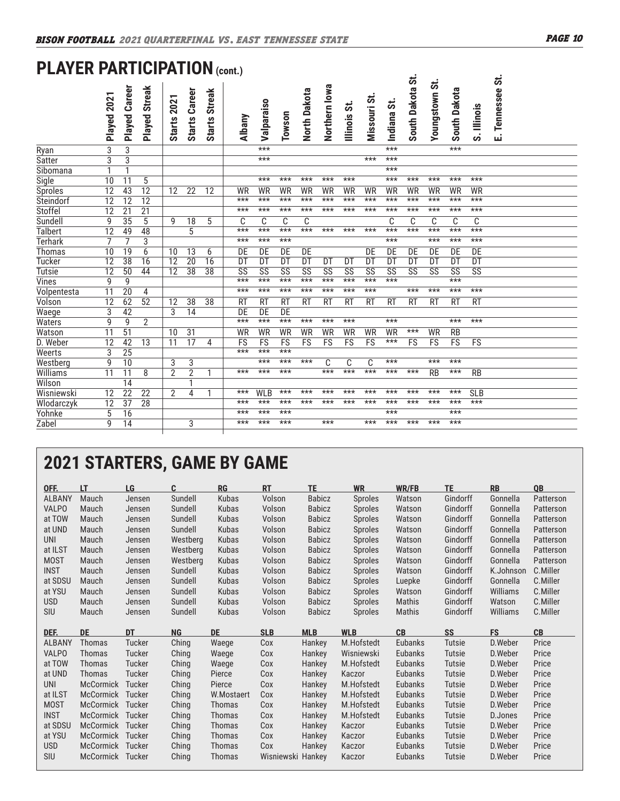# **PLAYER PARTICIPATION (cont.)**

|                                    | Played 2021     | Career<br>Played | <b>Streak</b><br>Played | <b>Starts 2021</b> | <b>Starts Career</b> | <b>Streak</b><br><b>Starts</b> | Albany    | Valparaiso             | Towson                 | North Dakota           | Northern Iowa          | Illinois St. | Missouri St. | Indiana St. | South Dakota St. | <b>Youngstown St.</b> | South Dakota           | S. Illinois | Tennessee St.<br>Ш |  |
|------------------------------------|-----------------|------------------|-------------------------|--------------------|----------------------|--------------------------------|-----------|------------------------|------------------------|------------------------|------------------------|--------------|--------------|-------------|------------------|-----------------------|------------------------|-------------|--------------------|--|
| Ryan                               | 3               | 3                |                         |                    |                      |                                |           | $***$                  |                        |                        |                        |              |              | $***$       |                  |                       | $***$                  |             |                    |  |
| Satter                             | $\overline{3}$  | $\overline{3}$   |                         |                    |                      |                                |           | $***$                  |                        |                        |                        |              | $***$        | $***$       |                  |                       |                        |             |                    |  |
| Sibomana                           | 1               | $\mathbf{1}$     |                         |                    |                      |                                |           |                        |                        |                        |                        |              |              | $***$       |                  |                       |                        |             |                    |  |
| Sigle                              | 10              | 11               | $\overline{5}$          |                    |                      |                                |           | $***$                  | $***$                  | $***$                  | $***$                  | $***$        |              | $***$       | $***$            | $***$                 | $***$                  | $***$       |                    |  |
| <b>Sproles</b>                     | $\overline{12}$ | 43               | $\overline{12}$         | $\overline{12}$    | $\overline{22}$      | $\overline{12}$                | WR        | WR                     | <b>WR</b>              | WR                     | <b>WR</b>              | WR           | <b>WR</b>    | WR          | WR               | WR                    | WR                     | WR          |                    |  |
| Steindorf                          | $\overline{12}$ | $\overline{12}$  | $\overline{12}$         |                    |                      |                                | $***$     | $***$                  | $***$                  | $***$                  | $***$                  | $***$        | $***$        | $***$       | $***$            | $***$                 | $***$                  | $***$       |                    |  |
| Stoffel                            | 12              | $\overline{21}$  | $\overline{21}$         |                    |                      |                                | $***$     | $***$                  | $***$                  | $***$                  | ***                    | $***$        | $***$        | $***$       | ***              | $***$                 | $***$                  | $***$       |                    |  |
| Sundell                            | 9               | 35               | 5                       | 9                  | 18                   | 5                              | C         | C                      | C                      | C                      |                        |              |              | C           | C                | C                     | C                      | C           |                    |  |
| <b>Talbert</b>                     | $\overline{12}$ | 49               | 48                      |                    | 5                    |                                | $***$     | $***$                  | $***$                  | $***$                  | $***$                  | $***$        | $***$        | $***$       | $***$            | $***$                 | $***$                  | $***$       |                    |  |
| <b>Terhark</b>                     | 7               | 7                | 3                       |                    |                      |                                | $***$     | $***$                  | $***$                  |                        |                        |              |              | $***$       |                  | $***$                 | $***$                  | $***$       |                    |  |
| Thomas                             | 10              | 19               | 6                       | 10                 | $\overline{13}$      | 6                              | DE        | DE                     | DE                     | DE                     |                        |              | DE           | DE          | DE               | DE                    | DE                     | DE          |                    |  |
| <b>Tucker</b>                      | 12              | $\overline{38}$  | 16                      | $\overline{12}$    | $\overline{20}$      | 16                             | DT        | $\overline{DT}$        | $\overline{DT}$        | $\overline{DT}$        | DT                     | DT           | DT           | DT          | DT               | <b>DT</b>             | DT                     | DT          |                    |  |
| <b>Tutsie</b>                      | 12              | 50               | 44                      | 12                 | $\overline{38}$      | 38                             | SS        | $\overline{\text{SS}}$ | $\overline{\text{SS}}$ | $\overline{\text{SS}}$ | $\overline{\text{SS}}$ | SS           | SS           | SS          | SS               | SS                    | $\overline{\text{SS}}$ | SS          |                    |  |
| <b>Vines</b>                       | 9               | 9                |                         |                    |                      |                                | $***$     | $***$                  | $***$                  | $***$                  | $***$                  | ***          | $***$        | $***$       |                  |                       | $***$                  |             |                    |  |
| Volpentesta                        | 11              | $\overline{20}$  | 4                       |                    |                      |                                | $***$     | ***                    | $***$                  | ***                    | ***                    | ***          | $***$        |             | ***              | $***$                 | $***$                  | $***$       |                    |  |
| Volson                             | $\overline{12}$ | 62               | $\overline{52}$         | $\overline{12}$    | 38                   | 38                             | <b>RT</b> | <b>RT</b>              | <b>RT</b>              | <b>RT</b>              | <b>RT</b>              | <b>RT</b>    | <b>RT</b>    | <b>RT</b>   | <b>RT</b>        | <b>RT</b>             | <b>RT</b>              | <b>RT</b>   |                    |  |
| Waege                              | 3               | 42               |                         | 3                  | 14                   |                                | DE        | DE                     | $\overline{DE}$        |                        |                        |              |              |             |                  |                       |                        |             |                    |  |
| Waters                             | 9               | 9                | $\overline{2}$          |                    |                      |                                | $***$     | $***$                  | $\overline{***}$       | $***$                  | $***$                  | $***$        |              | $***$       |                  |                       | $***$                  | $***$       |                    |  |
| Watson                             | 11              | $\overline{51}$  |                         | 10                 | $\overline{31}$      |                                | WR        | <b>WR</b>              | WR                     | WR                     | WR                     | WR           | WR           | WR          | ***              | WR                    | <b>RB</b>              |             |                    |  |
| D. Weber                           | 12              | 42               | 13                      | 11                 | 17                   | 4                              | FS        | FS                     | FS                     | FS                     | FS                     | FS           | FS           | ***         | FS               | FS                    | FS                     | FS          |                    |  |
| Weerts                             | 3               | $\overline{25}$  |                         |                    |                      |                                | $***$     | $***$                  | $***$                  |                        |                        |              |              |             |                  |                       |                        |             |                    |  |
| Westberg                           | 9               | 10               |                         | 3                  | 3                    |                                |           | $***$                  | $***$                  | $***$                  | C                      | C            | C            | $***$       |                  | $***$                 | $***$                  |             |                    |  |
| Williams                           | 11              | 11               | 8                       | $\overline{2}$     | $\overline{2}$       | 1                              | $***$     | ***                    | $***$                  |                        | $***$                  | $***$        | $***$        | $***$       | ***              | <b>RB</b>             | $***$                  | <b>RB</b>   |                    |  |
| Wilson                             |                 | 14               |                         |                    |                      |                                |           |                        |                        |                        |                        |              |              |             |                  |                       |                        |             |                    |  |
| Wisniewski                         | 12              | $\overline{22}$  | 22                      | $\overline{2}$     | 4                    |                                | $***$     | <b>WLB</b>             | $***$                  | $***$                  | ***                    | ***          | $***$        | $***$       | $***$            | $***$                 | $***$                  | <b>SLB</b>  |                    |  |
| Wlodarczyk                         | 12              | $\overline{37}$  | $\overline{28}$         |                    |                      |                                | $***$     | $***$                  | $***$                  | $***$                  | $***$                  | $***$        | $***$        | $***$       | $***$            | $***$                 | $***$                  | $***$       |                    |  |
| Yohnke                             | 5               | 16               |                         |                    |                      |                                | $***$     | ***                    | $***$                  |                        |                        |              |              | $***$       |                  |                       | $***$                  |             |                    |  |
| Zabel                              | 9               | 14               |                         |                    | 3                    |                                | $***$     | $***$                  | $***$                  |                        | $***$                  |              | $***$        | $***$       | $***$            | $***$                 | $***$                  |             |                    |  |
|                                    |                 |                  |                         |                    |                      |                                |           |                        |                        |                        |                        |              |              |             |                  |                       |                        |             |                    |  |
| <b>2021 STARTERS, GAME BY GAME</b> |                 |                  |                         |                    |                      |                                |           |                        |                        |                        |                        |              |              |             |                  |                       |                        |             |                    |  |

| OFF.          | LT               | LG     | C.        | RG            | <b>RT</b>  | <b>TE</b>     | <b>WR</b>      | WR/FB     | <b>TE</b>     | <b>RB</b> | QB        |
|---------------|------------------|--------|-----------|---------------|------------|---------------|----------------|-----------|---------------|-----------|-----------|
| <b>ALBANY</b> | Mauch            | Jensen | Sundell   | Kubas         | Volson     | <b>Babicz</b> | Sproles        | Watson    | Gindorff      | Gonnella  | Patterson |
| <b>VALPO</b>  | Mauch            | Jensen | Sundell   | Kubas         | Volson     | <b>Babicz</b> | Sproles        | Watson    | Gindorff      | Gonnella  | Patterson |
| at TOW        | Mauch            | Jensen | Sundell   | Kubas         | Volson     | <b>Babicz</b> | Sproles        | Watson    | Gindorff      | Gonnella  | Patterson |
| at UND        | Mauch            | Jensen | Sundell   | Kubas         | Volson     | <b>Babicz</b> | Sproles        | Watson    | Gindorff      | Gonnella  | Patterson |
| <b>UNI</b>    | Mauch            | Jensen | Westberg  | Kubas         | Volson     | <b>Babicz</b> | Sproles        | Watson    | Gindorff      | Gonnella  | Patterson |
| at ILST       | Mauch            | Jensen | Westberg  | Kubas         | Volson     | <b>Babicz</b> | Sproles        | Watson    | Gindorff      | Gonnella  | Patterson |
| <b>MOST</b>   | Mauch            | Jensen | Westberg  | Kubas         | Volson     | <b>Babicz</b> | Sproles        | Watson    | Gindorff      | Gonnella  | Patterson |
| <b>INST</b>   | Mauch            | Jensen | Sundell   | Kubas         | Volson     | <b>Babicz</b> | Sproles        | Watson    | Gindorff      | K.Johnson | C.Miller  |
| at SDSU       | Mauch            | Jensen | Sundell   | Kubas         | Volson     | <b>Babicz</b> | Sproles        | Luepke    | Gindorff      | Gonnella  | C.Miller  |
| at YSU        | Mauch            | Jensen | Sundell   | Kubas         | Volson     | <b>Babicz</b> | <b>Sproles</b> | Watson    | Gindorff      | Williams  | C.Miller  |
| <b>USD</b>    | Mauch            | Jensen | Sundell   | Kubas         | Volson     | <b>Babicz</b> | Sproles        | Mathis    | Gindorff      | Watson    | C.Miller  |
| <b>SIU</b>    | Mauch            | Jensen | Sundell   | Kubas         | Volson     | <b>Babicz</b> | Sproles        | Mathis    | Gindorff      | Williams  | C.Miller  |
|               |                  |        |           |               |            |               |                |           |               |           |           |
| DEF.          | <b>DE</b>        | DT     | <b>NG</b> | DE            | <b>SLB</b> | <b>MLB</b>    | <b>WLB</b>     | <b>CB</b> | SS            | <b>FS</b> | CB        |
|               |                  |        |           |               |            |               |                |           |               |           |           |
| <b>ALBANY</b> | Thomas           | Tucker | Ching     | Waege         | Cox        | Hankey        | M.Hofstedt     | Eubanks   | Tutsie        | D.Weber   | Price     |
| <b>VALPO</b>  | <b>Thomas</b>    | Tucker | Ching     | Waege         | Cox        | Hankey        | Wisniewski     | Eubanks   | Tutsie        | D.Weber   | Price     |
| at TOW        | <b>Thomas</b>    | Tucker | Ching     | Waege         | Cox        | Hankey        | M.Hofstedt     | Eubanks   | Tutsie        | D.Weber   | Price     |
| at UND        | <b>Thomas</b>    | Tucker | Ching     | Pierce        | Cox        | Hankey        | Kaczor         | Eubanks   | Tutsie        | D.Weber   | Price     |
| <b>UNI</b>    | <b>McCormick</b> | Tucker | Ching     | Pierce        | Cox        | Hankey        | M.Hofstedt     | Eubanks   | <b>Tutsie</b> | D.Weber   | Price     |
| at ILST       | <b>McCormick</b> | Tucker | Ching     | W.Mostaert    | Cox        | Hankey        | M.Hofstedt     | Eubanks   | Tutsie        | D.Weber   | Price     |
| <b>MOST</b>   | <b>McCormick</b> | Tucker | Ching     | Thomas        | Cox        | Hankey        | M.Hofstedt     | Eubanks   | Tutsie        | D.Weber   | Price     |
| <b>INST</b>   | McCormick Tucker |        | Ching     | <b>Thomas</b> | Cox        | Hankey        | M.Hofstedt     | Eubanks   | <b>Tutsie</b> | D.Jones   | Price     |
| at SDSU       | <b>McCormick</b> | Tucker | Ching     | <b>Thomas</b> | Cox        | Hankey        | Kaczor         | Eubanks   | Tutsie        | D.Weber   | Price     |
| at YSU        | <b>McCormick</b> | Tucker | Ching     | <b>Thomas</b> | Cox        | Hankey        | Kaczor         | Eubanks   | <b>Tutsie</b> | D.Weber   | Price     |
| <b>USD</b>    | McCormick Tucker |        | Ching     | Thomas        | Cox        | Hankey        | Kaczor         | Eubanks   | Tutsie        | D.Weber   | Price     |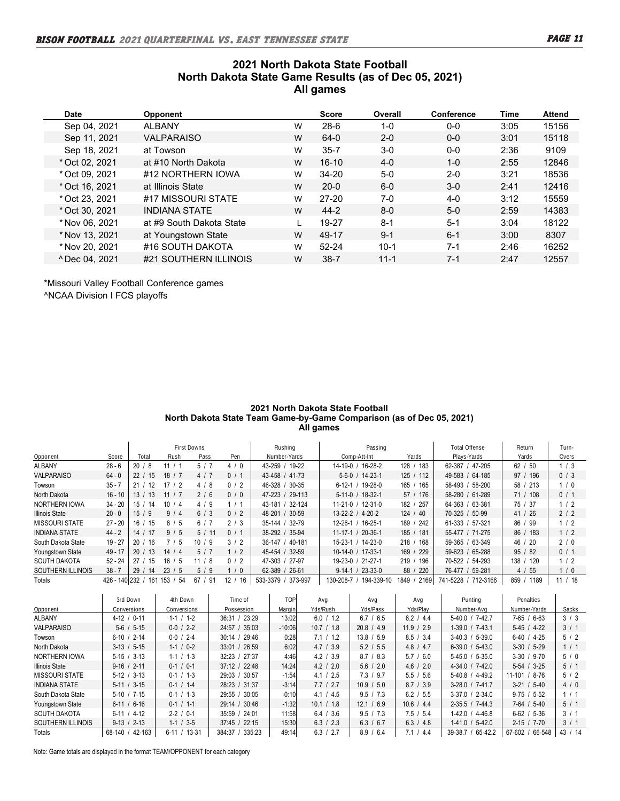## **2021 North Dakota State Football North Dakota State Game Results (as of Dec 05, 2021) All games**

| Date                      | <b>Opponent</b>          |   | <b>Score</b> | Overall  | <b>Conference</b> | Time | <b>Attend</b> |
|---------------------------|--------------------------|---|--------------|----------|-------------------|------|---------------|
| Sep 04, 2021              | <b>ALBANY</b>            | W | $28-6$       | 1-0      | $0 - 0$           | 3:05 | 15156         |
| Sep 11, 2021              | <b>VALPARAISO</b>        | W | $64-0$       | $2 - 0$  | $0 - 0$           | 3:01 | 15118         |
| Sep 18, 2021              | at Towson                | W | $35 - 7$     | $3-0$    | $0 - 0$           | 2:36 | 9109          |
| * Oct 02, 2021            | at #10 North Dakota      | W | $16 - 10$    | $4 - 0$  | $1 - 0$           | 2:55 | 12846         |
| * Oct 09, 2021            | #12 NORTHERN IOWA        | W | $34 - 20$    | $5-0$    | $2 - 0$           | 3:21 | 18536         |
| * Oct 16, 2021            | at Illinois State        | W | $20 - 0$     | $6-0$    | $3-0$             | 2:41 | 12416         |
| * Oct 23, 2021            | #17 MISSOURI STATE       | W | $27 - 20$    | 7-0      | $4-0$             | 3:12 | 15559         |
| * Oct 30, 2021            | <b>INDIANA STATE</b>     | W | $44 - 2$     | $8 - 0$  | $5-0$             | 2:59 | 14383         |
| * Nov 06, 2021            | at #9 South Dakota State |   | 19-27        | $8 - 1$  | $5 - 1$           | 3:04 | 18122         |
| * Nov 13, 2021            | at Youngstown State      | W | 49-17        | $9 - 1$  | $6 - 1$           | 3:00 | 8307          |
| * Nov 20, 2021            | #16 SOUTH DAKOTA         | W | $52 - 24$    | $10-1$   | $7-1$             | 2:46 | 16252         |
| <sup>^</sup> Dec 04, 2021 | #21 SOUTHERN ILLINOIS    | W | $38 - 7$     | $11 - 1$ | $7 - 1$           | 2:47 | 12557         |

\*Missouri Valley Football Conference games ^NCAA Division I FCS playoffs

#### **2021 North Dakota State Football North Dakota State Team Game-by-Game Comparison (as of Dec 05, 2021) All games**

|                       |               |                        |           | First Downs |                       | Rushing             | Passing                      |              | Total Offense        | Return      | Turn-   |
|-----------------------|---------------|------------------------|-----------|-------------|-----------------------|---------------------|------------------------------|--------------|----------------------|-------------|---------|
| Opponent              | Score         | Total                  | Rush      | Pass        | Pen                   | Number-Yards        | Comp-Att-Int                 | Yards        | Plays-Yards          | Yards       | Overs   |
| ALBANY                | $28 - 6$      | 20 <sub>1</sub><br>-8  | 11        | 5/7         | 4/0                   | 43-259 / 19-22      | $16-28-2$<br>$14 - 19 - 0$ / | 183<br>128   | 62-387 / 47-205      | 62 / 50     | 1/3     |
| <b>VALPARAISO</b>     | $64 - 0$      | 22 <sub>1</sub><br>-15 | 18<br>17  | 4/7         | 0/<br>-1              | 43-458 / 41-73      | $5-6-0$ / 14-23-1            | 125/112      | 49-583 / 64-185      | 97 / 196    | 0/3     |
| Towson                | $35 - 7$      | -12<br>21 <sub>1</sub> | 12<br>17  | 4 / 8       | 0/2                   | 46-328 / 30-35      | $'$ 19-28-0<br>$6 - 12 - 1$  | 165<br>165   | 58-493 / 58-200      | 58 / 213    | 1/0     |
| North Dakota          | $16 - 10$     | 13 <sub>1</sub><br>-13 | 11/7      | 2/6         | 0/0                   | 47-223 / 29-113     | $5-11-0$ / 18-32-1           | 57 / 176     | 58-280 / 61-289      | 71 / 108    | 0/1     |
| <b>NORTHERN IOWA</b>  | $34 - 20$     | 15/<br>14              | 10<br>/ 4 | 4/9         | -1                    | $/32-124$<br>43-181 | $12-31-0$<br>$11 - 21 - 0$ / | 182/<br>257  | 64-363 / 63-381      | 75 / 37     | 1/2     |
| <b>Illinois State</b> | $20 - 0$      | 15/9                   | 9/4       | 6/3         | 0/2                   | 48-201 / 30-59      | 13-22-2 / 4-20-2             | 124 / 40     | 70-325 / 50-99       | 41 / 26     | 2/2     |
| MISSOURI STATE        | $27 - 20$     | 16 <sup>1</sup><br>-15 | 8/5       | 6/7         | 2/3                   | 35-144 / 32-79      | $12 - 26 - 1$<br>$16-25-1$   | 189 / 242    | 61-333 / 57-321      | 86 / 99     | 1/2     |
| <b>INDIANA STATE</b>  | $44 - 2$      | 14 <sub>1</sub><br>-17 | 9/5       | 5/11        | 0/<br>-1              | 38-292 / 35-94      | $11-17-1 / 20-36-1$          | 185 / 181    | 55-477 / 71-275      | 86/<br>183  | 1/2     |
| South Dakota State    | $19 - 27$     | 20<br>16               | 15        | 10/9        | 3/2                   | 36-147 / 40-181     | $15 - 23 - 1$<br>$14-23-0$   | 218 / 168    | 59-365 / 63-349      | 46 / 20     | 2/0     |
| Youngstown State      | $49 - 17$     | 20 <sub>1</sub><br>-13 | 14/4      | 5/7         | 1/2                   | 45-454 / 32-59      | 10-14-0 / 17-33-1            | /229<br>169  | 59-623 / 65-288      | 95/82       | 0/1     |
| <b>SOUTH DAKOTA</b>   | $52 - 24$     | 27<br>-15              | 16/5      | 11/8        | 0/2                   | 47-303 / 27-97      | 19-23-0 / 21-27-1            | 219 / 196    | 70-522 / 54-293      | 138 / 120   | 1/2     |
| SOUTHERN ILLINOIS     | $38 - 7$      | 29<br>-14              | 23/<br>-5 | 5/9         | $\mathbf{0}$          | 62-389<br>$/26-61$  | $/23-33-0$<br>$9-14-1/$      | 220<br>88/   | 76-477 / 59-281      | 4 / 55      | 1/0     |
| Totals                | 426 - 140 232 | 161                    | 153<br>54 | 91<br>67    | 12 <sub>1</sub><br>16 | 373-997<br>533-3379 | 194-339-10<br>130-208-7      | 1849<br>2169 | 741-5228<br>712-3166 | 859<br>1189 | 11 / 18 |

|                         | 3rd Down             | 4th Down        | Time of            | TOP      | Ava        | Ava        | Ava        | Punting               | <b>Penalties</b>     |              |
|-------------------------|----------------------|-----------------|--------------------|----------|------------|------------|------------|-----------------------|----------------------|--------------|
| Opponent                | Conversions          | Conversions     | Possession         | Vlaroin  | Yds/Rush   | Yds/Pass   | Yds/Plav   | Number-Ava            | Number-Yards         | <b>Sacks</b> |
| <b>ALBANY</b>           | $4-12$ /<br>$0 - 11$ | $1-1/1-2$       | 23:29<br>36:31/    | 13:02    | 6.0 / 1.2  | 6.7 / 6.5  | 6.2 / 4.4  | 5-40.0 / 7-42.7       | $7-65/6-63$          | 3/3          |
| <b>VALPARAISO</b>       | $5-6$ / $5-15$       | $0-0$ / 2-2     | 24:57/<br>35:03    | $-10:06$ | 10.7 / 1.8 | 20.8 / 4.9 | 11.9 / 2.9 | $1-39.0$ / $7-43.1$   | $5-45$ / $4-22$      | 3/1          |
| Towson                  | $6-10$ / 2-14        | $0-0$ / 2-4     | 29:46<br>$30:14$ / | 0:28     | 7.1 / 1.2  | 13.8 / 5.9 | 8.5 / 3.4  | $3-40.3 / 5-39.0$     | $6-40$ / 4-25        | 5/2          |
| North Dakota            | $3-13/5-15$          | $1-1/0-2$       | 33:01 / 26:59      | 6:02     | 4.7 / 3.9  | 5.2 / 5.5  | 4.8 / 4.7  | $6-39.0$ / $5-43.0$   | $3-30/5-29$          | 1/1          |
| <b>NORTHERN IOWA</b>    | $5-15$ / $3-13$      | $1-1/1-3$       | 32:23 / 27:37      | 4:46     | 4.2 / 3.9  | 8.7 / 8.3  | 5.7 / 6.0  | $5-45.0$ / $5-35.0$   | $3-30/9-70$          | 5/0          |
| <b>Illinois State</b>   | $9-16$ / 2-11        | $0-1/0-1$       | 37:12 / 22:48      | 14:24    | 4.2 / 2.0  | 5.6 / 2.0  | 4.6 / 2.0  | $4-34.0$ / $7-42.0$   | $5-54$ / $3-25$      | 5/1          |
| <b>MISSOURI STATE</b>   | $5-12$ / $3-13$      | $0-1/1-3$       | 29:03 / 30:57      | $-1:54$  | 4.1 / 2.5  | 7.3 / 9.7  | 5.5 / 5.6  | $5-40.8$ / 4-49.2     | $11 - 101$<br>$8-76$ | 5/2          |
| <b>INDIANA STATE</b>    | $5-11 / 3-15$        | $0-1$ / 1-4     | 28:23 / 31:37      | $-3:14$  | 7.7 / 2.7  | 10.9 / 5.0 | 8.7 / 3.9  | $3-28.0$ / $7-41.7$   | $3-21/5-40$          | 4/0          |
| South Dakota State      | $5-10$ / $7-15$      | $0-1/1-3$       | 29:55 / 30:05      | $-0:10$  | 4.1 / 4.5  | 9.5 / 7.3  | 6.2 / 5.5  | $3-37.0$ / $2-34.0$   | $9-75/5-52$          | 1/1          |
| <b>Youngstown State</b> | $6-11/6-16$          | $0-1/1-1$       | 29:14 / 30:46      | $-1:32$  | 10.1 / 1.8 | 12.1 / 6.9 | 10.6 / 4.4 | $2-35.5$ / $7-44.3$   | $7-64$ / $5-40$      | 5/1          |
| <b>SOUTH DAKOTA</b>     | $6-11$ / 4-12        | $2 - 2 / 0 - 1$ | 35:59 / 24:01      | 11:58    | 6.4 / 3.6  | 9.5 / 7.3  | 7.5 / 5.4  | $1-42.0$ / $4-46.8$   | $6-62$ / $5-36$      | 3/1          |
| SOUTHERN ILLINOIS       | $9-13 / 2-13$        | $1-1/3-5$       | 37:45 / 22:15      | 15:30    | 6.3 / 2.3  | 6.3 / 6.7  | 6.3 / 4.8  | $1-41.0$ / 5-42.0     | $2 - 15 / 7 - 70$    | 3/1          |
| Totals                  | 42-163<br>$68-140/$  | $6-11$ / 13-31  | 335:23<br>384:37 / | 49:14    | 6.3 / 2.7  | 8.9 / 6.4  | 7.1 / 4.4  | $39-38.7/$<br>65-42.2 | $67 - 602$<br>66-548 | 43 / 14      |

Note: Game totals are displayed in the format TEAM/OPPONENT for each category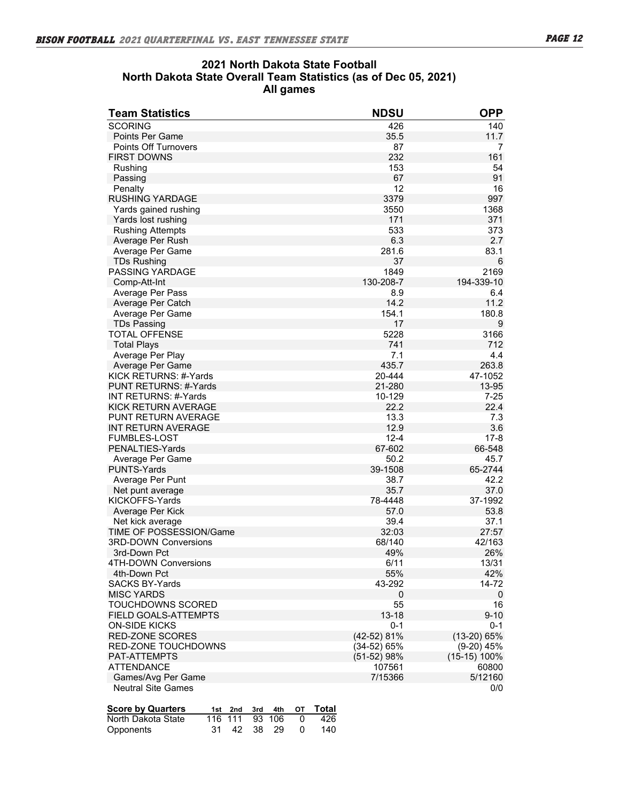## **2021 North Dakota State Football North Dakota State Overall Team Statistics (as of Dec 05, 2021) All games**

| <b>Team Statistics</b>                      | <b>NDSU</b>   | <b>OPP</b>     |
|---------------------------------------------|---------------|----------------|
| <b>SCORING</b>                              | 426           | 140            |
| <b>Points Per Game</b>                      | 35.5          | 11.7           |
| <b>Points Off Turnovers</b>                 | 87            | 7              |
| <b>FIRST DOWNS</b>                          | 232           | 161            |
| Rushing                                     | 153           | 54             |
| Passing                                     | 67            | 91             |
| Penalty                                     | 12            | 16             |
| <b>RUSHING YARDAGE</b>                      | 3379          | 997            |
| Yards gained rushing                        | 3550          | 1368           |
| Yards lost rushing                          | 171           | 371            |
| <b>Rushing Attempts</b>                     | 533           | 373            |
| Average Per Rush                            | 6.3           | 2.7            |
| Average Per Game                            | 281.6         | 83.1           |
| <b>TDs Rushing</b>                          | 37            | 6              |
| <b>PASSING YARDAGE</b>                      | 1849          | 2169           |
| Comp-Att-Int                                | 130-208-7     | 194-339-10     |
| Average Per Pass                            | 8.9           | 6.4            |
| Average Per Catch                           | 14.2          | 11.2           |
| Average Per Game                            | 154.1         | 180.8          |
| <b>TDs Passing</b>                          | 17            | 9              |
| TOTAL OFFENSE                               | 5228          | 3166           |
| <b>Total Plays</b>                          | 741           | 712            |
| Average Per Play                            | 7.1           | 4.4            |
| Average Per Game                            | 435.7         | 263.8          |
| KICK RETURNS: #-Yards                       | 20-444        | 47-1052        |
| PUNT RETURNS: #-Yards                       | 21-280        | 13-95          |
| INT RETURNS: #-Yards                        | 10-129        | $7 - 25$       |
| KICK RETURN AVERAGE                         | 22.2          | 22.4           |
| PUNT RETURN AVERAGE                         | 13.3          | 7.3            |
| <b>INT RETURN AVERAGE</b>                   | 12.9          | 3.6            |
| <b>FUMBLES-LOST</b>                         | $12 - 4$      | $17 - 8$       |
| PENALTIES-Yards                             | 67-602        | 66-548         |
| Average Per Game                            | 50.2          | 45.7           |
| <b>PUNTS-Yards</b>                          | 39-1508       | 65-2744        |
| Average Per Punt                            | 38.7          | 42.2           |
| Net punt average                            | 35.7          | 37.0           |
| KICKOFFS-Yards                              | 78-4448       | 37-1992        |
| Average Per Kick                            | 57.0          | 53.8           |
| Net kick average                            | 39.4          | 37.1           |
| TIME OF POSSESSION/Game                     | 32:03         | 27:57          |
| <b>3RD-DOWN Conversions</b><br>3rd-Down Pct | 68/140<br>49% | 42/163<br>26%  |
| 4TH-DOWN Conversions                        | 6/11          |                |
| 4th-Down Pct                                | 55%           | 13/31<br>42%   |
| <b>SACKS BY-Yards</b>                       | 43-292        | 14-72          |
| <b>MISC YARDS</b>                           | 0             | $\mathbf 0$    |
| TOUCHDOWNS SCORED                           | 55            | 16             |
| FIELD GOALS-ATTEMPTS                        | $13 - 18$     | $9 - 10$       |
| <b>ON-SIDE KICKS</b>                        | $0 - 1$       | 0-1            |
| <b>RED-ZONE SCORES</b>                      | (42-52) 81%   | $(13-20) 65%$  |
| RED-ZONE TOUCHDOWNS                         | (34-52) 65%   | $(9-20)$ 45%   |
| PAT-ATTEMPTS                                | (51-52) 98%   | $(15-15)$ 100% |
| <b>ATTENDANCE</b>                           | 107561        | 60800          |
| Games/Avg Per Game                          | 7/15366       | 5/12160        |
| <b>Neutral Site Games</b>                   |               | 0/0            |
|                                             |               |                |

| <b>Score by Quarters</b> |  |  | 1st 2nd 3rd 4th OT Total |
|--------------------------|--|--|--------------------------|
| North Dakota State       |  |  | 116 111 93 106 0 426     |
| Opponents                |  |  | 31 42 38 29 0 140        |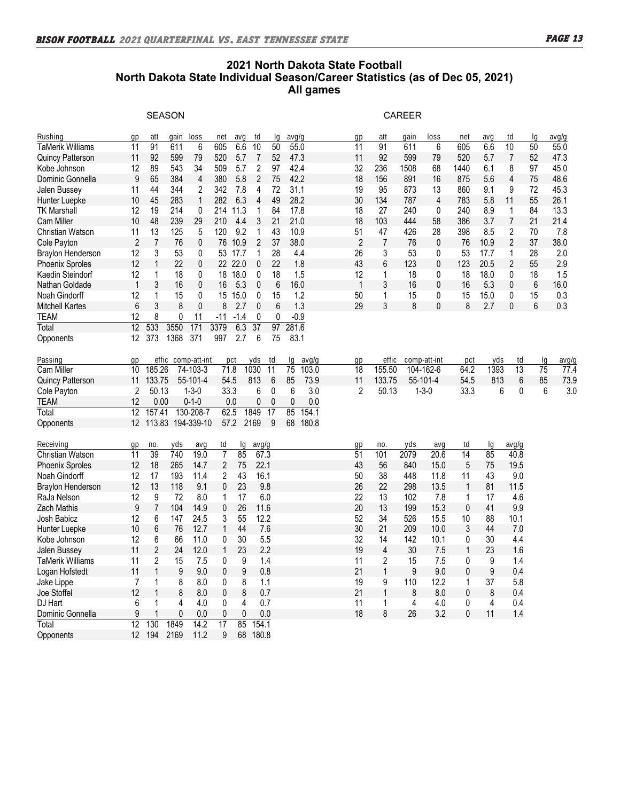## **2021 North Dakota State Football North Dakota State Individual Season/Career Statistics (as of Dec 05, 2021) All games**

|                          |                   |                | <b>SEASON</b>      |                  |                         |         |                 |                 |                 |       |                 |                | <b>CAREER</b> |              |                |      |                 |                 |       |
|--------------------------|-------------------|----------------|--------------------|------------------|-------------------------|---------|-----------------|-----------------|-----------------|-------|-----------------|----------------|---------------|--------------|----------------|------|-----------------|-----------------|-------|
| Rushing                  | qp                | att            | gain               | loss             | net                     | ava     | td              | la              | avg/g           |       | qp              | att            | gain          | loss         | net            | ava  | td              | la              | avg/g |
| <b>TaMerik Williams</b>  | $\overline{11}$   | 91             | 611                | 6                | 605                     | 6.6     | $\overline{10}$ | 50              | 55.0            |       | $\overline{11}$ | 91             | 611           | 6            | 605            | 6.6  | 10              | $\overline{50}$ | 55.0  |
| <b>Quincy Patterson</b>  | 11                | 92             | 599                | 79               | 520                     | 5.7     | $\overline{7}$  | 52              | 47.3            |       | 11              | 92             | 599           | 79           | 520            | 5.7  | $\overline{7}$  | 52              | 47.3  |
| Kobe Johnson             | 12                | 89             | 543                | 34               | 509                     | 5.7     | 2               | 97              | 42.4            |       | 32              | 236            | 1508          | 68           | 1440           | 6.1  | 8               | 97              | 45.0  |
| Dominic Gonnella         | 9                 | 65             | 384                | 4                | 380                     | 5.8     | $\overline{2}$  | 75              | 42.2            |       | 18              | 156            | 891           | 16           | 875            | 5.6  | $\overline{4}$  | 75              | 48.6  |
| Jalen Bussey             | 11                | 44             | 344                | $\overline{c}$   | 342                     | 7.8     | 4               | 72              | 31.1            |       | 19              | 95             | 873           | 13           | 860            | 9.1  | 9               | 72              | 45.3  |
| Hunter Luepke            | 10                | 45             | 283                | $\mathbf{1}$     | 282                     | 6.3     | 4               | 49              | 28.2            |       | 30              | 134            | 787           | 4            | 783            | 5.8  | 11              | 55              | 26.1  |
| <b>TK Marshall</b>       | 12                | 19             | 214                | 0                | 214                     | 11.3    | 1               | 84              | 17.8            |       | 18              | 27             | 240           | 0            | 240            | 8.9  | $\mathbf{1}$    | 84              | 13.3  |
| <b>Cam Miller</b>        | 10                | 48             | 239                | 29               | 210                     | 4.4     | 3               | 21              | 21.0            |       | 18              | 103            | 444           | 58           | 386            | 3.7  | $\overline{7}$  | 21              | 21.4  |
| Christian Watson         | 11                | 13             | 125                | 5                | 120                     | 9.2     | $\mathbf 1$     | 43              | 10.9            |       | 51              | 47             | 426           | 28           | 398            | 8.5  | 2               | 70              | 7.8   |
| Cole Payton              | $\overline{2}$    | $\overline{7}$ | 76                 | 0                |                         | 76 10.9 | $\overline{2}$  | 37              | 38.0            |       | 2               | $\overline{7}$ | 76            | $\mathbf{0}$ | 76             | 10.9 | $\overline{2}$  | 37              | 38.0  |
| Braylon Henderson        | 12                | 3              | 53                 | 0                |                         | 53 17.7 | 1               | 28              | 4.4             |       | 26              | 3              | 53            | 0            | 53             | 17.7 | 1               | 28              | 2.0   |
| <b>Phoenix Sproles</b>   | 12                | $\mathbf 1$    | 22                 | 0                |                         | 22 22.0 | $\mathbf 0$     | 22              | 1.8             |       | 43              | 6              | 123           | 0            | 123            | 20.5 | $\overline{2}$  | 55              | 2.9   |
| Kaedin Steindorf         | 12                | 1              | 18                 | 0                | 18                      | 18.0    | 0               | 18              | 1.5             |       | 12              | 1              | 18            | 0            | 18             | 18.0 | 0               | 18              | 1.5   |
| Nathan Goldade           | $\mathbf{1}$      | 3              | 16                 | 0                | 16                      | 5.3     | $\mathbf 0$     | 6               | 16.0            |       | $\mathbf{1}$    | 3              | 16            | 0            | 16             | 5.3  | 0               | 6               | 16.0  |
| Noah Gindorff            | 12                | 1              | 15                 | 0                | 15                      | 15.0    | 0               | 15              | 1.2             |       | 50              | 1              | 15            | 0            | 15             | 15.0 | 0               | 15              | 0.3   |
| <b>Mitchell Kartes</b>   | $\boldsymbol{6}$  | 3              | 8                  | $\mathbf 0$      | 8                       | 2.7     | $\mathbf{0}$    | 6               | 1.3             |       | 29              | 3              | 8             | $\pmb{0}$    | 8              | 2.7  | 0               | 6               | 0.3   |
| TEAM                     | 12                | 8              | 0                  | 11               | $-11$                   | $-1.4$  | 0               | 0               | $-0.9$          |       |                 |                |               |              |                |      |                 |                 |       |
| Total                    | $\overline{12}$   | 533            | 3550               | $\overline{171}$ | 3379                    | 6.3     | $\overline{37}$ | $\overline{97}$ | 281.6           |       |                 |                |               |              |                |      |                 |                 |       |
| Opponents                | 12                | 373            | 1368               | 371              | 997                     | 2.7     | 6               | 75              | 83.1            |       |                 |                |               |              |                |      |                 |                 |       |
|                          |                   |                |                    |                  |                         |         |                 |                 |                 |       |                 |                |               |              |                |      |                 |                 |       |
| Passing                  | qp                |                | effic comp-att-int |                  |                         | pct     | yds             | td              | lq              | avg/g | gp              | effic          |               | comp-att-int | pct            | yds  | td              | lq              | avg/g |
| Cam Miller               | 10                | 185.26         |                    | 74-103-3         | 71.8                    |         | 1030            | $\overline{11}$ | $\overline{75}$ | 103.0 | $\overline{18}$ | 155.50         |               | 104-162-6    | 64.2           | 1393 | $\overline{13}$ | $\overline{75}$ | 77.4  |
| Quincy Patterson         | 11                | 133.75         |                    | 55-101-4         | 54.5                    |         | 813             | 6               | 85              | 73.9  | 11              | 133.75         |               | 55-101-4     | 54.5           | 813  | 6               | 85              | 73.9  |
| Cole Payton              | 2                 | 50.13          |                    | $1 - 3 - 0$      | 33.3                    |         | 6               | 0               | 6               | 3.0   | 2               | 50.13          |               | $1 - 3 - 0$  | 33.3           | 6    | 0               | 6               | 3.0   |
| TEAM                     | 12                | 0.00           |                    | $0 - 1 - 0$      |                         | 0.0     | 0               | $\mathbf 0$     | 0               | 0.0   |                 |                |               |              |                |      |                 |                 |       |
| Total                    | 12                | 157.41         |                    | 130-208-7        | 62.5                    |         | 1849            | 17              | 85              | 154.1 |                 |                |               |              |                |      |                 |                 |       |
| Opponents                | $12 \overline{ }$ |                | 113.83 194-339-10  |                  | 57.2                    |         | 2169            | 9               | 68              | 180.8 |                 |                |               |              |                |      |                 |                 |       |
|                          |                   |                |                    |                  |                         |         |                 |                 |                 |       |                 |                |               |              |                |      |                 |                 |       |
| Receiving                | gp                | no             | yds                | avg              | td                      | lg      | avg/g           |                 |                 |       | gp              | no             | yds           | avg          | td             | lq   | avg/g           |                 |       |
| Christian Watson         | $\overline{11}$   | 39             | 740                | 19.0             | $\overline{7}$          | 85      | 67.3            |                 |                 |       | 51              | 101            | 2079          | 20.6         | 14             | 85   | 40.8            |                 |       |
| <b>Phoenix Sproles</b>   | 12                | 18             | 265                | 14.7             | $\overline{\mathbf{c}}$ | 75      | 22.1            |                 |                 |       | 43              | 56             | 840           | 15.0         | 5              | 75   | 19.5            |                 |       |
| Noah Gindorff            | 12                | 17             | 193                | 11.4             | 2                       | 43      | 16.1            |                 |                 |       | 50              | 38             | 448           | 11.8         | 11             | 43   | 9.0             |                 |       |
| <b>Braylon Henderson</b> | 12                | 13             | 118                | 9.1              | 0                       | 23      |                 | 9.8             |                 |       | 26              | 22             | 298           | 13.5         | $\overline{1}$ | 81   | 11.5            |                 |       |
| RaJa Nelson              | 12                | 9              | 72                 | 8.0              | 1                       | 17      |                 | 6.0             |                 |       | 22              | 13             | 102           | 7.8          | 1              | 17   | 4.6             |                 |       |
| Zach Mathis              | 9                 | $\overline{7}$ | 104                | 14.9             | 0                       | 26      | 11.6            |                 |                 |       | 20              | 13             | 199           | 15.3         | 0              | 41   | 9.9             |                 |       |
| Josh Babicz              | 12                | 6              | 147                | 24.5             | 3                       | 55      |                 | 12.2            |                 |       | 52              | 34             | 526           | 15.5         | 10             | 88   | 10.1            |                 |       |
| Hunter Luepke            | 10                | 6              | 76                 | 12.7             | $\mathbf{1}$            | 44      |                 | 7.6             |                 |       | 30              | 21             | 209           | 10.0         | 3              | 44   | 7.0             |                 |       |
| Kobe Johnson             | 12                | 6              | 66                 | 11.0             | 0                       | 30      |                 | 5.5             |                 |       | 32              | 14             | 142           | 10.1         | 0              | 30   | 4.4             |                 |       |
| Jalen Bussey             | 11                | 2              | 24                 | 12.0             | 1                       | 23      |                 | 2.2             |                 |       | 19              | $\overline{4}$ | 30            | 7.5          | $\mathbf{1}$   | 23   | 1.6             |                 |       |
| <b>TaMerik Williams</b>  | 11                | $\overline{c}$ | 15                 | 7.5              | 0                       | 9       |                 | 1.4             |                 |       | 11              | 2              | 15            | 7.5          | 0              | 9    | 1.4             |                 |       |
| Logan Hofstedt           | 11                | $\mathbf{1}$   | $9\,$              | 9.0              | 0                       | 9       |                 | 0.8             |                 |       | 21              | 1              | 9             | 9.0          | 0              | 9    | 0.4             |                 |       |
| Jake Lippe               | $\overline{7}$    | 1              | 8                  | 8.0              | 0                       | 8       |                 | 1.1             |                 |       | 19              | 9              | 110           | 12.2         | $\mathbf{1}$   | 37   | 5.8             |                 |       |
| Joe Stoffel              | 12                | $\mathbf 1$    | 8                  | 8.0              | 0                       | 8       |                 | 0.7             |                 |       | 21              | 1              | 8             | 8.0          | 0              | 8    | 0.4             |                 |       |
| DJ Hart                  | 6                 | 1              | 4                  | 4.0              | 0                       | 4       |                 | 0.7             |                 |       | 11              | $\mathbf{1}$   | 4             | 4.0          | 0              | 4    | 0.4             |                 |       |
| Dominic Gonnella         | 9                 | 1              | 0                  | 0.0              | 0                       | 0       |                 | 0.0             |                 |       | 18              | 8              | 26            | 3.2          | $\mathbf{0}$   | 11   | 1.4             |                 |       |
| Total                    | 12                | 130            | 1849               | 14.2             | 17                      | 85      | 154.1           |                 |                 |       |                 |                |               |              |                |      |                 |                 |       |
| Opponents                | 12                | 194            | 2169               | 11.2             | 9                       | 68      | 180.8           |                 |                 |       |                 |                |               |              |                |      |                 |                 |       |
|                          |                   |                |                    |                  |                         |         |                 |                 |                 |       |                 |                |               |              |                |      |                 |                 |       |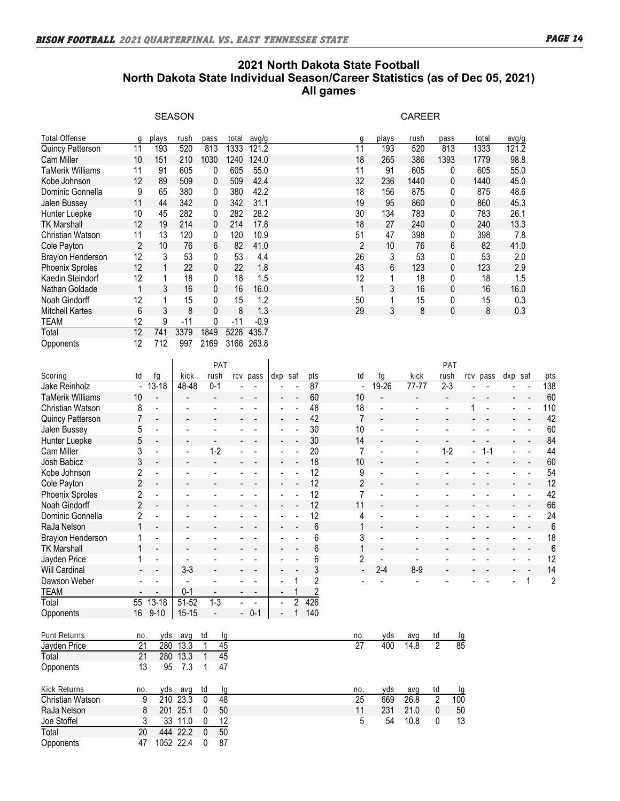## **2021 North Dakota State Football North Dakota State Individual Season/Career Statistics (as of Dec 05, 2021) All games**

|                          |    |       | <b>SEASON</b> |      |       |        |        |       | <b>CAREER</b> |              |       |       |
|--------------------------|----|-------|---------------|------|-------|--------|--------|-------|---------------|--------------|-------|-------|
| Total Offense            | Ω  | plays | rush          | pass | total | avg/g  | $\cap$ | plays | rush          | pass         | total | avg/g |
| Quincy Patterson         | 11 | 193   | 520           | 813  | 1333  | 121.2  | 11     | 193   | 520           | 813          | 1333  | 121.2 |
| Cam Miller               | 10 | 151   | 210           | 1030 | 1240  | 124.0  | 18     | 265   | 386           | 1393         | 1779  | 98.8  |
| TaMerik Williams         | 11 | 91    | 605           | 0    | 605   | 55.0   | 11     | 91    | 605           | 0            | 605   | 55.0  |
| Kobe Johnson             | 12 | 89    | 509           | 0    | 509   | 42.4   | 32     | 236   | 1440          | $\mathbf{0}$ | 1440  | 45.0  |
| Dominic Gonnella         | 9  | 65    | 380           | 0    | 380   | 42.2   | 18     | 156   | 875           | $\mathbf{0}$ | 875   | 48.6  |
| Jalen Bussey             | 11 | 44    | 342           | 0    | 342   | 31.1   | 19     | 95    | 860           | $\mathbf{0}$ | 860   | 45.3  |
| Hunter Luepke            | 10 | 45    | 282           | 0    | 282   | 28.2   | 30     | 134   | 783           | $\mathbf{0}$ | 783   | 26.1  |
| <b>TK Marshall</b>       | 12 | 19    | 214           | 0    | 214   | 17.8   | 18     | 27    | 240           | $\mathbf{0}$ | 240   | 13.3  |
| Christian Watson         | 11 | 13    | 120           | 0    | 120   | 10.9   | 51     | 47    | 398           | 0            | 398   | 7.8   |
| Cole Payton              | 2  | 10    | 76            | 6    | 82    | 41.0   | 2      | 10    | 76            | 6            | 82    | 41.0  |
| <b>Braylon Henderson</b> | 12 | 3     | 53            | 0    | 53    | 4.4    | 26     | 3     | 53            | 0            | 53    | 2.0   |
| <b>Phoenix Sproles</b>   | 12 |       | 22            | 0    | 22    | 1.8    | 43     | 6     | 123           | 0            | 123   | 2.9   |
| Kaedin Steindorf         | 12 |       | 18            | 0    | 18    | 1.5    | 12     | 1     | 18            | $\mathbf{0}$ | 18    | 1.5   |
| Nathan Goldade           | 1  | 3     | 16            | 0    | 16    | 16.0   |        | 3     | 16            | $\mathbf{0}$ | 16    | 16.0  |
| Noah Gindorff            | 12 |       | 15            | 0    | 15    | 1.2    | 50     |       | 15            | 0            | 15    | 0.3   |
| <b>Mitchell Kartes</b>   | 6  | 3     | 8             | 0    | 8     | 1.3    | 29     | 3     | 8             | $\mathbf{0}$ | 8     | 0.3   |
| TEAM                     | 12 | 9     | $-11$         | 0    | $-11$ | $-0.9$ |        |       |               |              |       |       |
| Total                    | 12 | 741   | 3379          | 1849 | 5228  | 435.7  |        |       |               |              |       |       |
| Opponents                | 12 | 712   | 997           | 2169 | 3166  | 263.8  |        |       |               |              |       |       |
|                          |    |       |               | PAT  |       |        |        |       |               | PAT          |       |       |

|                         |                |                          |                          | PAT                      |                          |          |     |     |                  |                |                                     |                          | PAT     |     |        |         |     |
|-------------------------|----------------|--------------------------|--------------------------|--------------------------|--------------------------|----------|-----|-----|------------------|----------------|-------------------------------------|--------------------------|---------|-----|--------|---------|-----|
| Scoring                 | td             | fa                       | kick                     | rush                     |                          | rcv pass | dxp | saf | pts              | td             | fa                                  | kick                     | rush    | rcv | pass   | dxp saf | pts |
| Jake Reinholz           |                | $-13-18$                 | 48-48                    | $0 - 1$                  |                          |          |     |     | 87               |                | 19-26<br>$\overline{\phantom{a}}$   | 77-77                    | $2 - 3$ |     |        |         | 138 |
| TaMerik Williams        | 10             | $\overline{a}$           |                          |                          |                          |          | ۰.  |     | 60               | 10             | $\overline{\phantom{a}}$            |                          |         |     |        |         | 60  |
| Christian Watson        | 8              | $\blacksquare$           |                          |                          |                          |          |     |     | 48               | 18             | $\blacksquare$                      |                          |         |     |        |         | 110 |
| <b>Quincy Patterson</b> | 7              | $\overline{\phantom{0}}$ |                          |                          |                          |          |     |     | 42               | $\overline{7}$ | $\overline{\phantom{a}}$            | $\overline{\phantom{0}}$ |         |     |        |         | 42  |
| Jalen Bussey            | 5              | $\blacksquare$           |                          |                          |                          |          |     |     | 30               | 10             | ÷,                                  |                          |         |     |        |         | 60  |
| Hunter Luepke           | 5              | $\overline{\phantom{0}}$ |                          |                          |                          |          |     |     | 30               | 14             | $\overline{\phantom{a}}$            |                          |         |     |        |         | 84  |
| Cam Miller              | 3              | $\overline{\phantom{0}}$ | $\blacksquare$           | $1 - 2$                  |                          |          |     |     | 20               | 7              | $\blacksquare$                      | $\blacksquare$           | $1-2$   |     | $-1-1$ |         | 44  |
| Josh Babicz             | 3              | $\overline{\phantom{a}}$ | $\overline{\phantom{a}}$ | $\overline{\phantom{a}}$ |                          |          |     |     | 18               | 10             | $\overline{\phantom{a}}$            | $\overline{\phantom{a}}$ |         |     |        |         | 60  |
| Kobe Johnson            | 2              |                          |                          |                          |                          |          |     |     | 12               | 9              | $\overline{\phantom{m}}$            |                          |         |     |        |         | 54  |
| Cole Payton             | 2              | $\overline{\phantom{a}}$ |                          |                          |                          |          |     |     | 12               | 2              | $\overline{\phantom{a}}$            |                          |         |     |        |         | 12  |
| <b>Phoenix Sproles</b>  | 2              | $\blacksquare$           |                          |                          |                          |          |     |     | 12               | 7              | $\blacksquare$                      |                          |         |     |        |         | 42  |
| Noah Gindorff           | 2              | $\overline{\phantom{0}}$ |                          |                          |                          |          |     |     | 12               | 11             | $\overline{\phantom{a}}$            |                          |         |     |        |         | 66  |
| Dominic Gonnella        | $\overline{c}$ | $\overline{\phantom{0}}$ |                          |                          |                          |          |     |     | 12               | 4              | $\blacksquare$                      |                          |         |     |        |         | 24  |
| RaJa Nelson             |                | $\overline{\phantom{0}}$ | $\overline{\phantom{a}}$ | ۰                        |                          |          |     |     | 6                | 1              | $\overline{\phantom{a}}$            | $\overline{\phantom{a}}$ |         |     |        |         | 6   |
| Braylon Henderson       |                |                          |                          |                          |                          |          |     |     | 6                | 3              | $\overline{\phantom{a}}$            |                          |         |     |        |         | 18  |
| <b>TK Marshall</b>      |                | $\overline{\phantom{0}}$ |                          |                          |                          |          |     |     | 6                | 1              | $\blacksquare$                      | $\overline{\phantom{a}}$ |         |     |        |         | 6   |
| Jayden Price            |                |                          |                          |                          |                          |          |     |     | 6                | 2              | $\blacksquare$                      |                          |         |     |        |         | 12  |
| <b>Will Cardinal</b>    |                |                          | $3-3$                    | $\blacksquare$           |                          |          |     |     | 3                |                | $2 - 4$<br>$\overline{\phantom{a}}$ | $8 - 9$                  |         |     |        |         | 14  |
| Dawson Weber            |                |                          |                          |                          |                          |          |     |     | 2                |                |                                     |                          |         |     |        |         | 2   |
| TEAM                    |                |                          | $0 - 1$                  | $\overline{\phantom{a}}$ |                          |          | ۰   |     | ŋ                |                |                                     |                          |         |     |        |         |     |
| Total                   | 55             | $13 - 18$                | 51-52                    | $1 - 3$                  |                          |          |     | 2   | $\overline{426}$ |                |                                     |                          |         |     |        |         |     |
| Opponents               | 16             | $9 - 10$                 | $15 - 15$                |                          | $\overline{\phantom{0}}$ | $0 - 1$  |     |     | 140              |                |                                     |                          |         |     |        |         |     |

| Punt Returns            | no. | yds       | avq   | td | la | no. | vds  | ava  | td | lg  |
|-------------------------|-----|-----------|-------|----|----|-----|------|------|----|-----|
| Jayden Price            | 21  | 280       | 13.3  |    | 45 | 27  | 400  | 14.8 | 2  | 85  |
| Total                   | 21  | 280       | 13.3  |    | 45 |     |      |      |    |     |
| Opponents               | 13  | 95        | 7.3   |    | 47 |     |      |      |    |     |
| <b>Kick Returns</b>     | no. | vds       | ava   | td | la | no. | vds. | ava  | td | lq  |
| <b>Christian Watson</b> | 9   | 210       | 23.3  | 0  | 48 | 25  | 669  | 26.8 | 2  | 100 |
| RaJa Nelson             | 8   | 201       | 25.1  | 0  | 50 | 11  | 231  | 21.0 | 0  | 50  |
| Joe Stoffel             | 3   | 33        | 11.0  |    | 12 | 5   | 54   | 10.8 | 0  | 13  |
| Total                   | 20  | 444       | -22.2 | 0  | 50 |     |      |      |    |     |
| Opponents               | 47  | 1052 22.4 |       |    | 87 |     |      |      |    |     |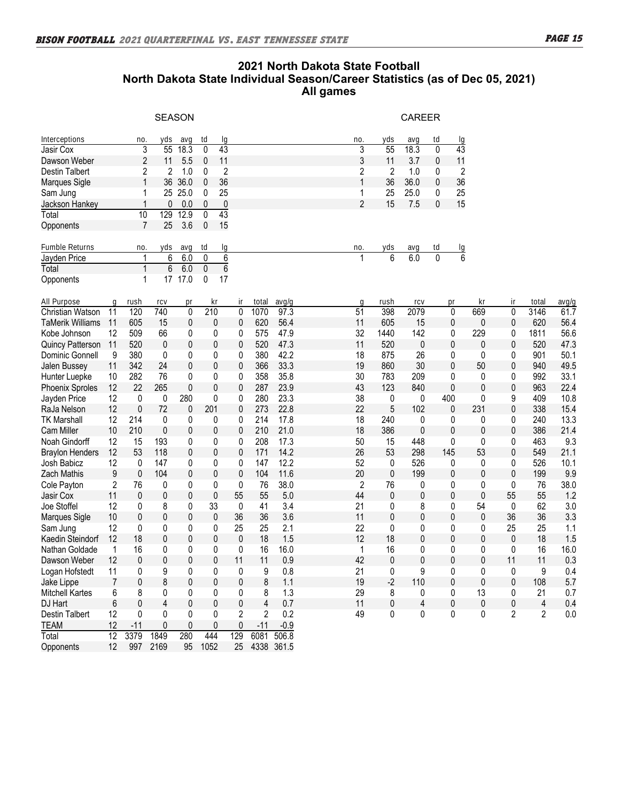## **2021 North Dakota State Football North Dakota State Individual Season/Career Statistics (as of Dec 05, 2021) All games**

|                         |                  |                         |                  | <b>SEASON</b> |                                 |                |       |            |                 |                 | <b>CAREER</b> |              |                 |              |                |                |       |
|-------------------------|------------------|-------------------------|------------------|---------------|---------------------------------|----------------|-------|------------|-----------------|-----------------|---------------|--------------|-----------------|--------------|----------------|----------------|-------|
| Interceptions           |                  | no                      | yds              | avg           | td                              | lg             |       |            | no.             | yds             | avq           | td           | -lg             |              |                |                |       |
| Jasir Cox               |                  | $\overline{3}$          | 55               | 18.3          | 43<br>0                         |                |       |            | 3               | $\overline{55}$ | 18.3          | 0            | $\overline{43}$ |              |                |                |       |
| Dawson Weber            |                  | $\overline{\mathbf{c}}$ | 11               | 5.5           | 11<br>0                         |                |       |            | 3               | 11              | 3.7           | 0            | 11              |              |                |                |       |
| Destin Talbert          |                  | 2                       | 2                | 1.0           | 0                               | 2              |       |            | 2               | 2               | 1.0           | 0            | 2               |              |                |                |       |
| Marques Sigle           |                  | 1                       | 36               | 36.0          | 36<br>0                         |                |       |            | 1               | 36              | 36.0          | 0            | 36              |              |                |                |       |
| Sam Jung                |                  | 1                       |                  | 25 25.0       | 25<br>0                         |                |       |            | 1               | 25              | 25.0          | 0            | 25              |              |                |                |       |
| Jackson Hankey          |                  | 1                       | 0                | 0.0           | 0                               | $\pmb{0}$      |       |            | $\overline{2}$  | 15              | 7.5           | 0            | 15              |              |                |                |       |
| Total                   |                  | $\overline{10}$         | $\overline{129}$ | 12.9          | $\overline{43}$<br>$\mathbf{0}$ |                |       |            |                 |                 |               |              |                 |              |                |                |       |
| Opponents               |                  | $\overline{7}$          | 25               | 3.6           | 0<br>15                         |                |       |            |                 |                 |               |              |                 |              |                |                |       |
| Fumble Returns          |                  | no.                     | yds              | avg           | td                              | lg             |       |            | no              | yds             | avg           | td           |                 |              |                |                |       |
| Jayden Price            |                  | 1                       | $\overline{6}$   | 6.0           | 0                               | $\overline{6}$ |       |            |                 | $\overline{6}$  | 6.0           | $\mathbf{0}$ | $\frac{10}{6}$  |              |                |                |       |
| Total                   |                  | $\overline{1}$          | $\overline{6}$   | 6.0           | 0                               | $\overline{6}$ |       |            |                 |                 |               |              |                 |              |                |                |       |
| Opponents               |                  | 1                       |                  | 17 17.0       | 0<br>17                         |                |       |            |                 |                 |               |              |                 |              |                |                |       |
| All Purpose             | g                | rush                    | rcv              | pr            | kr                              | ir             | total | avg/g      | q               | rush            | <b>LC</b>     |              | pr              | кr           | ir.            | total          | avg/g |
| <b>Christian Watson</b> | 11               | 120                     | 740              | $\mathbf{0}$  | 210                             | $\mathbf{0}$   | 1070  | 97.3       | $\overline{51}$ | 398             | 2079          |              | 0               | 669          | $\mathbf{0}$   | 3146           | 61.7  |
| <b>TaMerik Williams</b> | 11               | 605                     | 15               | 0             | 0                               | 0              | 620   | 56.4       | 11              | 605             | 15            |              | 0               | $\mathbf 0$  | 0              | 620            | 56.4  |
| Kobe Johnson            | 12               | 509                     | 66               | 0             | 0                               | 0              | 575   | 47.9       | 32              | 1440            | 142           |              | 0               | 229          | 0              | 1811           | 56.6  |
| <b>Quincy Patterson</b> | 11               | 520                     | 0                | 0             | 0                               | 0              | 520   | 47.3       | 11              | 520             | 0             |              | 0               | 0            | $\mathbf 0$    | 520            | 47.3  |
| Dominic Gonnell         | 9                | 380                     | 0                | 0             | 0                               | 0              | 380   | 42.2       | 18              | 875             | 26            |              | 0               | 0            | 0              | 901            | 50.1  |
| Jalen Bussey            | 11               | 342                     | 24               | 0             | 0                               | 0              | 366   | 33.3       | 19              | 860             | 30            |              | $\mathbf{0}$    | 50           | 0              | 940            | 49.5  |
| Hunter Luepke           | 10               | 282                     | 76               | 0             | 0                               | 0              | 358   | 35.8       | 30              | 783             | 209           |              | 0               | 0            | 0              | 992            | 33.1  |
| <b>Phoenix Sproles</b>  | 12               | 22                      | 265              | 0             | $\mathbf{0}$                    | 0              | 287   | 23.9       | 43              | 123             | 840           |              | $\mathbf 0$     | $\mathbf{0}$ | 0              | 963            | 22.4  |
| Jayden Price            | 12               | 0                       | 0                | 280           | 0                               | 0              | 280   | 23.3       | 38              | 0               | 0             |              | 400             | 0            | 9              | 409            | 10.8  |
| RaJa Nelson             | 12               | $\mathbf{0}$            | 72               | 0             | 201                             | 0              | 273   | 22.8       | 22              | 5               | 102           |              | $\mathbf{0}$    | 231          | $\mathbf 0$    | 338            | 15.4  |
| <b>TK Marshall</b>      | 12               | 214                     | 0                | 0             | 0                               | 0              | 214   | 17.8       | 18              | 240             | 0             |              | 0               | 0            | 0              | 240            | 13.3  |
| <b>Cam Miller</b>       | 10               | 210                     | 0                | 0             | 0                               | 0              | 210   | 21.0       | 18              | 386             | 0             |              | 0               | 0            | 0              | 386            | 21.4  |
| Noah Gindorff           | 12               | 15                      | 193              | 0             | 0                               | 0              | 208   | 17.3       | 50              | 15              | 448           |              | 0               | 0            | 0              | 463            | 9.3   |
| <b>Braylon Henders</b>  | 12               | 53                      | 118              | 0             | 0                               | 0              | 171   | 14.2       | 26              | 53              | 298           |              | 145             | 53           | 0              | 549            | 21.1  |
| Josh Babicz             | 12               | 0                       | 147              | 0             | 0                               | 0              | 147   | 12.2       | 52              | 0               | 526           |              | 0               | 0            | 0              | 526            | 10.1  |
| <b>Zach Mathis</b>      | $\boldsymbol{9}$ | 0                       | 104              | 0             | $\mathbf{0}$                    | 0              | 104   | 11.6       | 20              | 0               | 199           |              | 0               | 0            | 0              | 199            | 9.9   |
| Cole Payton             | 2                | 76                      | 0                | 0             | 0                               | 0              | 76    | 38.0       | $\overline{c}$  | 76              | 0             |              | 0               | 0            | 0              | 76             | 38.0  |
| Jasir Cox               | 11               | 0                       | 0                | 0             | $\pmb{0}$                       | 55             | 55    | 5.0        | 44              | 0               | 0             |              | 0               | 0            | 55             | 55             | 1.2   |
| Joe Stoffel             | 12               | 0                       | 8                | 0             | 33                              | 0              | 41    | 3.4        | 21              | 0               | 8             |              | 0               | 54           | 0              | 62             | 3.0   |
| Marques Sigle           | 10               | 0                       | 0                | 0             | 0                               | 36             | 36    | 3.6        | 11              | 0               | 0             |              | 0               | 0            | 36             | 36             | 3.3   |
| Sam Jung                | 12               | 0                       | 0                | 0             | 0                               | 25             | 25    | 2.1        | 22              | 0               | 0             |              | 0               | 0            | 25             | 25             | 1.1   |
| Kaedin Steindorf        | 12               | 18                      | 0                | 0             | 0                               | 0              | 18    | 1.5        | 12              | 18              | 0             |              | 0               | 0            | 0              | 18             | 1.5   |
| Nathan Goldade          | 1                | 16                      | 0                | 0             | 0                               | 0              | 16    | 16.0       | 1               | 16              | 0             |              | 0               | 0            | 0              | 16             | 16.0  |
| Dawson Weber            | 12               | $\mathbf{0}$            | 0                | 0             | $\mathbf{0}$                    | 11             | 11    | 0.9        | 42              | 0               | 0             |              | $\mathbf{0}$    | 0            | 11             | 11             | 0.3   |
| Logan Hofstedt          | 11               | 0                       | 9                | 0             | 0                               | 0              | 9     | 0.8        | 21              | 0               | 9             |              | $\pmb{0}$       | 0            | 0              | 9              | 0.4   |
| Jake Lippe              | $\overline{7}$   | 0                       | 8                | 0             | 0                               | 0              | 8     | 1.1        | 19              | $-2$            | 110           |              | $\mathbf{0}$    | 0            | 0              | 108            | 5.7   |
| <b>Mitchell Kartes</b>  | 6                | 8                       | 0                | 0             | 0                               | 0              | 8     | 1.3        | 29              | 8               | 0             |              | 0               | 13           | 0              | 21             | 0.7   |
| DJ Hart                 | 6                | 0                       | 4                | 0             | $\mathbf 0$                     | 0              | 4     | 0.7        | 11              | $\pmb{0}$       | 4             |              | $\pmb{0}$       | 0            | $\pmb{0}$      | $\overline{4}$ | 0.4   |
| <b>Destin Talbert</b>   | 12               | 0                       | 0                | 0             | 0                               | 2              | 2     | 0.2        | 49              | 0               | 0             |              | 0               | 0            | $\overline{c}$ | $\overline{2}$ | 0.0   |
| <b>TEAM</b>             | 12               | $-11$                   | 0                | 0             | 0                               | 0              | $-11$ | $-0.9$     |                 |                 |               |              |                 |              |                |                |       |
| Total                   | $\overline{12}$  | 3379                    | 1849             | 280           | 444                             | 129            | 6081  | 506.8      |                 |                 |               |              |                 |              |                |                |       |
| Opponents               | 12               | 997                     | 2169             | 95            | 1052                            | 25             |       | 4338 361.5 |                 |                 |               |              |                 |              |                |                |       |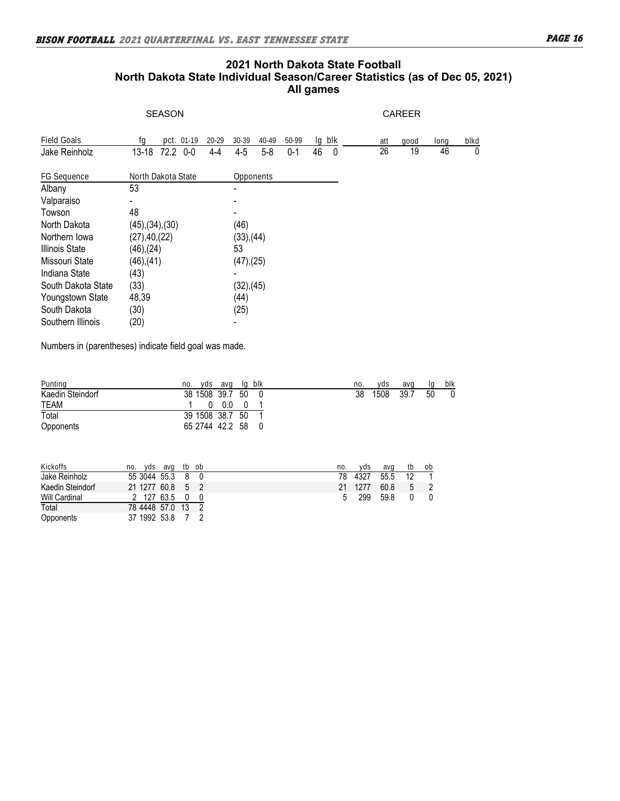#### **2021 North Dakota State Football** North Dakota State Individual Season/Career Statistics (as of Dec 05, 2021) **All games Destination Talbert 12 0 0 0 2 2 2 0 0 2 2 2 2 2 49 0 2 2 2 49 0 2 2 49 0 2 2 49 0 2 2 49 0 2 49 0 2 49 0 2 49 0 2 49 0 2 49 0 2 49 0 2 49 0 2 49 0 2 49 0 2 49 0 2 49 0 2 49 0 2 49 0 2 49 0 2 49 0 2 49 0 2 49**  $\frac{1}{2}$  -11  $\frac{1}{2}$  -11  $\frac{1}{2}$  -11  $\frac{1}{2}$  -11  $\frac{1}{2}$  -11  $\frac{1}{2}$  -11  $\frac{1}{2}$  -11  $\frac{1}{2}$  -11  $\frac{1}{2}$  -11  $\frac{1}{2}$  -11  $\frac{1}{2}$  -11  $\frac{1}{2}$  -11  $\frac{1}{2}$  -11  $\frac{1}{2}$  -11  $\frac{1}{2}$  -11  $\frac{1}{2}$  - $T(T)$  Danvia Viale Murvidual Vegisori Valistics (as of Dec 00, 2021)  $\mathsf{A}$ n games  $\mathsf{A}$

 $\overline{\mathcal{S}}$  , and the sprobles 12  $2$  265  $\overline{\mathcal{S}}$  267  $\overline{\mathcal{S}}$  267  $\overline{\mathcal{S}}$  35 123  $\overline{\mathcal{S}}$  363  $\overline{\mathcal{S}}$  363  $\overline{\mathcal{S}}$  363  $\overline{\mathcal{S}}$  363  $\overline{\mathcal{S}}$  363  $\overline{\mathcal{S}}$  363  $\overline{\mathcal{S}}$  363  $\overline{\mathcal{S}}$  363

|                       | <b>SEASON</b>            |                          |                  |         |        |   |                 | <b>CAREER</b> |      |      |
|-----------------------|--------------------------|--------------------------|------------------|---------|--------|---|-----------------|---------------|------|------|
| Field Goals           | pct. 01-19<br>ta         | 20-29<br>30-39           | 40-49            | 50-99   | lg blk |   | att             | good          | long | blkd |
| Jake Reinholz         | 72.2 0-0<br>$13 - 18$    | $4 - 5$<br>$4 - 4$       | $5 - 8$          | $0 - 1$ | 46     | 0 | $\overline{26}$ | 19            | 46   | 0    |
| FG Sequence           | North Dakota State       |                          | <b>Opponents</b> |         |        |   |                 |               |      |      |
| Albany                | 53                       |                          |                  |         |        |   |                 |               |      |      |
| Valparaiso            |                          |                          |                  |         |        |   |                 |               |      |      |
| Towson                | 48                       | $\overline{\phantom{0}}$ |                  |         |        |   |                 |               |      |      |
| North Dakota          | $(45)$ , $(34)$ , $(30)$ | (46)                     |                  |         |        |   |                 |               |      |      |
| Northern Iowa         | (27), 40, (22)           |                          | (33),(44)        |         |        |   |                 |               |      |      |
| <b>Illinois State</b> | $(46)$ , $(24)$          | 53                       |                  |         |        |   |                 |               |      |      |
| Missouri State        | $(46)$ , $(41)$          |                          | (47),(25)        |         |        |   |                 |               |      |      |
| Indiana State         | (43)                     |                          |                  |         |        |   |                 |               |      |      |
| South Dakota State    | (33)                     |                          | (32),(45)        |         |        |   |                 |               |      |      |
| Youngstown State      | 48,39                    | (44)                     |                  |         |        |   |                 |               |      |      |
| South Dakota          | (30)                     | (25)                     |                  |         |        |   |                 |               |      |      |
| Southern Illinois     | (20)                     | $\overline{\phantom{a}}$ |                  |         |        |   |                 |               |      |      |

Numbers in (parentheses) indicate field goal was made. Hampbro in (partner 1900) indicate from goal tract meas.  $T$ 

| Punting          | yds avg<br>no.    | lg blk | no. | vds  | ava  |    | blk |
|------------------|-------------------|--------|-----|------|------|----|-----|
| Kaedin Steindorf | 38 1508 39.7 50 0 |        | 38  | 1508 | 39.7 | 50 |     |
| <b>TEAM</b>      | $0.0\,$           |        |     |      |      |    |     |
| Total            | 39 1508 38.7 50   |        |     |      |      |    |     |
| Opponents        | 65 2744 42.2 58 0 |        |     |      |      |    |     |
|                  |                   |        |     |      |      |    |     |

| Kickoffs             | tb ob<br>ava<br>vds.<br>no. | no. | vds  | avo  | tb | ob |
|----------------------|-----------------------------|-----|------|------|----|----|
| Jake Reinholz        | 55 3044 55.3 8 0            | 78  | 4327 | 55.5 | 12 |    |
| Kaedin Steindorf     | 21 1277 60.8 5 2            | 21  | 1277 | 60.8 |    |    |
| <b>Will Cardinal</b> | 127 63.5                    | b   | 299  | 59.8 |    |    |
| Total                | 78 4448 57.0 13 2           |     |      |      |    |    |
| Opponents            | 37 1992 53.8                |     |      |      |    |    |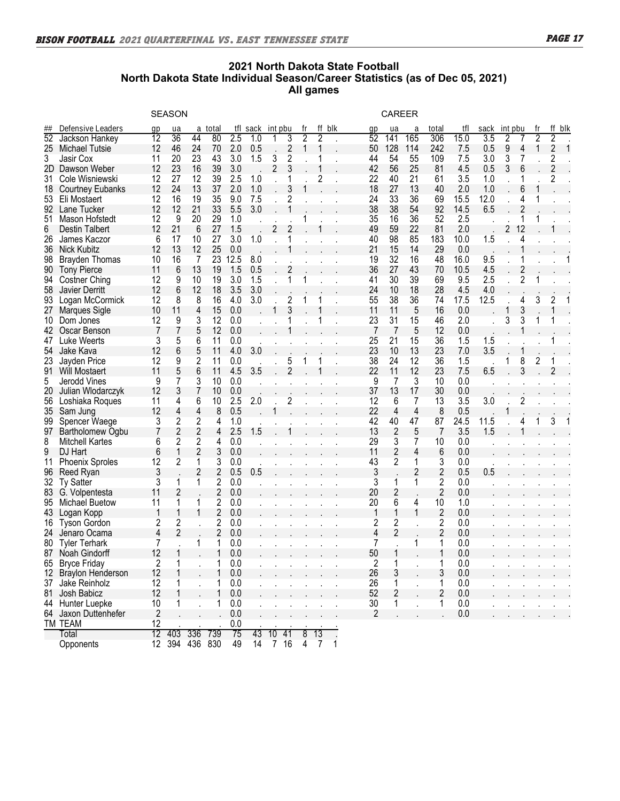**Kickoffs no. yds avg tb ob no. yds avg tb ob**

### **2021 North Dakota State Football** North Dakota State Individual Season/Career Statistics (as of Dec 05, 2021) Will Cardinal 2 127 63.5 0 0 5 299 59.8 0 0 **All games**

|                 |                         |                 | <b>SEASON</b>  |                |                |      |      |                |                |                |                |     |                | <b>CAREER</b>  |     |                |      |      |     |                |                |                |     |
|-----------------|-------------------------|-----------------|----------------|----------------|----------------|------|------|----------------|----------------|----------------|----------------|-----|----------------|----------------|-----|----------------|------|------|-----|----------------|----------------|----------------|-----|
| ##              | Defensive Leaders       | qp              | ua             | а              | total          | tfl  | sack | int            | pbu            |                | ff             | blk | qp             | ua             | а   | total          | tfl  | sack | int | pbu            |                | ff             | blk |
| $\overline{52}$ | Jackson Hankey          | 12              | 36             | 44             | 80             | 2.5  | 1.0  |                | 3              | $\overline{2}$ | 2              |     | 52             | 141            | 165 | 306            | 15.0 | 3.5  | 2   |                | $\overline{2}$ | 2              |     |
|                 | 25 Michael Tutsie       | 12              | 46             | 24             | 70             | 2.0  | 0.5  |                | $\overline{c}$ | 1              | 1              |     | 50             | 128            | 114 | 242            | 7.5  | 0.5  | 9   | 4              | 1              | $\overline{c}$ |     |
| 3               | Jasir Cox               | 11              | 20             | 23             | 43             | 3.0  | 1.5  | 3              | 2              |                | 1              |     | 44             | 54             | 55  | 109            | 7.5  | 3.0  | 3   | 7              |                | $\overline{c}$ |     |
| 2D              | Dawson Weber            | 12              | 23             | 16             | 39             | 3.0  |      | $\overline{2}$ | 3              |                |                |     | 42             | 56             | 25  | 81             | 4.5  | 0.5  | 3   | 6              |                | $\overline{c}$ |     |
| 31              | Cole Wisniewski         | 12              | 27             | 12             | 39             | 2.5  | 1.0  |                |                |                | 2              |     | 22             | 40             | 21  | 61             | 3.5  | 1.0  |     |                |                | 2              |     |
| 18              | <b>Courtney Eubanks</b> | 12              | 24             | 13             | 37             | 2.0  | 1.0  |                | 3              | 1              |                |     | 18             | 27             | 13  | 40             | 2.0  | 1.0  |     | 6              | 1              |                |     |
| 53              | Eli Mostaert            | 12              | 16             | 19             | 35             | 9.0  | 7.5  |                | 2              |                |                |     | 24             | 33             | 36  | 69             | 15.5 | 12.0 |     | 4              | 1              |                |     |
| 92              | Lane Tucker             | 12              | 12             | 21             | 33             | 5.5  | 3.0  |                |                |                |                |     | 38             | 38             | 54  | 92             | 14.5 | 6.5  |     | 2              |                |                |     |
| 51              | Mason Hofstedt          | 12              | 9              | 20             | 29             | 1.0  |      |                |                |                |                |     | 35             | 16             | 36  | 52             | 2.5  |      |     | 1              |                |                |     |
| 6               | <b>Destin Talbert</b>   | 12              | 21             | 6              | 27             | 1.5  |      | 2              | 2              |                |                |     | 49             | 59             | 22  | 81             | 2.0  |      | 2   | 12             |                |                |     |
| 26              | James Kaczor            | 6               | 17             | 10             | 27             | 3.0  | 1.0  |                |                |                |                |     | 40             | 98             | 85  | 183            | 10.0 | 1.5  |     | 4              |                |                |     |
| 36              | Nick Kubitz             | 12              | 13             | 12             | 25             | 0.0  |      |                |                |                |                |     | 21             | 15             | 14  | 29             | 0.0  |      |     |                |                |                |     |
| 98              | <b>Brayden Thomas</b>   | 10              | 16             | 7              | 23             | 12.5 | 8.0  |                |                |                |                |     | 19             | 32             | 16  | 48             | 16.0 | 9.5  |     |                |                |                |     |
| 90              | <b>Tony Pierce</b>      | 11              | 6              | 13             | 19             | 1.5  | 0.5  |                | 2              |                |                |     | 36             | 27             | 43  | 70             | 10.5 | 4.5  |     | $\overline{c}$ |                |                |     |
| 94              | <b>Costner Ching</b>    | 12              | 9              | 10             | 19             | 3.0  | 1.5  |                | 1              |                |                |     | 41             | 30             | 39  | 69             | 9.5  | 2.5  |     | $\overline{c}$ |                |                |     |
| 58              | Javier Derritt          | 12              | 6              | 12             | 18             | 3.5  | 3.0  |                |                |                |                |     | 24             | 10             | 18  | 28             | 4.5  | 4.0  |     |                |                |                |     |
| 93              | Logan McCormick         | 12              | 8              | 8              | 16             | 4.0  | 3.0  |                | $\overline{c}$ | 1              |                |     | 55             | 38             | 36  | 74             | 17.5 | 12.5 |     | 4              | 3              | 2              |     |
| 27              | Marques Sigle           | 10              | 11             | 4              | 15             | 0.0  |      | 1              | 3              |                |                |     | 11             | 11             | 5   | 16             | 0.0  |      | 1   | 3              |                | 1              |     |
| 10              | Dom Jones               | 12              | 9              | 3              | 12             | 0.0  |      |                |                |                |                |     | 23             | 31             | 15  | 46             | 2.0  |      | 3   | 3              | 1              |                |     |
| 42              | Oscar Benson            | 7               | 7              | 5              | 12             | 0.0  |      |                |                |                |                |     | 7              | 7              | 5   | 12             | 0.0  |      |     |                |                |                |     |
| 47              | Luke Weerts             | 3               | 5              | 6              | 11             | 0.0  |      |                |                |                |                |     | 25             | 21             | 15  | 36             | 1.5  | 1.5  |     |                |                |                |     |
| 54              | Jake Kava               | 12              | 6              | 5              | 11             | 4.0  | 3.0  |                |                |                |                |     | 23             | 10             | 13  | 23             | 7.0  | 3.5  |     |                |                |                |     |
| 23              | Jayden Price            | 12              | 9              | $\overline{c}$ | 11             | 0.0  |      |                | 5              | 1              |                |     | 38             | 24             | 12  | 36             | 1.5  |      |     | 8              | 2              |                |     |
| 91              | <b>Will Mostaert</b>    | 11              | 5              | 6              | 11             | 4.5  | 3.5  |                | 2              |                |                |     | 22             | 11             | 12  | 23             | 7.5  | 6.5  |     | 3              |                | $\overline{2}$ |     |
| 5               | Jerodd Vines            | 9               | 7              | 3              | 10             | 0.0  |      |                |                |                |                |     | 9              | 7              | 3   | 10             | 0.0  |      |     |                |                |                |     |
| 20              | Julian Wlodarczyk       | 12              | 3              | 7              | 10             | 0.0  |      |                |                |                |                |     | 37             | 13             | 17  | 30             | 0.0  |      |     |                |                |                |     |
| 56              | Loshiaka Roques         | 11              | 4              | 6              | 10             | 2.5  | 2.0  |                | 2              |                |                |     | 12             | 6              | 7   | 13             | 3.5  | 3.0  |     | 2              |                |                |     |
| 35              | Sam Jung                | 12              | 4              | 4              | 8              | 0.5  |      |                |                |                |                |     | 22             | 4              | 4   | 8              | 0.5  |      |     |                |                |                |     |
| 99              | Spencer Waege           | 3               | $\overline{c}$ | $\overline{c}$ | 4              | 1.0  |      |                |                |                |                |     | 42             | 40             | 47  | 87             | 24.5 | 11.5 |     | 4              |                | 3              |     |
| 97              | Bartholomew Ogbu        | 7               | $\overline{2}$ | $\overline{c}$ | 4              | 2.5  | 1.5  |                |                |                |                |     | 13             | $\overline{2}$ | 5   | $\overline{7}$ | 3.5  | 1.5  |     |                |                |                |     |
| 8               | <b>Mitchell Kartes</b>  | 6               | $\overline{c}$ | 2              | 4              | 0.0  |      |                |                |                |                |     | 29             | 3              | 7   | 10             | 0.0  |      |     |                |                |                |     |
|                 |                         | 6               | 1              | 2              |                | 0.0  |      |                |                |                |                |     | 11             | 2              | 4   |                | 0.0  |      |     |                |                |                |     |
| 9               | DJ Hart                 | 12              |                |                | 3              |      |      |                |                |                |                |     |                |                |     | 6              |      |      |     |                |                |                |     |
| 11              | <b>Phoenix Sproles</b>  |                 | 2              | 1              | 3              | 0.0  |      |                |                |                |                |     | 43             | 2              | 1   | 3              | 0.0  |      |     |                |                |                |     |
| 96              | Reed Ryan               | 3               |                | $\overline{c}$ | 2              | 0.5  | 0.5  |                |                |                |                |     | 3              |                | 2   | 2              | 0.5  | 0.5  |     |                |                |                |     |
| 32              | <b>Ty Satter</b>        | 3               | 1              | 1              | 2              | 0.0  |      |                |                |                |                |     | 3              | 1              | 1   | $\overline{c}$ | 0.0  |      |     |                |                |                |     |
| 83              | G. Volpentesta          | 11              | 2              |                | $\overline{c}$ | 0.0  |      |                |                |                |                |     | 20             | 2              |     | $\overline{2}$ | 0.0  |      |     |                |                |                |     |
| 95              | <b>Michael Buetow</b>   | 11              | 1              | 1              | 2              | 0.0  |      |                |                |                |                |     | 20             | 6              | 4   | 10             | 1.0  |      |     |                |                |                |     |
| 43              | Logan Kopp              |                 | 1              | 1              | 2              | 0.0  |      |                |                |                |                |     | 1              | 1              | 1   | $\overline{c}$ | 0.0  |      |     |                |                |                |     |
| 16              | <b>Tyson Gordon</b>     | 2               | $\overline{c}$ |                | $\overline{c}$ | 0.0  |      |                |                |                |                |     | 2              | 2              |     | $\overline{c}$ | 0.0  |      |     |                |                |                |     |
| 24              | Jenaro Ocama            | 4               | 2              |                | 2              | 0.0  |      |                |                |                |                |     | 4              | 2              |     | 2              | 0.0  |      |     |                |                |                |     |
| 80.             | <b>Tyler Terhark</b>    | 7               |                | 1              | 1              | 0.0  |      |                |                |                |                |     | 7              |                | 1   | 1              | 0.0  |      |     |                |                |                |     |
| 87 -            | Noah Gindorff           | 12              | 1              |                |                | 0.0  |      |                |                |                |                |     | 50             | 1              |     | 1              | 0.0  |      |     |                |                |                |     |
|                 | 65 Bryce Friday         | $\overline{2}$  |                |                |                | 0.0  |      |                |                |                |                |     | 2              | 1              |     | 1              | 0.0  |      |     |                |                |                |     |
| 12              | Braylon Henderson       | 12              |                |                |                | 0.0  |      |                |                |                |                |     | 26             | 3              |     | 3              | 0.0  |      |     |                |                |                |     |
| 37              | Jake Reinholz           | 12              |                |                |                | 0.0  |      |                |                |                |                |     | 26             | 1              |     | 1              | 0.0  |      |     |                |                |                |     |
| 81              | Josh Babicz             | 12              |                |                |                | 0.0  |      |                |                |                |                |     | 52             | $\overline{c}$ |     | 2              | 0.0  |      |     |                |                |                |     |
| 44              | Hunter Luepke           | 10              | 1              |                |                | 0.0  |      |                |                |                |                |     | 30             | 1              |     | 1              | 0.0  |      |     |                |                |                |     |
| 64              | Jaxon Duttenhefer       | $\overline{c}$  |                |                |                | 0.0  |      |                |                |                |                |     | $\overline{2}$ |                |     |                | 0.0  |      |     |                |                |                |     |
|                 | TM TEAM                 | 12              |                |                |                | 0.0  |      |                |                |                |                |     |                |                |     |                |      |      |     |                |                |                |     |
|                 | Total                   | 12              | 403            | 336            | 739            | 75   | 43   | 10             | 41             | $\overline{8}$ | 13             |     |                |                |     |                |      |      |     |                |                |                |     |
|                 | Opponents               | 12 <sup>°</sup> | 394            |                | 436 830        | 49   | 14   | 7 16           |                | $\overline{4}$ | $\overline{7}$ |     |                |                |     |                |      |      |     |                |                |                |     |

Braylon Henderson 12 1 . 1 0.0 . . . . . . 26 3 . 3 0.0 . . . . . .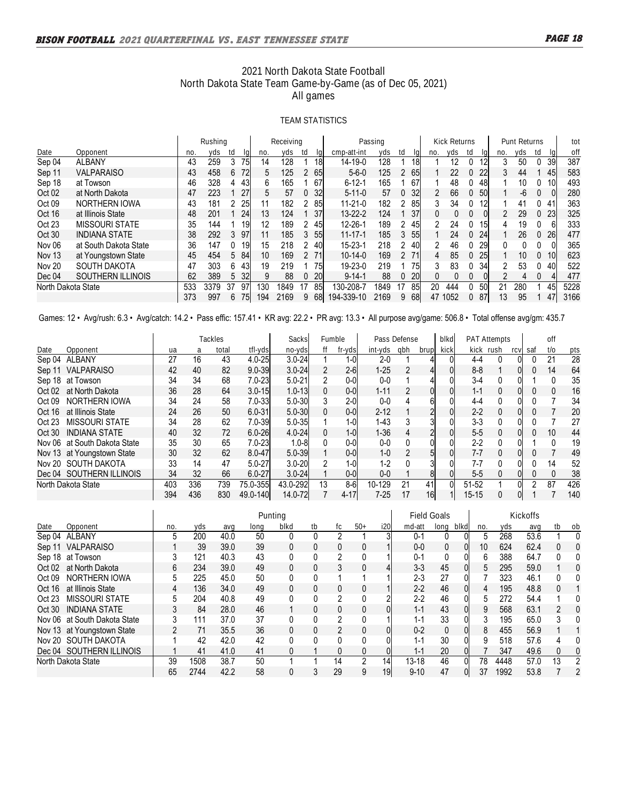## **2021 North Dakota State Football North Dakota State Team Game-by-Game (as of Dec 05, 2021) All games**

### **TEAM STATISTICS**

|                    |                          |     | Rushing |    |      | Receiving |      |   |    |               | Passing |               |           |                       | <b>Kick Returns</b> |    |    |               | Punt Returns |          |    | tot  |
|--------------------|--------------------------|-----|---------|----|------|-----------|------|---|----|---------------|---------|---------------|-----------|-----------------------|---------------------|----|----|---------------|--------------|----------|----|------|
| Date               | Opponent                 | no  | vds     | td |      | no.       | vds  |   |    | cmp-att-int   | vds     | ta            |           | no.                   | vds                 | td | la | no.           | vds          | td       |    | oft  |
| Sep 04             | <b>ALBANY</b>            | 43  | 259     | 3  | 75I  | 14        | 128  |   | 18 | 14-19-0       | 128     |               | <b>18</b> |                       | 12                  | 0  | 12 | 3             | 50           |          | 39 | 387  |
| Sep 11             | <b>VALPARAISO</b>        | 43  | 458     | 6  | 72   | 5         | 125  | 2 | 65 | $5 - 6 - 0$   | 125     | 2             | 65I       |                       | 22                  | 0  | 22 | 3             | 44           |          | 45 | 583  |
| Sep 18             | at Towson                | 46  | 328     | 4  | 43   | 6         | 165  |   | 67 | $6 - 12 - 1$  | 165     |               | 67        |                       | 48                  | 0  | 48 |               | 10           |          | 10 | 493  |
| Oct 02             | at North Dakota          | 47  | 223     |    | 27   | 5         | 57   | 0 | 32 | $5 - 11 - 0$  | 57      | $\mathbf{0}$  | 32        | $\mathbf{2}^{\prime}$ | 66                  | 0  | 50 |               | -6           |          |    | 280  |
| Oct 09             | NORTHERN IOWA            | 43  | 181     | 2. | 25   | 11        | 182  | 2 | 85 | $11 - 21 - 0$ | 182     | 2             | 85        |                       | 34                  | 0  | 12 |               | 41           |          | 41 | 363  |
| Oct 16             | at Illinois State        | 48  | 201     |    | 24   | 13        | 124  |   | 37 | $13 - 22 - 2$ | 124     |               | 37        |                       | 0                   |    | 01 | $\mathcal{P}$ | 29           |          | 23 | 325  |
| Oct 23             | <b>MISSOURI STATE</b>    | 35  | 144     |    | 19   | 12        | 189  |   | 45 | 12-26-1       | 189     | 2             | 45        |                       | 24                  | 0  | 15 | 4             | 19           |          |    | 333  |
| Oct 30             | <b>INDIANA STATE</b>     | 38  | 292     |    | 3 97 | 11        | 185  | 3 | 55 | $11 - 17 - 1$ | 185     | 3             | <b>55</b> |                       | 24                  | 0  | 24 |               | 26           | $\Omega$ | 26 | 477  |
| Nov 06             | at South Dakota State    | 36  | 147     | 0  | 191  | 15        | 218  |   | 40 | 15-23-1       | 218     |               | 40l       |                       | 46                  | 0  | 29 |               |              |          |    | 365  |
| <b>Nov 13</b>      | at Youngstown State      | 45  | 454     |    | 5 84 | 10        | 169  |   | 71 | $10 - 14 - 0$ | 169     | $\mathcal{P}$ | 71I       | 4                     | 85                  | 0  | 25 |               | 10           | $\Omega$ | 10 | 623  |
| <b>Nov 20</b>      | SOUTH DAKOTA             | 47  | 303     | 6. | -43I | 19        | 219  |   | 75 | $19 - 23 - 0$ | 219     |               | 75I       | 3.                    | 83                  | N  | 34 | 2             | 53           |          | 40 | 522  |
| Dec 04             | <b>SOUTHERN ILLINOIS</b> | 62  | 389     | 5. | 32   | 9         | 88   | 0 | 20 | $9 - 14 - 1$  | 88      | $\mathbf{0}$  | <b>20</b> |                       | 0                   | 0  |    |               | 4            |          |    | 477  |
| North Dakota State |                          | 533 | 3379    | 37 | 97   | 30        | 1849 |   | 85 | 130-208-7     | 1849    | 17            | 85        | 20                    | 444                 | 0  | 50 | 21            | 280          |          | 45 | 5228 |
|                    |                          | 373 | 997     | 6. | 75I  | 194       | 2169 | 9 | 68 | 194-339-10    | 2169    | 9             | 68I       | 47                    | 1052                | 0  | 87 | 13            | 95           |          | 47 | 3166 |

Games: 12 • Avg/rush: 6.3 • Avg/catch: 14.2 • Pass effic: 157.41 • KR avg: 22.2 • PR avg: 13.3 • All purpose avg/game: 506.8 • Total offense avg/gm: 435.7

|        |                              |     |     | Tackles |            | Sacks      |    | <b>Fumble</b> | Pass Defense |     |                | blkd |           | <b>PAT Attempts</b> |   |     | off |     |
|--------|------------------------------|-----|-----|---------|------------|------------|----|---------------|--------------|-----|----------------|------|-----------|---------------------|---|-----|-----|-----|
| Date   | Opponent                     | ua  | а   | total   | tfl-yds    | no-yds     |    | fr-ydsl       | int-yds      | gbh | brup           | kick |           | kick rush           |   | saf | t/o | pts |
|        | Sep 04 ALBANY                | 27  | 16  | 43      | $4.0 - 25$ | $3.0 - 24$ |    | 1-01          | $2 - 0$      |     |                |      | 4-4       | 0                   |   |     | 21  | 28  |
| Sep 11 | <b>VALPARAISO</b>            | 42  | 40  | 82      | $9.0 - 39$ | $3.0 - 24$ | 2  | $2-6$         | $1 - 25$     |     |                |      | $8 - 8$   |                     |   |     | 14  | 64  |
|        | Sep 18 at Towson             | 34  | 34  | 68      | $7.0 - 23$ | $5.0 - 21$ | 2  | 0-0I          | $0-0$        |     |                |      | $3-4$     | 0                   |   |     |     | 35  |
|        | Oct 02 at North Dakota       | 36  | 28  | 64      | $3.0 - 15$ | $1.0 - 13$ | 0  | 0-01          | $1 - 11$     |     | 0              |      | $1 - 1$   | 0                   |   |     |     | 16  |
| Oct 09 | NORTHERN IOWA                | 34  | 24  | 58      | $7.0 - 33$ | $5.0 - 30$ | 3  | 2-0I          | $0 - 0$      |     | 6              |      | $4 - 4$   | 0                   |   |     |     | 34  |
| Oct 16 | at Illinois State            | 24  | 26  | 50      | $6.0 - 31$ | $5.0 - 30$ | 0  | $0-0$         | $2 - 12$     |     | c              |      | $2 - 2$   | 0                   |   |     |     | 20  |
| Oct 23 | MISSOURI STATE               | 34  | 28  | 62      | $7.0 - 39$ | $5.0 - 35$ |    | 1-0I          | $1-43$       |     |                |      | 3-3       | 0                   |   |     |     | 27  |
| Oct 30 | <b>INDIANA STATE</b>         | 40  | 32  | 72      | $6.0 - 26$ | $4.0 - 24$ | 0  | $1-0$         | $1 - 36$     |     | 2              |      | $5 - 5$   | 0                   |   |     | 10  | 44  |
|        | Nov 06 at South Dakota State | 35  | 30  | 65      | $7.0 - 23$ | $1.0 - 81$ | 0  | 0-0I          | $0-0$        |     | $\overline{0}$ |      | $2 - 2$   | U                   |   |     |     | 19  |
|        | Nov 13 at Youngstown State   | 30  | 32  | 62      | $8.0 - 47$ | $5.0 - 39$ |    | 0-01          | $1 - 0$      |     | 5              |      | 7-7       | 0                   |   |     |     | 49  |
|        | Nov 20 SOUTH DAKOTA          | 33  | 14  | 47      | $5.0 - 27$ | $3.0 - 20$ | 2  | $1-0$         | $1-2$        |     | 3              |      | 7-7       | 0                   |   |     | 14  | 52  |
|        | Dec 04 SOUTHERN ILLINOIS     | 34  | 32  | 66      | $6.0 - 27$ | $3.0 - 24$ |    | $0-0$         | $0 - 0$      |     | 8              |      | $5-5$     | 0                   | 0 |     |     | 38  |
|        | North Dakota State           | 403 | 336 | 739     | 75.0-355   | 43.0-292   | 13 | $8-6$         | 10-129       | 21  | 41             |      | 51-52     |                     |   |     | 87  | 426 |
|        |                              | 394 | 436 | 830     | 49.0-140   | 14.0-72    |    | 4-17          | 7-25         | 17  | 16             |      | $15 - 15$ | 0                   |   |     |     | 140 |

|        |                              |     |      |      |      | Punting |    |    |       |     | <b>Field Goals</b> |      |      |     | Kickoffs |      |    |          |
|--------|------------------------------|-----|------|------|------|---------|----|----|-------|-----|--------------------|------|------|-----|----------|------|----|----------|
| Date   | Opponent                     | no. | vds  | ava  | lona | blkd    | tb | tc | $50+$ | i20 | md-att             | lona | blkd | no. | vds      | ava  | tb | 0b       |
|        | Sep 04 ALBANY                | 5   | 200  | 40.0 | 50   |         | 0  |    |       |     | $0 - 1$            | 0    |      | 5   | 268      | 53.6 |    | $\bf{0}$ |
| Sep 11 | <b>VALPARAISO</b>            |     | 39   | 39.0 | 39   |         | 0  | 0  |       |     | $0 - 0$            | 0    |      | 10  | 624      | 62.4 | 0  | $\Omega$ |
|        | Sep 18 at Towson             | 3   | 121  | 40.3 | 43   |         | 0  | 2  |       |     | $0 - 1$            | 0    |      | 6   | 388      | 64.7 |    |          |
| Oct 02 | at North Dakota              | 6   | 234  | 39.0 | 49   | 0       | 0  | 3  |       |     | $3-3$              | 45   |      | 5   | 295      | 59.0 |    | $\Omega$ |
| Oct 09 | NORTHERN IOWA                | 5   | 225  | 45.0 | 50   |         |    |    |       |     | $2 - 3$            | 27   |      |     | 323      | 46.1 | 0  |          |
| Oct 16 | at Illinois State            | 4   | 136  | 34.0 | 49   |         | 0  | 0  |       |     | $2 - 2$            | 46   |      | 4   | 195      | 48.8 | 0  |          |
| Oct 23 | <b>MISSOURI STATE</b>        | 5   | 204  | 40.8 | 49   |         | 0  | 2  |       |     | $2 - 2$            | 46   |      | 5   | 272      | 54.4 |    |          |
| Oct 30 | <b>INDIANA STATE</b>         |     | 84   | 28.0 | 46   |         | 0  | 0  |       |     | $1 - 1$            | 43   |      | 9   | 568      | 63.1 | 2  | 0        |
|        | Nov 06 at South Dakota State | 3   | 111  | 37.0 | 37   |         | 0  | 2  |       |     | $1 - 1$            | 33   |      | 3   | 195      | 65.0 | 3  | $\Omega$ |
|        | Nov 13 at Youngstown State   |     | 71   | 35.5 | 36   |         | 0  |    |       | 01  | $0 - 2$            | 0    |      | 8   | 455      | 56.9 |    |          |
|        | Nov 20 SOUTH DAKOTA          |     | 42   | 42.0 | 42   |         |    |    |       |     | $1 - 1$            | 30   |      | 9   | 518      | 57.6 | 4  |          |
|        | Dec 04 SOUTHERN ILLINOIS     |     | 41   | 41.0 | 41   |         |    |    |       | 01  | $1 - 1$            | 20   |      |     | 347      | 49.6 | 0  | $\Omega$ |
|        | North Dakota State           | 39  | 1508 | 38.7 | 50   |         |    | 14 | 2     | 14  | $13 - 18$          | 46   |      | 78  | 4448     | 57.0 | 13 |          |
|        |                              | 65  | 2744 | 42.2 | 58   |         |    | 29 | 9     | 19  | $9 - 10$           | 47   |      | 37  | 1992     | 53.8 |    |          |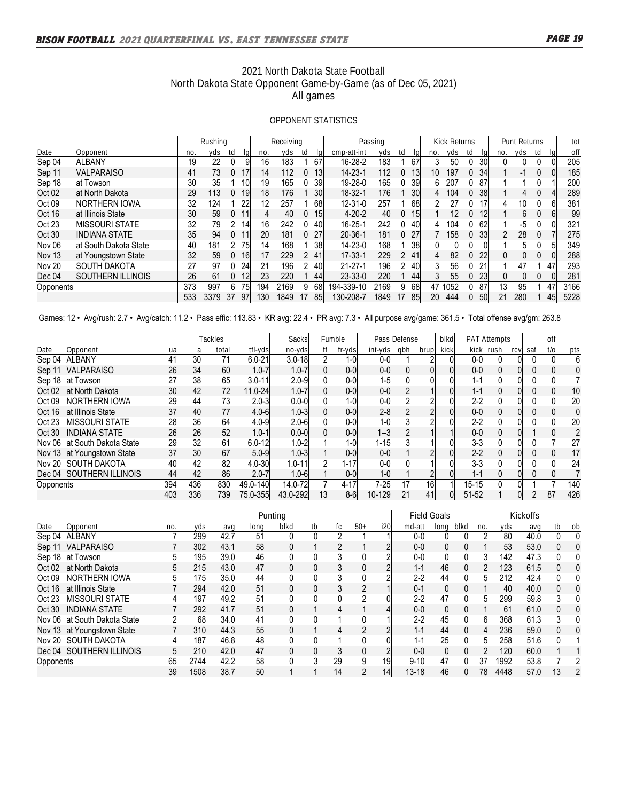## **2021 North Dakota State Football North Dakota State Opponent Game-by-Game (as of Dec 05, 2021) All games**

### **OPPONENT STATISTICS**

|                   |                       |     | Rushing |           |     | Receiving |    |                 |               | Passing |               |            |     | <b>Kick Returns</b> |    |    | Punt          | Returns |    |    | tot  |
|-------------------|-----------------------|-----|---------|-----------|-----|-----------|----|-----------------|---------------|---------|---------------|------------|-----|---------------------|----|----|---------------|---------|----|----|------|
| Date              | Opponent              | no. | yds     | td        | no. | yds.      | td |                 | cmp-att-int   | vds     | td            |            | no. | yds                 | td | la | no.           | vds     | td |    | off  |
| Sep 04            | <b>ALBANY</b>         | 19  | 22      | 0         | 16  | 183       |    | 67              | 16-28-2       | 183     |               | 67         |     | 50                  | 0  | 30 | 0             |         |    |    | 205  |
| Sep 11            | <b>VALPARAISO</b>     | 41  | 73      | 17<br>0   | 14  | 112       |    | 13              | 14-23-1       | 112     | 0             | 13         | 10  | 197                 | 0  | 34 |               | -1      |    |    | 185  |
| Sep 18            | at Towson             | 30  | 35      | 10        | 19  | 165       |    | 39              | 19-28-0       | 165     | 0             | 39         | 6.  | 207                 | 0  | 87 |               |         |    |    | 200  |
| Oct 02            | at North Dakota       | 29  | 113     | 19<br>0   | 18  | 176       |    | 30l             | 18-32-1       | 176     |               | <b>30l</b> | 4   | 104                 | 0  | 38 |               | 4       |    |    | 289  |
| Oct <sub>09</sub> | NORTHERN IOWA         | 32  | 124     | 22        | 12  | 257       |    | 68              | $12 - 31 - 0$ | 257     |               | 68         | 2   | 27                  | 0  | 17 | 4             | 10      |    |    | 381  |
| Oct 16            | at Illinois State     | 30  | 59      | 0         | 4   | 40        |    | 15 <sub>l</sub> | $4 - 20 - 2$  | 40      | $\bf{0}$      | 15         |     | 12                  | 0  | 12 |               | 6.      |    |    | 99   |
| Oct 23            | <b>MISSOURI STATE</b> | 32  | 79      | 2<br>14   | 16  | 242       |    | 40              | 16-25-1       | 242     | 0             | 40         | 4   | 104                 | 0  | 62 |               | -5      |    |    | 321  |
| Oct 30            | <b>INDIANA STATE</b>  | 35  | 94      | O.        | 20  | 181       |    | 27              | $20 - 36 - 1$ | 181     | $\mathbf{0}$  | 27         |     | 158                 | 0  | 33 | $\mathcal{P}$ | 28      |    |    | 275  |
| Nov 06            | at South Dakota State | 40  | 181     | 75        | 14  | 168       |    | 38              | 14-23-0       | 168     |               | 38         |     | 0                   |    |    |               | 5.      |    |    | 349  |
| <b>Nov 13</b>     | at Youngstown State   | 32  | 59      | 16I<br>0  | 17  | 229       |    | 41              | $17 - 33 - 1$ | 229     | $\mathcal{P}$ | 41         | 4   | 82                  | 0  | 22 | 0             |         |    |    | 288  |
| <b>Nov 20</b>     | SOUTH DAKOTA          | 27  | 97      | 24<br>0   | 21  | 196       |    | 40              | $21 - 27 - 1$ | 196     | 2             | 40         |     | 56                  | 0  | 21 |               | 47      |    | 47 | 293  |
| Dec 04            | SOUTHERN ILLINOIS     | 26  | 61      | 12<br>0   | 23  | 220       |    | 44              | $23 - 33 - 0$ | 220     |               | 44         |     | 55                  | 0  | 23 | 0             |         |    |    | 281  |
| Opponents         |                       | 373 | 997     | 6<br>75   | 194 | 2169      | 9  | 68              | 194-339-10    | 2169    | 9             | 68         | 47  | 1052                | 0  | 87 | 13            | 95      |    | 47 | 3166 |
|                   |                       | 533 | 3379    | -37<br>97 | 130 | 1849      |    | 851             | 130-208-7     | 1849    | 17            | 85         | 20  | 444                 | 0  | 50 | 21            | 280     |    | 45 | 5228 |

Games: 12 • Avg/rush: 2.7 • Avg/catch: 11.2 • Pass effic: 113.83 • KR avg: 22.4 • PR avg: 7.3 • All purpose avg/game: 361.5 • Total offense avg/gm: 263.8

|           |                              |     |     | Tackles |            | <b>Sacks</b> |          | <b>Fumble</b> | Pass Defense |     |                | blkd |           | <b>PAT Attempts</b> |     |     | off |              |
|-----------|------------------------------|-----|-----|---------|------------|--------------|----------|---------------|--------------|-----|----------------|------|-----------|---------------------|-----|-----|-----|--------------|
| Date      | Opponent                     | ua  | а   | total   | tfl-yds    | no-yds       |          | fr-yds        | int-yds      | gbh | brup           | kick |           | kick rush           | ٠C١ | saf | t/o | pts          |
|           | Sep 04 ALBANY                | 41  | 30  | 71      | $6.0 - 21$ | $3.0 - 18$   | 2        | 1-0I          | $0-0$        |     |                |      | $0 - 0$   | 0                   |     |     |     | 6            |
| Sep 11    | <b>VALPARAISO</b>            | 26  | 34  | 60      | $1.0 - 7$  | $1.0 - 7$    | 0        | 0-0I          | $0-0$        |     | 0              |      | $0 - 0$   | 0                   |     |     |     | $\mathbf{0}$ |
|           | Sep 18 at Towson             | 27  | 38  | 65      | $3.0 - 11$ | $2.0 - 9$    | 0        | 0-0l          | $1-5$        |     | 0              |      | $1 - 1$   | 0                   |     |     |     |              |
| Oct 02    | at North Dakota              | 30  | 42  | 72      | 11.0-24    | $1.0 - 7$    | 0        | 0-0I          | $0 - 0$      |     |                |      | $1 - 1$   | 0                   |     |     |     | 10           |
| Oct 09    | NORTHERN IOWA                | 29  | 44  | 73      | $2.0 - 3$  | $0.0 - 01$   | 0        | 1-0I          | $0 - 0$      |     |                |      | $2 - 2$   | 0                   |     |     |     | 20           |
| Oct 16    | at Illinois State            | 37  | 40  | 77      | $4.0 - 6$  | $1.0 - 3$    | 0        | $0-0$         | $2 - 8$      |     | 2              |      | 0-0       | 0                   |     |     |     | 0            |
| Oct 23    | MISSOURI STATE               | 28  | 36  | 64      | $4.0 - 9$  | $2.0 - 6$    | 0        | 0-0I          | 1-0          |     |                |      | $2 - 2$   | 0                   |     |     |     | 20           |
| Oct 30    | <b>INDIANA STATE</b>         | 26  | 26  | 52      | $1.0 - 1$  | $0.0 - 01$   | $\Omega$ | 0-0I          | $1 - 3$      |     |                |      | $0 - 0$   | 0                   |     |     |     | 2            |
|           | Nov 06 at South Dakota State | 29  | 32  | 61      | $6.0 - 12$ | $1.0 - 2$    |          | 1-0I          | 1-15         |     |                |      | $3-3$     | 0                   |     |     |     | 27           |
|           | Nov 13 at Youngstown State   | 37  | 30  | 67      | $5.0 - 9$  | $1.0 - 3$    |          | 0-0I          | $0 - 0$      |     |                |      | $2 - 2$   | 0                   |     |     |     | 17           |
|           | Nov 20 SOUTH DAKOTA          | 40  | 42  | 82      | $4.0 - 30$ | $1.0 - 11$   | 2        | $1 - 17$      | 0-0          |     |                |      | 3-3       | 0                   |     |     |     | 24           |
|           | Dec 04 SOUTHERN ILLINOIS     | 44  | 42  | 86      | $2.0 - 7$  | $1.0 - 6$    |          | $0-0$         | $1 - 0$      |     | 2 <sub>l</sub> |      | $1 - 1$   | 0                   | 0   |     |     |              |
| Opponents |                              | 394 | 436 | 830     | 49.0-140   | 14.0-72      |          | 4-171         | 7-25         | 17  | 16             |      | $15 - 15$ | 0                   |     |     |     | 140          |
|           |                              | 403 | 336 | 739     | 75.0-355   | 43.0-292     | 13       | 8-6I          | 10-129       | 21  | 41             |      | $51 - 52$ |                     |     |     | 87  | 426          |

|           |                              |     |      |      | Punting |      |    |    |       |     | <b>Field Goals</b> |              |      |     | Kickoffs |      |              |          |
|-----------|------------------------------|-----|------|------|---------|------|----|----|-------|-----|--------------------|--------------|------|-----|----------|------|--------------|----------|
| Date      | Opponent                     | no. | yds  | ava  | lona    | blkd | tb | fc | $50+$ | i20 | md-att             | lona         | blkd | no. | yds      | ava  | tb           | -ob      |
|           | Sep 04 ALBANY                |     | 299  | 42.7 | 51      |      | 0  | 2  |       |     | $0 - 0$            | 0            |      | 2   | 80       | 40.0 |              | $\Omega$ |
| Sep 11    | <b>VALPARAISO</b>            |     | 302  | 43.1 | 58      | 0    |    | 2  |       | 2   | $0-0$              | 0            |      |     | 53       | 53.0 | 0            | $\Omega$ |
|           | Sep 18 at Towson             | 5   | 195  | 39.0 | 46      |      | 0  | 3  |       | າ   | $0-0$              | 0            |      | 3   | 142      | 47.3 | 0            | 0        |
| Oct 02    | at North Dakota              | 5   | 215  | 43.0 | 47      | 0    | 0  | 3  |       |     | $1 - 1$            | 46           |      | 2   | 123      | 61.5 | 0            | $\Omega$ |
| Oct 09    | NORTHERN IOWA                |     | 175  | 35.0 | 44      |      | 0  |    |       |     | $2 - 2$            | 44           |      | 5   | 212      | 42.4 | 0            |          |
| Oct 16    | at Illinois State            |     | 294  | 42.0 | 51      | 0    | 0  | 3  | 2     |     | $0 - 1$            | 0            |      |     | 40       | 40.0 | 0            | $\theta$ |
| Oct 23    | MISSOURI STATE               | 4   | 197  | 49.2 | 51      |      | 0  |    |       | 01  | $2 - 2$            | 47           |      | 5   | 299      | 59.8 | 3            |          |
| Oct 30    | INDIANA STATE                |     | 292  | 41.7 | 51      | 0    |    | 4  |       |     | $0-0$              | 0            |      |     | 61       | 61.0 | 0            | 0        |
|           | Nov 06 at South Dakota State | 2   | 68   | 34.0 | 41      |      | 0  |    |       |     | $2 - 2$            | 45           |      | 6   | 368      | 61.3 | 3            | 0        |
|           | Nov 13 at Youngstown State   |     | 310  | 44.3 | 55      | 0    |    | 4  |       |     | $1 - 1$            | 44           |      | 4   | 236      | 59.0 | 0            | 0        |
|           | Nov 20 SOUTH DAKOTA          |     | 187  | 46.8 | 48      |      | 0  |    |       |     | $1 - 1$            | 25           |      | 5   | 258      | 51.6 | <sup>0</sup> |          |
|           | Dec 04 SOUTHERN ILLINOIS     | 5   | 210  | 42.0 | 47      | 0    | 0  | 3  | 0     |     | $0 - 0$            | $\mathbf{0}$ |      | 2   | 120      | 60.0 |              |          |
| Opponents |                              | 65  | 2744 | 42.2 | 58      |      | 3  | 29 | 9     | 19  | $9 - 10$           | 47           |      | 37  | 1992     | 53.8 |              |          |
|           |                              | 39  | 1508 | 38.7 | 50      |      |    | 14 | 2     | 14  | $13 - 18$          | 46           |      | 78  | 4448     | 57.0 | 13           | 2        |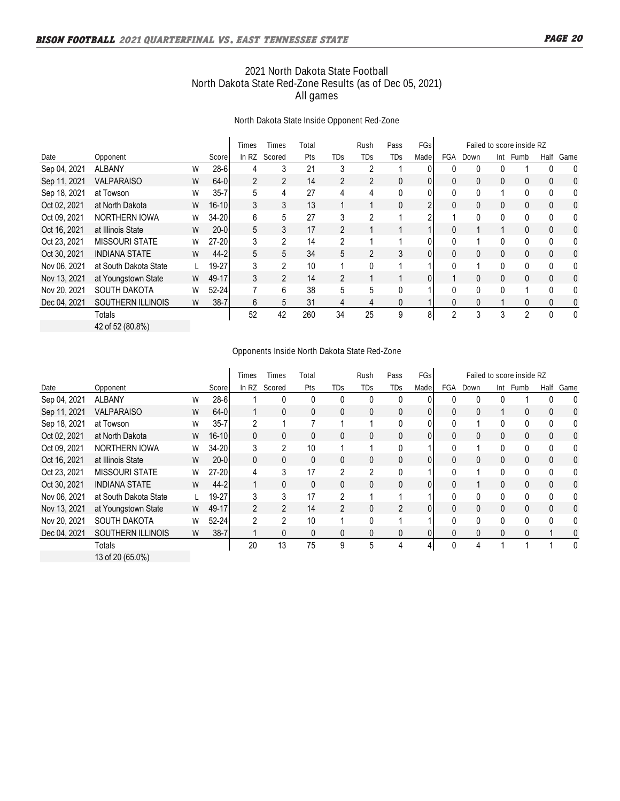## **2021 North Dakota State Football North Dakota State Red-Zone Results (as of Dec 05, 2021) All games**

### **North Dakota State Inside Opponent Red-Zone**

|              |                          |   |           | Times          | Times          | Total |                | <b>Rush</b>    | Pass | FGsl           | Failed to score inside RZ |              |     |                |              |      |
|--------------|--------------------------|---|-----------|----------------|----------------|-------|----------------|----------------|------|----------------|---------------------------|--------------|-----|----------------|--------------|------|
| Date         | Opponent                 |   | Score     | In $RZ$        | Scored         | Pts   | TDs            | TDs            | TDs  | Made           | FGA                       | Down         | Int | Fumb           | Half         | Game |
| Sep 04, 2021 | <b>ALBANY</b>            | W | $28 - 6$  | 4              | 3              | 21    | 3              | 2              |      |                | 0                         | 0            | 0   |                | 0            | 0    |
| Sep 11, 2021 | <b>VALPARAISO</b>        | W | $64 - 0$  | $\overline{2}$ | $\overline{2}$ | 14    | $\overline{2}$ | 2              | 0    | 01             | 0                         | 0            | 0   | $\mathbf{0}$   | $\mathbf{0}$ | 0    |
| Sep 18, 2021 | at Towson                | W | $35 - 7$  | 5              | 4              | 27    | 4              | 4              | 0    | 01             | 0                         | 0            |     | 0              | 0            | 0    |
| Oct 02, 2021 | at North Dakota          | W | $16 - 10$ | 3              | 3              | 13    |                |                | 0    | $\overline{2}$ | 0                         | 0            | 0   | 0              | 0            | 0    |
| Oct 09, 2021 | <b>NORTHERN IOWA</b>     | W | 34-20     | 6              | 5              | 27    | 3              | $\overline{2}$ |      | 2              |                           | 0            | 0   | 0              | $\mathbf{0}$ | 0    |
| Oct 16, 2021 | at Illinois State        | W | $20 - 0$  | 5              | 3              | 17    | $\overline{2}$ |                |      |                | 0                         |              |     | 0              | $\mathbf{0}$ | 0    |
| Oct 23, 2021 | <b>MISSOURI STATE</b>    | W | $27 - 20$ | 3              | $\overline{2}$ | 14    | 2              |                |      | 0              | $\mathbf{0}$              |              | 0   | 0              | $\mathbf{0}$ | 0    |
| Oct 30, 2021 | <b>INDIANA STATE</b>     | W | $44 - 2$  | 5              | 5              | 34    | 5              | 2              | 3    | Ol             | $\mathbf{0}$              | 0            | 0   | 0              | $\mathbf{0}$ | 0    |
| Nov 06, 2021 | at South Dakota State    |   | 19-27     | 3              | $\overline{2}$ | 10    |                | 0              |      |                | 0                         |              | 0   | 0              | 0            | 0    |
| Nov 13, 2021 | at Youngstown State      | W | 49-17     | 3              | $\overline{2}$ | 14    | $\overline{2}$ |                |      | 01             |                           | $\mathbf{0}$ | 0   | $\mathbf{0}$   | $\mathbf{0}$ | 0    |
| Nov 20, 2021 | <b>SOUTH DAKOTA</b>      | W | $52 - 24$ |                | 6              | 38    | 5              | 5              | 0    |                | $\Omega$                  | 0            | 0   |                | $\Omega$     | 0    |
| Dec 04, 2021 | <b>SOUTHERN ILLINOIS</b> | W | $38 - 7$  | 6              | 5              | 31    | 4              | 4              | 0    |                | 0                         | 0            |     | 0              | 0            | 0    |
|              | Totals                   |   |           | 52             | 42             | 260   | 34             | 25             | 9    | 8              | $\overline{2}$            | 3            | 3   | $\overline{2}$ | $\Omega$     | 0    |
|              | 42 of 52 (80.8%)         |   |           |                |                |       |                |                |      |                |                           |              |     |                |              |      |

### **Opponents Inside North Dakota State Red-Zone**

|              |                          |   |           | Times          | Times          | Total        |                | Rush           | Pass           | <b>FGs</b> |              |              |     | Failed to score inside RZ |              |      |
|--------------|--------------------------|---|-----------|----------------|----------------|--------------|----------------|----------------|----------------|------------|--------------|--------------|-----|---------------------------|--------------|------|
| Date         | Opponent                 |   | Score     | In $RZ$        | Scored         | Pts          | TDs            | TDs            | TDs            | Made       | FGA          | Down         | Int | Fumb                      | Half         | Game |
| Sep 04, 2021 | <b>ALBANY</b>            | W | $28-6$    |                |                |              | 0              | 0              | 0              |            |              | 0            | 0   |                           | 0            | 0    |
| Sep 11, 2021 | <b>VALPARAISO</b>        | W | $64 - 0$  |                | 0              | 0            | 0              | 0              | 0              | 01         | 0            | 0            |     | 0                         | 0            | 0    |
| Sep 18, 2021 | at Towson                | W | $35 - 7$  | $\overline{2}$ |                |              |                |                | 0              | 0          | $\mathbf{0}$ |              | 0   | 0                         | $\mathbf{0}$ | 0    |
| Oct 02, 2021 | at North Dakota          | W | $16 - 10$ | 0              | 0              | 0            | 0              | 0              | 0              | Ol         | 0            | 0            | 0   | 0                         | 0            | 0    |
| Oct 09, 2021 | <b>NORTHERN IOWA</b>     | W | $34 - 20$ | 3              | 2              | 10           |                |                | 0              |            | 0            |              | 0   | 0                         | 0            | 0    |
| Oct 16, 2021 | at Illinois State        | W | $20 - 0$  | 0              | $\mathbf{0}$   | $\mathbf{0}$ | 0              | $\mathbf{0}$   | 0              | 01         | 0            | 0            | 0   | $\mathbf{0}$              | $\mathbf{0}$ | 0    |
| Oct 23, 2021 | <b>MISSOURI STATE</b>    | W | $27-20$   | 4              | 3              | 17           | $\overline{2}$ | $\overline{2}$ | 0              |            | $\mathbf{0}$ |              | 0   | 0                         | $\mathbf{0}$ | 0    |
| Oct 30, 2021 | <b>INDIANA STATE</b>     | W | $44 - 2$  | $\mathbf{1}$   | $\mathbf{0}$   | 0            | 0              | 0              | 0              | 01         | 0            |              | 0   | 0                         | 0            | 0    |
| Nov 06, 2021 | at South Dakota State    |   | 19-27     | 3              | 3              | 17           | 2              |                |                |            | 0            | 0            | 0   | 0                         | $\mathbf{0}$ | 0    |
| Nov 13, 2021 | at Youngstown State      | W | 49-17     | $\overline{2}$ | $\overline{2}$ | 14           | $\overline{2}$ | 0              | $\overline{2}$ | 01         | $\mathbf{0}$ | $\mathbf{0}$ | 0   | $\mathbf{0}$              | $\mathbf{0}$ | 0    |
| Nov 20, 2021 | SOUTH DAKOTA             | W | 52-24     | $\overline{2}$ | $\overline{2}$ | 10           |                | 0              |                |            | $\Omega$     | 0            | 0   | $\Omega$                  | $\Omega$     | 0    |
| Dec 04, 2021 | <b>SOUTHERN ILLINOIS</b> | W | $38 - 7$  |                | $\mathbf{0}$   | 0            | 0              | 0              | 0              | 01         | $\mathbf{0}$ | 0            | 0   | 0                         |              | 0    |
|              | Totals                   |   |           | 20             | 13             | 75           | 9              | 5              | 4              | 4          | $\mathbf{0}$ | 4            |     |                           |              | 0    |
|              | 13 of 20 (65.0%)         |   |           |                |                |              |                |                |                |            |              |              |     |                           |              |      |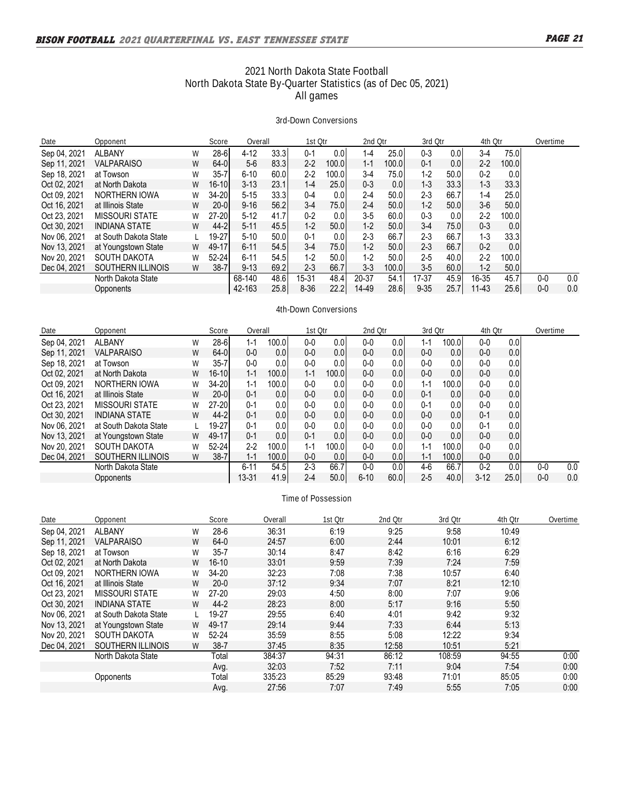## **2021 North Dakota State Football North Dakota State By-Quarter Statistics (as of Dec 05, 2021) All games**

#### **3rd-Down Conversions**

| Date         | Opponent              |   | Score      | Overall  |       | 1st Otr  |                    | 2nd Otr |       | 3rd Otr  |                  | 4th Otr   |                  | Overtime |     |
|--------------|-----------------------|---|------------|----------|-------|----------|--------------------|---------|-------|----------|------------------|-----------|------------------|----------|-----|
| Sep 04, 2021 | <b>ALBANY</b>         | W | $28 - 6$   | $4 - 12$ | 33.3  | $0 - 1$  | 0.0 <sub>l</sub>   | $1 - 4$ | 25.0  | $0 - 3$  | 0.01             | $3-4$     | 75.01            |          |     |
| Sep 11, 2021 | <b>VALPARAISO</b>     | W | $64 - 0$   | $5-6$    | 83.3  | $2 - 2$  | 100.01             | $1 - 1$ | 100.0 | $0 - 1$  | 0.0 <sub>l</sub> | $2 - 2$   | 100.0            |          |     |
| Sep 18, 2021 | at Towson             | W | $35 - 7$   | $6 - 10$ | 60.0  | $2 - 2$  | 100.0 <sub>l</sub> | $3-4$   | 75.0  | $1 - 2$  | 50.01            | $0-2$     | 0.0              |          |     |
| Oct 02, 2021 | at North Dakota       | W | $16 - 101$ | $3 - 13$ | 23.1  | $1 - 4$  | 25.0I              | $0 - 3$ | 0.0   | $1 - 3$  | 33.3             | $1 - 3$   | 33.3             |          |     |
| Oct 09, 2021 | NORTHERN IOWA         | W | 34-20l     | $5 - 15$ | 33.3  | $0 - 4$  | 0.01               | $2 - 4$ | 50.0  | $2 - 3$  | 66.7             | $1 - 4$   | 25.0             |          |     |
| Oct 16, 2021 | at Illinois State     | W | $20 - 0$   | $9 - 16$ | 56.2  | $3-4$    | 75.0I              | $2 - 4$ | 50.0  | $1 - 2$  | 50.0             | $3-6$     | 50.0             |          |     |
| Oct 23, 2021 | <b>MISSOURI STATE</b> | W | $27 - 20$  | $5 - 12$ | 41.7  | $0 - 2$  | 0.01               | $3-5$   | 60.0  | $0 - 3$  | 0.0 <sub>l</sub> | $2 - 2$   | 100.01           |          |     |
| Oct 30, 2021 | <b>INDIANA STATE</b>  | W | $44 - 2$   | $5-11$   | 45.5  | $1-2$    | 50.0               | $1 - 2$ | 50.0  | $3-4$    | 75.01            | $0 - 3$   | 0.0              |          |     |
| Nov 06, 2021 | at South Dakota State |   | $19-27$    | $5-10$   | 50.01 | $0 - 1$  | 0.01               | $2 - 3$ | 66.7  | $2 - 3$  | 66.7             | $1 - 3$   | 33.3             |          |     |
| Nov 13, 2021 | at Youngstown State   | W | 49-17      | $6 - 11$ | 54.5  | $3-4$    | 75.0I              | $1 - 2$ | 50.0  | $2 - 3$  | 66.7             | $0 - 2$   | 0.0 <sub>l</sub> |          |     |
| Nov 20, 2021 | <b>SOUTH DAKOTA</b>   | W | $52 - 24$  | $6 - 11$ | 54.5  | $1-2$    | 50.01              | $1 - 2$ | 50.0  | $2 - 5$  | 40.0             | $2 - 2$   | 100.01           |          |     |
| Dec 04, 2021 | SOUTHERN ILLINOIS     | W | $38 - 7$   | $9 - 13$ | 69.2  | $2 - 3$  | 66.7               | $3-3$   | 100.0 | $3-5$    | 60.0             | $1 - 2$   | 50.0             |          |     |
|              | North Dakota State    |   |            | 68-140   | 48.6  | 15-31    | 48.4               | 20-37   | 54.1  | 17-37    | 45.9             | 16-35     | 45.7             | $0-0$    | 0.0 |
|              | Opponents             |   |            | 42-163   | 25.8  | $8 - 36$ | 22.2               | 14-49   | 28.6  | $9 - 35$ | 25.7             | $11 - 43$ | 25.6             | $0-0$    | 0.0 |

#### **4th-Down Conversions**

| Date         | Opponent              |   | Score     | Overall  |                    | 1st Otr |                  | 2nd Otr  |                  | 3rd Otr |                  | 4th Otr |      | Overtime |     |
|--------------|-----------------------|---|-----------|----------|--------------------|---------|------------------|----------|------------------|---------|------------------|---------|------|----------|-----|
| Sep 04, 2021 | <b>ALBANY</b>         | W | $28 - 6$  | $1 - 1$  | 100.01             | $0-0$   | 0.01             | $0-0$    | 0.0 <sub>l</sub> | $1 - 1$ | 100.0            | $0-0$   | 0.0  |          |     |
| Sep 11, 2021 | <b>VALPARAISO</b>     | W | $64 - 0$  | $0-0$    | 0.01               | $0-0$   | 0.0              | $0-0$    | 0.0 <sub>l</sub> | $0-0$   | 0.0              | $0-0$   | 0.0  |          |     |
| Sep 18, 2021 | at Towson             | W | $35 - 7$  | 0-0      | 0.01               | $0-0$   | 0.0              | $0-0$    | 0.0 <sub>l</sub> | $0-0$   | 0.0              | $0-0$   | 0.0  |          |     |
| Oct 02, 2021 | at North Dakota       | W | $16 - 10$ | $1 - 1$  | 100.0l             | $1 - 1$ | 100.0l           | $0-0$    | 0.0 <sub>l</sub> | $0-0$   | 0.0              | $0-0$   | 0.0  |          |     |
| Oct 09, 2021 | NORTHERN IOWA         | W | 34-20     | $1 - 1$  | 100.01             | $0-0$   | 0.0              | $0-0$    | 0.0 <sub>l</sub> | $1 - 1$ | 100.0            | $0 - 0$ | 0.0  |          |     |
| Oct 16, 2021 | at Illinois State     | W | $20 - 0$  | $0 - 1$  | 0.01               | $0 - 0$ | 0.0 <sub>l</sub> | $0-0$    | 0.0              | $0 - 1$ | 0.0              | $0-0$   | 0.0  |          |     |
| Oct 23, 2021 | <b>MISSOURI STATE</b> | W | $27 - 20$ | $0 - 1$  | 0.01               | $0-0$   | 0.0              | $0-0$    | 0.0 <sub>l</sub> | $0 - 1$ | 0.0              | $0-0$   | 0.0  |          |     |
| Oct 30, 2021 | <b>INDIANA STATE</b>  | W | $44 - 2$  | $0 - 1$  | 0.0 <sub>l</sub>   | $0-0$   | 0.01             | $0-0$    | 0.0 <sub>l</sub> | $0-0$   | 0.0 <sub>l</sub> | $0 - 1$ | 0.0  |          |     |
| Nov 06, 2021 | at South Dakota State |   | 19-27     | $0 - 1$  | 0.01               | $0-0$   | 0.0              | $0-0$    | 0.0 <sub>l</sub> | $0-0$   | 0.0              | $0 - 1$ | 0.0  |          |     |
| Nov 13, 2021 | at Youngstown State   | W | 49-17     | $0 - 1$  | 0.01               | $0 - 1$ | 0.01             | $0-0$    | 0.0 <sub>l</sub> | $0-0$   | 0.0 <sub>l</sub> | $0 - 0$ | 0.0  |          |     |
| Nov 20, 2021 | <b>SOUTH DAKOTA</b>   | W | $52 - 24$ | $2 - 2$  | 100.01             | $1 - 1$ | 100.0            | $0-0$    | 0.0              | $1 - 1$ | 100.0            | $0 - 0$ | 0.0  |          |     |
| Dec 04, 2021 | SOUTHERN ILLINOIS     | W | $38 - 7$  | $1 - 1$  | 100.0 <sub>l</sub> | $0-0$   | 0.01             | $0-0$    | 0.0              | $1 - 1$ | 100.0l           | $0-0$   | 0.0  |          |     |
|              | North Dakota State    |   |           | $6 - 11$ | 54.5               | $2 - 3$ | 66.7             | $0-0$    | 0.0              | 4-6     | 66.7             | $0 - 2$ | 0.0  | $0-0$    | 0.0 |
|              | Opponents             |   |           | 13-31    | 41.9               | $2 - 4$ | 50.0             | $6 - 10$ | 60.0             | $2 - 5$ | 40.0             | $3-12$  | 25.0 | $0-0$    | 0.0 |

### **Time of Possession**

| Date         | Opponent              |   | Score     | Overall | 1st Otr | 2nd Otr | 3rd Otr | 4th Otr | Overtime |
|--------------|-----------------------|---|-----------|---------|---------|---------|---------|---------|----------|
| Sep 04, 2021 | <b>ALBANY</b>         | W | $28-6$    | 36:31   | 6:19    | 9:25    | 9:58    | 10:49   |          |
| Sep 11, 2021 | <b>VALPARAISO</b>     | W | 64-0      | 24:57   | 6:00    | 2:44    | 10:01   | 6:12    |          |
| Sep 18, 2021 | at Towson             | W | $35 - 7$  | 30:14   | 8:47    | 8:42    | 6:16    | 6:29    |          |
| Oct 02, 2021 | at North Dakota       | W | $16-10$   | 33:01   | 9:59    | 7:39    | 7:24    | 7:59    |          |
| Oct 09, 2021 | NORTHERN IOWA         | W | 34-20     | 32:23   | 7:08    | 7:38    | 10:57   | 6:40    |          |
| Oct 16, 2021 | at Illinois State     | W | $20-0$    | 37:12   | 9:34    | 7:07    | 8:21    | 12:10   |          |
| Oct 23, 2021 | MISSOURI STATE        | W | $27-20$   | 29:03   | 4:50    | 8:00    | 7:07    | 9:06    |          |
| Oct 30, 2021 | <b>INDIANA STATE</b>  | W | $44 - 2$  | 28:23   | 8:00    | 5:17    | 9:16    | 5:50    |          |
| Nov 06, 2021 | at South Dakota State |   | 19-27     | 29:55   | 6:40    | 4:01    | 9:42    | 9:32    |          |
| Nov 13, 2021 | at Youngstown State   | W | 49-17     | 29:14   | 9:44    | 7:33    | 6:44    | 5:13    |          |
| Nov 20, 2021 | <b>SOUTH DAKOTA</b>   | W | $52 - 24$ | 35:59   | 8:55    | 5:08    | 12:22   | 9:34    |          |
| Dec 04, 2021 | SOUTHERN ILLINOIS     | W | $38 - 7$  | 37:45   | 8:35    | 12:58   | 10:51   | 5:21    |          |
|              | North Dakota State    |   | Total     | 384:37  | 94:31   | 86:12   | 108:59  | 94:55   | 0:00     |
|              |                       |   | Avg.      | 32:03   | 7:52    | 7:11    | 9:04    | 7:54    | 0:00     |
|              | Opponents             |   | Total     | 335:23  | 85:29   | 93:48   | 71:01   | 85:05   | 0:00     |
|              |                       |   | Avg.      | 27:56   | 7:07    | 7:49    | 5:55    | 7:05    | 0:00     |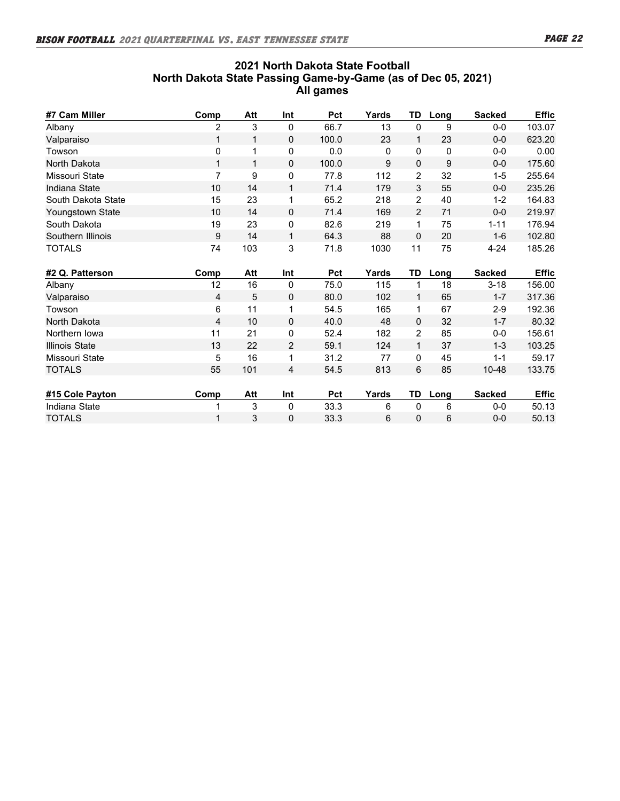## **2021 North Dakota State Football North Dakota State Passing Game-by-Game (as of Dec 05, 2021) All games**

| #7 Cam Miller             | Comp           | Att     | Int            | Pct          | Yards      | <b>TD</b>          | Long       | <b>Sacked</b>       | <b>Effic</b>     |
|---------------------------|----------------|---------|----------------|--------------|------------|--------------------|------------|---------------------|------------------|
| Albany                    | 2              | 3       | 0              | 66.7         | 13         | $\Omega$           | 9          | $0-0$               | 103.07           |
| Valparaiso                | 1              | 1       | $\mathbf{0}$   | 100.0        | 23         | 1                  | 23         | $0-0$               | 623.20           |
| Towson                    | 0              | 1       | 0              | 0.0          | 0          | $\Omega$           | 0          | $0-0$               | 0.00             |
| North Dakota              | 1              | 1       | $\mathbf{0}$   | 100.0        | 9          | $\mathbf 0$        | 9          | $0-0$               | 175.60           |
| Missouri State            | $\overline{7}$ | 9       | $\pmb{0}$      | 77.8         | 112        | $\overline{c}$     | 32         | $1 - 5$             | 255.64           |
| Indiana State             | 10             | 14      | $\mathbf{1}$   | 71.4         | 179        | 3                  | 55         | $0-0$               | 235.26           |
| South Dakota State        | 15             | 23      | 1              | 65.2         | 218        | $\overline{2}$     | 40         | $1 - 2$             | 164.83           |
| Youngstown State          | 10             | 14      | $\mathbf{0}$   | 71.4         | 169        | 2                  | 71         | $0-0$               | 219.97           |
| South Dakota              | 19             | 23      | 0              | 82.6         | 219        | $\mathbf{1}$       | 75         | $1 - 11$            | 176.94           |
| Southern Illinois         | 9              | 14      | $\mathbf{1}$   | 64.3         | 88         | $\mathbf{0}$       | 20         | $1-6$               | 102.80           |
| <b>TOTALS</b>             | 74             | 103     | 3              | 71.8         | 1030       | 11                 | 75         | $4 - 24$            | 185.26           |
|                           |                |         |                |              |            |                    |            |                     |                  |
|                           |                |         |                | <b>Pct</b>   |            |                    |            |                     |                  |
| #2 Q. Patterson<br>Albany | Comp<br>12     | Att     | Int<br>0       |              | Yards      | TD<br>$\mathbf{1}$ | Long<br>18 | <b>Sacked</b>       | <b>Effic</b>     |
|                           | 4              | 16<br>5 | $\mathbf{0}$   | 75.0<br>80.0 | 115<br>102 | $\mathbf{1}$       | 65         | $3 - 18$<br>$1 - 7$ | 156.00<br>317.36 |
| Valparaiso<br>Towson      | 6              | 11      | 1              | 54.5         | 165        | 1                  | 67         | $2 - 9$             | 192.36           |
| North Dakota              | 4              | 10      | $\mathbf{0}$   | 40.0         | 48         | $\mathbf 0$        | 32         | $1 - 7$             | 80.32            |
| Northern Iowa             | 11             | 21      | 0              | 52.4         | 182        | 2                  | 85         | $0-0$               | 156.61           |
| <b>Illinois State</b>     | 13             | 22      | 2              | 59.1         | 124        | $\mathbf{1}$       | 37         | $1 - 3$             | 103.25           |
| Missouri State            | 5              | 16      | 1              | 31.2         | 77         | $\mathbf 0$        | 45         | $1 - 1$             | 59.17            |
| <b>TOTALS</b>             | 55             | 101     | $\overline{4}$ | 54.5         | 813        | 6                  | 85         | 10-48               | 133.75           |
|                           |                |         |                |              |            |                    |            |                     |                  |
| #15 Cole Payton           | Comp           | Att     | Int            | Pct          | Yards      | TD                 | Long       | <b>Sacked</b>       | <b>Effic</b>     |
| Indiana State             |                | 3       | 0              | 33.3         | 6          | $\mathbf 0$        | 6          | $0-0$               | 50.13            |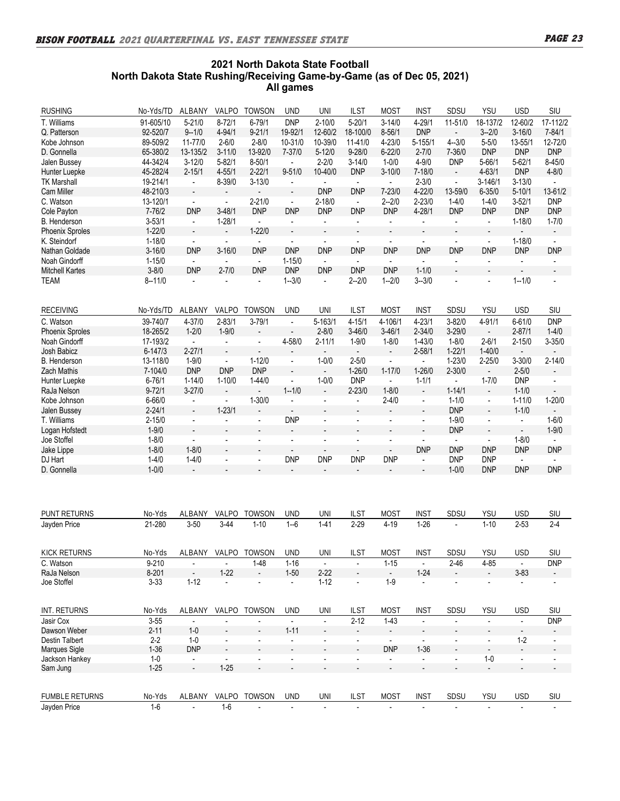## **2021 North Dakota State Football North Dakota State Rushing/Receiving Game-by-Game (as of Dec 05, 2021) All games**

| <b>RUSHING</b>         | No-Yds/TD   | ALBANY                   | VALPO                    | TOWSON                   | <b>UND</b>               | UNI                         | <b>ILST</b>              | <b>MOST</b>              | <b>INST</b>              | SDSU                     | YSU                         | <b>USD</b>               | SIU                          |
|------------------------|-------------|--------------------------|--------------------------|--------------------------|--------------------------|-----------------------------|--------------------------|--------------------------|--------------------------|--------------------------|-----------------------------|--------------------------|------------------------------|
| T. Williams            | 91-605/10   | $5 - 21/0$               | $8 - 72/1$               | $6 - 79/1$               | <b>DNP</b>               | $2 - 10/0$                  | $5 - 20/1$               | $3 - 14/0$               | $4 - 29/1$               | 11-51/0                  | 18-137/2                    | 12-60/2                  | 17-112/2                     |
| Q. Patterson           | 92-520/7    | $9 - 1/0$                | 4-94/1                   | $9 - 21/1$               | 19-92/1                  | 12-60/2                     | 18-100/0                 | $8 - 56/1$               | <b>DNP</b>               | $\overline{\phantom{a}}$ | $3 - 2/0$                   | $3 - 16/0$               | $7 - 84/1$                   |
| Kobe Johnson           | 89-509/2    | 11-77/0                  | $2 - 6/0$                | $2 - 8/0$                | 10-31/0                  | 10-39/0                     | 11-41/0                  | 4-23/0                   | $5 - 155/1$              | $4 - 3/0$                | $5 - 5/0$                   | 13-55/1                  | 12-72/0                      |
| D. Gonnella            | 65-380/2    | 13-135/2                 | $3 - 11/0$               | 13-92/0                  | 7-37/0                   | $5 - 12/0$                  | $9 - 28/0$               | $6 - 22/0$               | $2 - 7/0$                | 7-36/0                   | <b>DNP</b>                  | <b>DNP</b>               | <b>DNP</b>                   |
| Jalen Bussey           | 44-342/4    | $3 - 12/0$               | $5 - 82/1$               | $8 - 50/1$               | $\mathbb{Z}^2$           | $2 - 2/0$                   | $3 - 14/0$               | $1 - 0/0$                | $4 - 9/0$                | <b>DNP</b>               | $5 - 66/1$                  | $5 - 62/1$               | $8 - 45/0$                   |
|                        |             |                          |                          |                          |                          |                             |                          |                          |                          |                          |                             |                          |                              |
| Hunter Luepke          | 45-282/4    | $2 - 15/1$               | $4 - 55/1$               | $2 - 22/1$               | $9 - 51/0$               | 10-40/0                     | <b>DNP</b>               | $3 - 10/0$               | $7 - 18/0$               | $\overline{\phantom{a}}$ | $4 - 63/1$                  | <b>DNP</b>               | $4 - 8/0$                    |
| <b>TK Marshall</b>     | 19-214/1    | $\blacksquare$           | $8 - 39/0$               | $3 - 13/0$               | $\overline{\phantom{a}}$ | $\blacksquare$              | $\sim$                   | $\blacksquare$           | $2 - 3/0$                | $\blacksquare$           | $3 - 146/1$                 | $3 - 13/0$               | $\mathbf{r}$                 |
| Cam Miller             | 48-210/3    | $\overline{\phantom{a}}$ | $\overline{\phantom{m}}$ | $\overline{\phantom{a}}$ | $\blacksquare$           | <b>DNP</b>                  | <b>DNP</b>               | $7 - 23/0$               | $4 - 22/0$               | 13-59/0                  | $6 - 35/0$                  | $5 - 10/1$               | 13-61/2                      |
| C. Watson              | 13-120/1    | $\blacksquare$           | $\blacksquare$           | $2 - 21/0$               | $\blacksquare$           | $2 - 18/0$                  | $\blacksquare$           | $2 - 2/0$                | $2 - 23/0$               | $1 - 4/0$                | $1-4/0$                     | $3 - 52/1$               | <b>DNP</b>                   |
| Cole Payton            | $7 - 76/2$  | <b>DNP</b>               | $3 - 48/1$               | <b>DNP</b>               | <b>DNP</b>               | <b>DNP</b>                  | <b>DNP</b>               | <b>DNP</b>               | $4 - 28/1$               | <b>DNP</b>               | <b>DNP</b>                  | <b>DNP</b>               | <b>DNP</b>                   |
| <b>B.</b> Henderson    | $3 - 53/1$  | $\blacksquare$           | $1 - 28/1$               | $\blacksquare$           | ÷,                       | $\blacksquare$              | $\blacksquare$           | $\blacksquare$           | $\blacksquare$           | $\blacksquare$           | $\blacksquare$              | $1 - 18/0$               | $1 - 7/0$                    |
| <b>Phoenix Sproles</b> | $1 - 22/0$  |                          | $\overline{\phantom{a}}$ | $1 - 22/0$               |                          | $\overline{\phantom{a}}$    |                          |                          | $\overline{\phantom{0}}$ |                          | ÷,                          |                          | $\overline{\phantom{a}}$     |
| K. Steindorf           | $1 - 18/0$  | $\blacksquare$           | $\overline{\phantom{a}}$ | $\blacksquare$           | $\blacksquare$           | $\blacksquare$              | $\blacksquare$           | $\blacksquare$           | $\overline{\phantom{a}}$ | $\blacksquare$           | $\blacksquare$              | $1 - 18/0$               | $\blacksquare$               |
| Nathan Goldade         | $3 - 16/0$  | <b>DNP</b>               | $3 - 16/0$               | <b>DNP</b>               | <b>DNP</b>               | <b>DNP</b>                  | <b>DNP</b>               | <b>DNP</b>               | <b>DNP</b>               | <b>DNP</b>               | <b>DNP</b>                  | <b>DNP</b>               | <b>DNP</b>                   |
| Noah Gindorff          | $1 - 15/0$  | $\blacksquare$           | $\blacksquare$           | $\blacksquare$           | $1 - 15/0$               | $\blacksquare$              | $\sim$                   | $\blacksquare$           | $\mathbf{r}$             | $\blacksquare$           | $\mathbf{r}$                | $\blacksquare$           | $\blacksquare$               |
| <b>Mitchell Kartes</b> | $3 - 8/0$   | <b>DNP</b>               | $2 - 7/0$                | <b>DNP</b>               | <b>DNP</b>               | <b>DNP</b>                  | <b>DNP</b>               | <b>DNP</b>               | $1 - 1/0$                | $\overline{a}$           | $\blacksquare$              |                          | $\overline{\phantom{a}}$     |
| <b>TEAM</b>            | $8 - 11/0$  | $\blacksquare$           | $\blacksquare$           | $\blacksquare$           | $1 - 3/0$                | $\blacksquare$              | $2 - 2/0$                | $1 - 2/0$                | $3 - 3/0$                | $\overline{a}$           | $\blacksquare$              | $1 - 1/0$                | $\overline{\phantom{a}}$     |
|                        |             |                          |                          |                          |                          |                             |                          |                          |                          |                          |                             |                          |                              |
|                        |             |                          |                          |                          |                          |                             |                          |                          |                          |                          |                             |                          |                              |
| <b>RECEIVING</b>       | No-Yds/TD   | ALBANY                   | <b>VALPO</b>             | TOWSON                   | <b>UND</b>               | UNI                         | <b>ILST</b>              | <b>MOST</b>              | <b>INST</b>              | SDSU                     | <b>YSU</b>                  | <b>USD</b>               | SIU                          |
| C. Watson              | 39-740/7    | $4 - 37/0$               | $2 - 83/1$               | $3 - 79/1$               | $\overline{\phantom{a}}$ | $5 - 163/1$                 | $4 - 15/1$               | 4-106/1                  | $4 - 23/1$               | $3 - 82/0$               | 4-91/1                      | $6 - 61/0$               | <b>DNP</b>                   |
| <b>Phoenix Sproles</b> | 18-265/2    | $1 - 2/0$                | $1 - 9/0$                | $\overline{a}$           | $\overline{\phantom{a}}$ | $2 - 8/0$                   | $3 - 46/0$               | $3 - 46/1$               | $2 - 34/0$               | $3 - 29/0$               | $\mathcal{L}_{\mathcal{A}}$ | $2 - 87/1$               | $1 - 4/0$                    |
| Noah Gindorff          | 17-193/2    | $\sim$                   | $\blacksquare$           | $\blacksquare$           | 4-58/0                   | $2 - 11/1$                  | $1 - 9/0$                | $1 - 8/0$                | $1 - 43/0$               | $1 - 8/0$                | $2 - 6/1$                   | $2 - 15/0$               | $3 - 35/0$                   |
| Josh Babicz            | $6 - 147/3$ | $2 - 27/1$               | $\overline{a}$           |                          |                          | $\blacksquare$              | $\blacksquare$           | $\overline{\phantom{a}}$ | $2 - 58/1$               | $1 - 22/1$               | $1 - 40/0$                  |                          |                              |
| B. Henderson           | 13-118/0    | $1 - 9/0$                | $\blacksquare$           | $1 - 12/0$               | $\overline{a}$           | $1 - 0/0$                   | $2 - 5/0$                | $\blacksquare$           | $\blacksquare$           | $1 - 23/0$               | $2 - 25/0$                  | $3 - 30/0$               | $2 - 14/0$                   |
| <b>Zach Mathis</b>     | 7-104/0     | <b>DNP</b>               | <b>DNP</b>               | <b>DNP</b>               | $\overline{a}$           | $\overline{\phantom{a}}$    | $1 - 26/0$               | $1 - 17/0$               | $1 - 26/0$               | $2 - 30/0$               | $\blacksquare$              | $2 - 5/0$                | $\frac{1}{2}$                |
| Hunter Luepke          | $6 - 76/1$  | $1 - 14/0$               | $1 - 10/0$               | $1 - 44/0$               | $\blacksquare$           | $1 - 0/0$                   | <b>DNP</b>               | $\blacksquare$           | $1 - 1/1$                | $\blacksquare$           | $1 - 7/0$                   | <b>DNP</b>               | $\blacksquare$               |
| RaJa Nelson            | $9 - 72/1$  | $3 - 27/0$               | $\overline{\phantom{a}}$ |                          | $1 - 1/0$                | $\blacksquare$              | $2 - 23/0$               | $1 - 8/0$                | $\overline{\phantom{a}}$ | $1 - 14/1$               | $\Box$                      | $1 - 1/0$                | $\overline{\phantom{a}}$     |
| Kobe Johnson           | $6 - 66/0$  | $\blacksquare$           | $\blacksquare$           | $1 - 30/0$               | $\blacksquare$           | $\overline{\phantom{a}}$    | $\blacksquare$           | $2 - 4/0$                | $\blacksquare$           | $1 - 1/0$                | $\blacksquare$              | $1 - 11/0$               | $1 - 20/0$                   |
| Jalen Bussey           |             | $\blacksquare$           | $1 - 23/1$               |                          | $\omega$                 | $\overline{a}$              | $\overline{\phantom{a}}$ | $\overline{a}$           |                          | <b>DNP</b>               | $\blacksquare$              | $1 - 1/0$                | $\overline{\phantom{a}}$     |
|                        | $2 - 24/1$  |                          |                          |                          |                          |                             |                          |                          | $\overline{\phantom{a}}$ |                          |                             |                          |                              |
| T. Williams            | $2 - 15/0$  | $\blacksquare$           | $\blacksquare$           | $\blacksquare$           | <b>DNP</b>               | $\blacksquare$              | $\blacksquare$           | $\blacksquare$           | $\blacksquare$           | $1 - 9/0$                | $\blacksquare$              | $\blacksquare$           | $1 - 6/0$                    |
| Logan Hofstedt         | $1 - 9/0$   | $\blacksquare$           | $\overline{\phantom{a}}$ |                          | $\overline{\phantom{a}}$ | $\overline{a}$              | $\overline{\phantom{a}}$ | $\blacksquare$           | $\overline{\phantom{a}}$ | <b>DNP</b>               | $\blacksquare$              | $\blacksquare$           | $1 - 9/0$                    |
| Joe Stoffel            | $1 - 8/0$   | $\blacksquare$           | $\overline{\phantom{a}}$ | $\blacksquare$           | $\blacksquare$           | $\blacksquare$              | $\overline{\phantom{0}}$ | $\blacksquare$           | $\blacksquare$           | $\sim$                   | $\blacksquare$              | $1 - 8/0$                | $\blacksquare$               |
| Jake Lippe             | $1 - 8/0$   | $1 - 8/0$                |                          |                          | $\overline{\phantom{a}}$ | $\overline{\phantom{a}}$    |                          |                          | <b>DNP</b>               | <b>DNP</b>               | <b>DNP</b>                  | <b>DNP</b>               | <b>DNP</b>                   |
| DJ Hart                | $1 - 4/0$   | $1 - 4/0$                | $\blacksquare$           | $\blacksquare$           | <b>DNP</b>               | <b>DNP</b>                  | <b>DNP</b>               | <b>DNP</b>               | $\blacksquare$           | <b>DNP</b>               | <b>DNP</b>                  | $\blacksquare$           |                              |
| D. Gonnella            | $1 - 0/0$   | $\blacksquare$           | $\frac{1}{2}$            |                          | $\overline{a}$           | $\overline{\phantom{a}}$    |                          | $\overline{\phantom{a}}$ | $\overline{\phantom{a}}$ | $1 - 0/0$                | <b>DNP</b>                  | <b>DNP</b>               | <b>DNP</b>                   |
|                        |             |                          |                          |                          |                          |                             |                          |                          |                          |                          |                             |                          |                              |
|                        |             |                          |                          |                          |                          |                             |                          |                          |                          |                          |                             |                          |                              |
| PUNT RETURNS           | No-Yds      | ALBANY                   | VALPO                    | TOWSON                   | UND                      | UNI                         | ILST                     | <b>MOST</b>              | <b>INST</b>              | SDSU                     | YSU                         | USD                      | <b>SIU</b>                   |
| Jayden Price           | 21-280      | $3 - 50$                 | $3-44$                   | $1 - 10$                 | $1 - 6$                  | $1 - 41$                    | $2 - 29$                 | $4 - 19$                 | $1 - 26$                 | ÷,                       | $1 - 10$                    | $2 - 53$                 | $2 - 4$                      |
|                        |             |                          |                          |                          |                          |                             |                          |                          |                          |                          |                             |                          |                              |
|                        |             |                          |                          |                          |                          |                             |                          |                          |                          |                          |                             |                          |                              |
| KICK RETURNS           | No-Yds      | <b>ALBANY</b>            | VALPO                    | TOWSON                   | <b>UND</b>               | UNI                         | <b>ILST</b>              | <b>MOST</b>              | <b>INST</b>              | SDSU                     | YSU                         | <b>USD</b>               | SIU                          |
| C. Watson              | $9 - 210$   | $\overline{\phantom{a}}$ | $\blacksquare$           | $1 - 48$                 | $1 - 16$                 | $\overline{\phantom{a}}$    | $\overline{\phantom{a}}$ | $1 - 15$                 | $\overline{\phantom{a}}$ | $2 - 46$                 | 4-85                        | $\overline{\phantom{a}}$ | <b>DNP</b>                   |
| RaJa Nelson            | $8 - 201$   | $\blacksquare$           | $1 - 22$                 | $\overline{a}$           | $1 - 50$                 | $2 - 22$                    | $\overline{\phantom{a}}$ | $\overline{\phantom{a}}$ | $1 - 24$                 |                          | $\overline{\phantom{a}}$    | $3 - 83$                 | $\frac{1}{2}$                |
| Joe Stoffel            | $3 - 33$    | $1 - 12$                 | L,                       | $\blacksquare$           | $\overline{\phantom{a}}$ | $1 - 12$                    | $\blacksquare$           | $1-9$                    | $\overline{\phantom{a}}$ | $\blacksquare$           | $\blacksquare$              | $\overline{\phantom{a}}$ | $\overline{\phantom{a}}$     |
|                        |             |                          |                          |                          |                          |                             |                          |                          |                          |                          |                             |                          |                              |
| INT. RETURNS           | No-Yds      | ALBANY                   | VALPO                    | <b>TOWSON</b>            | <b>UND</b>               | UNI                         | <b>ILST</b>              | <b>MOST</b>              | <b>INST</b>              | SDSU                     | YSU                         | <b>USD</b>               | SIU                          |
| Jasir Cox              | $3 - 55$    | $\overline{\phantom{a}}$ | $\overline{\phantom{a}}$ | $\overline{\phantom{a}}$ | $\blacksquare$           | $\overline{\phantom{a}}$    | $2 - 12$                 | $1-43$                   | $\overline{\phantom{a}}$ | $\blacksquare$           | $\overline{\phantom{a}}$    | $\overline{\phantom{a}}$ | <b>DNP</b>                   |
| Dawson Weber           | $2 - 11$    | $1-0$                    | $\overline{\phantom{a}}$ |                          | $1 - 11$                 | $\overline{\phantom{a}}$    |                          | $\overline{\phantom{a}}$ | $\overline{\phantom{a}}$ |                          |                             | $\overline{\phantom{a}}$ | $\overline{\phantom{a}}$     |
| Destin Talbert         | $2 - 2$     | $1 - 0$                  | $\overline{\phantom{a}}$ | $\blacksquare$           | $\blacksquare$           | $\overline{\phantom{a}}$    | $\overline{\phantom{a}}$ | $\overline{\phantom{a}}$ | $\overline{\phantom{a}}$ | $\blacksquare$           | $\overline{\phantom{a}}$    | $1 - 2$                  | $\overline{\phantom{a}}$     |
| <b>Marques Sigle</b>   | $1 - 36$    | <b>DNP</b>               | $\overline{\phantom{a}}$ | $\overline{a}$           | $\overline{a}$           | $\overline{\phantom{a}}$    | $\overline{\phantom{a}}$ | <b>DNP</b>               | $1 - 36$                 | $\overline{\phantom{a}}$ | $\overline{\phantom{a}}$    |                          | $\qquad \qquad \blacksquare$ |
| Jackson Hankey         | $1 - 0$     | $\overline{\phantom{a}}$ | $\blacksquare$           | $\blacksquare$           | $\overline{a}$           | $\overline{a}$              | $\frac{1}{2}$            | $\overline{\phantom{a}}$ | $\blacksquare$           | $\overline{\phantom{a}}$ | $1-0$                       | $\overline{\phantom{a}}$ | $\overline{\phantom{a}}$     |
| Sam Jung               | $1 - 25$    | $\centerdot$             | $1 - 25$                 |                          | $\overline{a}$           | $\overline{a}$              |                          | $\overline{\phantom{a}}$ | $\overline{\phantom{0}}$ |                          | $\overline{\phantom{a}}$    | $\overline{\phantom{a}}$ |                              |
|                        |             |                          |                          |                          |                          |                             |                          |                          |                          |                          |                             |                          |                              |
|                        |             |                          |                          |                          |                          |                             |                          |                          |                          |                          |                             |                          |                              |
| <b>FUMBLE RETURNS</b>  | No-Yds      | ALBANY                   | VALPO                    | <b>TOWSON</b>            | <b>UND</b>               | $\ensuremath{\mathsf{UNL}}$ | ILST                     | <b>MOST</b>              | <b>INST</b>              | SDSU                     | YSU                         | <b>USD</b>               | SIU                          |
| Jayden Price           | $1-6$       | $\overline{a}$           | $1-6$                    |                          | $\overline{a}$           | $\blacksquare$              | $\Box$                   | $\overline{\phantom{a}}$ | $\blacksquare$           | $\overline{\phantom{a}}$ | $\overline{\phantom{a}}$    | $\overline{\phantom{a}}$ | $\blacksquare$               |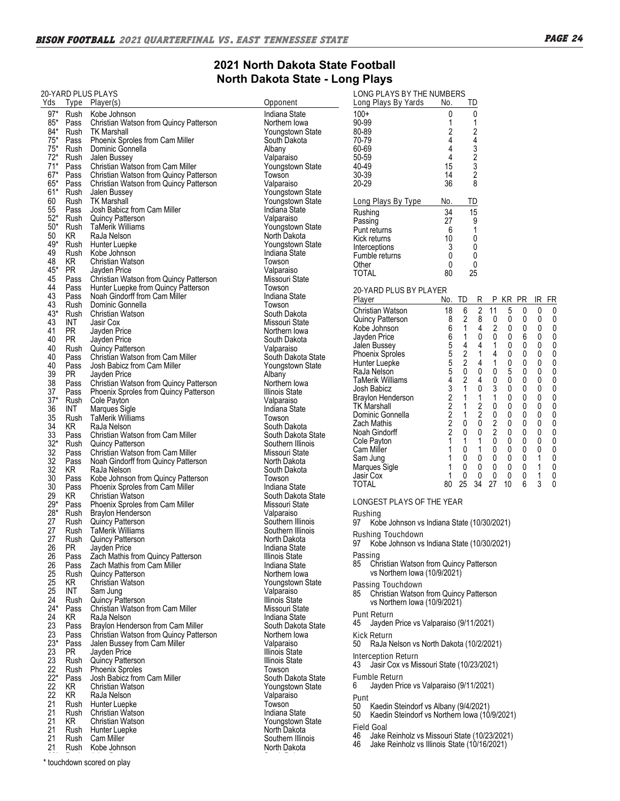#### **2021 North Dakota State Football**  $\blacksquare$  **North Dakota State - Long Plays LONG PLAYS BY THE NUMBERS Long Plays By Yards No. TD**

| Yds         |                   | 20-YARD PLUS PLAYS<br>Type Player(s)                   | Opponent                               | LONG PLAYS BY THE NUMBERS<br>Long Plays By Yards<br>ID                                                      |              |
|-------------|-------------------|--------------------------------------------------------|----------------------------------------|-------------------------------------------------------------------------------------------------------------|--------------|
| $97*$       | Rush              | Kobe Johnson                                           | Indiana State                          | No.<br>0<br>$100+$<br>0                                                                                     |              |
| $85*$       | Pass              | Christian Watson from Quincy Patterson                 | Northern Iowa                          | 90-99<br>$\mathbf{1}$<br>1                                                                                  |              |
| $84*$       | Rush              | TK Marshall                                            | Youngstown State                       | 80-89<br>$\overline{\mathbf{c}}$                                                                            |              |
| $75*$       | Pass              | Phoenix Sproles from Cam Miller                        | South Dakota                           | 2<br>4<br>4<br>70-79                                                                                        |              |
| $75*$       | Rush              | Dominic Gonnella                                       | Albany                                 | 3<br>60-69<br>4                                                                                             |              |
| $72*$       | Rush              | Jalen Bussey                                           | Valparaiso                             | $\overline{2}$<br>4<br>50-59                                                                                |              |
| $71*$       | Pass              | Christian Watson from Cam Miller                       | Youngstown State                       | 3<br>40-49<br>15                                                                                            |              |
| $67*$       | Pass              | Christian Watson from Quincy Patterson                 | Towson                                 | $\sqrt{2}$<br>30-39<br>14                                                                                   |              |
| $65*$       | Pass              | Christian Watson from Quincy Patterson                 | Valparaiso                             | 8<br>$20 - 29$<br>36                                                                                        |              |
| $61*$       | Rush              | Jalen Bussey                                           | Youngstown State                       |                                                                                                             |              |
| 60          |                   | Rush TK Marshall                                       | Youngstown State                       | Long Plays By Type<br>No.<br>TD                                                                             |              |
| 55          | Pass              | Josh Babicz from Cam Miller                            | Indiana State                          | 15<br>34<br>Rushing                                                                                         |              |
| $52*$       |                   | Rush Quincy Patterson                                  | Valparaiso                             | 9<br>27<br>Passing                                                                                          |              |
| $50*$       | Rush              | TaMerik Williams                                       | Youngstown State                       | $\mathbf{1}$<br>6<br>Punt returns                                                                           |              |
| 50          | KR                | RaJa Nelson                                            | North Dakota                           | 10<br>0<br>Kick returns                                                                                     |              |
| 49*         |                   | Rush Hunter Luepke                                     | Youngstown State                       | 0<br>3<br>Interceptions                                                                                     |              |
| 49          | Rush              | Kobe Johnson                                           | Indiana State                          | 0<br>0<br>Fumble returns                                                                                    |              |
| 48<br>$45*$ | KR                | <b>Christian Watson</b>                                | Towson                                 | 0<br>0<br>Other                                                                                             |              |
| 45          | <b>PR</b><br>Pass | Jayden Price<br>Christian Watson from Quincy Patterson | Valparaiso<br>Missouri State           | 25<br><b>TOTAL</b><br>80                                                                                    |              |
| 44          | Pass              | Hunter Luepke from Quincy Patterson                    | Towson                                 |                                                                                                             |              |
| 43          | Pass              | Noah Gindorff from Cam Miller                          | Indiana State                          | 20-YARD PLUS BY PLAYER                                                                                      |              |
| 43          |                   | Rush Dominic Gonnella                                  | Towson                                 | TD<br>R<br>P KR PR<br>IR FR<br>Player<br>No.                                                                |              |
| $43*$       | Rush              | Christian Watson                                       | South Dakota                           | $\sqrt{2}$<br>6<br>5<br>0<br>0<br>Christian Watson<br>18<br>11                                              | 0            |
| 43          | INT               | Jasir Cox                                              | Missouri State                         | 2<br>8<br>8<br>0<br>0<br>0<br>0<br>Quincy Patterson                                                         | 0            |
| 41          | <b>PR</b>         | Jayden Price                                           | Northern Iowa                          | $\,6$<br>$\sqrt{2}$<br>4<br>0<br>$\mathbf{1}$<br>0<br>0<br>Kobe Johnson                                     | 0            |
| 40          | <b>PR</b>         | Jayden Price                                           | South Dakota                           | 0<br>$\pmb{0}$<br>6<br>6<br>0<br>0<br>1<br>Jayden Price                                                     | 0            |
| 40          | Rush              | <b>Quincy Patterson</b>                                | Valparaiso                             | 5<br>4<br>$\mathbf{1}$<br>0<br>0<br>0<br>4<br>Jalen Bussey                                                  | 0            |
| 40          | Pass              | Christian Watson from Cam Miller                       | South Dakota State                     | 5<br>$\sqrt{2}$<br>1<br>4<br>0<br>0<br>Phoenix Sproles<br>0                                                 | 0            |
| 40          | Pass              | Josh Babicz from Cam Miller                            | Youngstown State                       | $\overline{5}$<br>$\sqrt{2}$<br>$\mathbf{1}$<br>0<br>$\mathbf{0}$<br>4<br>$\mathbf{0}$<br>Hunter Luepke     | 0            |
| 39          | <b>PR</b>         | Jayden Price                                           | Albany                                 | 5<br>0<br>0<br>0<br>5<br>0<br>0<br>RaJa Nelson                                                              | 0            |
| 38          | Pass              | Christian Watson from Quincy Patterson                 | Northern lowa                          | 4<br>2<br>4<br>0<br>0<br>0<br>0<br>TaMerik Williams<br>3<br>$\sqrt{3}$<br>0<br>$\mathbf{1}$<br>0<br>0<br>0  | 0            |
| 37          | Pass              | Phoenix Sproles from Quincy Patterson                  | Illinois State                         | Josh Babicz<br>0<br>2<br>$\mathbf{1}$<br>0<br>0<br>$\mathbf{1}$<br>1<br>Braylon Henderson                   | 0<br>0       |
| $37*$       | Rush              | Cole Payton                                            | Valparaiso                             | 2<br>2<br>0<br>0<br>0<br><b>TK Marshall</b><br>$\mathbf{1}$<br>0                                            | 0            |
| 36          | INT               | Marques Sigle                                          | Indiana State                          | $\sqrt{2}$<br>2<br>0<br>0<br>$\mathbf{1}$<br>0<br>0<br>Dominic Gonnella                                     | 0            |
| 35          | Rush              | TaMerik Williams                                       | Towson                                 | $\overline{\mathbf{c}}$<br>$\pmb{0}$<br>$\sqrt{2}$<br>0<br>$\mathbf{0}$<br>$\mathbf{0}$<br>0<br>Zach Mathis | 0            |
| 34          | KR.               | RaJa Nelson                                            | South Dakota                           | $\overline{2}$<br>$\overline{2}$<br>0<br>0<br>0<br>0<br>0<br>Noah Gindorff                                  | $\mathbf{0}$ |
| 33          |                   | Pass Christian Watson from Cam Miller                  | South Dakota State                     | $\mathbf{1}$<br>0<br>0<br>0<br>1<br>1<br>0<br>Cole Payton                                                   | 0            |
| $32*$       |                   | Rush Quincy Patterson                                  | Southern Illinois                      | 0<br>0<br>$\mathbf{1}$<br>0<br>0<br>0<br>Cam Miller<br>1                                                    | 0            |
| 32<br>32    | Pass              | Christian Watson from Cam Miller                       | Missouri State                         | $\pmb{0}$<br>$\mathbf 0$<br>0<br>0<br>1<br>0<br>$\mathbf{1}$<br>Sam Jung                                    | 0            |
| 32          | Pass<br>KR        | Noah Gindorff from Quincy Patterson<br>RaJa Nelson     | North Dakota<br>South Dakota           | 0<br>0<br>0<br>0<br>0<br>Marques Sigle<br>1                                                                 | 0            |
| 30          | Pass              | Kobe Johnson from Quincy Patterson                     | Towson                                 | $\pmb{0}$<br>$\pmb{0}$<br>0<br>$\mathbf 0$<br>0<br>$\mathbf{1}$<br>Jasir Cox<br>1                           | 0            |
| 30          | Pass              | Phoenix Sproles from Cam Miller                        | Indiana State                          | 6<br>34<br>27<br>3<br><b>TOTAL</b><br>25<br>10<br>80                                                        | 0            |
| 29          | KR                | <b>Christian Watson</b>                                | South Dakota State                     |                                                                                                             |              |
| $29*$       |                   | Pass Phoenix Sproles from Cam Miller                   | Missouri State                         | LONGEST PLAYS OF THE YEAR                                                                                   |              |
| $28*$       | Rush              | Braylon Henderson                                      | Valparaiso                             | Rushing                                                                                                     |              |
| 27          |                   | Rush Quincy Patterson                                  | Southern Illinois                      | Kobe Johnson vs Indiana State (10/30/2021)<br>97                                                            |              |
| 27          | Rush              | TaMerik Williams                                       | Southern Illinois                      |                                                                                                             |              |
| 27          | Rush              | <b>Quincy Patterson</b>                                | North Dakota                           | Rushing Touchdown<br>Kobe Johnson vs Indiana State (10/30/2021)                                             |              |
| 26          | PR                | Jayden Price                                           | Indiana State                          | 97                                                                                                          |              |
| 26          | Pass              | Zach Mathis from Quincy Patterson                      | Illinois State                         | Passing                                                                                                     |              |
| 26          | Pass              | Zach Mathis from Cam Miller                            | Indiana State                          | 85<br>Christian Watson from Quincy Patterson                                                                |              |
| 25          | Rush              | <b>Quincy Patterson</b>                                | Northern Iowa                          | vs Northern Iowa (10/9/2021)                                                                                |              |
| 25          | KR                | <b>Christian Watson</b>                                | Youngstown State                       | Passing Touchdown                                                                                           |              |
| 25          | INT               | Sam Jung                                               | Valparaiso                             | Christian Watson from Quincy Patterson<br>85                                                                |              |
| 24          | Rush              | Quincy Patterson                                       | <b>Illinois State</b>                  | vs Northern Iowa (10/9/2021)                                                                                |              |
| $24*$       | Pass              | Christian Watson from Cam Miller                       | Missouri State                         | Punt Return                                                                                                 |              |
| 24          | KR.               | RaJa Nelson                                            | Indiana State                          | Jayden Price vs Valparaiso (9/11/2021)<br>45                                                                |              |
| 23          | Pass              | Braylon Henderson from Cam Miller                      | South Dakota State                     |                                                                                                             |              |
| 23          | Pass              | Christian Watson from Quincy Patterson                 | Northern Iowa                          | Kick Return                                                                                                 |              |
| $23*$       | Pass              | Jalen Bussey from Cam Miller                           | Valparaiso                             | RaJa Nelson vs North Dakota (10/2/2021)<br>50                                                               |              |
| 23          | PR.               | Jayden Price                                           | Illinois State                         | Interception Return                                                                                         |              |
| 23<br>22    | Rush              | Quincy Patterson                                       | <b>Illinois State</b>                  | Jasir Cox vs Missouri State (10/23/2021)<br>43                                                              |              |
| $22*$       | Rush              | Phoenix Sproles<br>Josh Babicz from Cam Miller         | Towson                                 | Fumble Return                                                                                               |              |
| 22          | Pass<br>KR        | Christian Watson                                       | South Dakota State<br>Youngstown State | Jayden Price vs Valparaiso (9/11/2021)<br>6                                                                 |              |
| 22          | KR                | RaJa Nelson                                            | Valparaiso                             |                                                                                                             |              |
| 21          | Rush              | Hunter Luepke                                          | Towson                                 | Punt                                                                                                        |              |
| 21          | Rush              | <b>Christian Watson</b>                                | Indiana State                          | 50<br>Kaedin Steindorf vs Albany (9/4/2021)                                                                 |              |
| 21          | KR                | Christian Watson                                       | Youngstown State                       | Kaedin Steindorf vs Northern Iowa (10/9/2021)<br>50                                                         |              |
| 21          | Rush              | Hunter Luepke                                          | North Dakota                           | Field Goal                                                                                                  |              |
| 21          | Rush              | Cam Miller                                             | Southern Illinois                      | Jake Reinholz vs Missouri State (10/23/2021)<br>46                                                          |              |
| 21          | Rush              | Kobe Johnson                                           | North Dakota                           | 46<br>Jake Reinholz vs Illinois State (10/16/2021)                                                          |              |

20\* Rush Jalen Bussey South Dakota \* touchdown scored on play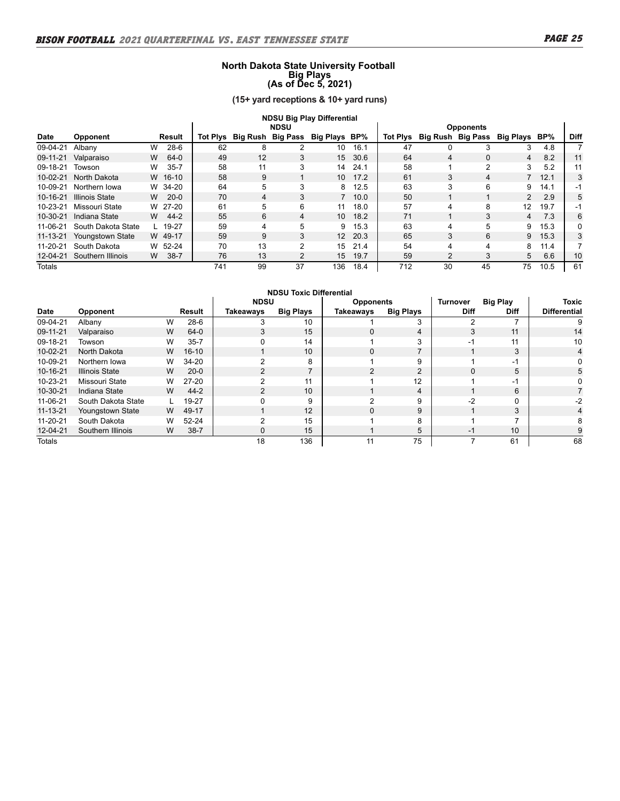#### **North Dakota State University Football Big Plays (As of Dec 5, 2021)**

**(15+ yard receptions & 10+ yard runs)**

|                | <b>NDSU Big Play Differential</b> |   |           |     |                            |    |                 |      |                 |              |    |                             |         |      |
|----------------|-----------------------------------|---|-----------|-----|----------------------------|----|-----------------|------|-----------------|--------------|----|-----------------------------|---------|------|
|                | <b>NDSU</b><br><b>Opponents</b>   |   |           |     |                            |    |                 |      |                 |              |    |                             |         |      |
| <b>Date</b>    | Opponent                          |   | Result    |     | Tot Plys Big Rush Big Pass |    | Big Plays BP%   |      | <b>Tot Plys</b> |              |    | Big Rush Big Pass Big Plays | BP%     | Diff |
| 09-04-21       | Albany                            | W | $28-6$    | 62  | 8                          | 2  | 10              | 16.1 | 47              | <sup>0</sup> |    | 3                           | 4.8     |      |
| 09-11-21       | Valparaiso                        | W | 64-0      | 49  | 12                         | 3  | 15              | 30.6 | 64              | 4            | 0  | 4                           | 8.2     | 11   |
| 09-18-21       | Towson                            | W | $35 - 7$  | 58  | 11                         | 3  | 14              | 24.1 | 58              |              | 2  | 3                           | 5.2     | 11   |
| $10-02-21$     | North Dakota                      |   | W 16-10   | 58  | 9                          |    | 10 <sup>1</sup> | 17.2 | 61              | 3            | 4  |                             | 7, 12.1 | 3    |
| 10-09-21       | Northern Iowa                     |   | W 34-20   | 64  | 5                          | 3  | 8.              | 12.5 | 63              | 3            | 6  | 9                           | 14.1    | -1   |
| 10-16-21       | Illinois State                    | W | $20-0$    | 70  | 4                          | 3  | $7^{\circ}$     | 10.0 | 50              |              |    | $2^{\circ}$                 | 2.9     | 5    |
| 10-23-21       | Missouri State                    |   | W 27-20   | 61  | 5                          | 6  | 11              | 18.0 | 57              | 4            | 8  | 12                          | 19.7    | -1   |
| $10 - 30 - 21$ | Indiana State                     | W | $44 - 2$  | 55  | 6                          | 4  | 10 <sup>1</sup> | 18.2 | 71              |              | 3  | 4                           | 7.3     | 6    |
| 11-06-21       | South Dakota State                |   | L $19-27$ | 59  | 4                          | 5  | 9               | 15.3 | 63              | 4            | 5  | 9                           | 15.3    | 0    |
| $11 - 13 - 21$ | Youngstown State                  |   | W 49-17   | 59  | 9                          | 3  | 12 <sup>2</sup> | 20.3 | 65              | 3            | 6  | 9                           | 15.3    | 3    |
| 11-20-21       | South Dakota                      |   | W 52-24   | 70  | 13                         | 2  | 15              | 21.4 | 54              | 4            | 4  | 8                           | 11.4    |      |
| 12-04-21       | Southern Illinois                 | W | $38 - 7$  | 76  | 13                         | 2  | 15              | 19.7 | 59              | 2            | 3  | 5                           | 6.6     | 10   |
| Totals         |                                   |   |           | 741 | 99                         | 37 | 136             | 18.4 | 712             | 30           | 45 | 75                          | 10.5    | 61   |

| <b>NDSU Toxic Differential</b>                                 |                    |   |           |                |                  |                |                  |             |              |                     |
|----------------------------------------------------------------|--------------------|---|-----------|----------------|------------------|----------------|------------------|-------------|--------------|---------------------|
| <b>NDSU</b><br><b>Big Play</b><br>Turnover<br><b>Opponents</b> |                    |   |           |                |                  |                |                  |             |              | <b>Toxic</b>        |
| Date                                                           | Opponent           |   | Result    | Takeaways      | <b>Big Plays</b> | Takeaways      | <b>Big Plays</b> | <b>Diff</b> | <b>Diff</b>  | <b>Differential</b> |
| 09-04-21                                                       | Albany             | W | $28-6$    | 3              | 10               |                | 3                | າ           |              | 9                   |
| 09-11-21                                                       | Valparaiso         | W | $64-0$    | 3              | 15               | $\Omega$       | 4                | 3           | 11           | 14                  |
| 09-18-21                                                       | Towson             | W | $35 - 7$  |                | 14               |                | 3                | $-1$        | 11           | 10                  |
| $10-02-21$                                                     | North Dakota       | W | $16 - 10$ |                | 10               | 0              |                  |             | 3            | 4                   |
| 10-09-21                                                       | Northern Iowa      | W | 34-20     | 2              | 8                |                | 9                |             | $-1$         | 0                   |
| 10-16-21                                                       | Illinois State     | W | $20-0$    | $\mathfrak{p}$ | 7                | $\overline{2}$ | 2                | $\Omega$    | 5            | 5                   |
| 10-23-21                                                       | Missouri State     | W | $27 - 20$ | C              | 11               |                | 12               |             | $-1$         |                     |
| 10-30-21                                                       | Indiana State      | W | $44 - 2$  | $\mathcal{P}$  | 10               |                | 4                |             | 6            |                     |
| 11-06-21                                                       | South Dakota State | L | 19-27     | 0              | 9                | 2              | 9                | $-2$        | $\mathbf{0}$ | $-2$                |
| $11 - 13 - 21$                                                 | Youngstown State   | W | 49-17     |                | 12               | $\Omega$       | 9                |             | 3            | 4                   |
| 11-20-21                                                       | South Dakota       | W | 52-24     | 2              | 15               |                | 8                |             | ⇁            |                     |
| 12-04-21                                                       | Southern Illinois  | W | $38 - 7$  | 0              | 15               |                | 5                | $-1$        | 10           |                     |
| <b>Totals</b>                                                  |                    |   |           | 18             | 136              | 11             | 75               |             | 61           | 68                  |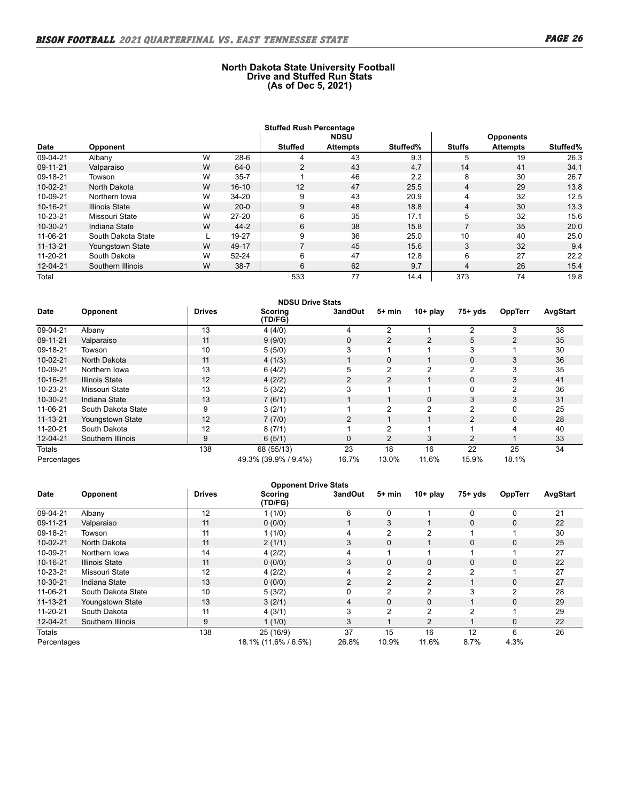#### **North Dakota State University Football Drive and Stuffed Run Stats (As of Dec 5, 2021)**

|                |                                 |   |           | <b>Stuffed Rush Percentage</b> |                 |          |                |                 |          |  |
|----------------|---------------------------------|---|-----------|--------------------------------|-----------------|----------|----------------|-----------------|----------|--|
|                | <b>NDSU</b><br><b>Opponents</b> |   |           |                                |                 |          |                |                 |          |  |
| Date           | Opponent                        |   |           | <b>Stuffed</b>                 | <b>Attempts</b> | Stuffed% | <b>Stuffs</b>  | <b>Attempts</b> | Stuffed% |  |
| 09-04-21       | Albany                          | W | $28-6$    | 4                              | 43              | 9.3      | 5              | 19              | 26.3     |  |
| 09-11-21       | Valparaiso                      | W | $64-0$    | $\overline{2}$                 | 43              | 4.7      | 14             | 41              | 34.1     |  |
| 09-18-21       | Towson                          | W | $35 - 7$  |                                | 46              | 2.2      | 8              | 30              | 26.7     |  |
| 10-02-21       | North Dakota                    | W | $16 - 10$ | 12                             | 47              | 25.5     | 4              | 29              | 13.8     |  |
| 10-09-21       | Northern Iowa                   | W | 34-20     | 9                              | 43              | 20.9     | 4              | 32              | 12.5     |  |
| 10-16-21       | <b>Illinois State</b>           | W | $20 - 0$  | 9                              | 48              | 18.8     | 4              | 30              | 13.3     |  |
| 10-23-21       | Missouri State                  | W | $27 - 20$ | 6                              | 35              | 17.1     | 5              | 32              | 15.6     |  |
| 10-30-21       | Indiana State                   | W | $44 - 2$  | 6                              | 38              | 15.8     | $\overline{ }$ | 35              | 20.0     |  |
| 11-06-21       | South Dakota State              |   | 19-27     | 9                              | 36              | 25.0     | 10             | 40              | 25.0     |  |
| $11 - 13 - 21$ | Youngstown State                | W | 49-17     | 7                              | 45              | 15.6     | 3              | 32              | 9.4      |  |
| 11-20-21       | South Dakota                    | W | $52 - 24$ | 6                              | 47              | 12.8     | 6              | 27              | 22.2     |  |
| 12-04-21       | Southern Illinois               | W | $38 - 7$  | 6                              | 62              | 9.7      | 4              | 26              | 15.4     |  |
| Total          |                                 |   |           | 533                            | 77              | 14.4     | 373            | 74              | 19.8     |  |

|                | <b>NDSU Drive Stats</b> |               |                      |                |                |                |                |                |          |
|----------------|-------------------------|---------------|----------------------|----------------|----------------|----------------|----------------|----------------|----------|
| Date           | Opponent                | <b>Drives</b> | Scoring<br>(TD/FG)   | 3andOut        | $5+$ min       | $10+$ play     | $75+ yds$      | <b>OppTerr</b> | AvgStart |
| 09-04-21       | Albany                  | 13            | 4(4/0)               | 4              | 2              |                | 2              | 3              | 38       |
| 09-11-21       | Valparaiso              | 11            | 9(9/0)               | $\mathbf{0}$   | 2              | $\overline{2}$ | 5              | $\overline{2}$ | 35       |
| 09-18-21       | Towson                  | 10            | 5(5/0)               | 3              | ٠              |                | 3              |                | 30       |
| $10 - 02 - 21$ | North Dakota            | 11            | 4(1/3)               |                | 0              |                | 0              | 3              | 36       |
| 10-09-21       | Northern Iowa           | 13            | 6(4/2)               | 5              | $\overline{2}$ | 2              | $\overline{2}$ | 3              | 35       |
| 10-16-21       | <b>Illinois State</b>   | 12            | 4(2/2)               | $\overline{2}$ | $\overline{2}$ |                | 0              | 3              | 41       |
| 10-23-21       | Missouri State          | 13            | 5(3/2)               | 3              | 1              |                | 0              | $\overline{2}$ | 36       |
| 10-30-21       | Indiana State           | 13            | 7(6/1)               |                | 1              | $\mathbf{0}$   | 3              | 3              | 31       |
| 11-06-21       | South Dakota State      | 9             | 3(2/1)               |                | 2              | 2              | 2              | 0              | 25       |
| $11 - 13 - 21$ | <b>Youngstown State</b> | 12            | 7(7/0)               | $\overline{2}$ |                |                | $\overline{2}$ | 0              | 28       |
| 11-20-21       | South Dakota            | 12            | 8(7/1)               |                | 2              |                |                | 4              | 40       |
| 12-04-21       | Southern Illinois       | 9             | 6(5/1)               | $\mathbf{0}$   | $\overline{2}$ | 3              | 2              |                | 33       |
| <b>Totals</b>  |                         | 138           | 68 (55/13)           | 23             | 18             | 16             | 22             | 25             | 34       |
| Percentages    |                         |               | 49.3% (39.9% / 9.4%) | 16.7%          | 13.0%          | 11.6%          | 15.9%          | 18.1%          |          |

|                | <b>Opponent Drive Stats</b> |               |                           |                |                |                |             |                |          |
|----------------|-----------------------------|---------------|---------------------------|----------------|----------------|----------------|-------------|----------------|----------|
| Date           | Opponent                    | <b>Drives</b> | <b>Scoring</b><br>(TD/FG) | 3andOut        | 5+ min         | $10+$ play     | $75+ yds$   | <b>OppTerr</b> | AvgStart |
| 09-04-21       | Albany                      | 12            | 1(1/0)                    | 6              | 0              |                | $\Omega$    | 0              | 21       |
| 09-11-21       | Valparaiso                  | 11            | 0(0/0)                    |                | 3              |                | $\mathbf 0$ | $\mathbf 0$    | 22       |
| 09-18-21       | Towson                      | 11            | 1(1/0)                    | 4              | 2              | $\mathfrak{p}$ |             |                | 30       |
| 10-02-21       | North Dakota                | 11            | 2(1/1)                    | 3              | $\mathbf 0$    |                | $\mathbf 0$ | 0              | 25       |
| 10-09-21       | Northern Iowa               | 14            | 4(2/2)                    | 4              |                |                |             |                | 27       |
| 10-16-21       | <b>Illinois State</b>       | 11            | 0(0/0)                    | 3              | $\mathbf 0$    | $\Omega$       | $\Omega$    | $\mathbf 0$    | 22       |
| 10-23-21       | Missouri State              | 12            | 4(2/2)                    | 4              | 2              | 2              | 2           |                | 27       |
| 10-30-21       | Indiana State               | 13            | 0(0/0)                    | $\overline{2}$ | 2              | 2              |             | $\mathbf 0$    | 27       |
| 11-06-21       | South Dakota State          | 10            | 5(3/2)                    | 0              | 2              | 2              | 3           | 2              | 28       |
| $11 - 13 - 21$ | Youngstown State            | 13            | 3(2/1)                    | 4              | $\mathbf 0$    | $\Omega$       |             | $\mathbf 0$    | 29       |
| 11-20-21       | South Dakota                | 11            | 4(3/1)                    | 3              | $\overline{c}$ | 2              | 2           |                | 29       |
| 12-04-21       | Southern Illinois           | 9             | 1(1/0)                    | 3              |                | $\overline{2}$ |             | $\mathbf 0$    | 22       |
| Totals         |                             | 138           | 25 (16/9)                 | 37             | 15             | 16             | 12          | 6              | 26       |
| Percentages    |                             |               | 18.1% (11.6% / 6.5%)      | 26.8%          | 10.9%          | 11.6%          | 8.7%        | 4.3%           |          |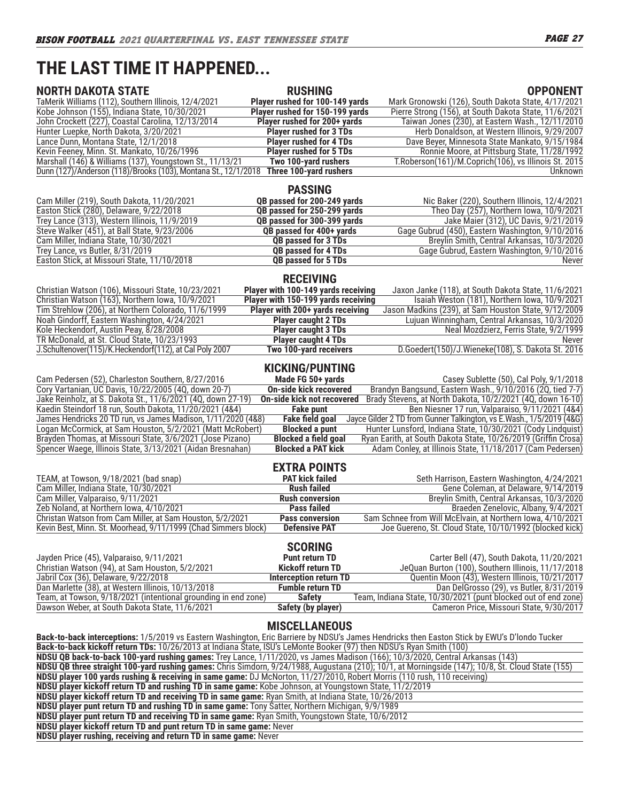# **THE LAST TIME IT HAPPENED...**

| <b>NORTH DAKOTA STATE</b>                                                                                                     | <b>RUSHING</b>                      | <b>OPPONENT</b>                                                                                                                                   |
|-------------------------------------------------------------------------------------------------------------------------------|-------------------------------------|---------------------------------------------------------------------------------------------------------------------------------------------------|
| TaMerik Williams (112), Southern Illinois, 12/4/2021                                                                          | Player rushed for 100-149 yards     | Mark Gronowski (126), South Dakota State, 4/17/2021                                                                                               |
| Kobe Johnson (155), Indiana State, 10/30/2021                                                                                 | Player rushed for 150-199 yards     | Pierre Strong (156), at South Dakota State, 11/6/2021                                                                                             |
| John Crockett (227), Coastal Carolina, 12/13/2014                                                                             | Player rushed for 200+ yards        | Taiwan Jones (230), at Eastern Wash., 12/11/2010                                                                                                  |
| Hunter Luepke, North Dakota, 3/20/2021                                                                                        | <b>Player rushed for 3 TDs</b>      | Herb Donaldson, at Western Illinois, 9/29/2007                                                                                                    |
| Lance Dunn, Montana State, 12/1/2018                                                                                          | <b>Player rushed for 4 TDs</b>      | Dave Beyer, Minnesota State Mankato, 9/15/1984                                                                                                    |
| Kevin Feeney, Minn. St. Mankato, 10/26/1996                                                                                   | <b>Player rushed for 5 TDs</b>      | Ronnie Moore, at Pittsburg State, 11/28/1992                                                                                                      |
| Marshall (146) & Williams (137), Youngstown St., 11/13/21                                                                     | Two 100-yard rushers                | T. Roberson(161)/M. Coprich(106), vs Illinois St. 2015                                                                                            |
| Dunn (127)/Anderson (118)/Brooks (103), Montana St., 12/1/2018                                                                | Three 100-yard rushers              | Unknown                                                                                                                                           |
|                                                                                                                               | <b>PASSING</b>                      |                                                                                                                                                   |
| Cam Miller (219), South Dakota, 11/20/2021                                                                                    | QB passed for 200-249 yards         | Nic Baker (220), Southern Illinois, 12/4/2021                                                                                                     |
| Easton Stick (280), Delaware, 9/22/2018                                                                                       | QB passed for 250-299 yards         | Theo Day (257), Northern Iowa, 10/9/2021                                                                                                          |
| Trey Lance (313), Western Illinois, 11/9/2019                                                                                 | QB passed for 300-399 yards         | Jake Maier (312), UC Davis, 9/21/2019                                                                                                             |
| Steve Walker (451), at Ball State, 9/23/2006                                                                                  | QB passed for 400+ yards            | Gage Gubrud (450), Eastern Washington, 9/10/2016                                                                                                  |
| Cam Miller, Indiana State, 10/30/2021                                                                                         | QB passed for 3 TDs                 | Breylin Smith, Central Arkansas, 10/3/2020                                                                                                        |
| Trey Lance, vs Butler, 8/31/2019                                                                                              | QB passed for 4 TDs                 | Gage Gubrud, Eastern Washington, 9/10/2016                                                                                                        |
| Easton Stick, at Missouri State, 11/10/2018                                                                                   | QB passed for 5 TDs                 | Never                                                                                                                                             |
|                                                                                                                               | <b>RECEIVING</b>                    |                                                                                                                                                   |
| Christian Watson (106), Missouri State, 10/23/2021                                                                            | Player with 100-149 yards receiving | Jaxon Janke (118), at South Dakota State, 11/6/2021                                                                                               |
| Christian Watson (163), Northern Iowa, 10/9/2021                                                                              | Player with 150-199 yards receiving | Isaiah Weston (181), Northern Iowa, 10/9/2021                                                                                                     |
| Tim Strehlow (206), at Northern Colorado, 11/6/1999                                                                           | Player with 200+ yards receiving    | Jason Madkins (239), at Sam Houston State, 9/12/2009                                                                                              |
| Noah Gindorff, Eastern Washington, 4/24/2021                                                                                  | <b>Player caught 2 TDs</b>          | Lujuan Winningham, Central Arkansas, 10/3/2020                                                                                                    |
| Kole Heckendorf, Austin Peay, 8/28/2008                                                                                       | <b>Player caught 3 TDs</b>          | Neal Mozdzierz, Ferris State, 9/2/1999                                                                                                            |
| TR McDonald, at St. Cloud State, 10/23/1993                                                                                   | <b>Player caught 4 TDs</b>          | Never                                                                                                                                             |
| J.Schultenover(115)/K.Heckendorf(112), at Cal Poly 2007                                                                       | Two 100-yard receivers              | D.Goedert(150)/J.Wieneke(108), S. Dakota St. 2016                                                                                                 |
|                                                                                                                               | <b>KICKING/PUNTING</b>              |                                                                                                                                                   |
| Cam Pedersen (52), Charleston Southern, 8/27/2016                                                                             | Made FG 50+ yards                   | Casey Sublette (50), Cal Poly, 9/1/2018                                                                                                           |
| Cory Vartanian, UC Davis, 10/22/2005 (4Q, down 20-7)                                                                          | <b>On-side kick recovered</b>       | Brandyn Bangsund, Eastern Wash., 9/10/2016 (2Q, tied 7-7)                                                                                         |
| Jake Reinholz, at S. Dakota St., 11/6/2021 (4Q, down 27-19)                                                                   | <b>On-side kick not recovered</b>   | Brady Stevens, at North Dakota, 10/2/2021 (4Q, down 16-10)                                                                                        |
| Kaedin Steindorf 18 run, South Dakota, 11/20/2021 (4&4)                                                                       | <b>Fake punt</b>                    | Ben Niesner 17 run, Valparaiso, 9/11/2021 (4&4)                                                                                                   |
| James Hendricks 20 TD run, vs James Madison, 1/11/2020 (4&8)                                                                  | <b>Fake field goal</b>              | Jayce Gilder 2 TD from Gunner Talkington, vs E.Wash., 1/5/2019 (4&G)                                                                              |
| Logan McCormick, at Sam Houston, 5/2/2021 (Matt McRobert)                                                                     | <b>Blocked a punt</b>               | Hunter Lunsford, Indiana State, 10/30/2021 (Cody Lindquist)                                                                                       |
| Brayden Thomas, at Missouri State, 3/6/2021 (Jose Pizano)                                                                     | <b>Blocked a field goal</b>         | Ryan Earith, at South Dakota State, 10/26/2019 (Griffin Crosa)                                                                                    |
| Spencer Waege, Illinois State, 3/13/2021 (Aidan Bresnahan)                                                                    | <b>Blocked a PAT kick</b>           | Adam Conley, at Illinois State, 11/18/2017 (Cam Pedersen)                                                                                         |
|                                                                                                                               | <b>EXTRA POINTS</b>                 |                                                                                                                                                   |
| TEAM, at Towson, 9/18/2021 (bad snap)                                                                                         | <b>PAT kick failed</b>              | Seth Harrison, Eastern Washington, 4/24/2021                                                                                                      |
| Cam Miller, Indiana State, 10/30/2021                                                                                         | <b>Rush failed</b>                  | Gene Coleman, at Delaware, 9/14/2019                                                                                                              |
| Cam Miller, Valparaiso, 9/11/2021                                                                                             | <b>Rush conversion</b>              | Breylin Smith, Central Arkansas, 10/3/2020                                                                                                        |
| Zeb Noland, at Northern Iowa, 4/10/2021                                                                                       | <b>Pass failed</b>                  | Braeden Zenelovic, Albany, 9/4/2021                                                                                                               |
| Christan Watson from Cam Miller, at Sam Houston, 5/2/2021                                                                     | <b>Pass conversion</b>              | Sam Schnee from Will McElvain, at Northern Iowa, 4/10/2021                                                                                        |
| Kevin Best, Minn. St. Moorhead, 9/11/1999 (Chad Simmers block)                                                                | <b>Defensive PAT</b>                | Joe Guereno, St. Cloud State, 10/10/1992 (blocked kick)                                                                                           |
|                                                                                                                               | <b>SCORING</b>                      |                                                                                                                                                   |
| Jayden Price (45), Valparaiso, 9/11/2021                                                                                      | <b>Punt return TD</b>               | Carter Bell (47), South Dakota, 11/20/2021                                                                                                        |
| Christian Watson (94), at Sam Houston, 5/2/2021                                                                               | <b>Kickoff return TD</b>            | JeQuan Burton (100), Southern Illinois, 11/17/2018                                                                                                |
| Jabril Cox (36), Delaware, 9/22/2018                                                                                          | <b>Interception return TD</b>       | Quentin Moon (43), Western Illinois, 10/21/2017                                                                                                   |
| Dan Marlette (38), at Western Illinois, 10/13/2018                                                                            | <b>Fumble return TD</b>             | Dan DelGrosso (29), vs Butler, 8/31/2019                                                                                                          |
| Team, at Towson, 9/18/2021 (intentional grounding in end zone)                                                                | <b>Safety</b>                       | Team, Indiana State, 10/30/2021 (punt blocked out of end zone)                                                                                    |
| Dawson Weber, at South Dakota State, 11/6/2021                                                                                | Safety (by player)                  | Cameron Price, Missouri State, 9/30/2017                                                                                                          |
|                                                                                                                               | <b>MISCELLANEOUS</b>                |                                                                                                                                                   |
|                                                                                                                               |                                     | Back-to-back interceptions: 1/5/2019 vs Eastern Washington, Eric Barriere by NDSU's James Hendricks then Easton Stick by EWU's D'Iondo Tucker     |
| Back-to-back kickoff return TDs: 10/26/2013 at Indiana State, ISU's LeMonte Booker (97) then NDSU's Ryan Smith (100)          |                                     |                                                                                                                                                   |
| NDSU QB back-to-back 100-yard rushing games: Trey Lance, 1/11/2020, vs James Madison (166); 10/3/2020, Central Arkansas (143) |                                     |                                                                                                                                                   |
|                                                                                                                               |                                     | NDSU QB three straight 100-yard rushing games: Chris Simdorn, 9/24/1988, Augustana (210); 10/1, at Morningside (147); 10/8, St. Cloud State (155) |
| NDSU player 100 yards rushing & receiving in same game: DJ McNorton, 11/27/2010, Robert Morris (110 rush, 110 receiving)      |                                     |                                                                                                                                                   |
| NDSU player kickoff return TD and rushing TD in same game: Kobe Johnson, at Youngstown State, 11/2/2019                       |                                     |                                                                                                                                                   |

**NDSU player kickoff return TD and receiving TD in same game:** Ryan Smith, at Indiana State, 10/26/2013

**NDSU player punt return TD and rushing TD in same game:** Tony Satter, Northern Michigan, 9/9/1989

**NDSU player punt return TD and receiving TD in same game:** Ryan Smith, Youngstown State, 10/6/2012

**NDSU player kickoff return TD and punt return TD in same game:** Never

**NDSU player rushing, receiving and return TD in same game:** Never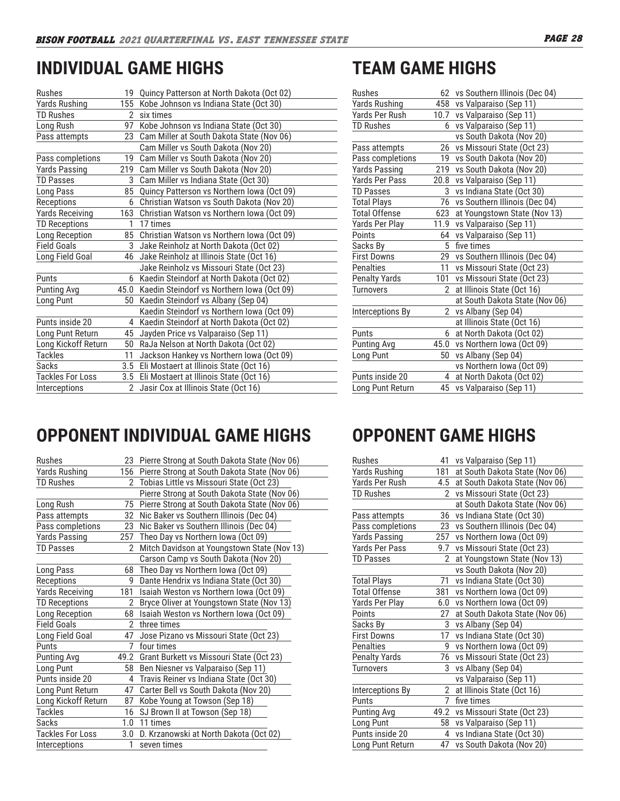# **INDIVIDUAL GAME HIGHS**

| Rushes                  |               | 19 Quincy Patterson at North Dakota (Oct 02) |
|-------------------------|---------------|----------------------------------------------|
| <b>Yards Rushing</b>    | 155           | Kobe Johnson vs Indiana State (Oct 30)       |
| <b>TD Rushes</b>        | 2             | six times                                    |
| Long Rush               | 97            | Kobe Johnson vs Indiana State (Oct 30)       |
| Pass attempts           | 23            | Cam Miller at South Dakota State (Nov 06)    |
|                         |               | Cam Miller vs South Dakota (Nov 20)          |
| Pass completions        | 19            | Cam Miller vs South Dakota (Nov 20)          |
| Yards Passing           | 219           | Cam Miller vs South Dakota (Nov 20)          |
| <b>TD Passes</b>        | 3             | Cam Miller vs Indiana State (Oct 30)         |
| Long Pass               | 85            | Quincy Patterson vs Northern Iowa (Oct 09)   |
| Receptions              | 6             | Christian Watson vs South Dakota (Nov 20)    |
| <b>Yards Receiving</b>  | 163           | Christian Watson vs Northern Iowa (Oct 09)   |
| <b>TD Receptions</b>    | $\mathbf{1}$  | 17 times                                     |
| Long Reception          | 85            | Christian Watson vs Northern Iowa (Oct 09)   |
| <b>Field Goals</b>      | 3             | Jake Reinholz at North Dakota (Oct 02)       |
| Long Field Goal         | 46            | Jake Reinholz at Illinois State (Oct 16)     |
|                         |               | Jake Reinholz vs Missouri State (Oct 23)     |
| Punts                   |               | 6 Kaedin Steindorf at North Dakota (Oct 02)  |
| <b>Punting Avg</b>      | 45.0          | Kaedin Steindorf vs Northern Iowa (Oct 09)   |
| Long Punt               | 50            | Kaedin Steindorf vs Albany (Sep 04)          |
|                         |               | Kaedin Steindorf vs Northern Iowa (Oct 09)   |
| Punts inside 20         | 4             | Kaedin Steindorf at North Dakota (Oct 02)    |
| Long Punt Return        | 45            | Jayden Price vs Valparaiso (Sep 11)          |
| Long Kickoff Return     | 50            | RaJa Nelson at North Dakota (Oct 02)         |
| <b>Tackles</b>          | 11            | Jackson Hankey vs Northern Iowa (Oct 09)     |
| <b>Sacks</b>            | 3.5           | Eli Mostaert at Illinois State (Oct 16)      |
| <b>Tackles For Loss</b> | 3.5           | Eli Mostaert at Illinois State (Oct 16)      |
| Interceptions           | $\mathcal{P}$ | Jasir Cox at Illinois State (Oct 16)         |

# **TEAM GAME HIGHS**

| Rushes               |                | 62 vs Southern Illinois (Dec 04) |
|----------------------|----------------|----------------------------------|
| Yards Rushing        |                | 458 vs Valparaiso (Sep 11)       |
| Yards Per Rush       |                | 10.7 vs Valparaiso (Sep 11)      |
| <b>TD Rushes</b>     | 6              | vs Valparaiso (Sep 11)           |
|                      |                | vs South Dakota (Nov 20)         |
| Pass attempts        | 26             | vs Missouri State (Oct 23)       |
| Pass completions     | 19             | vs South Dakota (Nov 20)         |
| <b>Yards Passing</b> |                | 219 vs South Dakota (Nov 20)     |
| Yards Per Pass       |                | 20.8 vs Valparaiso (Sep 11)      |
| <b>TD Passes</b>     | 3              | vs Indiana State (Oct 30)        |
| <b>Total Plays</b>   | 76             | vs Southern Illinois (Dec 04)    |
| <b>Total Offense</b> | 623            | at Youngstown State (Nov 13)     |
| Yards Per Play       | 11.9           | vs Valparaiso (Sep 11)           |
| Points               | 64             | vs Valparaiso (Sep 11)           |
| Sacks By             |                | 5 five times                     |
| <b>First Downs</b>   |                | 29 vs Southern Illinois (Dec 04) |
| Penalties            | 11             | vs Missouri State (Oct 23)       |
| <b>Penalty Yards</b> | 101            | vs Missouri State (Oct 23)       |
| <b>Turnovers</b>     | $\mathcal{P}$  | at Illinois State (Oct 16)       |
|                      |                | at South Dakota State (Nov 06)   |
| Interceptions By     | $\overline{2}$ | vs Albany (Sep 04)               |
|                      |                | at Illinois State (Oct 16)       |
| Punts                | 6              | at North Dakota (Oct 02)         |
| Punting Avg          |                | 45.0 vs Northern Iowa (Oct 09)   |
| Long Punt            | 50             | vs Albany (Sep 04)               |
|                      |                | vs Northern Iowa (Oct 09)        |
| Punts inside 20      | 4              | at North Dakota (Oct 02)         |
| Long Punt Return     | 45             | vs Valparaiso (Sep 11)           |

# **OPPONENT INDIVIDUAL GAME HIGHS**

| Rushes                  |               | 23 Pierre Strong at South Dakota State (Nov 06)  |
|-------------------------|---------------|--------------------------------------------------|
| <b>Yards Rushing</b>    |               | 156 Pierre Strong at South Dakota State (Nov 06) |
| <b>TD Rushes</b>        |               | 2 Tobias Little vs Missouri State (Oct 23)       |
|                         |               | Pierre Strong at South Dakota State (Nov 06)     |
| Long Rush               | 75            | Pierre Strong at South Dakota State (Nov 06)     |
| Pass attempts           |               | 32 Nic Baker vs Southern Illinois (Dec 04)       |
| Pass completions        | 23            | Nic Baker vs Southern Illinois (Dec 04)          |
| Yards Passing           |               | 257 Theo Day vs Northern Iowa (Oct 09)           |
| TD Passes               |               | Mitch Davidson at Youngstown State (Nov 13)      |
|                         |               | Carson Camp vs South Dakota (Nov 20)             |
| Long Pass               | 68            | Theo Day vs Northern Iowa (Oct 09)               |
| Receptions              | 9             | Dante Hendrix vs Indiana State (Oct 30)          |
| <b>Yards Receiving</b>  | 181           | Isaiah Weston vs Northern Iowa (Oct 09)          |
| <b>TD Receptions</b>    | 2             | Bryce Oliver at Youngstown State (Nov 13)        |
| Long Reception          | 68            | Isaiah Weston vs Northern Iowa (Oct 09)          |
| <b>Field Goals</b>      | $\mathcal{P}$ | three times                                      |
| Long Field Goal         | 47            | Jose Pizano vs Missouri State (Oct 23)           |
| Punts                   | 7             | four times                                       |
| <b>Punting Avg</b>      |               | 49.2 Grant Burkett vs Missouri State (Oct 23)    |
| Long Punt               | 58            | Ben Niesner vs Valparaiso (Sep 11)               |
| Punts inside 20         | 4             | Travis Reiner vs Indiana State (Oct 30)          |
| Long Punt Return        | 47            | Carter Bell vs South Dakota (Nov 20)             |
| Long Kickoff Return     | 87            | Kobe Young at Towson (Sep 18)                    |
| <b>Tackles</b>          |               | 16 SJ Brown II at Towson (Sep 18)                |
| Sacks                   |               | 1.0 11 times                                     |
| <b>Tackles For Loss</b> | 3.0           | D. Krzanowski at North Dakota (Oct 02)           |
| Interceptions           | 1             | seven times                                      |

# **OPPONENT GAME HIGHS**

| Rushes               | 41           | vs Valparaiso (Sep 11)          |
|----------------------|--------------|---------------------------------|
| <b>Yards Rushing</b> | 181          | at South Dakota State (Nov 06)  |
| Yards Per Rush       | 4.5          | at South Dakota State (Nov 06)  |
| <b>TD Rushes</b>     | 2            | vs Missouri State (Oct 23)      |
|                      |              | at South Dakota State (Nov 06)  |
| Pass attempts        | 36           | vs Indiana State (Oct 30)       |
| Pass completions     | 23           | vs Southern Illinois (Dec 04)   |
| <b>Yards Passing</b> | 257          | vs Northern Iowa (Oct 09)       |
| Yards Per Pass       | 9.7          | vs Missouri State (Oct 23)      |
| <b>TD Passes</b>     | 2            | at Youngstown State (Nov 13)    |
|                      |              | vs South Dakota (Nov 20)        |
| <b>Total Plays</b>   | 71           | vs Indiana State (Oct 30)       |
| <b>Total Offense</b> | 381          | vs Northern Iowa (Oct 09)       |
| Yards Per Play       | 6.0          | vs Northern Iowa (Oct 09)       |
| Points               | 27           | at South Dakota State (Nov 06)  |
| Sacks By             | 3            | vs Albany (Sep 04)              |
| <b>First Downs</b>   | 17           | vs Indiana State (Oct 30)       |
| <b>Penalties</b>     | g            | vs Northern Iowa (Oct 09)       |
| <b>Penalty Yards</b> | 76           | vs Missouri State (Oct 23)      |
| <b>Turnovers</b>     | 3            | vs Albany (Sep 04)              |
|                      |              | vs Valparaiso (Sep 11)          |
| Interceptions By     | $\mathbf{2}$ | at Illinois State (Oct 16)      |
| Punts                | 7            | five times                      |
| Punting Avg          |              | 49.2 vs Missouri State (Oct 23) |
| Long Punt            | 58           | vs Valparaiso (Sep 11)          |
| Punts inside 20      | 4            | vs Indiana State (Oct 30)       |
| Long Punt Return     | 47           | vs South Dakota (Nov 20)        |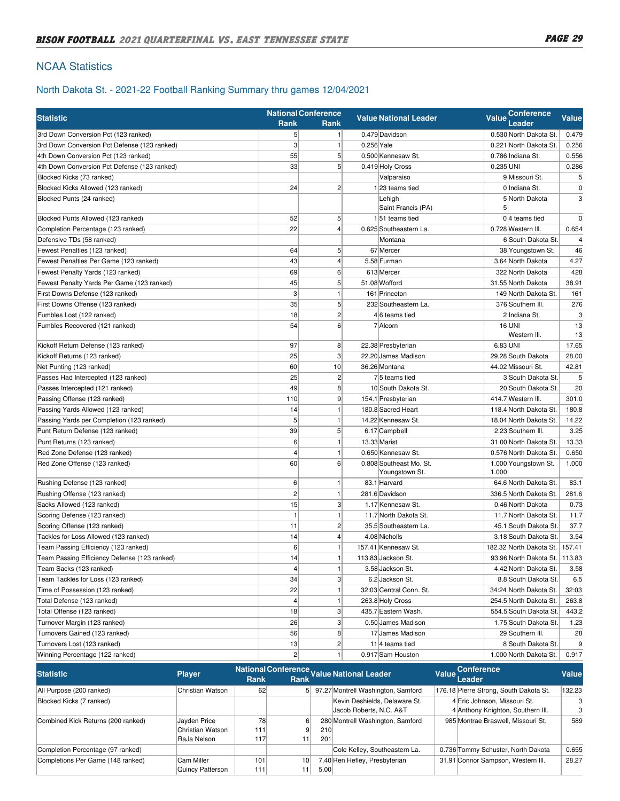# NCAA Statistics

# North Dakota St. - 2021-22 Football Ranking Summary thru games 12/04/2021

|                                              |                     | <b>National Conference</b> |            |                              | <b>Conference</b>                |                |
|----------------------------------------------|---------------------|----------------------------|------------|------------------------------|----------------------------------|----------------|
| <b>Statistic</b>                             | <b>Rank</b><br>Rank |                            |            | <b>Value National Leader</b> | <b>Value</b><br>Leader           | Value          |
| 3rd Down Conversion Pct (123 ranked)         | 5 <sup>1</sup>      | $\mathbf{1}$               |            | 0.479 Davidson               | 0.530 North Dakota St            | 0.479          |
| 3rd Down Conversion Pct Defense (123 ranked) | $\mathbf{3}$        | $\mathbf{1}$               | 0.256 Yale |                              | 0.221 North Dakota St.           | 0.256          |
| 4th Down Conversion Pct (123 ranked)         | 55                  | 5 <sup>5</sup>             |            | 0.500 Kennesaw St.           | 0.786 Indiana St.                | 0.556          |
| 4th Down Conversion Pct Defense (123 ranked) | 33                  | $5\overline{)}$            |            | 0.419 Holy Cross             | $0.235$ UNI                      | 0.286          |
| Blocked Kicks (73 ranked)                    |                     |                            |            | Valparaiso                   | 9 Missouri St.                   | 5              |
| Blocked Kicks Allowed (123 ranked)           | 24                  | $\overline{2}$             |            | $1 23$ teams tied            | 0 Indiana St.                    | 0              |
| Blocked Punts (24 ranked)                    |                     |                            |            | Lehigh<br>Saint Francis (PA) | 5 North Dakota<br>5              | 3              |
| Blocked Punts Allowed (123 ranked)           | 52                  | 5 <sup>5</sup>             |            | $1 51$ teams tied            | $0 4$ teams tied                 | $\mathbf 0$    |
| Completion Percentage (123 ranked)           | 22                  | 4                          |            | 0.625 Southeastern La.       | 0.728 Western III.               | 0.654          |
| Defensive TDs (58 ranked)                    |                     |                            |            | Montana                      | 6 South Dakota St.               | $\overline{4}$ |
| Fewest Penalties (123 ranked)                | 64                  | 5 <sup>5</sup>             |            | 67 Mercer                    | 38 Youngstown St.                | 46             |
| Fewest Penalties Per Game (123 ranked)       | 43                  | $\vert$                    |            | 5.58 Furman                  | 3.64 North Dakota                | 4.27           |
| Fewest Penalty Yards (123 ranked)            | 69                  | $6 \mid$                   |            | 613 Mercer                   | 322 North Dakota                 | 428            |
| Fewest Penalty Yards Per Game (123 ranked)   | 45                  | 5 <sup>5</sup>             |            | 51.08 Wofford                | 31.55 North Dakota               | 38.91          |
| First Downs Defense (123 ranked)             | 3                   | 1                          |            | 161 Princeton                | 149 North Dakota St.             | 161            |
| First Downs Offense (123 ranked)             | 35                  | 5 <sup>1</sup>             |            | 232 Southeastern La.         | 376 Southern III.                | 276            |
| Fumbles Lost (122 ranked)                    | 18                  | $\mathbf{2}$               |            | 46 teams tied                | 2 Indiana St.                    | 3              |
| Fumbles Recovered (121 ranked)               | 54                  | $6 \mid$                   |            | 7 Alcorn                     | $16$ UNI                         | 13             |
|                                              |                     |                            |            |                              | Western III.                     | 13             |
| Kickoff Return Defense (123 ranked)          | 97                  | 8                          |            | 22.38 Presbyterian           | 6.83 UNI                         | 17.65          |
| Kickoff Returns (123 ranked)                 | 25                  | 3                          |            | 22.20 James Madison          | 29.28 South Dakota               | 28.00          |
| Net Punting (123 ranked)                     | 60                  | 10                         |            | 36.26 Montana                | 44.02 Missouri St.               | 42.81          |
| Passes Had Intercepted (123 ranked)          | 25                  | $\mathbf{2}$               |            | 75 teams tied                | 3 South Dakota St.               | 5              |
| Passes Intercepted (121 ranked)              | 49                  | 8                          |            | 10 South Dakota St.          | 20 South Dakota St.              | 20             |
| Passing Offense (123 ranked)                 | 110                 | 9                          |            | 154.1 Presbyterian           | 414.7 Western III.               | 301.0          |
| Passing Yards Allowed (123 ranked)           | 14                  | 1                          |            | 180.8 Sacred Heart           | 118.4 North Dakota St.           | 180.8          |
| Passing Yards per Completion (123 ranked)    | 5                   |                            |            | 14.22 Kennesaw St.           | 18.04 North Dakota St.           | 14.22          |
| Punt Return Defense (123 ranked)             | 39                  | 5 <sup>5</sup>             |            | 6.17 Campbell                | 2.23 Southern III.               | 3.25           |
| Punt Returns (123 ranked)                    | 6                   | $\mathbf{1}$               |            | 13.33 Marist                 | 31.00 North Dakota St.           | 13.33          |
| Red Zone Defense (123 ranked)                | $\overline{4}$      | $\mathbf{1}$               |            | 0.650 Kennesaw St.           | 0.576 North Dakota St.           | 0.650          |
| Red Zone Offense (123 ranked)                | 60                  | $6 \mid$                   |            | 0.808 Southeast Mo. St.      | 1.000 Youngstown St.             | 1.000          |
|                                              |                     |                            |            | Youngstown St.               | 1.000                            |                |
| Rushing Defense (123 ranked)                 | 6                   | 1                          |            | 83.1 Harvard                 | 64.6 North Dakota St.            | 83.1           |
| Rushing Offense (123 ranked)                 | $\overline{c}$      | $\mathbf{1}$               |            | 281.6 Davidson               | 336.5 North Dakota St.           | 281.6          |
| Sacks Allowed (123 ranked)                   | 15                  | 3 <sup>1</sup>             |            | 1.17 Kennesaw St.            | 0.46 North Dakota                | 0.73           |
| Scoring Defense (123 ranked)                 | $\mathbf{1}$        | -1                         |            | 11.7 North Dakota St.        | 11.7 North Dakota St.            | 11.7           |
| Scoring Offense (123 ranked)                 | 11                  | $\mathbf{2}$               |            | 35.5 Southeastern La.        | 45.1 South Dakota St.            | 37.7           |
| Tackles for Loss Allowed (123 ranked)        | 14                  | 4                          |            | 4.08 Nicholls                | 3.18 South Dakota St.            | 3.54           |
| Team Passing Efficiency (123 ranked)         | 6                   | 1                          |            | 157.41 Kennesaw St.          | 182.32 North Dakota St.   157.41 |                |
| Team Passing Efficiency Defense (123 ranked) | 14                  |                            |            | 113.83 Jackson St.           | 93.96 North Dakota St.   113.83  |                |
| Team Sacks (123 ranked)                      | $\vert$             | 1                          |            | 3.58 Jackson St.             | 4.42 North Dakota St.            | 3.58           |
| Team Tackles for Loss (123 ranked)           | 34                  | 3 <sup>2</sup>             |            | 6.2 Jackson St.              | 8.8 South Dakota St.             | 6.5            |
| Time of Possession (123 ranked)              | 22                  |                            |            | 32:03 Central Conn. St.      | 34:24 North Dakota St.           | 32:03          |
| Total Defense (123 ranked)                   | $\pmb{4}$           | 1                          |            | 263.8 Holy Cross             | 254.5 North Dakota St.           | 263.8          |
| Total Offense (123 ranked)                   | 18                  | 3                          |            | 435.7 Eastern Wash.          | 554.5 South Dakota St.           | 443.2          |
| Turnover Margin (123 ranked)                 | 26                  | 3 <sup>1</sup>             |            | 0.50 James Madison           | 1.75 South Dakota St.            | 1.23           |
| Turnovers Gained (123 ranked)                | 56                  | 8 <sup>2</sup>             |            | 17 James Madison             | 29 Southern III.                 | 28             |
| Turnovers Lost (123 ranked)                  | 13                  | $\overline{2}$             |            | $11$ <sup>4</sup> teams tied | 8 South Dakota St.               | 9              |
| Winning Percentage (122 ranked)              | $\mathbf{2}$        | 1                          |            | 0.917 Sam Houston            | 1.000 North Dakota St.           | 0.917          |

| <b>Statistic</b>                   | <b>Player</b>                                   | Rank             | <b>Rank</b>     |            | National Conference Value National Leader                | Value Conference<br>Leader                                        | Value  |
|------------------------------------|-------------------------------------------------|------------------|-----------------|------------|----------------------------------------------------------|-------------------------------------------------------------------|--------|
| All Purpose (200 ranked)           | Christian Watson                                | 62               |                 |            | 5 97.27 Montrell Washington, Samford                     | 176.18 Pierre Strong, South Dakota St.                            | 132.23 |
| Blocked Kicks (7 ranked)           |                                                 |                  |                 |            | Kevin Deshields, Delaware St.<br>Jacob Roberts, N.C. A&T | 4 Eric Johnson, Missouri St.<br>4 Anthony Knighton, Southern III. | 3      |
| Combined Kick Returns (200 ranked) | Jayden Price<br>Christian Watson<br>RaJa Nelson | 78<br>111<br>117 | 6<br>111        | 210<br>201 | 280 Montrell Washington, Samford                         | 985 Montrae Braswell, Missouri St.                                | 589    |
| Completion Percentage (97 ranked)  |                                                 |                  |                 |            | Cole Kelley, Southeastern La.                            | 0.736 Tommy Schuster, North Dakota                                | 0.655  |
| Completions Per Game (148 ranked)  | Cam Miller<br>Quincy Patterson                  | 101<br>111       | 10 <sup>1</sup> | 5.00       | 7.40 Ren Hefley, Presbyterian                            | 31.91 Connor Sampson, Western III.                                | 28.27  |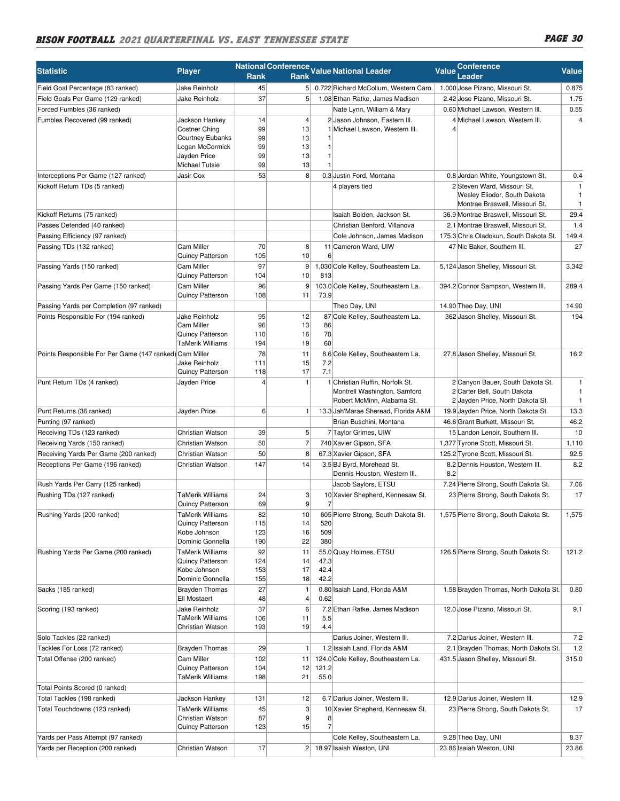#### BISON FOOTBALL 2021 QUARTERFINAL VS. EAST TENNESSEE STATE **And the State of the PAGE 30** RaJa Nelson  $T$  1 117 9  $\overline{1}$  $ST$ 201

| National Conference Value National Leader<br><b>Value</b><br><b>Player</b><br>Leader<br>Rank<br>Rank<br>45<br>5 0.722 Richard McCollum, Western Caro.<br><b>Jake Reinholz</b><br>1.000 Jose Pizano, Missouri St.<br>0.875<br>Field Goal Percentage (83 ranked)<br>37<br>$5\overline{)}$<br>1.08 Ethan Ratke, James Madison<br>2.42 Jose Pizano, Missouri St.<br>Field Goals Per Game (129 ranked)<br>Jake Reinholz<br>Forced Fumbles (36 ranked)<br>Nate Lynn, William & Mary<br>0.60 Michael Lawson, Western III.<br>$\overline{\mathbf{4}}$<br>Jackson Hankey<br>14<br>2 Jason Johnson, Eastern III.<br>Fumbles Recovered (99 ranked)<br>4 Michael Lawson, Western III.<br>99<br>13<br>Costner Ching<br>1 Michael Lawson, Western III.<br>99<br>13<br>Courtney Eubanks<br>99<br>13<br>Logan McCormick<br>1<br>Jayden Price<br>99<br>13<br>1<br>99<br>13<br>Michael Tutsie<br>8<br>Jasir Cox<br>53<br>0.3 Justin Ford, Montana<br>0.8 Jordan White, Youngstown St.<br>Interceptions Per Game (127 ranked)<br>2 Steven Ward, Missouri St.<br>Kickoff Return TDs (5 ranked)<br>4 players tied<br>$\mathbf{1}$<br>Wesley Eliodor, South Dakota<br>$\mathbf{1}$<br>Montrae Braswell, Missouri St.<br>$\mathbf{1}$<br>36.9 Montrae Braswell, Missouri St.<br>29.4<br>Kickoff Returns (75 ranked)<br>Isaiah Bolden, Jackson St.<br>2.1 Montrae Braswell, Missouri St.<br>1.4<br>Passes Defended (40 ranked)<br>Christian Benford, Villanova<br>175.3 Chris Oladokun, South Dakota St.<br>149.4<br>Passing Efficiency (97 ranked)<br>Cole Johnson, James Madison<br>Cam Miller<br>70<br>8<br>11 Cameron Ward, UIW<br>47 Nic Baker, Southern III.<br>27<br>Passing TDs (132 ranked)<br>10<br>Quincy Patterson<br>105<br>6<br>Cam Miller<br>97<br>9<br>1,030 Cole Kelley, Southeastern La.<br>5,124 Jason Shelley, Missouri St.<br>Passing Yards (150 ranked)<br>10<br>Quincy Patterson<br>104<br>813<br>Passing Yards Per Game (150 ranked)<br>Cam Miller<br>96<br>9<br>103.0 Cole Kelley, Southeastern La.<br>394.2 Connor Sampson, Western III.<br>289.4<br>108<br>Quincy Patterson<br>11<br>73.9<br>Theo Day, UNI<br>14.90 Theo Day, UNI<br>Passing Yards per Completion (97 ranked)<br>Jake Reinholz<br>12<br>Cole Kelley, Southeastern La.<br>362 Jason Shelley, Missouri St.<br>Points Responsible For (194 ranked)<br>95<br>87<br>Cam Miller<br>96<br>13<br>86<br>78<br>Quincy Patterson<br>16<br>110<br><b>TaMerik Williams</b><br>19<br>60<br>194<br>Points Responsible For Per Game (147 ranked) Cam Miller<br>78<br>8.6 Cole Kelley, Southeastern La.<br>27.8 Jason Shelley, Missouri St.<br>11<br>15<br>7.2<br>Jake Reinholz<br>111<br>17<br>7.1<br>Quincy Patterson<br>118<br>2 Canyon Bauer, South Dakota St.<br>$\mathbf{1}$<br>1 Christian Ruffin, Norfolk St.<br>$\mathbf{1}$<br>Punt Return TDs (4 ranked)<br>Jayden Price<br>$\overline{4}$<br>2 Carter Bell, South Dakota<br>$\mathbf{1}$<br>Montrell Washington, Samford<br>Robert McMinn, Alabama St.<br>2 Jayden Price, North Dakota St.<br>$\mathbf{1}$<br>6<br>Punt Returns (36 ranked)<br>13.3 Jah Marae Sheread, Florida A&M<br>19.9 Jayden Price, North Dakota St.<br>Jayden Price<br>1<br>Brian Buschini, Montana<br>46.6 Grant Burkett, Missouri St.<br>Punting (97 ranked)<br>5<br>15 Landon Lenoir, Southern III.<br>10<br>Receiving TDs (123 ranked)<br>Christian Watson<br>39<br>7 Taylor Grimes, UIW<br>50<br>$\overline{7}$<br>1,377 Tyrone Scott, Missouri St.<br>Receiving Yards (150 ranked)<br>Christian Watson<br>740 Xavier Gipson, SFA<br>50<br>8<br>Receiving Yards Per Game (200 ranked)<br>Christian Watson<br>67.3 Xavier Gipson, SFA<br>125.2 Tyrone Scott, Missouri St.<br>147<br>14<br>8.2 Dennis Houston, Western III.<br>Receptions Per Game (196 ranked)<br>Christian Watson<br>3.5 BJ Byrd, Morehead St.<br>8.2<br>Dennis Houston, Western III.<br>7.24 Pierre Strong, South Dakota St.<br>7.06<br>Rush Yards Per Carry (125 ranked)<br>Jacob Saylors, ETSU<br><b>TaMerik Williams</b><br>24<br>3<br>10 Xavier Shepherd, Kennesaw St.<br>23 Pierre Strong, South Dakota St.<br>Rushing TDs (127 ranked)<br> 9 <br>69<br>Quincy Patterson<br>7<br><b>TaMerik Williams</b><br>82<br>Rushing Yards (200 ranked)<br>10<br>605 Pierre Strong, South Dakota St.<br>1,575 Pierre Strong, South Dakota St.<br>Quincy Patterson<br>115<br>14<br>520<br>16<br>509<br>Kobe Johnson<br>123<br>22<br>380<br>Dominic Gonnella<br>190<br><b>TaMerik Williams</b><br>92<br>Rushing Yards Per Game (200 ranked)<br>11<br>55.0 Quay Holmes, ETSU<br>126.5 Pierre Strong, South Dakota St.<br>Quincy Patterson<br>14<br>124<br>47.3<br>153<br>17<br>42.4<br>Kobe Johnson<br>18<br>42.2<br>Dominic Gonnella<br>155<br>27<br>0.80 Isaiah Land, Florida A&M<br>Sacks (185 ranked)<br><b>Brayden Thomas</b><br>1.58 Brayden Thomas, North Dakota St.<br>1<br>48<br>4<br>Eli Mostaert<br>0.62<br>37<br>Jake Reinholz<br>6<br>12.0 Jose Pizano, Missouri St.<br>Scoring (193 ranked)<br>7.2 Ethan Ratke, James Madison<br>TaMerik Williams<br>106<br>11<br>5.5<br>19<br>4.4<br>Christian Watson<br>193<br>Darius Joiner, Western III.<br>7.2 Darius Joiner, Western III.<br>Solo Tackles (22 ranked)<br><b>Brayden Thomas</b><br>29<br>1<br>2.1 Brayden Thomas, North Dakota St.<br>Tackles For Loss (72 ranked)<br>1.2 Isaiah Land, Florida A&M<br>102<br>Cam Miller<br>124.0 Cole Kelley, Southeastern La.<br>Total Offense (200 ranked)<br>11<br>431.5 Jason Shelley, Missouri St.<br>Quincy Patterson<br>104<br>12<br>121.2<br>198<br>21<br>TaMerik Williams<br>55.0<br>Total Points Scored (0 ranked)<br>12<br>6.7 Darius Joiner, Western III.<br>12.9 Darius Joiner, Western III.<br>Total Tackles (198 ranked)<br>Jackson Hankey<br>131<br><b>TaMerik Williams</b><br>45<br>3<br>Total Touchdowns (123 ranked)<br>10 Xavier Shepherd, Kennesaw St.<br>23 Pierre Strong, South Dakota St.<br>9<br>Christian Watson<br>87<br>8<br>$\overline{7}$<br>15<br>123<br>Quincy Patterson<br>Cole Kelley, Southeastern La.<br>9.28 Theo Day, UNI<br>Yards per Pass Attempt (97 ranked)<br>17<br>23.86 Isaiah Weston, UNI<br>Yards per Reception (200 ranked)<br>Christian Watson<br>2 <br>18.97 Isaiah Weston, UNI | <b>Statistic</b> |  |  |  |  | <b>Conference</b> | <b>Value</b> |
|---------------------------------------------------------------------------------------------------------------------------------------------------------------------------------------------------------------------------------------------------------------------------------------------------------------------------------------------------------------------------------------------------------------------------------------------------------------------------------------------------------------------------------------------------------------------------------------------------------------------------------------------------------------------------------------------------------------------------------------------------------------------------------------------------------------------------------------------------------------------------------------------------------------------------------------------------------------------------------------------------------------------------------------------------------------------------------------------------------------------------------------------------------------------------------------------------------------------------------------------------------------------------------------------------------------------------------------------------------------------------------------------------------------------------------------------------------------------------------------------------------------------------------------------------------------------------------------------------------------------------------------------------------------------------------------------------------------------------------------------------------------------------------------------------------------------------------------------------------------------------------------------------------------------------------------------------------------------------------------------------------------------------------------------------------------------------------------------------------------------------------------------------------------------------------------------------------------------------------------------------------------------------------------------------------------------------------------------------------------------------------------------------------------------------------------------------------------------------------------------------------------------------------------------------------------------------------------------------------------------------------------------------------------------------------------------------------------------------------------------------------------------------------------------------------------------------------------------------------------------------------------------------------------------------------------------------------------------------------------------------------------------------------------------------------------------------------------------------------------------------------------------------------------------------------------------------------------------------------------------------------------------------------------------------------------------------------------------------------------------------------------------------------------------------------------------------------------------------------------------------------------------------------------------------------------------------------------------------------------------------------------------------------------------------------------------------------------------------------------------------------------------------------------------------------------------------------------------------------------------------------------------------------------------------------------------------------------------------------------------------------------------------------------------------------------------------------------------------------------------------------------------------------------------------------------------------------------------------------------------------------------------------------------------------------------------------------------------------------------------------------------------------------------------------------------------------------------------------------------------------------------------------------------------------------------------------------------------------------------------------------------------------------------------------------------------------------------------------------------------------------------------------------------------------------------------------------------------------------------------------------------------------------------------------------------------------------------------------------------------------------------------------------------------------------------------------------------------------------------------------------------------------------------------------------------------------------------------------------------------------------------------------------------------------------------------------------------------------------------------------------------------------------------------------------------------------------------------------------------------------------------------------------------------------------------------------------------------------------------------------------------------------------------------------------------------------------------------------------------------------------------------------------------------------------------------------------------------------------------------------------------------------------------------------------------------------------------------------------------------------------------------------------------------------------------------------------------------------------------------------------------------------------------------------------------|------------------|--|--|--|--|-------------------|--------------|
|                                                                                                                                                                                                                                                                                                                                                                                                                                                                                                                                                                                                                                                                                                                                                                                                                                                                                                                                                                                                                                                                                                                                                                                                                                                                                                                                                                                                                                                                                                                                                                                                                                                                                                                                                                                                                                                                                                                                                                                                                                                                                                                                                                                                                                                                                                                                                                                                                                                                                                                                                                                                                                                                                                                                                                                                                                                                                                                                                                                                                                                                                                                                                                                                                                                                                                                                                                                                                                                                                                                                                                                                                                                                                                                                                                                                                                                                                                                                                                                                                                                                                                                                                                                                                                                                                                                                                                                                                                                                                                                                                                                                                                                                                                                                                                                                                                                                                                                                                                                                                                                                                                                                                                                                                                                                                                                                                                                                                                                                                                                                                                                                                                                                                                                                                                                                                                                                                                                                                                                                                                                                                                                                                                                       |                  |  |  |  |  |                   |              |
|                                                                                                                                                                                                                                                                                                                                                                                                                                                                                                                                                                                                                                                                                                                                                                                                                                                                                                                                                                                                                                                                                                                                                                                                                                                                                                                                                                                                                                                                                                                                                                                                                                                                                                                                                                                                                                                                                                                                                                                                                                                                                                                                                                                                                                                                                                                                                                                                                                                                                                                                                                                                                                                                                                                                                                                                                                                                                                                                                                                                                                                                                                                                                                                                                                                                                                                                                                                                                                                                                                                                                                                                                                                                                                                                                                                                                                                                                                                                                                                                                                                                                                                                                                                                                                                                                                                                                                                                                                                                                                                                                                                                                                                                                                                                                                                                                                                                                                                                                                                                                                                                                                                                                                                                                                                                                                                                                                                                                                                                                                                                                                                                                                                                                                                                                                                                                                                                                                                                                                                                                                                                                                                                                                                       |                  |  |  |  |  |                   |              |
| 0.55<br>$\overline{4}$<br>0.4<br>3,342<br>14.90<br>194<br>16.2<br>13.3<br>46.2<br>1,110<br>92.5<br>8.2<br>121.2<br>0.80<br>9.1<br>7.2                                                                                                                                                                                                                                                                                                                                                                                                                                                                                                                                                                                                                                                                                                                                                                                                                                                                                                                                                                                                                                                                                                                                                                                                                                                                                                                                                                                                                                                                                                                                                                                                                                                                                                                                                                                                                                                                                                                                                                                                                                                                                                                                                                                                                                                                                                                                                                                                                                                                                                                                                                                                                                                                                                                                                                                                                                                                                                                                                                                                                                                                                                                                                                                                                                                                                                                                                                                                                                                                                                                                                                                                                                                                                                                                                                                                                                                                                                                                                                                                                                                                                                                                                                                                                                                                                                                                                                                                                                                                                                                                                                                                                                                                                                                                                                                                                                                                                                                                                                                                                                                                                                                                                                                                                                                                                                                                                                                                                                                                                                                                                                                                                                                                                                                                                                                                                                                                                                                                                                                                                                                 |                  |  |  |  |  |                   | 1.75         |
| 17<br>1,575<br>$1.2$<br>315.0<br>12.9<br>17<br>8.37<br>23.86                                                                                                                                                                                                                                                                                                                                                                                                                                                                                                                                                                                                                                                                                                                                                                                                                                                                                                                                                                                                                                                                                                                                                                                                                                                                                                                                                                                                                                                                                                                                                                                                                                                                                                                                                                                                                                                                                                                                                                                                                                                                                                                                                                                                                                                                                                                                                                                                                                                                                                                                                                                                                                                                                                                                                                                                                                                                                                                                                                                                                                                                                                                                                                                                                                                                                                                                                                                                                                                                                                                                                                                                                                                                                                                                                                                                                                                                                                                                                                                                                                                                                                                                                                                                                                                                                                                                                                                                                                                                                                                                                                                                                                                                                                                                                                                                                                                                                                                                                                                                                                                                                                                                                                                                                                                                                                                                                                                                                                                                                                                                                                                                                                                                                                                                                                                                                                                                                                                                                                                                                                                                                                                          |                  |  |  |  |  |                   |              |
|                                                                                                                                                                                                                                                                                                                                                                                                                                                                                                                                                                                                                                                                                                                                                                                                                                                                                                                                                                                                                                                                                                                                                                                                                                                                                                                                                                                                                                                                                                                                                                                                                                                                                                                                                                                                                                                                                                                                                                                                                                                                                                                                                                                                                                                                                                                                                                                                                                                                                                                                                                                                                                                                                                                                                                                                                                                                                                                                                                                                                                                                                                                                                                                                                                                                                                                                                                                                                                                                                                                                                                                                                                                                                                                                                                                                                                                                                                                                                                                                                                                                                                                                                                                                                                                                                                                                                                                                                                                                                                                                                                                                                                                                                                                                                                                                                                                                                                                                                                                                                                                                                                                                                                                                                                                                                                                                                                                                                                                                                                                                                                                                                                                                                                                                                                                                                                                                                                                                                                                                                                                                                                                                                                                       |                  |  |  |  |  |                   |              |
|                                                                                                                                                                                                                                                                                                                                                                                                                                                                                                                                                                                                                                                                                                                                                                                                                                                                                                                                                                                                                                                                                                                                                                                                                                                                                                                                                                                                                                                                                                                                                                                                                                                                                                                                                                                                                                                                                                                                                                                                                                                                                                                                                                                                                                                                                                                                                                                                                                                                                                                                                                                                                                                                                                                                                                                                                                                                                                                                                                                                                                                                                                                                                                                                                                                                                                                                                                                                                                                                                                                                                                                                                                                                                                                                                                                                                                                                                                                                                                                                                                                                                                                                                                                                                                                                                                                                                                                                                                                                                                                                                                                                                                                                                                                                                                                                                                                                                                                                                                                                                                                                                                                                                                                                                                                                                                                                                                                                                                                                                                                                                                                                                                                                                                                                                                                                                                                                                                                                                                                                                                                                                                                                                                                       |                  |  |  |  |  |                   |              |
|                                                                                                                                                                                                                                                                                                                                                                                                                                                                                                                                                                                                                                                                                                                                                                                                                                                                                                                                                                                                                                                                                                                                                                                                                                                                                                                                                                                                                                                                                                                                                                                                                                                                                                                                                                                                                                                                                                                                                                                                                                                                                                                                                                                                                                                                                                                                                                                                                                                                                                                                                                                                                                                                                                                                                                                                                                                                                                                                                                                                                                                                                                                                                                                                                                                                                                                                                                                                                                                                                                                                                                                                                                                                                                                                                                                                                                                                                                                                                                                                                                                                                                                                                                                                                                                                                                                                                                                                                                                                                                                                                                                                                                                                                                                                                                                                                                                                                                                                                                                                                                                                                                                                                                                                                                                                                                                                                                                                                                                                                                                                                                                                                                                                                                                                                                                                                                                                                                                                                                                                                                                                                                                                                                                       |                  |  |  |  |  |                   |              |
|                                                                                                                                                                                                                                                                                                                                                                                                                                                                                                                                                                                                                                                                                                                                                                                                                                                                                                                                                                                                                                                                                                                                                                                                                                                                                                                                                                                                                                                                                                                                                                                                                                                                                                                                                                                                                                                                                                                                                                                                                                                                                                                                                                                                                                                                                                                                                                                                                                                                                                                                                                                                                                                                                                                                                                                                                                                                                                                                                                                                                                                                                                                                                                                                                                                                                                                                                                                                                                                                                                                                                                                                                                                                                                                                                                                                                                                                                                                                                                                                                                                                                                                                                                                                                                                                                                                                                                                                                                                                                                                                                                                                                                                                                                                                                                                                                                                                                                                                                                                                                                                                                                                                                                                                                                                                                                                                                                                                                                                                                                                                                                                                                                                                                                                                                                                                                                                                                                                                                                                                                                                                                                                                                                                       |                  |  |  |  |  |                   |              |
|                                                                                                                                                                                                                                                                                                                                                                                                                                                                                                                                                                                                                                                                                                                                                                                                                                                                                                                                                                                                                                                                                                                                                                                                                                                                                                                                                                                                                                                                                                                                                                                                                                                                                                                                                                                                                                                                                                                                                                                                                                                                                                                                                                                                                                                                                                                                                                                                                                                                                                                                                                                                                                                                                                                                                                                                                                                                                                                                                                                                                                                                                                                                                                                                                                                                                                                                                                                                                                                                                                                                                                                                                                                                                                                                                                                                                                                                                                                                                                                                                                                                                                                                                                                                                                                                                                                                                                                                                                                                                                                                                                                                                                                                                                                                                                                                                                                                                                                                                                                                                                                                                                                                                                                                                                                                                                                                                                                                                                                                                                                                                                                                                                                                                                                                                                                                                                                                                                                                                                                                                                                                                                                                                                                       |                  |  |  |  |  |                   |              |
|                                                                                                                                                                                                                                                                                                                                                                                                                                                                                                                                                                                                                                                                                                                                                                                                                                                                                                                                                                                                                                                                                                                                                                                                                                                                                                                                                                                                                                                                                                                                                                                                                                                                                                                                                                                                                                                                                                                                                                                                                                                                                                                                                                                                                                                                                                                                                                                                                                                                                                                                                                                                                                                                                                                                                                                                                                                                                                                                                                                                                                                                                                                                                                                                                                                                                                                                                                                                                                                                                                                                                                                                                                                                                                                                                                                                                                                                                                                                                                                                                                                                                                                                                                                                                                                                                                                                                                                                                                                                                                                                                                                                                                                                                                                                                                                                                                                                                                                                                                                                                                                                                                                                                                                                                                                                                                                                                                                                                                                                                                                                                                                                                                                                                                                                                                                                                                                                                                                                                                                                                                                                                                                                                                                       |                  |  |  |  |  |                   |              |
|                                                                                                                                                                                                                                                                                                                                                                                                                                                                                                                                                                                                                                                                                                                                                                                                                                                                                                                                                                                                                                                                                                                                                                                                                                                                                                                                                                                                                                                                                                                                                                                                                                                                                                                                                                                                                                                                                                                                                                                                                                                                                                                                                                                                                                                                                                                                                                                                                                                                                                                                                                                                                                                                                                                                                                                                                                                                                                                                                                                                                                                                                                                                                                                                                                                                                                                                                                                                                                                                                                                                                                                                                                                                                                                                                                                                                                                                                                                                                                                                                                                                                                                                                                                                                                                                                                                                                                                                                                                                                                                                                                                                                                                                                                                                                                                                                                                                                                                                                                                                                                                                                                                                                                                                                                                                                                                                                                                                                                                                                                                                                                                                                                                                                                                                                                                                                                                                                                                                                                                                                                                                                                                                                                                       |                  |  |  |  |  |                   |              |
|                                                                                                                                                                                                                                                                                                                                                                                                                                                                                                                                                                                                                                                                                                                                                                                                                                                                                                                                                                                                                                                                                                                                                                                                                                                                                                                                                                                                                                                                                                                                                                                                                                                                                                                                                                                                                                                                                                                                                                                                                                                                                                                                                                                                                                                                                                                                                                                                                                                                                                                                                                                                                                                                                                                                                                                                                                                                                                                                                                                                                                                                                                                                                                                                                                                                                                                                                                                                                                                                                                                                                                                                                                                                                                                                                                                                                                                                                                                                                                                                                                                                                                                                                                                                                                                                                                                                                                                                                                                                                                                                                                                                                                                                                                                                                                                                                                                                                                                                                                                                                                                                                                                                                                                                                                                                                                                                                                                                                                                                                                                                                                                                                                                                                                                                                                                                                                                                                                                                                                                                                                                                                                                                                                                       |                  |  |  |  |  |                   |              |
|                                                                                                                                                                                                                                                                                                                                                                                                                                                                                                                                                                                                                                                                                                                                                                                                                                                                                                                                                                                                                                                                                                                                                                                                                                                                                                                                                                                                                                                                                                                                                                                                                                                                                                                                                                                                                                                                                                                                                                                                                                                                                                                                                                                                                                                                                                                                                                                                                                                                                                                                                                                                                                                                                                                                                                                                                                                                                                                                                                                                                                                                                                                                                                                                                                                                                                                                                                                                                                                                                                                                                                                                                                                                                                                                                                                                                                                                                                                                                                                                                                                                                                                                                                                                                                                                                                                                                                                                                                                                                                                                                                                                                                                                                                                                                                                                                                                                                                                                                                                                                                                                                                                                                                                                                                                                                                                                                                                                                                                                                                                                                                                                                                                                                                                                                                                                                                                                                                                                                                                                                                                                                                                                                                                       |                  |  |  |  |  |                   |              |
|                                                                                                                                                                                                                                                                                                                                                                                                                                                                                                                                                                                                                                                                                                                                                                                                                                                                                                                                                                                                                                                                                                                                                                                                                                                                                                                                                                                                                                                                                                                                                                                                                                                                                                                                                                                                                                                                                                                                                                                                                                                                                                                                                                                                                                                                                                                                                                                                                                                                                                                                                                                                                                                                                                                                                                                                                                                                                                                                                                                                                                                                                                                                                                                                                                                                                                                                                                                                                                                                                                                                                                                                                                                                                                                                                                                                                                                                                                                                                                                                                                                                                                                                                                                                                                                                                                                                                                                                                                                                                                                                                                                                                                                                                                                                                                                                                                                                                                                                                                                                                                                                                                                                                                                                                                                                                                                                                                                                                                                                                                                                                                                                                                                                                                                                                                                                                                                                                                                                                                                                                                                                                                                                                                                       |                  |  |  |  |  |                   |              |
|                                                                                                                                                                                                                                                                                                                                                                                                                                                                                                                                                                                                                                                                                                                                                                                                                                                                                                                                                                                                                                                                                                                                                                                                                                                                                                                                                                                                                                                                                                                                                                                                                                                                                                                                                                                                                                                                                                                                                                                                                                                                                                                                                                                                                                                                                                                                                                                                                                                                                                                                                                                                                                                                                                                                                                                                                                                                                                                                                                                                                                                                                                                                                                                                                                                                                                                                                                                                                                                                                                                                                                                                                                                                                                                                                                                                                                                                                                                                                                                                                                                                                                                                                                                                                                                                                                                                                                                                                                                                                                                                                                                                                                                                                                                                                                                                                                                                                                                                                                                                                                                                                                                                                                                                                                                                                                                                                                                                                                                                                                                                                                                                                                                                                                                                                                                                                                                                                                                                                                                                                                                                                                                                                                                       |                  |  |  |  |  |                   |              |
|                                                                                                                                                                                                                                                                                                                                                                                                                                                                                                                                                                                                                                                                                                                                                                                                                                                                                                                                                                                                                                                                                                                                                                                                                                                                                                                                                                                                                                                                                                                                                                                                                                                                                                                                                                                                                                                                                                                                                                                                                                                                                                                                                                                                                                                                                                                                                                                                                                                                                                                                                                                                                                                                                                                                                                                                                                                                                                                                                                                                                                                                                                                                                                                                                                                                                                                                                                                                                                                                                                                                                                                                                                                                                                                                                                                                                                                                                                                                                                                                                                                                                                                                                                                                                                                                                                                                                                                                                                                                                                                                                                                                                                                                                                                                                                                                                                                                                                                                                                                                                                                                                                                                                                                                                                                                                                                                                                                                                                                                                                                                                                                                                                                                                                                                                                                                                                                                                                                                                                                                                                                                                                                                                                                       |                  |  |  |  |  |                   |              |
|                                                                                                                                                                                                                                                                                                                                                                                                                                                                                                                                                                                                                                                                                                                                                                                                                                                                                                                                                                                                                                                                                                                                                                                                                                                                                                                                                                                                                                                                                                                                                                                                                                                                                                                                                                                                                                                                                                                                                                                                                                                                                                                                                                                                                                                                                                                                                                                                                                                                                                                                                                                                                                                                                                                                                                                                                                                                                                                                                                                                                                                                                                                                                                                                                                                                                                                                                                                                                                                                                                                                                                                                                                                                                                                                                                                                                                                                                                                                                                                                                                                                                                                                                                                                                                                                                                                                                                                                                                                                                                                                                                                                                                                                                                                                                                                                                                                                                                                                                                                                                                                                                                                                                                                                                                                                                                                                                                                                                                                                                                                                                                                                                                                                                                                                                                                                                                                                                                                                                                                                                                                                                                                                                                                       |                  |  |  |  |  |                   |              |
|                                                                                                                                                                                                                                                                                                                                                                                                                                                                                                                                                                                                                                                                                                                                                                                                                                                                                                                                                                                                                                                                                                                                                                                                                                                                                                                                                                                                                                                                                                                                                                                                                                                                                                                                                                                                                                                                                                                                                                                                                                                                                                                                                                                                                                                                                                                                                                                                                                                                                                                                                                                                                                                                                                                                                                                                                                                                                                                                                                                                                                                                                                                                                                                                                                                                                                                                                                                                                                                                                                                                                                                                                                                                                                                                                                                                                                                                                                                                                                                                                                                                                                                                                                                                                                                                                                                                                                                                                                                                                                                                                                                                                                                                                                                                                                                                                                                                                                                                                                                                                                                                                                                                                                                                                                                                                                                                                                                                                                                                                                                                                                                                                                                                                                                                                                                                                                                                                                                                                                                                                                                                                                                                                                                       |                  |  |  |  |  |                   |              |
|                                                                                                                                                                                                                                                                                                                                                                                                                                                                                                                                                                                                                                                                                                                                                                                                                                                                                                                                                                                                                                                                                                                                                                                                                                                                                                                                                                                                                                                                                                                                                                                                                                                                                                                                                                                                                                                                                                                                                                                                                                                                                                                                                                                                                                                                                                                                                                                                                                                                                                                                                                                                                                                                                                                                                                                                                                                                                                                                                                                                                                                                                                                                                                                                                                                                                                                                                                                                                                                                                                                                                                                                                                                                                                                                                                                                                                                                                                                                                                                                                                                                                                                                                                                                                                                                                                                                                                                                                                                                                                                                                                                                                                                                                                                                                                                                                                                                                                                                                                                                                                                                                                                                                                                                                                                                                                                                                                                                                                                                                                                                                                                                                                                                                                                                                                                                                                                                                                                                                                                                                                                                                                                                                                                       |                  |  |  |  |  |                   |              |
|                                                                                                                                                                                                                                                                                                                                                                                                                                                                                                                                                                                                                                                                                                                                                                                                                                                                                                                                                                                                                                                                                                                                                                                                                                                                                                                                                                                                                                                                                                                                                                                                                                                                                                                                                                                                                                                                                                                                                                                                                                                                                                                                                                                                                                                                                                                                                                                                                                                                                                                                                                                                                                                                                                                                                                                                                                                                                                                                                                                                                                                                                                                                                                                                                                                                                                                                                                                                                                                                                                                                                                                                                                                                                                                                                                                                                                                                                                                                                                                                                                                                                                                                                                                                                                                                                                                                                                                                                                                                                                                                                                                                                                                                                                                                                                                                                                                                                                                                                                                                                                                                                                                                                                                                                                                                                                                                                                                                                                                                                                                                                                                                                                                                                                                                                                                                                                                                                                                                                                                                                                                                                                                                                                                       |                  |  |  |  |  |                   |              |
|                                                                                                                                                                                                                                                                                                                                                                                                                                                                                                                                                                                                                                                                                                                                                                                                                                                                                                                                                                                                                                                                                                                                                                                                                                                                                                                                                                                                                                                                                                                                                                                                                                                                                                                                                                                                                                                                                                                                                                                                                                                                                                                                                                                                                                                                                                                                                                                                                                                                                                                                                                                                                                                                                                                                                                                                                                                                                                                                                                                                                                                                                                                                                                                                                                                                                                                                                                                                                                                                                                                                                                                                                                                                                                                                                                                                                                                                                                                                                                                                                                                                                                                                                                                                                                                                                                                                                                                                                                                                                                                                                                                                                                                                                                                                                                                                                                                                                                                                                                                                                                                                                                                                                                                                                                                                                                                                                                                                                                                                                                                                                                                                                                                                                                                                                                                                                                                                                                                                                                                                                                                                                                                                                                                       |                  |  |  |  |  |                   |              |
|                                                                                                                                                                                                                                                                                                                                                                                                                                                                                                                                                                                                                                                                                                                                                                                                                                                                                                                                                                                                                                                                                                                                                                                                                                                                                                                                                                                                                                                                                                                                                                                                                                                                                                                                                                                                                                                                                                                                                                                                                                                                                                                                                                                                                                                                                                                                                                                                                                                                                                                                                                                                                                                                                                                                                                                                                                                                                                                                                                                                                                                                                                                                                                                                                                                                                                                                                                                                                                                                                                                                                                                                                                                                                                                                                                                                                                                                                                                                                                                                                                                                                                                                                                                                                                                                                                                                                                                                                                                                                                                                                                                                                                                                                                                                                                                                                                                                                                                                                                                                                                                                                                                                                                                                                                                                                                                                                                                                                                                                                                                                                                                                                                                                                                                                                                                                                                                                                                                                                                                                                                                                                                                                                                                       |                  |  |  |  |  |                   |              |
|                                                                                                                                                                                                                                                                                                                                                                                                                                                                                                                                                                                                                                                                                                                                                                                                                                                                                                                                                                                                                                                                                                                                                                                                                                                                                                                                                                                                                                                                                                                                                                                                                                                                                                                                                                                                                                                                                                                                                                                                                                                                                                                                                                                                                                                                                                                                                                                                                                                                                                                                                                                                                                                                                                                                                                                                                                                                                                                                                                                                                                                                                                                                                                                                                                                                                                                                                                                                                                                                                                                                                                                                                                                                                                                                                                                                                                                                                                                                                                                                                                                                                                                                                                                                                                                                                                                                                                                                                                                                                                                                                                                                                                                                                                                                                                                                                                                                                                                                                                                                                                                                                                                                                                                                                                                                                                                                                                                                                                                                                                                                                                                                                                                                                                                                                                                                                                                                                                                                                                                                                                                                                                                                                                                       |                  |  |  |  |  |                   |              |
|                                                                                                                                                                                                                                                                                                                                                                                                                                                                                                                                                                                                                                                                                                                                                                                                                                                                                                                                                                                                                                                                                                                                                                                                                                                                                                                                                                                                                                                                                                                                                                                                                                                                                                                                                                                                                                                                                                                                                                                                                                                                                                                                                                                                                                                                                                                                                                                                                                                                                                                                                                                                                                                                                                                                                                                                                                                                                                                                                                                                                                                                                                                                                                                                                                                                                                                                                                                                                                                                                                                                                                                                                                                                                                                                                                                                                                                                                                                                                                                                                                                                                                                                                                                                                                                                                                                                                                                                                                                                                                                                                                                                                                                                                                                                                                                                                                                                                                                                                                                                                                                                                                                                                                                                                                                                                                                                                                                                                                                                                                                                                                                                                                                                                                                                                                                                                                                                                                                                                                                                                                                                                                                                                                                       |                  |  |  |  |  |                   |              |
|                                                                                                                                                                                                                                                                                                                                                                                                                                                                                                                                                                                                                                                                                                                                                                                                                                                                                                                                                                                                                                                                                                                                                                                                                                                                                                                                                                                                                                                                                                                                                                                                                                                                                                                                                                                                                                                                                                                                                                                                                                                                                                                                                                                                                                                                                                                                                                                                                                                                                                                                                                                                                                                                                                                                                                                                                                                                                                                                                                                                                                                                                                                                                                                                                                                                                                                                                                                                                                                                                                                                                                                                                                                                                                                                                                                                                                                                                                                                                                                                                                                                                                                                                                                                                                                                                                                                                                                                                                                                                                                                                                                                                                                                                                                                                                                                                                                                                                                                                                                                                                                                                                                                                                                                                                                                                                                                                                                                                                                                                                                                                                                                                                                                                                                                                                                                                                                                                                                                                                                                                                                                                                                                                                                       |                  |  |  |  |  |                   |              |
|                                                                                                                                                                                                                                                                                                                                                                                                                                                                                                                                                                                                                                                                                                                                                                                                                                                                                                                                                                                                                                                                                                                                                                                                                                                                                                                                                                                                                                                                                                                                                                                                                                                                                                                                                                                                                                                                                                                                                                                                                                                                                                                                                                                                                                                                                                                                                                                                                                                                                                                                                                                                                                                                                                                                                                                                                                                                                                                                                                                                                                                                                                                                                                                                                                                                                                                                                                                                                                                                                                                                                                                                                                                                                                                                                                                                                                                                                                                                                                                                                                                                                                                                                                                                                                                                                                                                                                                                                                                                                                                                                                                                                                                                                                                                                                                                                                                                                                                                                                                                                                                                                                                                                                                                                                                                                                                                                                                                                                                                                                                                                                                                                                                                                                                                                                                                                                                                                                                                                                                                                                                                                                                                                                                       |                  |  |  |  |  |                   |              |
|                                                                                                                                                                                                                                                                                                                                                                                                                                                                                                                                                                                                                                                                                                                                                                                                                                                                                                                                                                                                                                                                                                                                                                                                                                                                                                                                                                                                                                                                                                                                                                                                                                                                                                                                                                                                                                                                                                                                                                                                                                                                                                                                                                                                                                                                                                                                                                                                                                                                                                                                                                                                                                                                                                                                                                                                                                                                                                                                                                                                                                                                                                                                                                                                                                                                                                                                                                                                                                                                                                                                                                                                                                                                                                                                                                                                                                                                                                                                                                                                                                                                                                                                                                                                                                                                                                                                                                                                                                                                                                                                                                                                                                                                                                                                                                                                                                                                                                                                                                                                                                                                                                                                                                                                                                                                                                                                                                                                                                                                                                                                                                                                                                                                                                                                                                                                                                                                                                                                                                                                                                                                                                                                                                                       |                  |  |  |  |  |                   |              |
|                                                                                                                                                                                                                                                                                                                                                                                                                                                                                                                                                                                                                                                                                                                                                                                                                                                                                                                                                                                                                                                                                                                                                                                                                                                                                                                                                                                                                                                                                                                                                                                                                                                                                                                                                                                                                                                                                                                                                                                                                                                                                                                                                                                                                                                                                                                                                                                                                                                                                                                                                                                                                                                                                                                                                                                                                                                                                                                                                                                                                                                                                                                                                                                                                                                                                                                                                                                                                                                                                                                                                                                                                                                                                                                                                                                                                                                                                                                                                                                                                                                                                                                                                                                                                                                                                                                                                                                                                                                                                                                                                                                                                                                                                                                                                                                                                                                                                                                                                                                                                                                                                                                                                                                                                                                                                                                                                                                                                                                                                                                                                                                                                                                                                                                                                                                                                                                                                                                                                                                                                                                                                                                                                                                       |                  |  |  |  |  |                   |              |
|                                                                                                                                                                                                                                                                                                                                                                                                                                                                                                                                                                                                                                                                                                                                                                                                                                                                                                                                                                                                                                                                                                                                                                                                                                                                                                                                                                                                                                                                                                                                                                                                                                                                                                                                                                                                                                                                                                                                                                                                                                                                                                                                                                                                                                                                                                                                                                                                                                                                                                                                                                                                                                                                                                                                                                                                                                                                                                                                                                                                                                                                                                                                                                                                                                                                                                                                                                                                                                                                                                                                                                                                                                                                                                                                                                                                                                                                                                                                                                                                                                                                                                                                                                                                                                                                                                                                                                                                                                                                                                                                                                                                                                                                                                                                                                                                                                                                                                                                                                                                                                                                                                                                                                                                                                                                                                                                                                                                                                                                                                                                                                                                                                                                                                                                                                                                                                                                                                                                                                                                                                                                                                                                                                                       |                  |  |  |  |  |                   |              |
|                                                                                                                                                                                                                                                                                                                                                                                                                                                                                                                                                                                                                                                                                                                                                                                                                                                                                                                                                                                                                                                                                                                                                                                                                                                                                                                                                                                                                                                                                                                                                                                                                                                                                                                                                                                                                                                                                                                                                                                                                                                                                                                                                                                                                                                                                                                                                                                                                                                                                                                                                                                                                                                                                                                                                                                                                                                                                                                                                                                                                                                                                                                                                                                                                                                                                                                                                                                                                                                                                                                                                                                                                                                                                                                                                                                                                                                                                                                                                                                                                                                                                                                                                                                                                                                                                                                                                                                                                                                                                                                                                                                                                                                                                                                                                                                                                                                                                                                                                                                                                                                                                                                                                                                                                                                                                                                                                                                                                                                                                                                                                                                                                                                                                                                                                                                                                                                                                                                                                                                                                                                                                                                                                                                       |                  |  |  |  |  |                   |              |
|                                                                                                                                                                                                                                                                                                                                                                                                                                                                                                                                                                                                                                                                                                                                                                                                                                                                                                                                                                                                                                                                                                                                                                                                                                                                                                                                                                                                                                                                                                                                                                                                                                                                                                                                                                                                                                                                                                                                                                                                                                                                                                                                                                                                                                                                                                                                                                                                                                                                                                                                                                                                                                                                                                                                                                                                                                                                                                                                                                                                                                                                                                                                                                                                                                                                                                                                                                                                                                                                                                                                                                                                                                                                                                                                                                                                                                                                                                                                                                                                                                                                                                                                                                                                                                                                                                                                                                                                                                                                                                                                                                                                                                                                                                                                                                                                                                                                                                                                                                                                                                                                                                                                                                                                                                                                                                                                                                                                                                                                                                                                                                                                                                                                                                                                                                                                                                                                                                                                                                                                                                                                                                                                                                                       |                  |  |  |  |  |                   |              |
|                                                                                                                                                                                                                                                                                                                                                                                                                                                                                                                                                                                                                                                                                                                                                                                                                                                                                                                                                                                                                                                                                                                                                                                                                                                                                                                                                                                                                                                                                                                                                                                                                                                                                                                                                                                                                                                                                                                                                                                                                                                                                                                                                                                                                                                                                                                                                                                                                                                                                                                                                                                                                                                                                                                                                                                                                                                                                                                                                                                                                                                                                                                                                                                                                                                                                                                                                                                                                                                                                                                                                                                                                                                                                                                                                                                                                                                                                                                                                                                                                                                                                                                                                                                                                                                                                                                                                                                                                                                                                                                                                                                                                                                                                                                                                                                                                                                                                                                                                                                                                                                                                                                                                                                                                                                                                                                                                                                                                                                                                                                                                                                                                                                                                                                                                                                                                                                                                                                                                                                                                                                                                                                                                                                       |                  |  |  |  |  |                   |              |
|                                                                                                                                                                                                                                                                                                                                                                                                                                                                                                                                                                                                                                                                                                                                                                                                                                                                                                                                                                                                                                                                                                                                                                                                                                                                                                                                                                                                                                                                                                                                                                                                                                                                                                                                                                                                                                                                                                                                                                                                                                                                                                                                                                                                                                                                                                                                                                                                                                                                                                                                                                                                                                                                                                                                                                                                                                                                                                                                                                                                                                                                                                                                                                                                                                                                                                                                                                                                                                                                                                                                                                                                                                                                                                                                                                                                                                                                                                                                                                                                                                                                                                                                                                                                                                                                                                                                                                                                                                                                                                                                                                                                                                                                                                                                                                                                                                                                                                                                                                                                                                                                                                                                                                                                                                                                                                                                                                                                                                                                                                                                                                                                                                                                                                                                                                                                                                                                                                                                                                                                                                                                                                                                                                                       |                  |  |  |  |  |                   |              |
|                                                                                                                                                                                                                                                                                                                                                                                                                                                                                                                                                                                                                                                                                                                                                                                                                                                                                                                                                                                                                                                                                                                                                                                                                                                                                                                                                                                                                                                                                                                                                                                                                                                                                                                                                                                                                                                                                                                                                                                                                                                                                                                                                                                                                                                                                                                                                                                                                                                                                                                                                                                                                                                                                                                                                                                                                                                                                                                                                                                                                                                                                                                                                                                                                                                                                                                                                                                                                                                                                                                                                                                                                                                                                                                                                                                                                                                                                                                                                                                                                                                                                                                                                                                                                                                                                                                                                                                                                                                                                                                                                                                                                                                                                                                                                                                                                                                                                                                                                                                                                                                                                                                                                                                                                                                                                                                                                                                                                                                                                                                                                                                                                                                                                                                                                                                                                                                                                                                                                                                                                                                                                                                                                                                       |                  |  |  |  |  |                   |              |
|                                                                                                                                                                                                                                                                                                                                                                                                                                                                                                                                                                                                                                                                                                                                                                                                                                                                                                                                                                                                                                                                                                                                                                                                                                                                                                                                                                                                                                                                                                                                                                                                                                                                                                                                                                                                                                                                                                                                                                                                                                                                                                                                                                                                                                                                                                                                                                                                                                                                                                                                                                                                                                                                                                                                                                                                                                                                                                                                                                                                                                                                                                                                                                                                                                                                                                                                                                                                                                                                                                                                                                                                                                                                                                                                                                                                                                                                                                                                                                                                                                                                                                                                                                                                                                                                                                                                                                                                                                                                                                                                                                                                                                                                                                                                                                                                                                                                                                                                                                                                                                                                                                                                                                                                                                                                                                                                                                                                                                                                                                                                                                                                                                                                                                                                                                                                                                                                                                                                                                                                                                                                                                                                                                                       |                  |  |  |  |  |                   |              |
|                                                                                                                                                                                                                                                                                                                                                                                                                                                                                                                                                                                                                                                                                                                                                                                                                                                                                                                                                                                                                                                                                                                                                                                                                                                                                                                                                                                                                                                                                                                                                                                                                                                                                                                                                                                                                                                                                                                                                                                                                                                                                                                                                                                                                                                                                                                                                                                                                                                                                                                                                                                                                                                                                                                                                                                                                                                                                                                                                                                                                                                                                                                                                                                                                                                                                                                                                                                                                                                                                                                                                                                                                                                                                                                                                                                                                                                                                                                                                                                                                                                                                                                                                                                                                                                                                                                                                                                                                                                                                                                                                                                                                                                                                                                                                                                                                                                                                                                                                                                                                                                                                                                                                                                                                                                                                                                                                                                                                                                                                                                                                                                                                                                                                                                                                                                                                                                                                                                                                                                                                                                                                                                                                                                       |                  |  |  |  |  |                   |              |
|                                                                                                                                                                                                                                                                                                                                                                                                                                                                                                                                                                                                                                                                                                                                                                                                                                                                                                                                                                                                                                                                                                                                                                                                                                                                                                                                                                                                                                                                                                                                                                                                                                                                                                                                                                                                                                                                                                                                                                                                                                                                                                                                                                                                                                                                                                                                                                                                                                                                                                                                                                                                                                                                                                                                                                                                                                                                                                                                                                                                                                                                                                                                                                                                                                                                                                                                                                                                                                                                                                                                                                                                                                                                                                                                                                                                                                                                                                                                                                                                                                                                                                                                                                                                                                                                                                                                                                                                                                                                                                                                                                                                                                                                                                                                                                                                                                                                                                                                                                                                                                                                                                                                                                                                                                                                                                                                                                                                                                                                                                                                                                                                                                                                                                                                                                                                                                                                                                                                                                                                                                                                                                                                                                                       |                  |  |  |  |  |                   |              |
|                                                                                                                                                                                                                                                                                                                                                                                                                                                                                                                                                                                                                                                                                                                                                                                                                                                                                                                                                                                                                                                                                                                                                                                                                                                                                                                                                                                                                                                                                                                                                                                                                                                                                                                                                                                                                                                                                                                                                                                                                                                                                                                                                                                                                                                                                                                                                                                                                                                                                                                                                                                                                                                                                                                                                                                                                                                                                                                                                                                                                                                                                                                                                                                                                                                                                                                                                                                                                                                                                                                                                                                                                                                                                                                                                                                                                                                                                                                                                                                                                                                                                                                                                                                                                                                                                                                                                                                                                                                                                                                                                                                                                                                                                                                                                                                                                                                                                                                                                                                                                                                                                                                                                                                                                                                                                                                                                                                                                                                                                                                                                                                                                                                                                                                                                                                                                                                                                                                                                                                                                                                                                                                                                                                       |                  |  |  |  |  |                   |              |
|                                                                                                                                                                                                                                                                                                                                                                                                                                                                                                                                                                                                                                                                                                                                                                                                                                                                                                                                                                                                                                                                                                                                                                                                                                                                                                                                                                                                                                                                                                                                                                                                                                                                                                                                                                                                                                                                                                                                                                                                                                                                                                                                                                                                                                                                                                                                                                                                                                                                                                                                                                                                                                                                                                                                                                                                                                                                                                                                                                                                                                                                                                                                                                                                                                                                                                                                                                                                                                                                                                                                                                                                                                                                                                                                                                                                                                                                                                                                                                                                                                                                                                                                                                                                                                                                                                                                                                                                                                                                                                                                                                                                                                                                                                                                                                                                                                                                                                                                                                                                                                                                                                                                                                                                                                                                                                                                                                                                                                                                                                                                                                                                                                                                                                                                                                                                                                                                                                                                                                                                                                                                                                                                                                                       |                  |  |  |  |  |                   |              |
|                                                                                                                                                                                                                                                                                                                                                                                                                                                                                                                                                                                                                                                                                                                                                                                                                                                                                                                                                                                                                                                                                                                                                                                                                                                                                                                                                                                                                                                                                                                                                                                                                                                                                                                                                                                                                                                                                                                                                                                                                                                                                                                                                                                                                                                                                                                                                                                                                                                                                                                                                                                                                                                                                                                                                                                                                                                                                                                                                                                                                                                                                                                                                                                                                                                                                                                                                                                                                                                                                                                                                                                                                                                                                                                                                                                                                                                                                                                                                                                                                                                                                                                                                                                                                                                                                                                                                                                                                                                                                                                                                                                                                                                                                                                                                                                                                                                                                                                                                                                                                                                                                                                                                                                                                                                                                                                                                                                                                                                                                                                                                                                                                                                                                                                                                                                                                                                                                                                                                                                                                                                                                                                                                                                       |                  |  |  |  |  |                   |              |
|                                                                                                                                                                                                                                                                                                                                                                                                                                                                                                                                                                                                                                                                                                                                                                                                                                                                                                                                                                                                                                                                                                                                                                                                                                                                                                                                                                                                                                                                                                                                                                                                                                                                                                                                                                                                                                                                                                                                                                                                                                                                                                                                                                                                                                                                                                                                                                                                                                                                                                                                                                                                                                                                                                                                                                                                                                                                                                                                                                                                                                                                                                                                                                                                                                                                                                                                                                                                                                                                                                                                                                                                                                                                                                                                                                                                                                                                                                                                                                                                                                                                                                                                                                                                                                                                                                                                                                                                                                                                                                                                                                                                                                                                                                                                                                                                                                                                                                                                                                                                                                                                                                                                                                                                                                                                                                                                                                                                                                                                                                                                                                                                                                                                                                                                                                                                                                                                                                                                                                                                                                                                                                                                                                                       |                  |  |  |  |  |                   |              |
|                                                                                                                                                                                                                                                                                                                                                                                                                                                                                                                                                                                                                                                                                                                                                                                                                                                                                                                                                                                                                                                                                                                                                                                                                                                                                                                                                                                                                                                                                                                                                                                                                                                                                                                                                                                                                                                                                                                                                                                                                                                                                                                                                                                                                                                                                                                                                                                                                                                                                                                                                                                                                                                                                                                                                                                                                                                                                                                                                                                                                                                                                                                                                                                                                                                                                                                                                                                                                                                                                                                                                                                                                                                                                                                                                                                                                                                                                                                                                                                                                                                                                                                                                                                                                                                                                                                                                                                                                                                                                                                                                                                                                                                                                                                                                                                                                                                                                                                                                                                                                                                                                                                                                                                                                                                                                                                                                                                                                                                                                                                                                                                                                                                                                                                                                                                                                                                                                                                                                                                                                                                                                                                                                                                       |                  |  |  |  |  |                   |              |
|                                                                                                                                                                                                                                                                                                                                                                                                                                                                                                                                                                                                                                                                                                                                                                                                                                                                                                                                                                                                                                                                                                                                                                                                                                                                                                                                                                                                                                                                                                                                                                                                                                                                                                                                                                                                                                                                                                                                                                                                                                                                                                                                                                                                                                                                                                                                                                                                                                                                                                                                                                                                                                                                                                                                                                                                                                                                                                                                                                                                                                                                                                                                                                                                                                                                                                                                                                                                                                                                                                                                                                                                                                                                                                                                                                                                                                                                                                                                                                                                                                                                                                                                                                                                                                                                                                                                                                                                                                                                                                                                                                                                                                                                                                                                                                                                                                                                                                                                                                                                                                                                                                                                                                                                                                                                                                                                                                                                                                                                                                                                                                                                                                                                                                                                                                                                                                                                                                                                                                                                                                                                                                                                                                                       |                  |  |  |  |  |                   |              |
|                                                                                                                                                                                                                                                                                                                                                                                                                                                                                                                                                                                                                                                                                                                                                                                                                                                                                                                                                                                                                                                                                                                                                                                                                                                                                                                                                                                                                                                                                                                                                                                                                                                                                                                                                                                                                                                                                                                                                                                                                                                                                                                                                                                                                                                                                                                                                                                                                                                                                                                                                                                                                                                                                                                                                                                                                                                                                                                                                                                                                                                                                                                                                                                                                                                                                                                                                                                                                                                                                                                                                                                                                                                                                                                                                                                                                                                                                                                                                                                                                                                                                                                                                                                                                                                                                                                                                                                                                                                                                                                                                                                                                                                                                                                                                                                                                                                                                                                                                                                                                                                                                                                                                                                                                                                                                                                                                                                                                                                                                                                                                                                                                                                                                                                                                                                                                                                                                                                                                                                                                                                                                                                                                                                       |                  |  |  |  |  |                   |              |
|                                                                                                                                                                                                                                                                                                                                                                                                                                                                                                                                                                                                                                                                                                                                                                                                                                                                                                                                                                                                                                                                                                                                                                                                                                                                                                                                                                                                                                                                                                                                                                                                                                                                                                                                                                                                                                                                                                                                                                                                                                                                                                                                                                                                                                                                                                                                                                                                                                                                                                                                                                                                                                                                                                                                                                                                                                                                                                                                                                                                                                                                                                                                                                                                                                                                                                                                                                                                                                                                                                                                                                                                                                                                                                                                                                                                                                                                                                                                                                                                                                                                                                                                                                                                                                                                                                                                                                                                                                                                                                                                                                                                                                                                                                                                                                                                                                                                                                                                                                                                                                                                                                                                                                                                                                                                                                                                                                                                                                                                                                                                                                                                                                                                                                                                                                                                                                                                                                                                                                                                                                                                                                                                                                                       |                  |  |  |  |  |                   |              |
|                                                                                                                                                                                                                                                                                                                                                                                                                                                                                                                                                                                                                                                                                                                                                                                                                                                                                                                                                                                                                                                                                                                                                                                                                                                                                                                                                                                                                                                                                                                                                                                                                                                                                                                                                                                                                                                                                                                                                                                                                                                                                                                                                                                                                                                                                                                                                                                                                                                                                                                                                                                                                                                                                                                                                                                                                                                                                                                                                                                                                                                                                                                                                                                                                                                                                                                                                                                                                                                                                                                                                                                                                                                                                                                                                                                                                                                                                                                                                                                                                                                                                                                                                                                                                                                                                                                                                                                                                                                                                                                                                                                                                                                                                                                                                                                                                                                                                                                                                                                                                                                                                                                                                                                                                                                                                                                                                                                                                                                                                                                                                                                                                                                                                                                                                                                                                                                                                                                                                                                                                                                                                                                                                                                       |                  |  |  |  |  |                   |              |
|                                                                                                                                                                                                                                                                                                                                                                                                                                                                                                                                                                                                                                                                                                                                                                                                                                                                                                                                                                                                                                                                                                                                                                                                                                                                                                                                                                                                                                                                                                                                                                                                                                                                                                                                                                                                                                                                                                                                                                                                                                                                                                                                                                                                                                                                                                                                                                                                                                                                                                                                                                                                                                                                                                                                                                                                                                                                                                                                                                                                                                                                                                                                                                                                                                                                                                                                                                                                                                                                                                                                                                                                                                                                                                                                                                                                                                                                                                                                                                                                                                                                                                                                                                                                                                                                                                                                                                                                                                                                                                                                                                                                                                                                                                                                                                                                                                                                                                                                                                                                                                                                                                                                                                                                                                                                                                                                                                                                                                                                                                                                                                                                                                                                                                                                                                                                                                                                                                                                                                                                                                                                                                                                                                                       |                  |  |  |  |  |                   |              |
|                                                                                                                                                                                                                                                                                                                                                                                                                                                                                                                                                                                                                                                                                                                                                                                                                                                                                                                                                                                                                                                                                                                                                                                                                                                                                                                                                                                                                                                                                                                                                                                                                                                                                                                                                                                                                                                                                                                                                                                                                                                                                                                                                                                                                                                                                                                                                                                                                                                                                                                                                                                                                                                                                                                                                                                                                                                                                                                                                                                                                                                                                                                                                                                                                                                                                                                                                                                                                                                                                                                                                                                                                                                                                                                                                                                                                                                                                                                                                                                                                                                                                                                                                                                                                                                                                                                                                                                                                                                                                                                                                                                                                                                                                                                                                                                                                                                                                                                                                                                                                                                                                                                                                                                                                                                                                                                                                                                                                                                                                                                                                                                                                                                                                                                                                                                                                                                                                                                                                                                                                                                                                                                                                                                       |                  |  |  |  |  |                   |              |
|                                                                                                                                                                                                                                                                                                                                                                                                                                                                                                                                                                                                                                                                                                                                                                                                                                                                                                                                                                                                                                                                                                                                                                                                                                                                                                                                                                                                                                                                                                                                                                                                                                                                                                                                                                                                                                                                                                                                                                                                                                                                                                                                                                                                                                                                                                                                                                                                                                                                                                                                                                                                                                                                                                                                                                                                                                                                                                                                                                                                                                                                                                                                                                                                                                                                                                                                                                                                                                                                                                                                                                                                                                                                                                                                                                                                                                                                                                                                                                                                                                                                                                                                                                                                                                                                                                                                                                                                                                                                                                                                                                                                                                                                                                                                                                                                                                                                                                                                                                                                                                                                                                                                                                                                                                                                                                                                                                                                                                                                                                                                                                                                                                                                                                                                                                                                                                                                                                                                                                                                                                                                                                                                                                                       |                  |  |  |  |  |                   |              |
|                                                                                                                                                                                                                                                                                                                                                                                                                                                                                                                                                                                                                                                                                                                                                                                                                                                                                                                                                                                                                                                                                                                                                                                                                                                                                                                                                                                                                                                                                                                                                                                                                                                                                                                                                                                                                                                                                                                                                                                                                                                                                                                                                                                                                                                                                                                                                                                                                                                                                                                                                                                                                                                                                                                                                                                                                                                                                                                                                                                                                                                                                                                                                                                                                                                                                                                                                                                                                                                                                                                                                                                                                                                                                                                                                                                                                                                                                                                                                                                                                                                                                                                                                                                                                                                                                                                                                                                                                                                                                                                                                                                                                                                                                                                                                                                                                                                                                                                                                                                                                                                                                                                                                                                                                                                                                                                                                                                                                                                                                                                                                                                                                                                                                                                                                                                                                                                                                                                                                                                                                                                                                                                                                                                       |                  |  |  |  |  |                   |              |
|                                                                                                                                                                                                                                                                                                                                                                                                                                                                                                                                                                                                                                                                                                                                                                                                                                                                                                                                                                                                                                                                                                                                                                                                                                                                                                                                                                                                                                                                                                                                                                                                                                                                                                                                                                                                                                                                                                                                                                                                                                                                                                                                                                                                                                                                                                                                                                                                                                                                                                                                                                                                                                                                                                                                                                                                                                                                                                                                                                                                                                                                                                                                                                                                                                                                                                                                                                                                                                                                                                                                                                                                                                                                                                                                                                                                                                                                                                                                                                                                                                                                                                                                                                                                                                                                                                                                                                                                                                                                                                                                                                                                                                                                                                                                                                                                                                                                                                                                                                                                                                                                                                                                                                                                                                                                                                                                                                                                                                                                                                                                                                                                                                                                                                                                                                                                                                                                                                                                                                                                                                                                                                                                                                                       |                  |  |  |  |  |                   |              |
|                                                                                                                                                                                                                                                                                                                                                                                                                                                                                                                                                                                                                                                                                                                                                                                                                                                                                                                                                                                                                                                                                                                                                                                                                                                                                                                                                                                                                                                                                                                                                                                                                                                                                                                                                                                                                                                                                                                                                                                                                                                                                                                                                                                                                                                                                                                                                                                                                                                                                                                                                                                                                                                                                                                                                                                                                                                                                                                                                                                                                                                                                                                                                                                                                                                                                                                                                                                                                                                                                                                                                                                                                                                                                                                                                                                                                                                                                                                                                                                                                                                                                                                                                                                                                                                                                                                                                                                                                                                                                                                                                                                                                                                                                                                                                                                                                                                                                                                                                                                                                                                                                                                                                                                                                                                                                                                                                                                                                                                                                                                                                                                                                                                                                                                                                                                                                                                                                                                                                                                                                                                                                                                                                                                       |                  |  |  |  |  |                   |              |
|                                                                                                                                                                                                                                                                                                                                                                                                                                                                                                                                                                                                                                                                                                                                                                                                                                                                                                                                                                                                                                                                                                                                                                                                                                                                                                                                                                                                                                                                                                                                                                                                                                                                                                                                                                                                                                                                                                                                                                                                                                                                                                                                                                                                                                                                                                                                                                                                                                                                                                                                                                                                                                                                                                                                                                                                                                                                                                                                                                                                                                                                                                                                                                                                                                                                                                                                                                                                                                                                                                                                                                                                                                                                                                                                                                                                                                                                                                                                                                                                                                                                                                                                                                                                                                                                                                                                                                                                                                                                                                                                                                                                                                                                                                                                                                                                                                                                                                                                                                                                                                                                                                                                                                                                                                                                                                                                                                                                                                                                                                                                                                                                                                                                                                                                                                                                                                                                                                                                                                                                                                                                                                                                                                                       |                  |  |  |  |  |                   |              |
|                                                                                                                                                                                                                                                                                                                                                                                                                                                                                                                                                                                                                                                                                                                                                                                                                                                                                                                                                                                                                                                                                                                                                                                                                                                                                                                                                                                                                                                                                                                                                                                                                                                                                                                                                                                                                                                                                                                                                                                                                                                                                                                                                                                                                                                                                                                                                                                                                                                                                                                                                                                                                                                                                                                                                                                                                                                                                                                                                                                                                                                                                                                                                                                                                                                                                                                                                                                                                                                                                                                                                                                                                                                                                                                                                                                                                                                                                                                                                                                                                                                                                                                                                                                                                                                                                                                                                                                                                                                                                                                                                                                                                                                                                                                                                                                                                                                                                                                                                                                                                                                                                                                                                                                                                                                                                                                                                                                                                                                                                                                                                                                                                                                                                                                                                                                                                                                                                                                                                                                                                                                                                                                                                                                       |                  |  |  |  |  |                   |              |
|                                                                                                                                                                                                                                                                                                                                                                                                                                                                                                                                                                                                                                                                                                                                                                                                                                                                                                                                                                                                                                                                                                                                                                                                                                                                                                                                                                                                                                                                                                                                                                                                                                                                                                                                                                                                                                                                                                                                                                                                                                                                                                                                                                                                                                                                                                                                                                                                                                                                                                                                                                                                                                                                                                                                                                                                                                                                                                                                                                                                                                                                                                                                                                                                                                                                                                                                                                                                                                                                                                                                                                                                                                                                                                                                                                                                                                                                                                                                                                                                                                                                                                                                                                                                                                                                                                                                                                                                                                                                                                                                                                                                                                                                                                                                                                                                                                                                                                                                                                                                                                                                                                                                                                                                                                                                                                                                                                                                                                                                                                                                                                                                                                                                                                                                                                                                                                                                                                                                                                                                                                                                                                                                                                                       |                  |  |  |  |  |                   |              |
|                                                                                                                                                                                                                                                                                                                                                                                                                                                                                                                                                                                                                                                                                                                                                                                                                                                                                                                                                                                                                                                                                                                                                                                                                                                                                                                                                                                                                                                                                                                                                                                                                                                                                                                                                                                                                                                                                                                                                                                                                                                                                                                                                                                                                                                                                                                                                                                                                                                                                                                                                                                                                                                                                                                                                                                                                                                                                                                                                                                                                                                                                                                                                                                                                                                                                                                                                                                                                                                                                                                                                                                                                                                                                                                                                                                                                                                                                                                                                                                                                                                                                                                                                                                                                                                                                                                                                                                                                                                                                                                                                                                                                                                                                                                                                                                                                                                                                                                                                                                                                                                                                                                                                                                                                                                                                                                                                                                                                                                                                                                                                                                                                                                                                                                                                                                                                                                                                                                                                                                                                                                                                                                                                                                       |                  |  |  |  |  |                   |              |
|                                                                                                                                                                                                                                                                                                                                                                                                                                                                                                                                                                                                                                                                                                                                                                                                                                                                                                                                                                                                                                                                                                                                                                                                                                                                                                                                                                                                                                                                                                                                                                                                                                                                                                                                                                                                                                                                                                                                                                                                                                                                                                                                                                                                                                                                                                                                                                                                                                                                                                                                                                                                                                                                                                                                                                                                                                                                                                                                                                                                                                                                                                                                                                                                                                                                                                                                                                                                                                                                                                                                                                                                                                                                                                                                                                                                                                                                                                                                                                                                                                                                                                                                                                                                                                                                                                                                                                                                                                                                                                                                                                                                                                                                                                                                                                                                                                                                                                                                                                                                                                                                                                                                                                                                                                                                                                                                                                                                                                                                                                                                                                                                                                                                                                                                                                                                                                                                                                                                                                                                                                                                                                                                                                                       |                  |  |  |  |  |                   |              |
|                                                                                                                                                                                                                                                                                                                                                                                                                                                                                                                                                                                                                                                                                                                                                                                                                                                                                                                                                                                                                                                                                                                                                                                                                                                                                                                                                                                                                                                                                                                                                                                                                                                                                                                                                                                                                                                                                                                                                                                                                                                                                                                                                                                                                                                                                                                                                                                                                                                                                                                                                                                                                                                                                                                                                                                                                                                                                                                                                                                                                                                                                                                                                                                                                                                                                                                                                                                                                                                                                                                                                                                                                                                                                                                                                                                                                                                                                                                                                                                                                                                                                                                                                                                                                                                                                                                                                                                                                                                                                                                                                                                                                                                                                                                                                                                                                                                                                                                                                                                                                                                                                                                                                                                                                                                                                                                                                                                                                                                                                                                                                                                                                                                                                                                                                                                                                                                                                                                                                                                                                                                                                                                                                                                       |                  |  |  |  |  |                   |              |
|                                                                                                                                                                                                                                                                                                                                                                                                                                                                                                                                                                                                                                                                                                                                                                                                                                                                                                                                                                                                                                                                                                                                                                                                                                                                                                                                                                                                                                                                                                                                                                                                                                                                                                                                                                                                                                                                                                                                                                                                                                                                                                                                                                                                                                                                                                                                                                                                                                                                                                                                                                                                                                                                                                                                                                                                                                                                                                                                                                                                                                                                                                                                                                                                                                                                                                                                                                                                                                                                                                                                                                                                                                                                                                                                                                                                                                                                                                                                                                                                                                                                                                                                                                                                                                                                                                                                                                                                                                                                                                                                                                                                                                                                                                                                                                                                                                                                                                                                                                                                                                                                                                                                                                                                                                                                                                                                                                                                                                                                                                                                                                                                                                                                                                                                                                                                                                                                                                                                                                                                                                                                                                                                                                                       |                  |  |  |  |  |                   |              |
|                                                                                                                                                                                                                                                                                                                                                                                                                                                                                                                                                                                                                                                                                                                                                                                                                                                                                                                                                                                                                                                                                                                                                                                                                                                                                                                                                                                                                                                                                                                                                                                                                                                                                                                                                                                                                                                                                                                                                                                                                                                                                                                                                                                                                                                                                                                                                                                                                                                                                                                                                                                                                                                                                                                                                                                                                                                                                                                                                                                                                                                                                                                                                                                                                                                                                                                                                                                                                                                                                                                                                                                                                                                                                                                                                                                                                                                                                                                                                                                                                                                                                                                                                                                                                                                                                                                                                                                                                                                                                                                                                                                                                                                                                                                                                                                                                                                                                                                                                                                                                                                                                                                                                                                                                                                                                                                                                                                                                                                                                                                                                                                                                                                                                                                                                                                                                                                                                                                                                                                                                                                                                                                                                                                       |                  |  |  |  |  |                   |              |
|                                                                                                                                                                                                                                                                                                                                                                                                                                                                                                                                                                                                                                                                                                                                                                                                                                                                                                                                                                                                                                                                                                                                                                                                                                                                                                                                                                                                                                                                                                                                                                                                                                                                                                                                                                                                                                                                                                                                                                                                                                                                                                                                                                                                                                                                                                                                                                                                                                                                                                                                                                                                                                                                                                                                                                                                                                                                                                                                                                                                                                                                                                                                                                                                                                                                                                                                                                                                                                                                                                                                                                                                                                                                                                                                                                                                                                                                                                                                                                                                                                                                                                                                                                                                                                                                                                                                                                                                                                                                                                                                                                                                                                                                                                                                                                                                                                                                                                                                                                                                                                                                                                                                                                                                                                                                                                                                                                                                                                                                                                                                                                                                                                                                                                                                                                                                                                                                                                                                                                                                                                                                                                                                                                                       |                  |  |  |  |  |                   |              |
|                                                                                                                                                                                                                                                                                                                                                                                                                                                                                                                                                                                                                                                                                                                                                                                                                                                                                                                                                                                                                                                                                                                                                                                                                                                                                                                                                                                                                                                                                                                                                                                                                                                                                                                                                                                                                                                                                                                                                                                                                                                                                                                                                                                                                                                                                                                                                                                                                                                                                                                                                                                                                                                                                                                                                                                                                                                                                                                                                                                                                                                                                                                                                                                                                                                                                                                                                                                                                                                                                                                                                                                                                                                                                                                                                                                                                                                                                                                                                                                                                                                                                                                                                                                                                                                                                                                                                                                                                                                                                                                                                                                                                                                                                                                                                                                                                                                                                                                                                                                                                                                                                                                                                                                                                                                                                                                                                                                                                                                                                                                                                                                                                                                                                                                                                                                                                                                                                                                                                                                                                                                                                                                                                                                       |                  |  |  |  |  |                   |              |
|                                                                                                                                                                                                                                                                                                                                                                                                                                                                                                                                                                                                                                                                                                                                                                                                                                                                                                                                                                                                                                                                                                                                                                                                                                                                                                                                                                                                                                                                                                                                                                                                                                                                                                                                                                                                                                                                                                                                                                                                                                                                                                                                                                                                                                                                                                                                                                                                                                                                                                                                                                                                                                                                                                                                                                                                                                                                                                                                                                                                                                                                                                                                                                                                                                                                                                                                                                                                                                                                                                                                                                                                                                                                                                                                                                                                                                                                                                                                                                                                                                                                                                                                                                                                                                                                                                                                                                                                                                                                                                                                                                                                                                                                                                                                                                                                                                                                                                                                                                                                                                                                                                                                                                                                                                                                                                                                                                                                                                                                                                                                                                                                                                                                                                                                                                                                                                                                                                                                                                                                                                                                                                                                                                                       |                  |  |  |  |  |                   |              |
|                                                                                                                                                                                                                                                                                                                                                                                                                                                                                                                                                                                                                                                                                                                                                                                                                                                                                                                                                                                                                                                                                                                                                                                                                                                                                                                                                                                                                                                                                                                                                                                                                                                                                                                                                                                                                                                                                                                                                                                                                                                                                                                                                                                                                                                                                                                                                                                                                                                                                                                                                                                                                                                                                                                                                                                                                                                                                                                                                                                                                                                                                                                                                                                                                                                                                                                                                                                                                                                                                                                                                                                                                                                                                                                                                                                                                                                                                                                                                                                                                                                                                                                                                                                                                                                                                                                                                                                                                                                                                                                                                                                                                                                                                                                                                                                                                                                                                                                                                                                                                                                                                                                                                                                                                                                                                                                                                                                                                                                                                                                                                                                                                                                                                                                                                                                                                                                                                                                                                                                                                                                                                                                                                                                       |                  |  |  |  |  |                   |              |